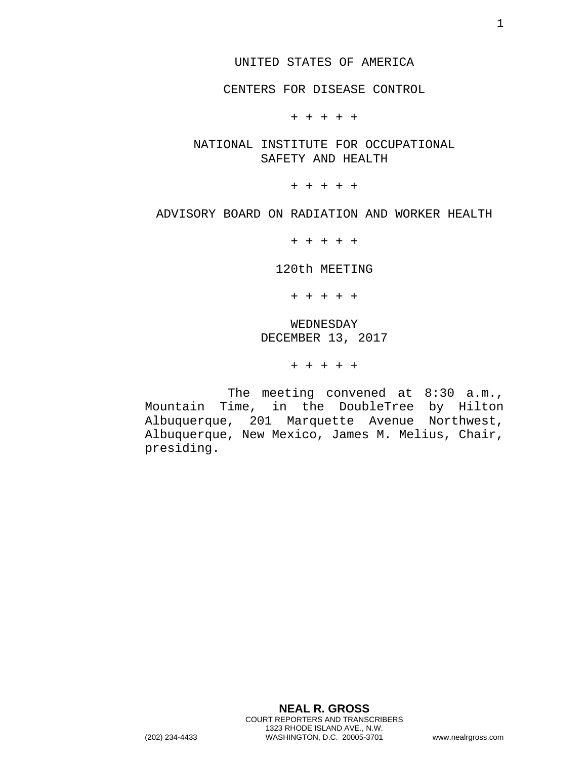### UNITED STATES OF AMERICA

# CENTERS FOR DISEASE CONTROL

+ + + + +

NATIONAL INSTITUTE FOR OCCUPATIONAL SAFETY AND HEALTH

+ + + + +

### ADVISORY BOARD ON RADIATION AND WORKER HEALTH

+ + + + +

120th MEETING

+ + + + +

WEDNESDAY DECEMBER 13, 2017

+ + + + +

The meeting convened at 8:30 a.m., Mountain Time, in the DoubleTree by Hilton Albuquerque, 201 Marquette Avenue Northwest, Albuquerque, New Mexico, James M. Melius, Chair, presiding.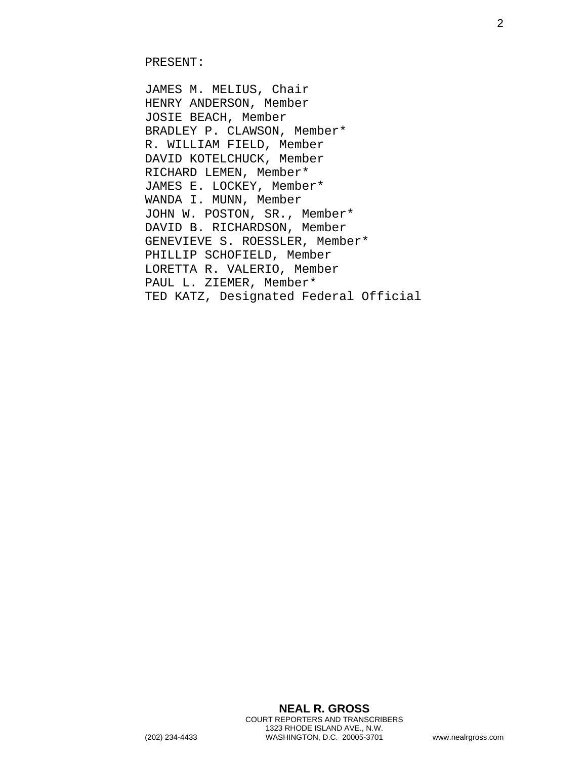JAMES M. MELIUS, Chair HENRY ANDERSON, Member JOSIE BEACH, Member BRADLEY P. CLAWSON, Member\* R. WILLIAM FIELD, Member DAVID KOTELCHUCK, Member RICHARD LEMEN, Member\* JAMES E. LOCKEY, Member\* WANDA I. MUNN, Member JOHN W. POSTON, SR., Member\* DAVID B. RICHARDSON, Member GENEVIEVE S. ROESSLER, Member\* PHILLIP SCHOFIELD, Member LORETTA R. VALERIO, Member PAUL L. ZIEMER, Member\* TED KATZ, Designated Federal Official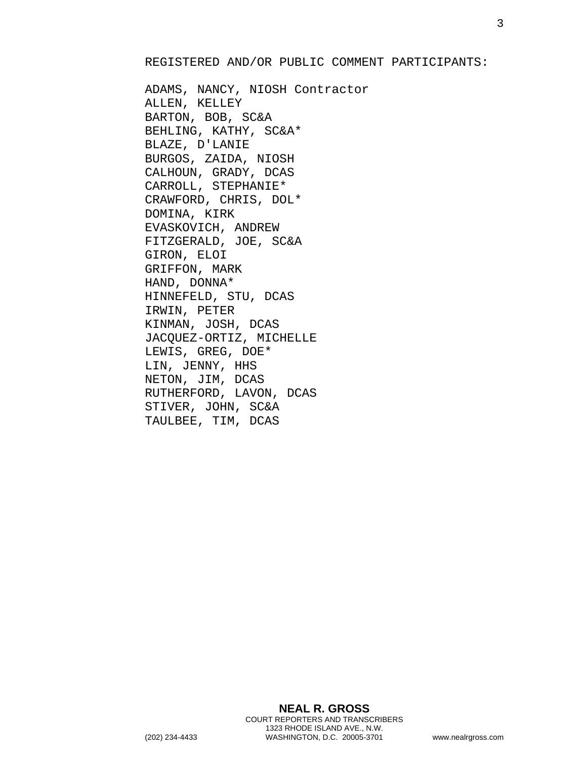#### REGISTERED AND/OR PUBLIC COMMENT PARTICIPANTS:

ADAMS, NANCY, NIOSH Contractor ALLEN, KELLEY BARTON, BOB, SC&A BEHLING, KATHY, SC&A\* BLAZE, D'LANIE BURGOS, ZAIDA, NIOSH CALHOUN, GRADY, DCAS CARROLL, STEPHANIE\* CRAWFORD, CHRIS, DOL\* DOMINA, KIRK EVASKOVICH, ANDREW FITZGERALD, JOE, SC&A GIRON, ELOI GRIFFON, MARK HAND, DONNA\* HINNEFELD, STU, DCAS IRWIN, PETER KINMAN, JOSH, DCAS JACQUEZ-ORTIZ, MICHELLE LEWIS, GREG, DOE\* LIN, JENNY, HHS NETON, JIM, DCAS RUTHERFORD, LAVON, DCAS STIVER, JOHN, SC&A TAULBEE, TIM, DCAS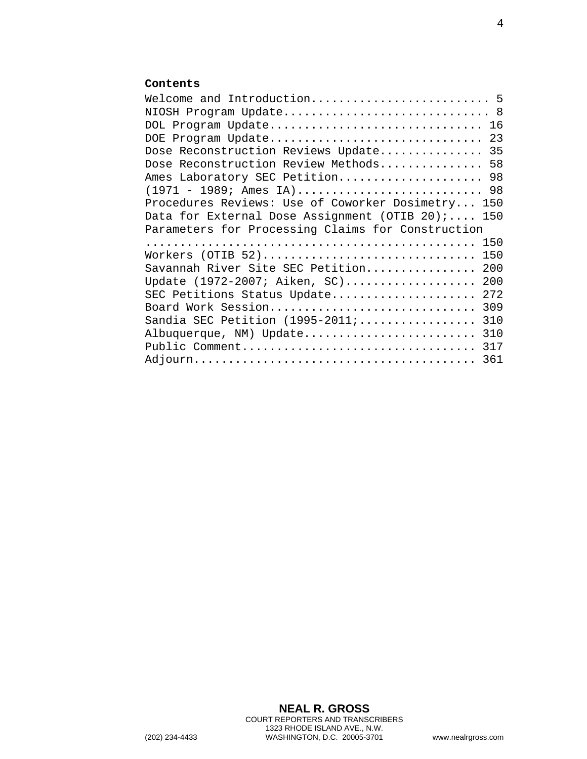## **Contents**

| Welcome and Introduction 5                        |     |
|---------------------------------------------------|-----|
| NIOSH Program Update 8                            |     |
| DOL Program Update 16                             |     |
| DOE Program Update                                | 23  |
| Dose Reconstruction Reviews Update                | 35  |
| Dose Reconstruction Review Methods 58             |     |
| Ames Laboratory SEC Petition 98                   |     |
|                                                   |     |
| Procedures Reviews: Use of Coworker Dosimetry 150 |     |
| Data for External Dose Assignment (OTIB $20$ );   | 150 |
| Parameters for Processing Claims for Construction |     |
|                                                   | 150 |
| Workers (OTIB 52)                                 | 150 |
| Savannah River Site SEC Petition                  | 200 |
| Update (1972-2007; Aiken, SC)                     | 200 |
| SEC Petitions Status Update                       | 272 |
| Board Work Session                                | 309 |
| Sandia SEC Petition (1995-2011;                   | 310 |
| Albuquerque, NM) Update                           | 310 |
| Public Comment                                    | 317 |
|                                                   | 361 |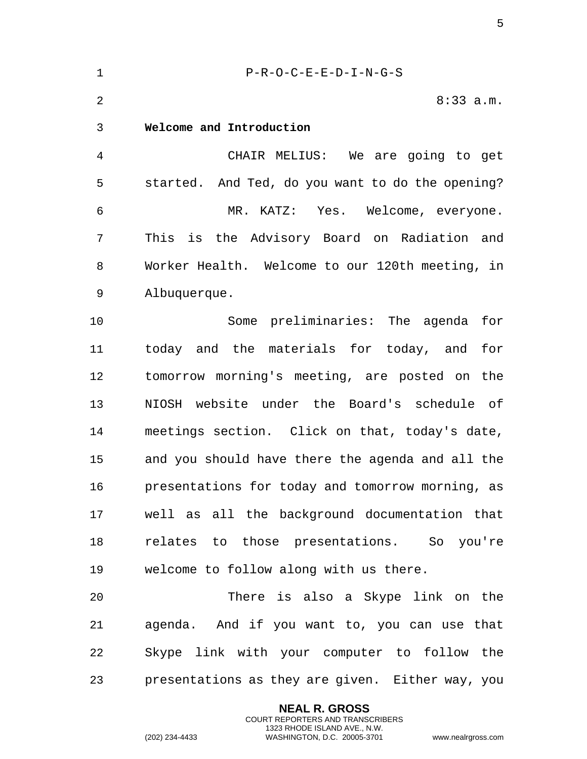<span id="page-4-0"></span>1 P-R-O-C-E-E-D-I-N-G-S 2 8:33 a.m. 3 **Welcome and Introduction**  4 CHAIR MELIUS: We are going to get 5 started. And Ted, do you want to do the opening? 6 MR. KATZ: Yes. Welcome, everyone. 7 This is the Advisory Board on Radiation and 8 Worker Health. Welcome to our 120th meeting, in 9 Albuquerque. 10 Some preliminaries: The agenda for 11 today and the materials for today, and for 12 tomorrow morning's meeting, are posted on the 13 NIOSH website under the Board's schedule of 14 meetings section. Click on that, today's date, 15 and you should have there the agenda and all the 16 presentations for today and tomorrow morning, as 17 well as all the background documentation that 18 relates to those presentations. So you're 19 welcome to follow along with us there. 20 There is also a Skype link on the 21 agenda. And if you want to, you can use that 22 Skype link with your computer to follow the 23 presentations as they are given. Either way, you

> **NEAL R. GROSS** COURT REPORTERS AND TRANSCRIBERS 1323 RHODE ISLAND AVE., N.W.

(202) 234-4433 WASHINGTON, D.C. 20005-3701 www.nealrgross.com

5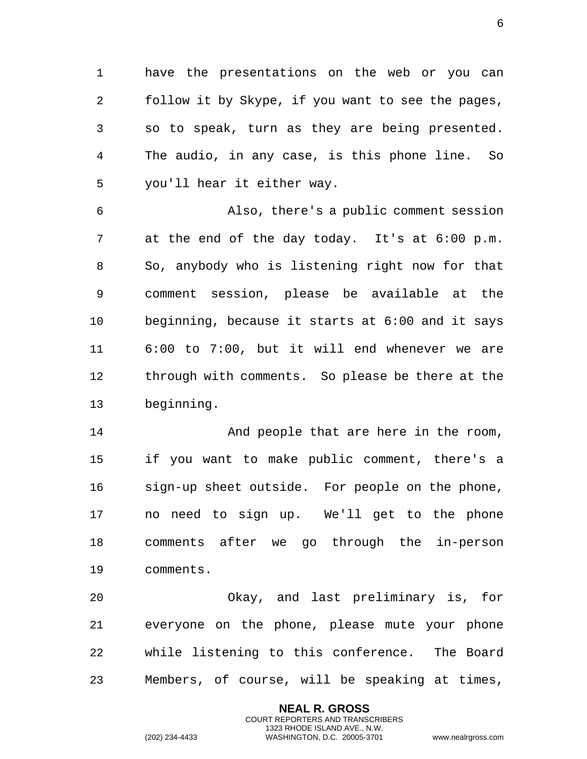1 have the presentations on the web or you can 2 follow it by Skype, if you want to see the pages, 3 so to speak, turn as they are being presented. 4 The audio, in any case, is this phone line. So 5 you'll hear it either way.

6 Also, there's a public comment session 7 at the end of the day today. It's at 6:00 p.m. 8 So, anybody who is listening right now for that 9 comment session, please be available at the 10 beginning, because it starts at 6:00 and it says 11 6:00 to 7:00, but it will end whenever we are 12 through with comments. So please be there at the 13 beginning.

14 And people that are here in the room, 15 if you want to make public comment, there's a 16 sign-up sheet outside. For people on the phone, 17 no need to sign up. We'll get to the phone 18 comments after we go through the in-person 19 comments.

20 Okay, and last preliminary is, for 21 everyone on the phone, please mute your phone 22 while listening to this conference. The Board 23 Members, of course, will be speaking at times,

> **NEAL R. GROSS** COURT REPORTERS AND TRANSCRIBERS 1323 RHODE ISLAND AVE., N.W.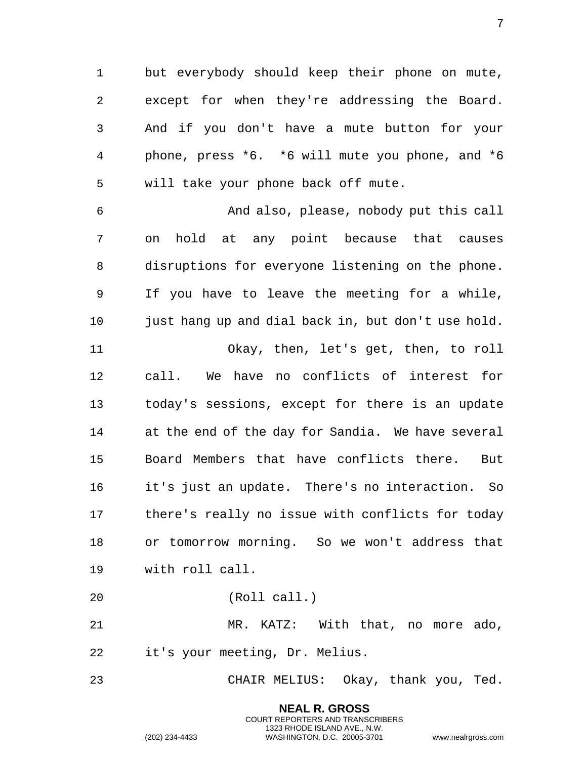1 but everybody should keep their phone on mute, 2 except for when they're addressing the Board. 3 And if you don't have a mute button for your 4 phone, press \*6. \*6 will mute you phone, and \*6 5 will take your phone back off mute.

6 And also, please, nobody put this call 7 on hold at any point because that causes 8 disruptions for everyone listening on the phone. 9 If you have to leave the meeting for a while, 10 just hang up and dial back in, but don't use hold. 11 Okay, then, let's get, then, to roll 12 call. We have no conflicts of interest for 13 today's sessions, except for there is an update 14 at the end of the day for Sandia. We have several 15 Board Members that have conflicts there. But 16 it's just an update. There's no interaction. So 17 there's really no issue with conflicts for today 18 or tomorrow morning. So we won't address that 19 with roll call.

20 (Roll call.)

21 MR. KATZ: With that, no more ado, 22 it's your meeting, Dr. Melius.

23 CHAIR MELIUS: Okay, thank you, Ted.

**NEAL R. GROSS** COURT REPORTERS AND TRANSCRIBERS 1323 RHODE ISLAND AVE., N.W.

(202) 234-4433 WASHINGTON, D.C. 20005-3701 www.nealrgross.com

7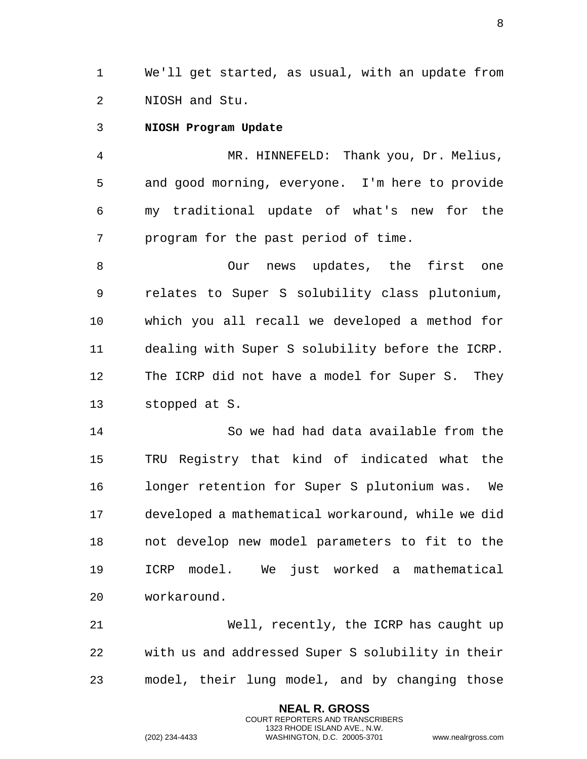1 We'll get started, as usual, with an update from 2 NIOSH and Stu.

<span id="page-7-0"></span>3 **NIOSH Program Update** 

4 MR. HINNEFELD: Thank you, Dr. Melius, 5 and good morning, everyone. I'm here to provide 6 my traditional update of what's new for the 7 program for the past period of time.

8 Our news updates, the first one 9 relates to Super S solubility class plutonium, 10 which you all recall we developed a method for 11 dealing with Super S solubility before the ICRP. 12 The ICRP did not have a model for Super S. They 13 stopped at S.

14 So we had had data available from the 15 TRU Registry that kind of indicated what the 16 longer retention for Super S plutonium was. We 17 developed a mathematical workaround, while we did 18 not develop new model parameters to fit to the 19 ICRP model. We just worked a mathematical 20 workaround.

21 Well, recently, the ICRP has caught up 22 with us and addressed Super S solubility in their 23 model, their lung model, and by changing those

> **NEAL R. GROSS** COURT REPORTERS AND TRANSCRIBERS 1323 RHODE ISLAND AVE., N.W.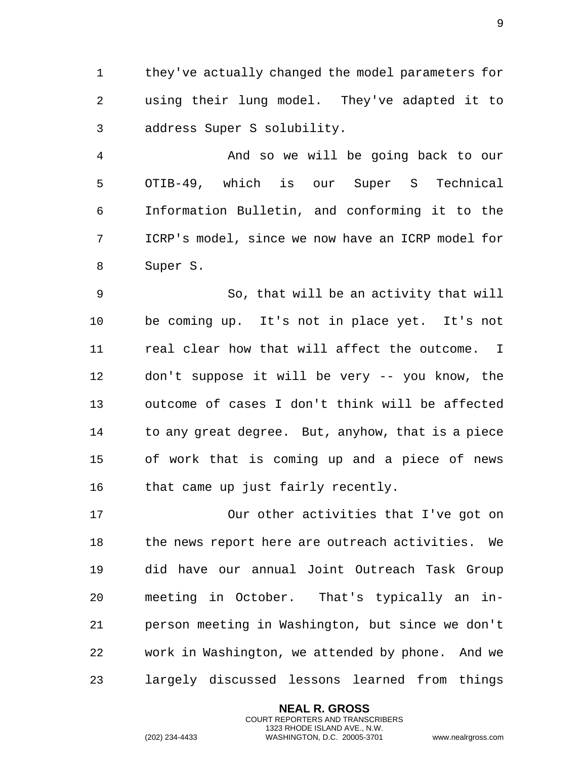they've actually changed the model parameters for using their lung model. They've adapted it to address Super S solubility.

 And so we will be going back to our OTIB-49, which is our Super S Technical Information Bulletin, and conforming it to the ICRP's model, since we now have an ICRP model for Super S.

 So, that will be an activity that will be coming up. It's not in place yet. It's not real clear how that will affect the outcome. I don't suppose it will be very -- you know, the outcome of cases I don't think will be affected to any great degree. But, anyhow, that is a piece of work that is coming up and a piece of news that came up just fairly recently.

 Our other activities that I've got on 18 the news report here are outreach activities. We did have our annual Joint Outreach Task Group meeting in October. That's typically an in- person meeting in Washington, but since we don't work in Washington, we attended by phone. And we largely discussed lessons learned from things

> **NEAL R. GROSS** COURT REPORTERS AND TRANSCRIBERS 1323 RHODE ISLAND AVE., N.W.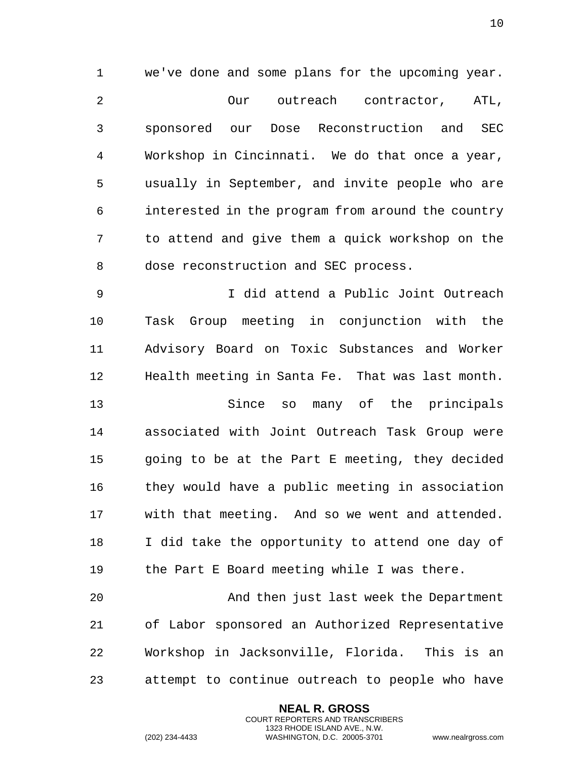we've done and some plans for the upcoming year. Our outreach contractor, ATL, sponsored our Dose Reconstruction and SEC Workshop in Cincinnati. We do that once a year, usually in September, and invite people who are interested in the program from around the country to attend and give them a quick workshop on the dose reconstruction and SEC process.

 I did attend a Public Joint Outreach Task Group meeting in conjunction with the Advisory Board on Toxic Substances and Worker Health meeting in Santa Fe. That was last month.

 Since so many of the principals associated with Joint Outreach Task Group were going to be at the Part E meeting, they decided they would have a public meeting in association with that meeting. And so we went and attended. I did take the opportunity to attend one day of the Part E Board meeting while I was there.

 And then just last week the Department of Labor sponsored an Authorized Representative Workshop in Jacksonville, Florida. This is an attempt to continue outreach to people who have

> **NEAL R. GROSS** COURT REPORTERS AND TRANSCRIBERS 1323 RHODE ISLAND AVE., N.W.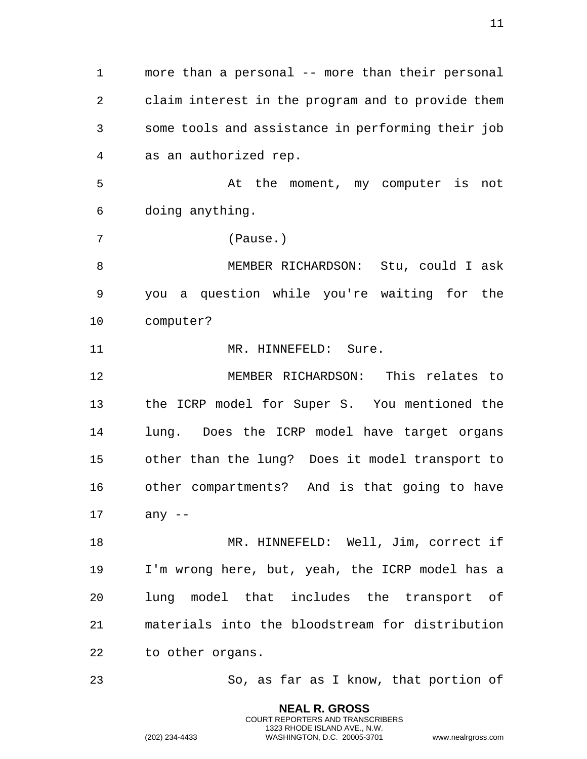more than a personal -- more than their personal claim interest in the program and to provide them some tools and assistance in performing their job as an authorized rep.

 At the moment, my computer is not doing anything.

(Pause.)

 MEMBER RICHARDSON: Stu, could I ask you a question while you're waiting for the computer?

11 MR. HINNEFELD: Sure.

 MEMBER RICHARDSON: This relates to the ICRP model for Super S. You mentioned the lung. Does the ICRP model have target organs other than the lung? Does it model transport to other compartments? And is that going to have any --

 MR. HINNEFELD: Well, Jim, correct if I'm wrong here, but, yeah, the ICRP model has a lung model that includes the transport of materials into the bloodstream for distribution to other organs.

So, as far as I know, that portion of

**NEAL R. GROSS** COURT REPORTERS AND TRANSCRIBERS 1323 RHODE ISLAND AVE., N.W.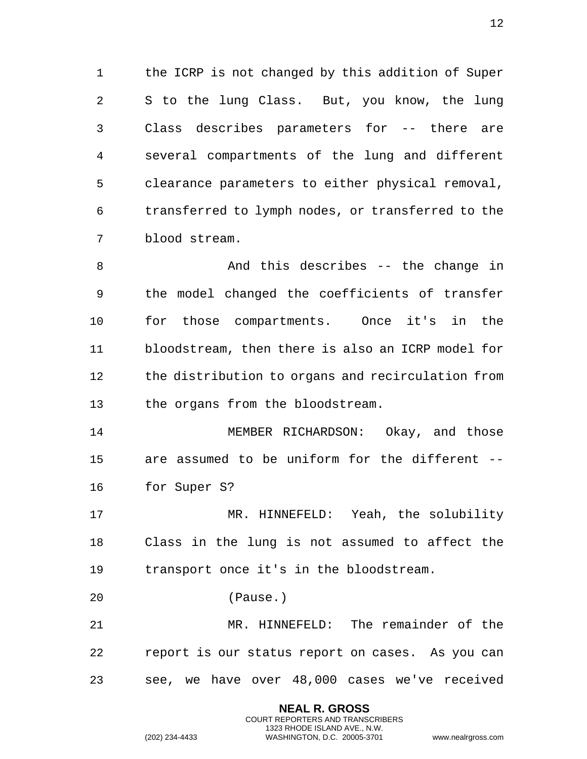1 the ICRP is not changed by this addition of Super S to the lung Class. But, you know, the lung Class describes parameters for -- there are several compartments of the lung and different clearance parameters to either physical removal, transferred to lymph nodes, or transferred to the blood stream.

 And this describes -- the change in the model changed the coefficients of transfer for those compartments. Once it's in the bloodstream, then there is also an ICRP model for the distribution to organs and recirculation from the organs from the bloodstream.

 MEMBER RICHARDSON: Okay, and those are assumed to be uniform for the different -- for Super S?

 MR. HINNEFELD: Yeah, the solubility Class in the lung is not assumed to affect the transport once it's in the bloodstream.

(Pause.)

 MR. HINNEFELD: The remainder of the report is our status report on cases. As you can see, we have over 48,000 cases we've received

> **NEAL R. GROSS** COURT REPORTERS AND TRANSCRIBERS 1323 RHODE ISLAND AVE., N.W.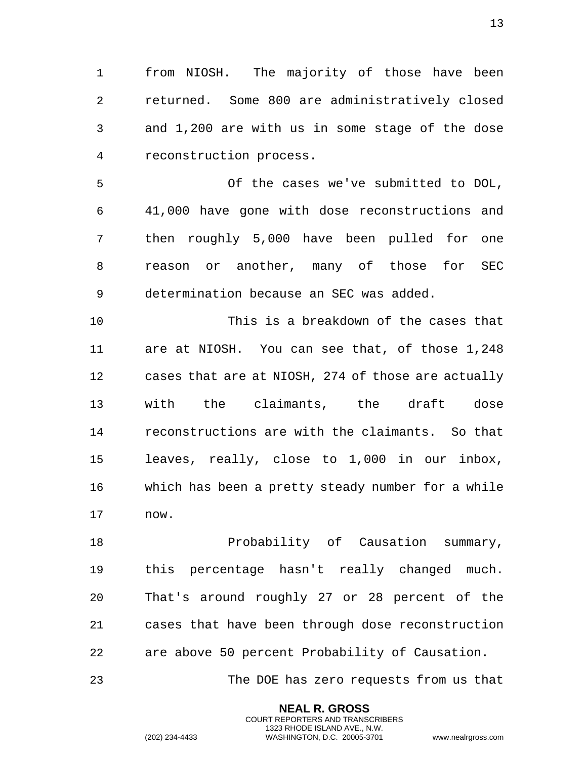from NIOSH. The majority of those have been returned. Some 800 are administratively closed and 1,200 are with us in some stage of the dose reconstruction process.

 Of the cases we've submitted to DOL, 41,000 have gone with dose reconstructions and then roughly 5,000 have been pulled for one reason or another, many of those for SEC determination because an SEC was added.

 This is a breakdown of the cases that are at NIOSH. You can see that, of those 1,248 cases that are at NIOSH, 274 of those are actually with the claimants, the draft dose reconstructions are with the claimants. So that leaves, really, close to 1,000 in our inbox, which has been a pretty steady number for a while now.

 Probability of Causation summary, this percentage hasn't really changed much. That's around roughly 27 or 28 percent of the cases that have been through dose reconstruction are above 50 percent Probability of Causation.

The DOE has zero requests from us that

**NEAL R. GROSS** COURT REPORTERS AND TRANSCRIBERS 1323 RHODE ISLAND AVE., N.W.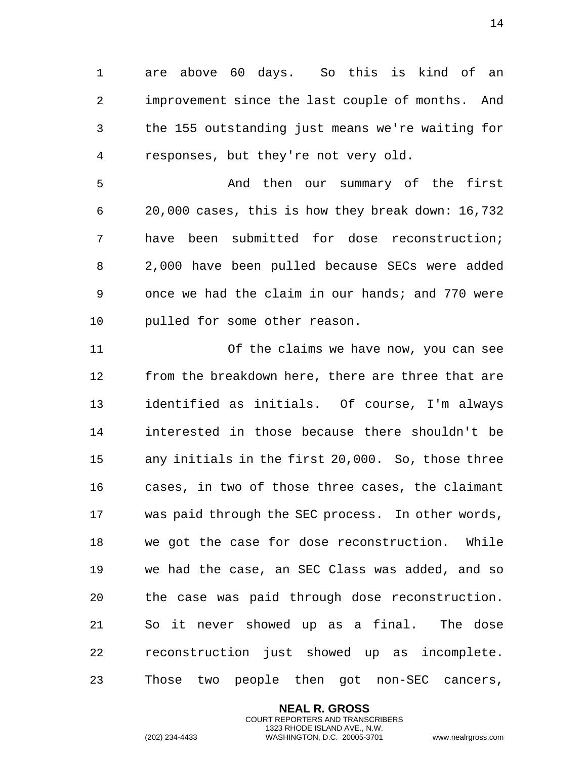are above 60 days. So this is kind of an improvement since the last couple of months. And the 155 outstanding just means we're waiting for responses, but they're not very old.

 And then our summary of the first 20,000 cases, this is how they break down: 16,732 have been submitted for dose reconstruction; 2,000 have been pulled because SECs were added once we had the claim in our hands; and 770 were pulled for some other reason.

 Of the claims we have now, you can see from the breakdown here, there are three that are identified as initials. Of course, I'm always interested in those because there shouldn't be any initials in the first 20,000. So, those three cases, in two of those three cases, the claimant was paid through the SEC process. In other words, we got the case for dose reconstruction. While we had the case, an SEC Class was added, and so the case was paid through dose reconstruction. So it never showed up as a final. The dose reconstruction just showed up as incomplete. Those two people then got non-SEC cancers,

> **NEAL R. GROSS** COURT REPORTERS AND TRANSCRIBERS 1323 RHODE ISLAND AVE., N.W.

(202) 234-4433 WASHINGTON, D.C. 20005-3701 www.nealrgross.com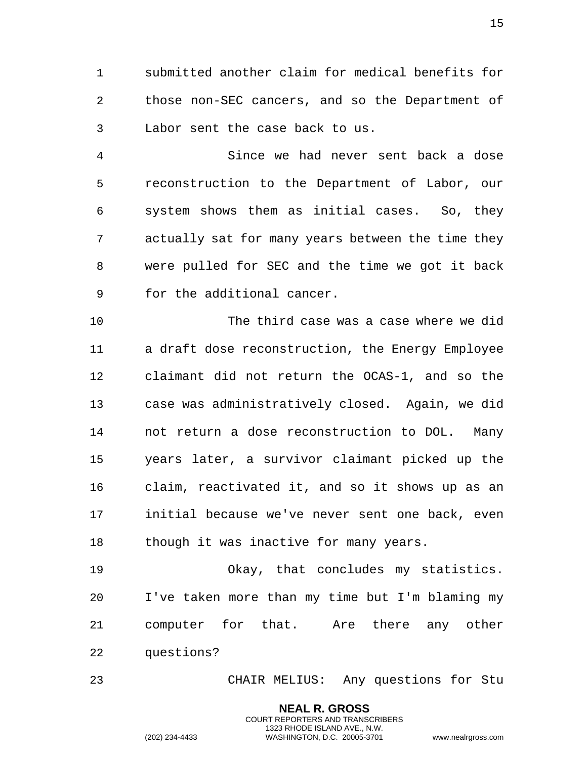submitted another claim for medical benefits for those non-SEC cancers, and so the Department of Labor sent the case back to us.

 Since we had never sent back a dose reconstruction to the Department of Labor, our system shows them as initial cases. So, they actually sat for many years between the time they were pulled for SEC and the time we got it back for the additional cancer.

 The third case was a case where we did a draft dose reconstruction, the Energy Employee claimant did not return the OCAS-1, and so the case was administratively closed. Again, we did not return a dose reconstruction to DOL. Many years later, a survivor claimant picked up the claim, reactivated it, and so it shows up as an initial because we've never sent one back, even 18 though it was inactive for many years.

 Okay, that concludes my statistics. I've taken more than my time but I'm blaming my computer for that. Are there any other questions?

CHAIR MELIUS: Any questions for Stu

**NEAL R. GROSS** COURT REPORTERS AND TRANSCRIBERS 1323 RHODE ISLAND AVE., N.W.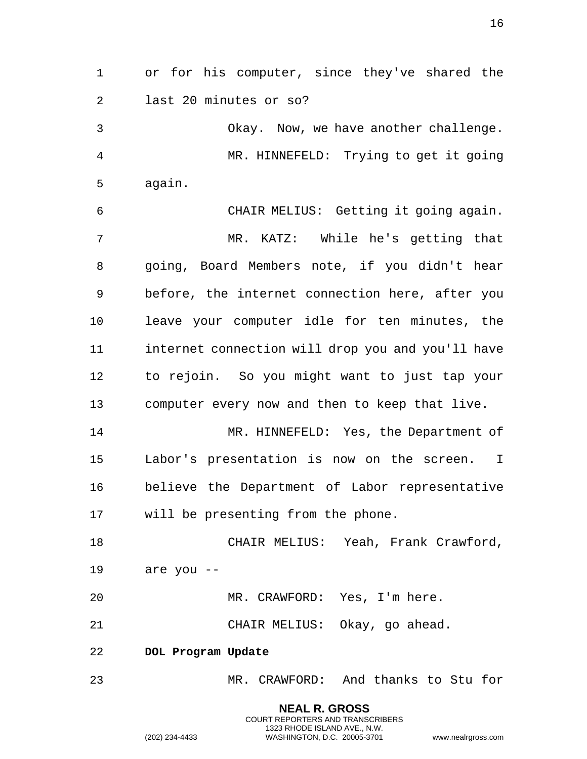or for his computer, since they've shared the last 20 minutes or so?

 Okay. Now, we have another challenge. MR. HINNEFELD: Trying to get it going again.

 CHAIR MELIUS: Getting it going again. MR. KATZ: While he's getting that going, Board Members note, if you didn't hear before, the internet connection here, after you leave your computer idle for ten minutes, the internet connection will drop you and you'll have to rejoin. So you might want to just tap your computer every now and then to keep that live.

 MR. HINNEFELD: Yes, the Department of Labor's presentation is now on the screen. I believe the Department of Labor representative will be presenting from the phone.

 CHAIR MELIUS: Yeah, Frank Crawford, are you --

MR. CRAWFORD: Yes, I'm here.

CHAIR MELIUS: Okay, go ahead.

<span id="page-15-0"></span>**DOL Program Update**

MR. CRAWFORD: And thanks to Stu for

**NEAL R. GROSS** COURT REPORTERS AND TRANSCRIBERS 1323 RHODE ISLAND AVE., N.W. (202) 234-4433 WASHINGTON, D.C. 20005-3701 www.nealrgross.com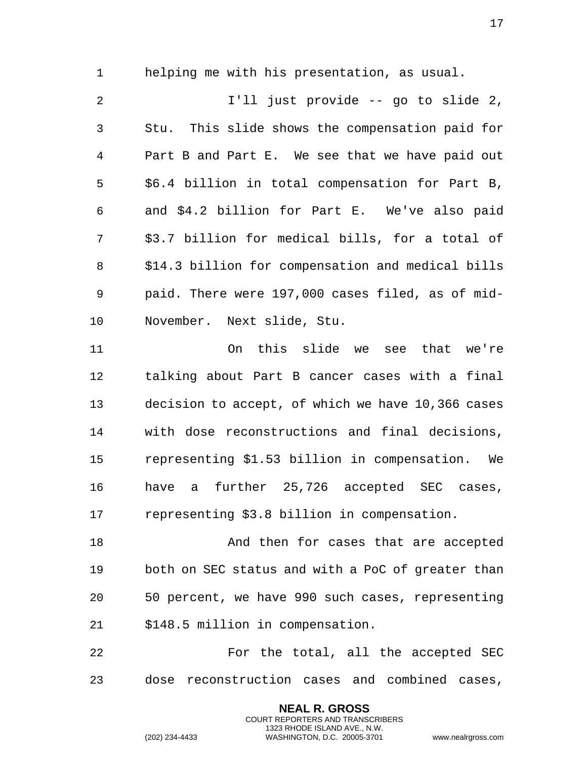helping me with his presentation, as usual.

 I'll just provide -- go to slide 2, Stu. This slide shows the compensation paid for Part B and Part E. We see that we have paid out \$6.4 billion in total compensation for Part B, and \$4.2 billion for Part E. We've also paid \$3.7 billion for medical bills, for a total of \$14.3 billion for compensation and medical bills paid. There were 197,000 cases filed, as of mid-November. Next slide, Stu.

 On this slide we see that we're talking about Part B cancer cases with a final decision to accept, of which we have 10,366 cases with dose reconstructions and final decisions, representing \$1.53 billion in compensation. We have a further 25,726 accepted SEC cases, representing \$3.8 billion in compensation.

18 And then for cases that are accepted both on SEC status and with a PoC of greater than 50 percent, we have 990 such cases, representing \$148.5 million in compensation.

22 For the total, all the accepted SEC dose reconstruction cases and combined cases,

> **NEAL R. GROSS** COURT REPORTERS AND TRANSCRIBERS 1323 RHODE ISLAND AVE., N.W.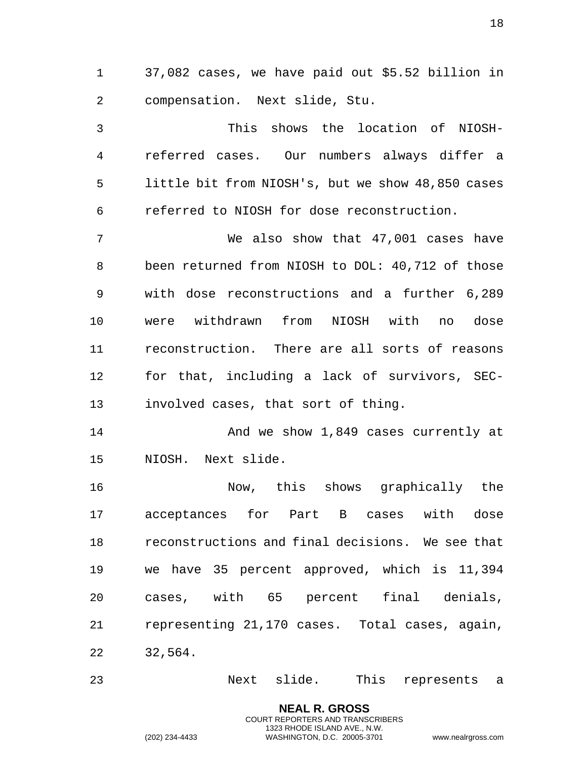37,082 cases, we have paid out \$5.52 billion in compensation. Next slide, Stu.

 This shows the location of NIOSH- referred cases. Our numbers always differ a little bit from NIOSH's, but we show 48,850 cases referred to NIOSH for dose reconstruction.

 We also show that 47,001 cases have been returned from NIOSH to DOL: 40,712 of those with dose reconstructions and a further 6,289 were withdrawn from NIOSH with no dose reconstruction. There are all sorts of reasons for that, including a lack of survivors, SEC-involved cases, that sort of thing.

14 And we show 1,849 cases currently at NIOSH. Next slide.

 Now, this shows graphically the acceptances for Part B cases with dose reconstructions and final decisions. We see that we have 35 percent approved, which is 11,394 cases, with 65 percent final denials, representing 21,170 cases. Total cases, again, 32,564.

Next slide. This represents a

**NEAL R. GROSS** COURT REPORTERS AND TRANSCRIBERS 1323 RHODE ISLAND AVE., N.W.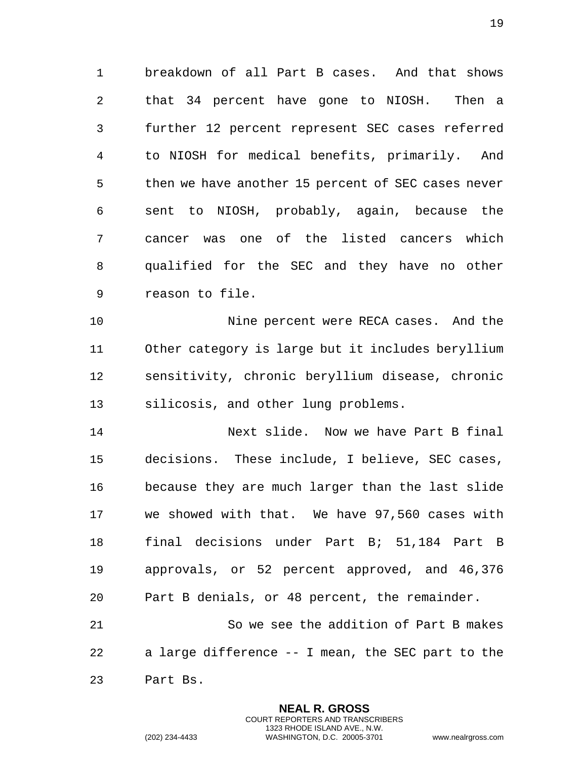breakdown of all Part B cases. And that shows that 34 percent have gone to NIOSH. Then a further 12 percent represent SEC cases referred to NIOSH for medical benefits, primarily. And then we have another 15 percent of SEC cases never sent to NIOSH, probably, again, because the cancer was one of the listed cancers which qualified for the SEC and they have no other reason to file.

 Nine percent were RECA cases. And the Other category is large but it includes beryllium sensitivity, chronic beryllium disease, chronic silicosis, and other lung problems.

 Next slide. Now we have Part B final decisions. These include, I believe, SEC cases, because they are much larger than the last slide we showed with that. We have 97,560 cases with final decisions under Part B; 51,184 Part B approvals, or 52 percent approved, and 46,376 Part B denials, or 48 percent, the remainder.

 So we see the addition of Part B makes a large difference -- I mean, the SEC part to the Part Bs.

> **NEAL R. GROSS** COURT REPORTERS AND TRANSCRIBERS 1323 RHODE ISLAND AVE., N.W.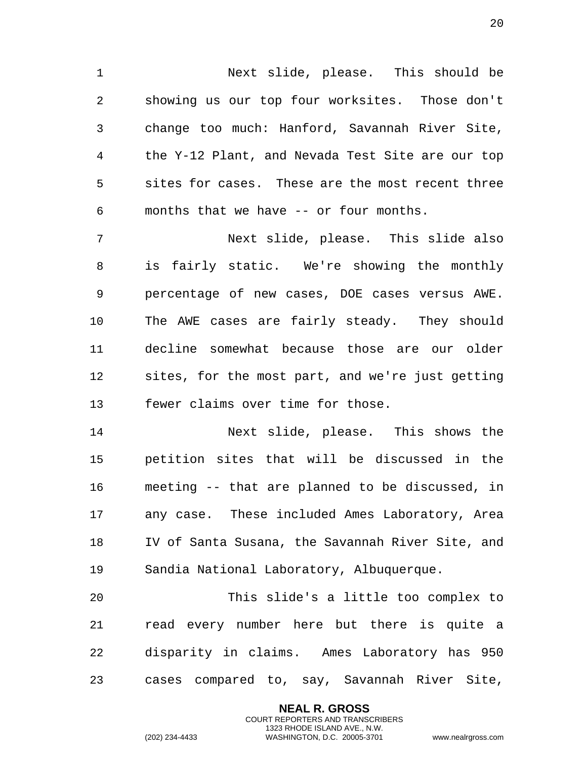Next slide, please. This should be showing us our top four worksites. Those don't change too much: Hanford, Savannah River Site, the Y-12 Plant, and Nevada Test Site are our top sites for cases. These are the most recent three months that we have -- or four months.

 Next slide, please. This slide also is fairly static. We're showing the monthly percentage of new cases, DOE cases versus AWE. The AWE cases are fairly steady. They should decline somewhat because those are our older sites, for the most part, and we're just getting fewer claims over time for those.

 Next slide, please. This shows the petition sites that will be discussed in the meeting -- that are planned to be discussed, in any case. These included Ames Laboratory, Area IV of Santa Susana, the Savannah River Site, and Sandia National Laboratory, Albuquerque.

 This slide's a little too complex to read every number here but there is quite a disparity in claims. Ames Laboratory has 950 cases compared to, say, Savannah River Site,

> **NEAL R. GROSS** COURT REPORTERS AND TRANSCRIBERS 1323 RHODE ISLAND AVE., N.W.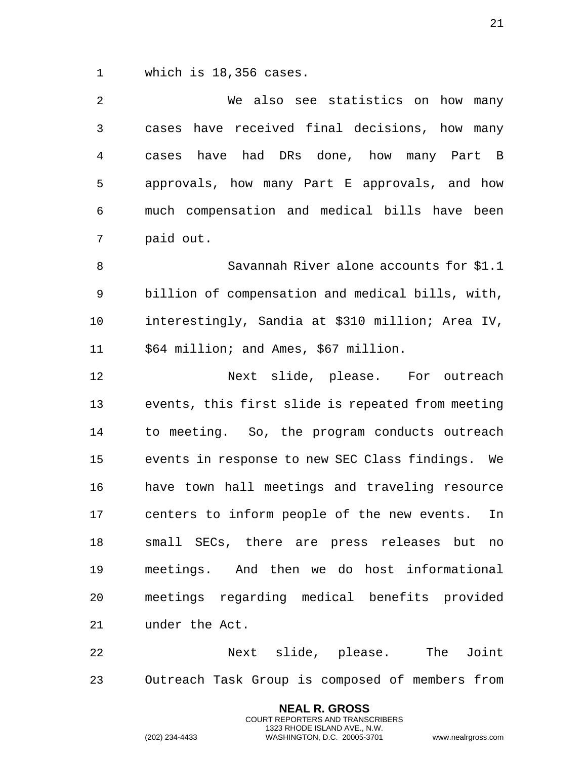which is 18,356 cases.

 We also see statistics on how many cases have received final decisions, how many cases have had DRs done, how many Part B approvals, how many Part E approvals, and how much compensation and medical bills have been paid out.

 Savannah River alone accounts for \$1.1 billion of compensation and medical bills, with, interestingly, Sandia at \$310 million; Area IV, 11 \$64 million; and Ames, \$67 million.

12 Next slide, please. For outreach events, this first slide is repeated from meeting to meeting. So, the program conducts outreach events in response to new SEC Class findings. We have town hall meetings and traveling resource centers to inform people of the new events. In small SECs, there are press releases but no meetings. And then we do host informational meetings regarding medical benefits provided under the Act.

 Next slide, please. The Joint Outreach Task Group is composed of members from

> **NEAL R. GROSS** COURT REPORTERS AND TRANSCRIBERS 1323 RHODE ISLAND AVE., N.W.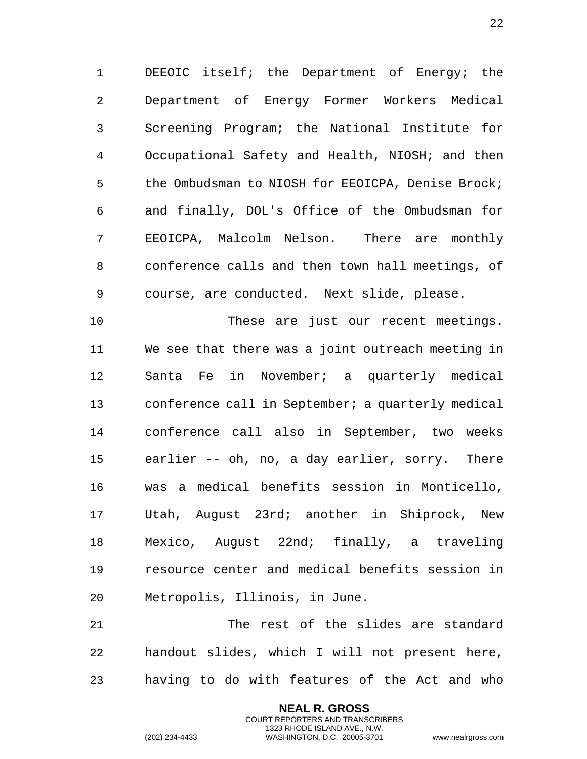1 DEEOIC itself; the Department of Energy; the 2 Department of Energy Former Workers Medical 3 Screening Program; the National Institute for 4 Occupational Safety and Health, NIOSH; and then 5 the Ombudsman to NIOSH for EEOICPA, Denise Brock; 6 and finally, DOL's Office of the Ombudsman for 7 EEOICPA, Malcolm Nelson. There are monthly 8 conference calls and then town hall meetings, of 9 course, are conducted. Next slide, please.

10 These are just our recent meetings. 11 We see that there was a joint outreach meeting in 12 Santa Fe in November; a quarterly medical 13 conference call in September; a quarterly medical 14 conference call also in September, two weeks 15 earlier -- oh, no, a day earlier, sorry. There 16 was a medical benefits session in Monticello, 17 Utah, August 23rd; another in Shiprock, New 18 Mexico, August 22nd; finally, a traveling 19 resource center and medical benefits session in 20 Metropolis, Illinois, in June.

21 The rest of the slides are standard 22 handout slides, which I will not present here, 23 having to do with features of the Act and who

> **NEAL R. GROSS** COURT REPORTERS AND TRANSCRIBERS 1323 RHODE ISLAND AVE., N.W.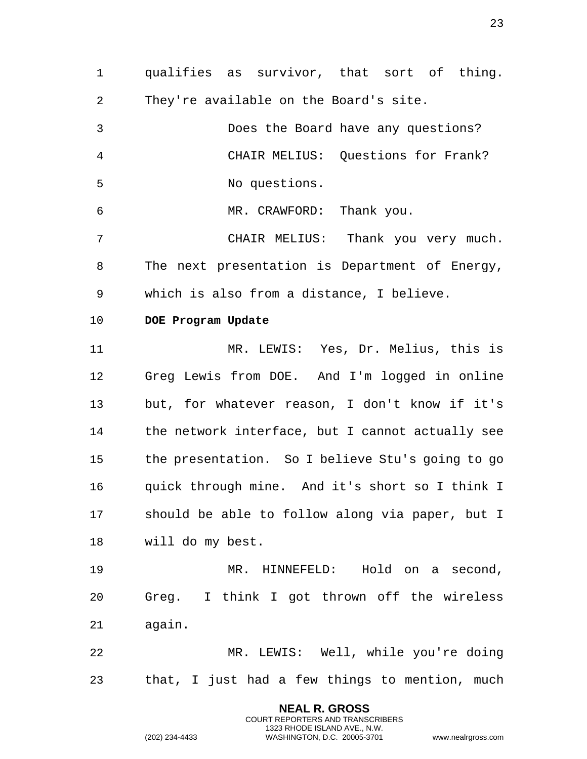1 qualifies as survivor, that sort of thing. 2 They're available on the Board's site.

3 Does the Board have any questions? 4 CHAIR MELIUS: Questions for Frank? 5 No questions.

6 MR. CRAWFORD: Thank you.

7 CHAIR MELIUS: Thank you very much. 8 The next presentation is Department of Energy, 9 which is also from a distance, I believe.

#### <span id="page-22-0"></span>10 **DOE Program Update**

11 MR. LEWIS: Yes, Dr. Melius, this is 12 Greg Lewis from DOE. And I'm logged in online 13 but, for whatever reason, I don't know if it's 14 the network interface, but I cannot actually see 15 the presentation. So I believe Stu's going to go 16 quick through mine. And it's short so I think I 17 should be able to follow along via paper, but I 18 will do my best.

19 MR. HINNEFELD: Hold on a second, 20 Greg. I think I got thrown off the wireless 21 again.

22 MR. LEWIS: Well, while you're doing 23 that, I just had a few things to mention, much

> **NEAL R. GROSS** COURT REPORTERS AND TRANSCRIBERS 1323 RHODE ISLAND AVE., N.W.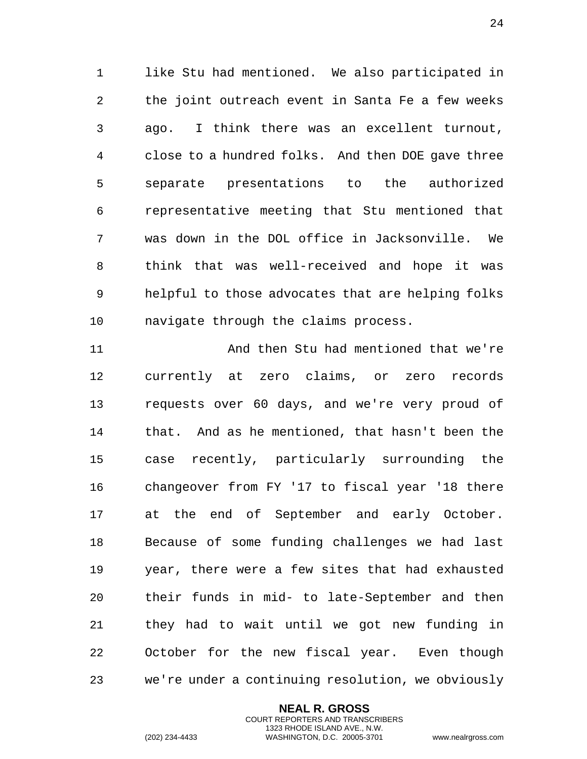like Stu had mentioned. We also participated in the joint outreach event in Santa Fe a few weeks ago. I think there was an excellent turnout, close to a hundred folks. And then DOE gave three separate presentations to the authorized representative meeting that Stu mentioned that was down in the DOL office in Jacksonville. We think that was well-received and hope it was helpful to those advocates that are helping folks navigate through the claims process.

 And then Stu had mentioned that we're currently at zero claims, or zero records requests over 60 days, and we're very proud of that. And as he mentioned, that hasn't been the case recently, particularly surrounding the changeover from FY '17 to fiscal year '18 there at the end of September and early October. Because of some funding challenges we had last year, there were a few sites that had exhausted their funds in mid- to late-September and then they had to wait until we got new funding in October for the new fiscal year. Even though we're under a continuing resolution, we obviously

> **NEAL R. GROSS** COURT REPORTERS AND TRANSCRIBERS 1323 RHODE ISLAND AVE., N.W.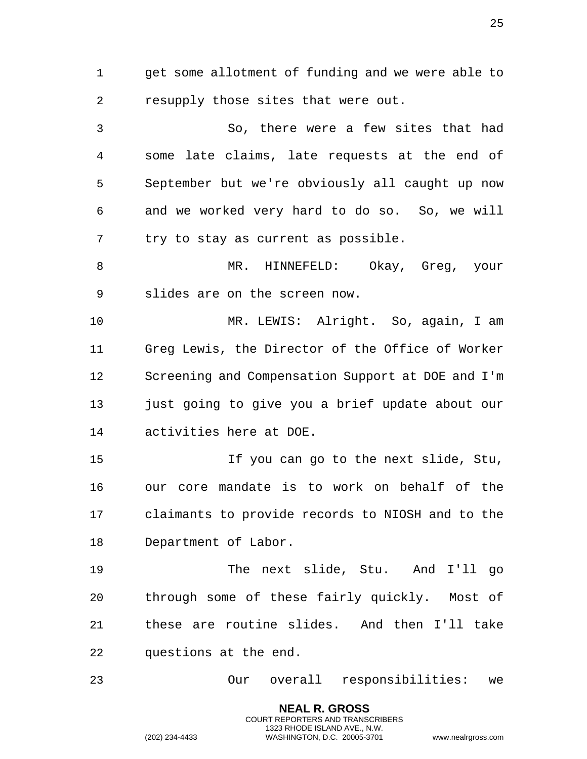get some allotment of funding and we were able to resupply those sites that were out.

 So, there were a few sites that had some late claims, late requests at the end of September but we're obviously all caught up now and we worked very hard to do so. So, we will try to stay as current as possible.

 MR. HINNEFELD: Okay, Greg, your slides are on the screen now.

 MR. LEWIS: Alright. So, again, I am Greg Lewis, the Director of the Office of Worker Screening and Compensation Support at DOE and I'm just going to give you a brief update about our activities here at DOE.

 If you can go to the next slide, Stu, our core mandate is to work on behalf of the claimants to provide records to NIOSH and to the Department of Labor.

 The next slide, Stu. And I'll go through some of these fairly quickly. Most of these are routine slides. And then I'll take questions at the end.

Our overall responsibilities: we

**NEAL R. GROSS** COURT REPORTERS AND TRANSCRIBERS 1323 RHODE ISLAND AVE., N.W.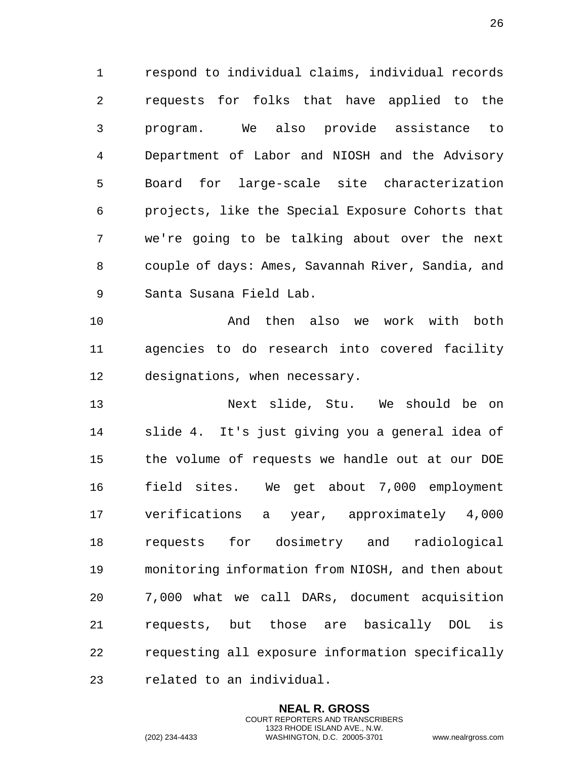respond to individual claims, individual records requests for folks that have applied to the program. We also provide assistance to Department of Labor and NIOSH and the Advisory Board for large-scale site characterization projects, like the Special Exposure Cohorts that we're going to be talking about over the next couple of days: Ames, Savannah River, Sandia, and Santa Susana Field Lab.

 And then also we work with both agencies to do research into covered facility designations, when necessary.

 Next slide, Stu. We should be on slide 4. It's just giving you a general idea of the volume of requests we handle out at our DOE field sites. We get about 7,000 employment verifications a year, approximately 4,000 requests for dosimetry and radiological monitoring information from NIOSH, and then about 7,000 what we call DARs, document acquisition requests, but those are basically DOL is requesting all exposure information specifically related to an individual.

> **NEAL R. GROSS** COURT REPORTERS AND TRANSCRIBERS 1323 RHODE ISLAND AVE., N.W.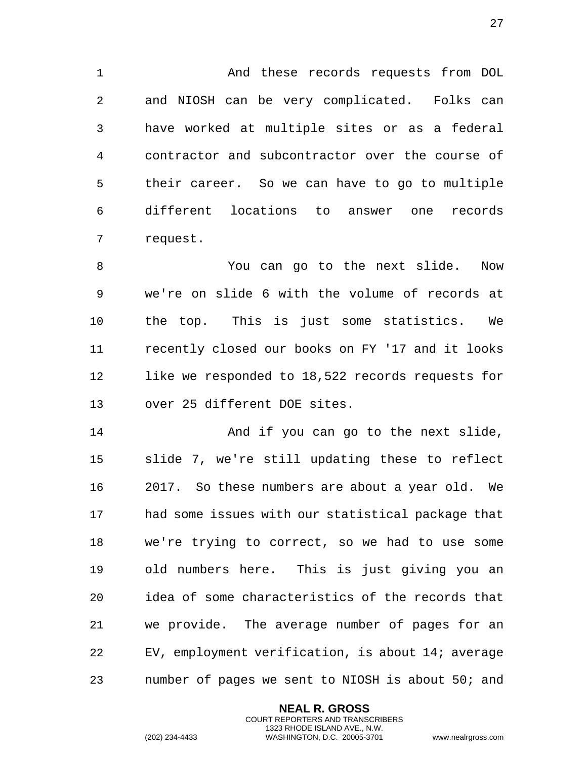And these records requests from DOL and NIOSH can be very complicated. Folks can have worked at multiple sites or as a federal contractor and subcontractor over the course of their career. So we can have to go to multiple different locations to answer one records request.

 You can go to the next slide. Now we're on slide 6 with the volume of records at the top. This is just some statistics. We recently closed our books on FY '17 and it looks like we responded to 18,522 records requests for over 25 different DOE sites.

14 And if you can go to the next slide, slide 7, we're still updating these to reflect 2017. So these numbers are about a year old. We had some issues with our statistical package that we're trying to correct, so we had to use some old numbers here. This is just giving you an idea of some characteristics of the records that we provide. The average number of pages for an EV, employment verification, is about 14; average number of pages we sent to NIOSH is about 50; and

> **NEAL R. GROSS** COURT REPORTERS AND TRANSCRIBERS 1323 RHODE ISLAND AVE., N.W.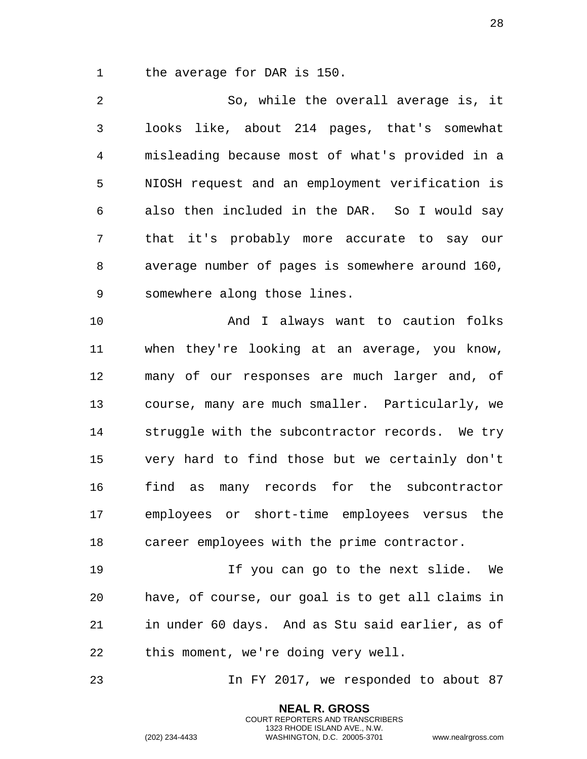the average for DAR is 150.

 So, while the overall average is, it looks like, about 214 pages, that's somewhat misleading because most of what's provided in a NIOSH request and an employment verification is also then included in the DAR. So I would say that it's probably more accurate to say our average number of pages is somewhere around 160, somewhere along those lines.

 And I always want to caution folks when they're looking at an average, you know, many of our responses are much larger and, of course, many are much smaller. Particularly, we struggle with the subcontractor records. We try very hard to find those but we certainly don't find as many records for the subcontractor employees or short-time employees versus the career employees with the prime contractor.

 If you can go to the next slide. We have, of course, our goal is to get all claims in in under 60 days. And as Stu said earlier, as of this moment, we're doing very well.

In FY 2017, we responded to about 87

**NEAL R. GROSS** COURT REPORTERS AND TRANSCRIBERS 1323 RHODE ISLAND AVE., N.W.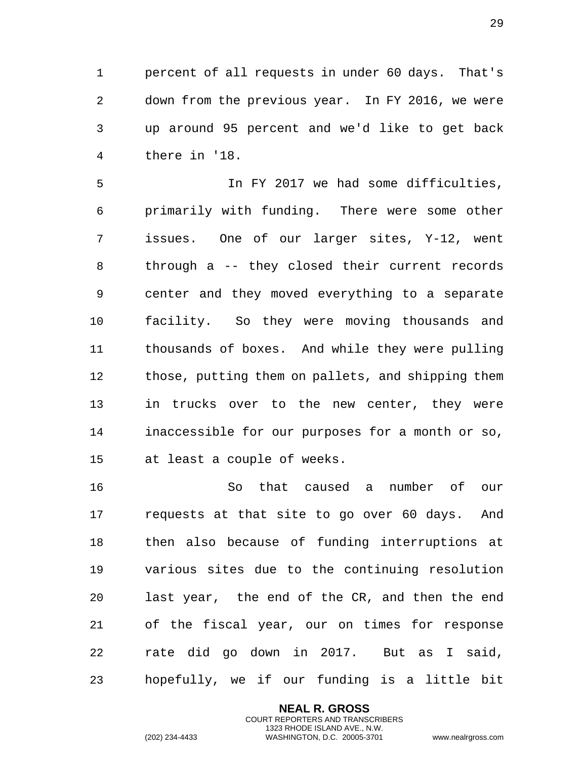percent of all requests in under 60 days. That's down from the previous year. In FY 2016, we were up around 95 percent and we'd like to get back there in '18.

 In FY 2017 we had some difficulties, primarily with funding. There were some other issues. One of our larger sites, Y-12, went through a -- they closed their current records center and they moved everything to a separate facility. So they were moving thousands and thousands of boxes. And while they were pulling those, putting them on pallets, and shipping them in trucks over to the new center, they were inaccessible for our purposes for a month or so, at least a couple of weeks.

 So that caused a number of our requests at that site to go over 60 days. And then also because of funding interruptions at various sites due to the continuing resolution last year, the end of the CR, and then the end of the fiscal year, our on times for response rate did go down in 2017. But as I said, hopefully, we if our funding is a little bit

> **NEAL R. GROSS** COURT REPORTERS AND TRANSCRIBERS 1323 RHODE ISLAND AVE., N.W.

(202) 234-4433 WASHINGTON, D.C. 20005-3701 www.nealrgross.com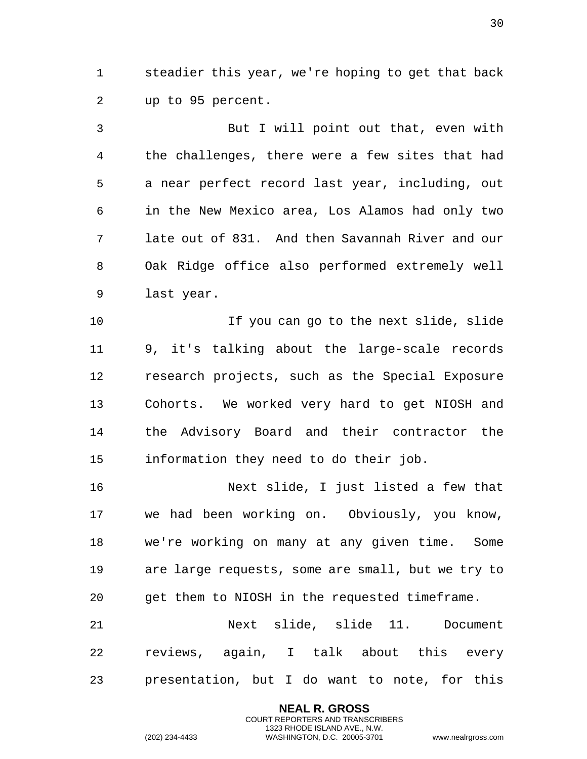steadier this year, we're hoping to get that back up to 95 percent.

 But I will point out that, even with the challenges, there were a few sites that had a near perfect record last year, including, out in the New Mexico area, Los Alamos had only two late out of 831. And then Savannah River and our Oak Ridge office also performed extremely well last year.

 If you can go to the next slide, slide 9, it's talking about the large-scale records research projects, such as the Special Exposure Cohorts. We worked very hard to get NIOSH and the Advisory Board and their contractor the information they need to do their job.

 Next slide, I just listed a few that we had been working on. Obviously, you know, we're working on many at any given time. Some are large requests, some are small, but we try to get them to NIOSH in the requested timeframe.

 Next slide, slide 11. Document reviews, again, I talk about this every presentation, but I do want to note, for this

> **NEAL R. GROSS** COURT REPORTERS AND TRANSCRIBERS 1323 RHODE ISLAND AVE., N.W.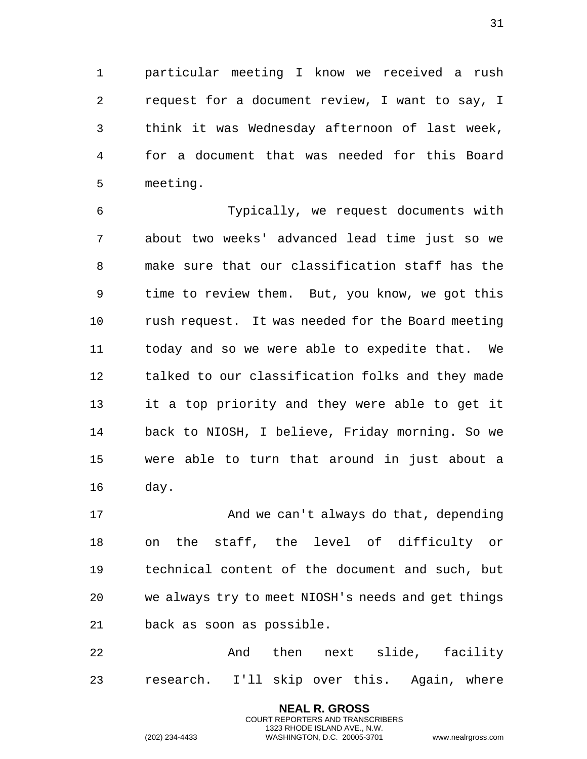particular meeting I know we received a rush request for a document review, I want to say, I think it was Wednesday afternoon of last week, for a document that was needed for this Board meeting.

 Typically, we request documents with about two weeks' advanced lead time just so we make sure that our classification staff has the time to review them. But, you know, we got this rush request. It was needed for the Board meeting today and so we were able to expedite that. We talked to our classification folks and they made it a top priority and they were able to get it back to NIOSH, I believe, Friday morning. So we were able to turn that around in just about a day.

17 And we can't always do that, depending on the staff, the level of difficulty or technical content of the document and such, but we always try to meet NIOSH's needs and get things back as soon as possible.

22 And then next slide, facility research. I'll skip over this. Again, where

> **NEAL R. GROSS** COURT REPORTERS AND TRANSCRIBERS 1323 RHODE ISLAND AVE., N.W.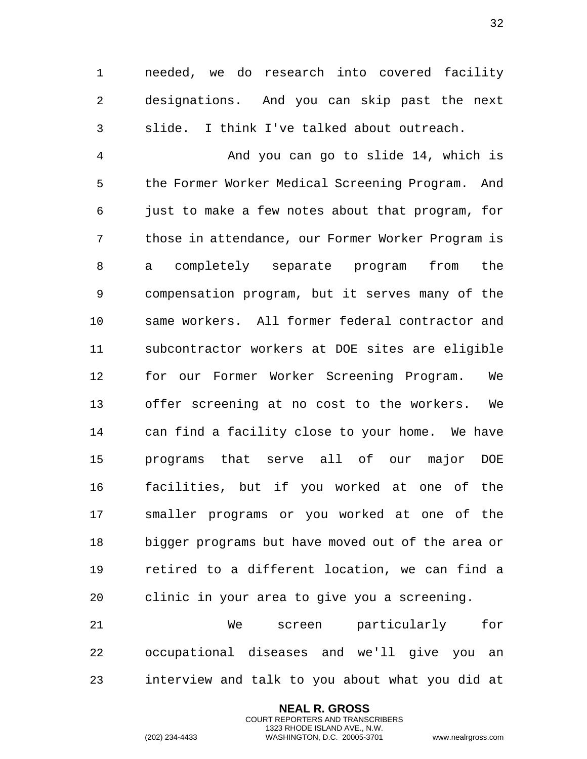needed, we do research into covered facility designations. And you can skip past the next slide. I think I've talked about outreach.

 And you can go to slide 14, which is the Former Worker Medical Screening Program. And just to make a few notes about that program, for those in attendance, our Former Worker Program is a completely separate program from the compensation program, but it serves many of the same workers. All former federal contractor and subcontractor workers at DOE sites are eligible for our Former Worker Screening Program. We offer screening at no cost to the workers. We can find a facility close to your home. We have programs that serve all of our major DOE facilities, but if you worked at one of the smaller programs or you worked at one of the bigger programs but have moved out of the area or retired to a different location, we can find a clinic in your area to give you a screening.

 We screen particularly for occupational diseases and we'll give you an interview and talk to you about what you did at

> **NEAL R. GROSS** COURT REPORTERS AND TRANSCRIBERS 1323 RHODE ISLAND AVE., N.W.

(202) 234-4433 WASHINGTON, D.C. 20005-3701 www.nealrgross.com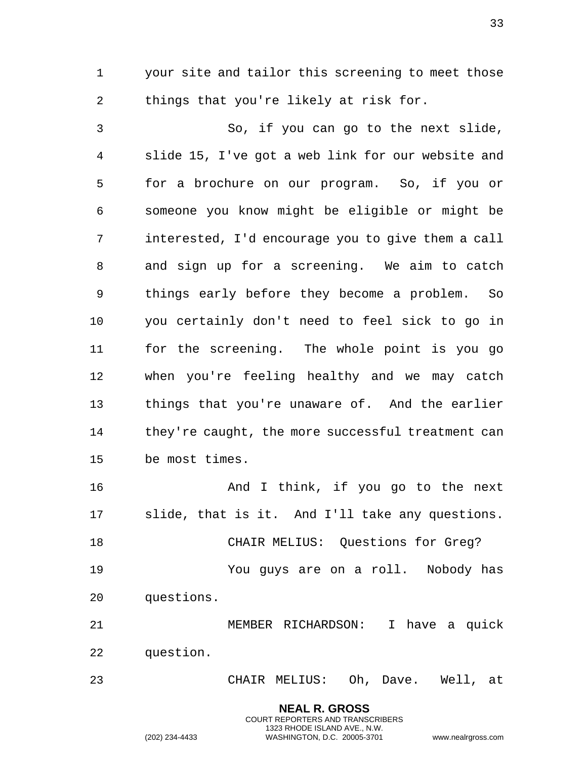your site and tailor this screening to meet those things that you're likely at risk for.

 So, if you can go to the next slide, slide 15, I've got a web link for our website and for a brochure on our program. So, if you or someone you know might be eligible or might be interested, I'd encourage you to give them a call and sign up for a screening. We aim to catch things early before they become a problem. So you certainly don't need to feel sick to go in for the screening. The whole point is you go when you're feeling healthy and we may catch things that you're unaware of. And the earlier they're caught, the more successful treatment can be most times.

 And I think, if you go to the next slide, that is it. And I'll take any questions. CHAIR MELIUS: Questions for Greg?

 You guys are on a roll. Nobody has questions.

 MEMBER RICHARDSON: I have a quick question.

CHAIR MELIUS: Oh, Dave. Well, at

**NEAL R. GROSS** COURT REPORTERS AND TRANSCRIBERS 1323 RHODE ISLAND AVE., N.W.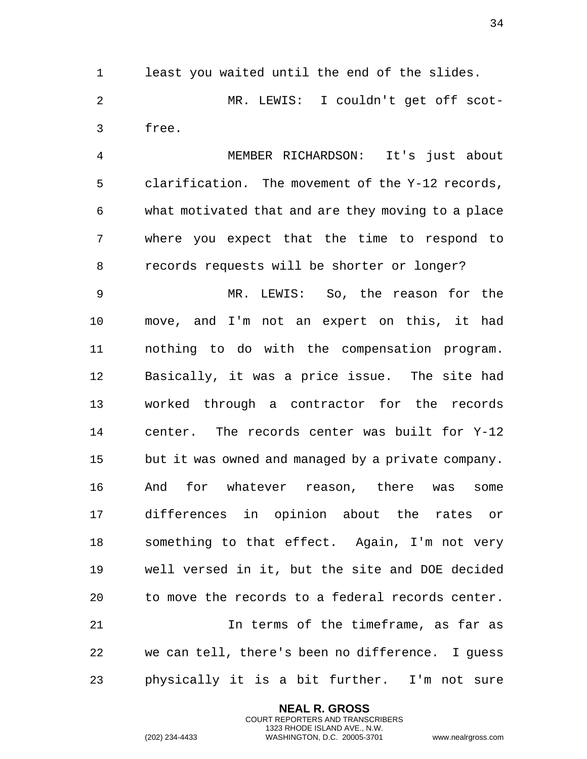least you waited until the end of the slides. MR. LEWIS: I couldn't get off scot-free.

 MEMBER RICHARDSON: It's just about clarification. The movement of the Y-12 records, what motivated that and are they moving to a place where you expect that the time to respond to records requests will be shorter or longer?

 MR. LEWIS: So, the reason for the move, and I'm not an expert on this, it had nothing to do with the compensation program. Basically, it was a price issue. The site had worked through a contractor for the records center. The records center was built for Y-12 but it was owned and managed by a private company. And for whatever reason, there was some differences in opinion about the rates or something to that effect. Again, I'm not very well versed in it, but the site and DOE decided to move the records to a federal records center. In terms of the timeframe, as far as we can tell, there's been no difference. I guess

physically it is a bit further. I'm not sure

**NEAL R. GROSS** COURT REPORTERS AND TRANSCRIBERS 1323 RHODE ISLAND AVE., N.W.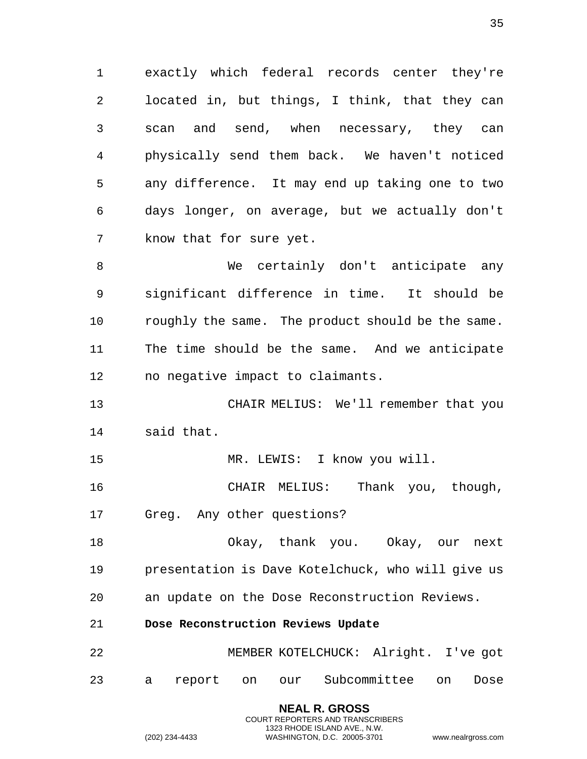exactly which federal records center they're located in, but things, I think, that they can scan and send, when necessary, they can physically send them back. We haven't noticed any difference. It may end up taking one to two days longer, on average, but we actually don't know that for sure yet.

 We certainly don't anticipate any significant difference in time. It should be roughly the same. The product should be the same. The time should be the same. And we anticipate no negative impact to claimants.

 CHAIR MELIUS: We'll remember that you said that.

MR. LEWIS: I know you will.

 CHAIR MELIUS: Thank you, though, Greg. Any other questions?

 Okay, thank you. Okay, our next presentation is Dave Kotelchuck, who will give us an update on the Dose Reconstruction Reviews.

<span id="page-34-0"></span>**Dose Reconstruction Reviews Update**

 MEMBER KOTELCHUCK: Alright. I've got a report on our Subcommittee on Dose

> **NEAL R. GROSS** COURT REPORTERS AND TRANSCRIBERS 1323 RHODE ISLAND AVE., N.W. (202) 234-4433 WASHINGTON, D.C. 20005-3701 www.nealrgross.com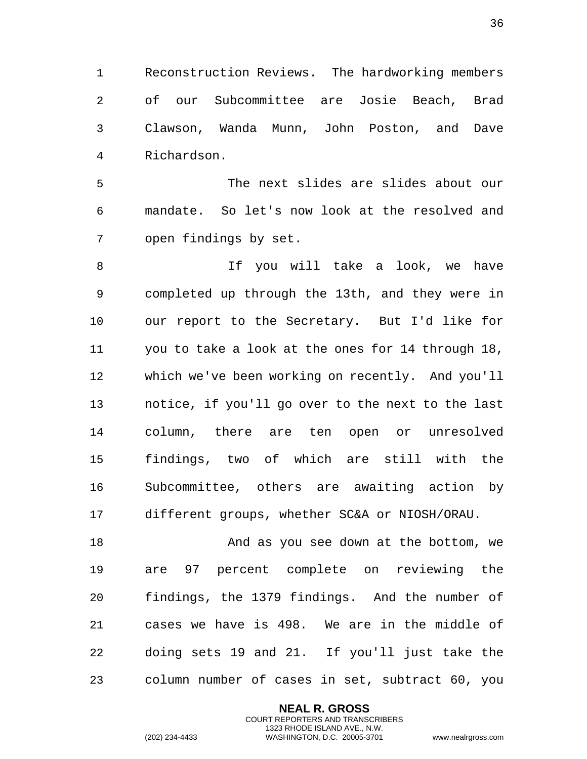Reconstruction Reviews. The hardworking members of our Subcommittee are Josie Beach, Brad Clawson, Wanda Munn, John Poston, and Dave Richardson.

 The next slides are slides about our mandate. So let's now look at the resolved and open findings by set.

 If you will take a look, we have completed up through the 13th, and they were in our report to the Secretary. But I'd like for you to take a look at the ones for 14 through 18, which we've been working on recently. And you'll notice, if you'll go over to the next to the last column, there are ten open or unresolved findings, two of which are still with the Subcommittee, others are awaiting action by different groups, whether SC&A or NIOSH/ORAU.

18 And as you see down at the bottom, we are 97 percent complete on reviewing the findings, the 1379 findings. And the number of cases we have is 498. We are in the middle of doing sets 19 and 21. If you'll just take the column number of cases in set, subtract 60, you

> **NEAL R. GROSS** COURT REPORTERS AND TRANSCRIBERS 1323 RHODE ISLAND AVE., N.W.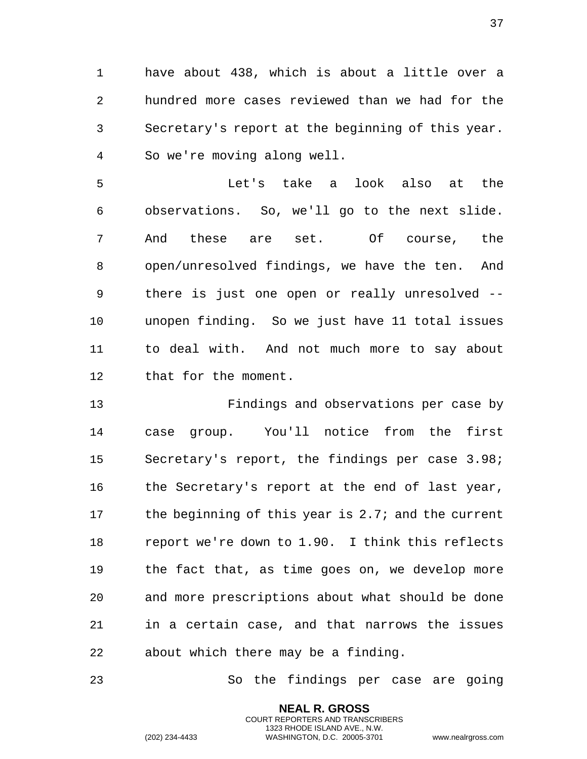have about 438, which is about a little over a hundred more cases reviewed than we had for the Secretary's report at the beginning of this year. So we're moving along well.

 Let's take a look also at the observations. So, we'll go to the next slide. And these are set. Of course, the open/unresolved findings, we have the ten. And there is just one open or really unresolved -- unopen finding. So we just have 11 total issues to deal with. And not much more to say about that for the moment.

 Findings and observations per case by case group. You'll notice from the first Secretary's report, the findings per case 3.98; the Secretary's report at the end of last year, 17 the beginning of this year is 2.7; and the current report we're down to 1.90. I think this reflects the fact that, as time goes on, we develop more and more prescriptions about what should be done in a certain case, and that narrows the issues about which there may be a finding.

So the findings per case are going

**NEAL R. GROSS** COURT REPORTERS AND TRANSCRIBERS 1323 RHODE ISLAND AVE., N.W.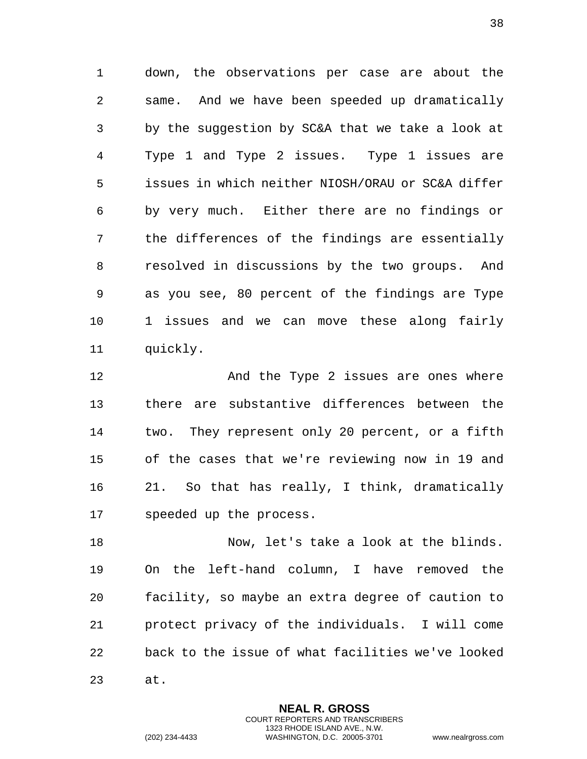down, the observations per case are about the same. And we have been speeded up dramatically by the suggestion by SC&A that we take a look at Type 1 and Type 2 issues. Type 1 issues are issues in which neither NIOSH/ORAU or SC&A differ by very much. Either there are no findings or the differences of the findings are essentially resolved in discussions by the two groups. And as you see, 80 percent of the findings are Type 1 issues and we can move these along fairly quickly.

 And the Type 2 issues are ones where there are substantive differences between the two. They represent only 20 percent, or a fifth of the cases that we're reviewing now in 19 and 21. So that has really, I think, dramatically speeded up the process.

 Now, let's take a look at the blinds. On the left-hand column, I have removed the facility, so maybe an extra degree of caution to protect privacy of the individuals. I will come back to the issue of what facilities we've looked at.

> **NEAL R. GROSS** COURT REPORTERS AND TRANSCRIBERS 1323 RHODE ISLAND AVE., N.W.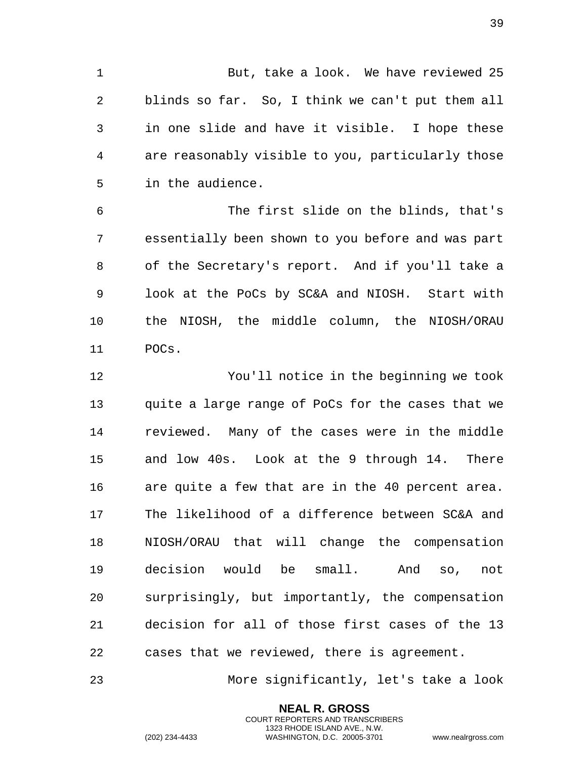But, take a look. We have reviewed 25 blinds so far. So, I think we can't put them all in one slide and have it visible. I hope these are reasonably visible to you, particularly those in the audience.

 The first slide on the blinds, that's essentially been shown to you before and was part of the Secretary's report. And if you'll take a look at the PoCs by SC&A and NIOSH. Start with the NIOSH, the middle column, the NIOSH/ORAU POCs.

 You'll notice in the beginning we took quite a large range of PoCs for the cases that we reviewed. Many of the cases were in the middle and low 40s. Look at the 9 through 14. There are quite a few that are in the 40 percent area. The likelihood of a difference between SC&A and NIOSH/ORAU that will change the compensation decision would be small. And so, not surprisingly, but importantly, the compensation decision for all of those first cases of the 13 cases that we reviewed, there is agreement.

More significantly, let's take a look

**NEAL R. GROSS** COURT REPORTERS AND TRANSCRIBERS 1323 RHODE ISLAND AVE., N.W.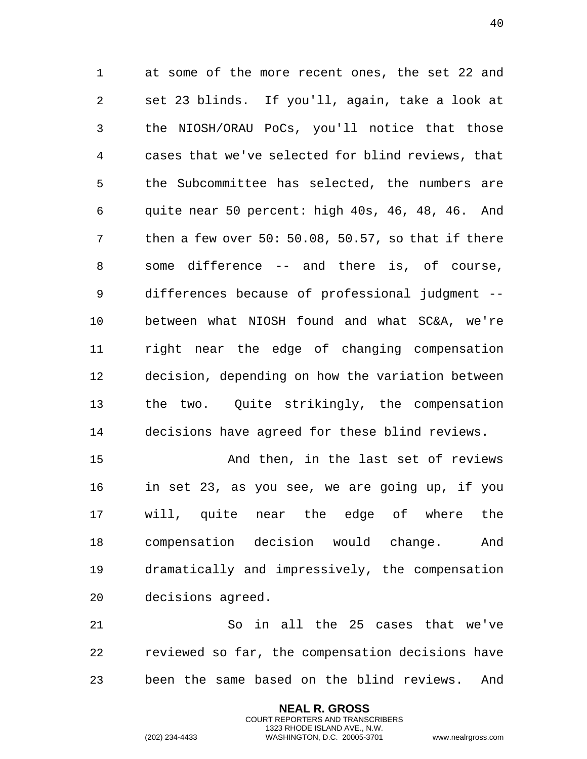at some of the more recent ones, the set 22 and set 23 blinds. If you'll, again, take a look at the NIOSH/ORAU PoCs, you'll notice that those cases that we've selected for blind reviews, that the Subcommittee has selected, the numbers are quite near 50 percent: high 40s, 46, 48, 46. And then a few over 50: 50.08, 50.57, so that if there some difference -- and there is, of course, differences because of professional judgment -- between what NIOSH found and what SC&A, we're right near the edge of changing compensation decision, depending on how the variation between the two. Quite strikingly, the compensation decisions have agreed for these blind reviews.

 And then, in the last set of reviews in set 23, as you see, we are going up, if you will, quite near the edge of where the compensation decision would change. And dramatically and impressively, the compensation decisions agreed.

 So in all the 25 cases that we've reviewed so far, the compensation decisions have been the same based on the blind reviews. And

> **NEAL R. GROSS** COURT REPORTERS AND TRANSCRIBERS 1323 RHODE ISLAND AVE., N.W.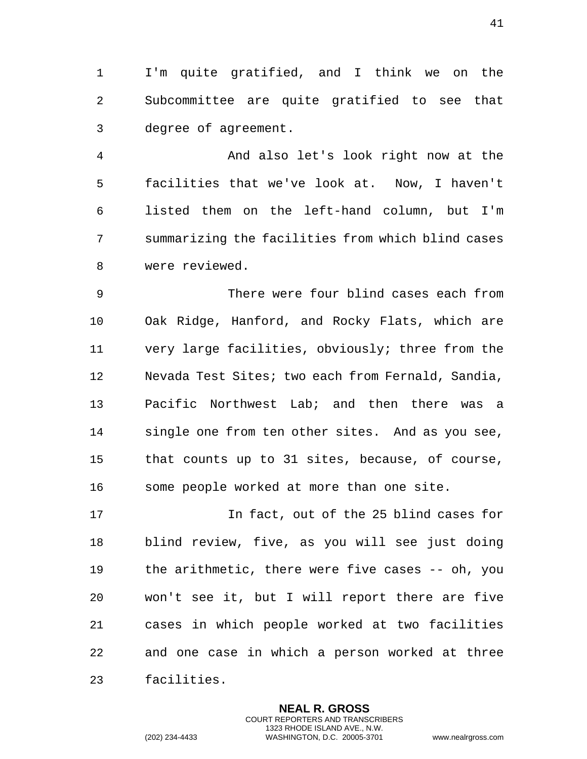I'm quite gratified, and I think we on the Subcommittee are quite gratified to see that degree of agreement.

 And also let's look right now at the facilities that we've look at. Now, I haven't listed them on the left-hand column, but I'm summarizing the facilities from which blind cases were reviewed.

 There were four blind cases each from Oak Ridge, Hanford, and Rocky Flats, which are very large facilities, obviously; three from the Nevada Test Sites; two each from Fernald, Sandia, Pacific Northwest Lab; and then there was a single one from ten other sites. And as you see, that counts up to 31 sites, because, of course, some people worked at more than one site.

 In fact, out of the 25 blind cases for blind review, five, as you will see just doing the arithmetic, there were five cases -- oh, you won't see it, but I will report there are five cases in which people worked at two facilities and one case in which a person worked at three facilities.

> **NEAL R. GROSS** COURT REPORTERS AND TRANSCRIBERS 1323 RHODE ISLAND AVE., N.W.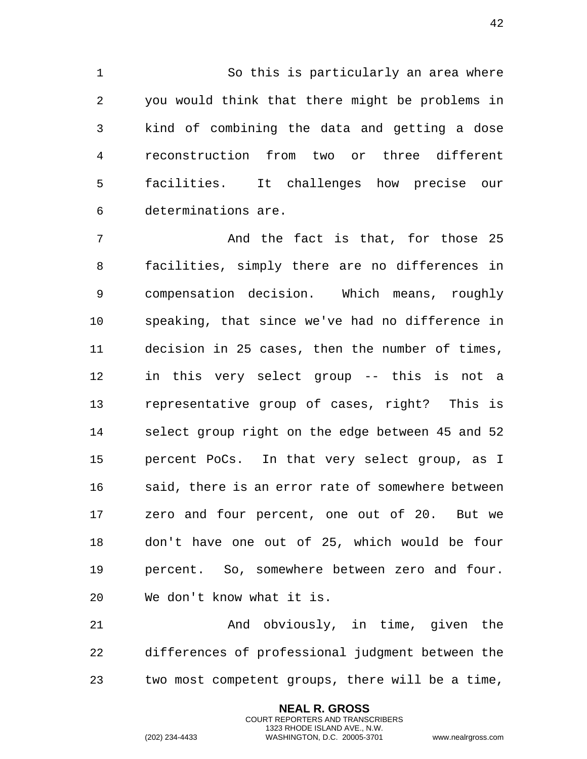So this is particularly an area where you would think that there might be problems in kind of combining the data and getting a dose reconstruction from two or three different facilities. It challenges how precise our determinations are.

 And the fact is that, for those 25 facilities, simply there are no differences in compensation decision. Which means, roughly speaking, that since we've had no difference in decision in 25 cases, then the number of times, in this very select group -- this is not a representative group of cases, right? This is select group right on the edge between 45 and 52 percent PoCs. In that very select group, as I 16 said, there is an error rate of somewhere between zero and four percent, one out of 20. But we don't have one out of 25, which would be four percent. So, somewhere between zero and four. We don't know what it is.

 And obviously, in time, given the differences of professional judgment between the two most competent groups, there will be a time,

> **NEAL R. GROSS** COURT REPORTERS AND TRANSCRIBERS 1323 RHODE ISLAND AVE., N.W.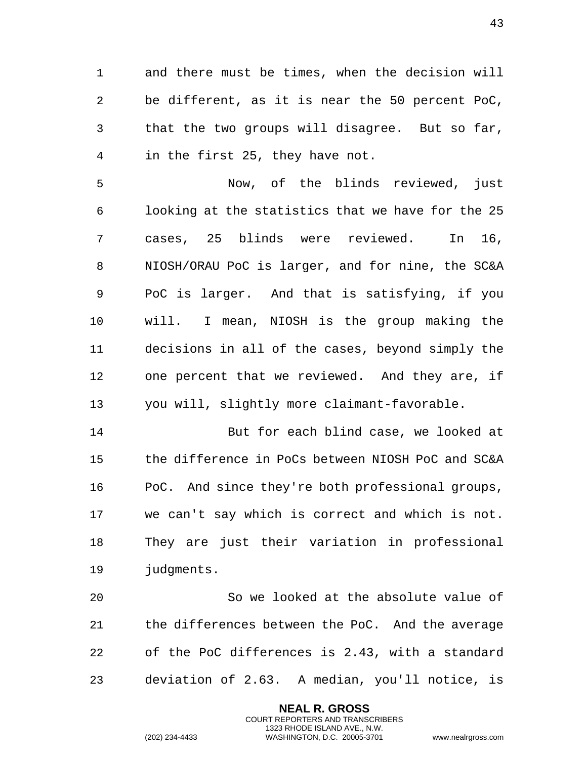and there must be times, when the decision will be different, as it is near the 50 percent PoC, that the two groups will disagree. But so far, in the first 25, they have not.

 Now, of the blinds reviewed, just looking at the statistics that we have for the 25 cases, 25 blinds were reviewed. In 16, NIOSH/ORAU PoC is larger, and for nine, the SC&A PoC is larger. And that is satisfying, if you will. I mean, NIOSH is the group making the decisions in all of the cases, beyond simply the one percent that we reviewed. And they are, if you will, slightly more claimant-favorable.

 But for each blind case, we looked at the difference in PoCs between NIOSH PoC and SC&A PoC. And since they're both professional groups, we can't say which is correct and which is not. They are just their variation in professional judgments.

 So we looked at the absolute value of the differences between the PoC. And the average of the PoC differences is 2.43, with a standard deviation of 2.63. A median, you'll notice, is

> **NEAL R. GROSS** COURT REPORTERS AND TRANSCRIBERS 1323 RHODE ISLAND AVE., N.W.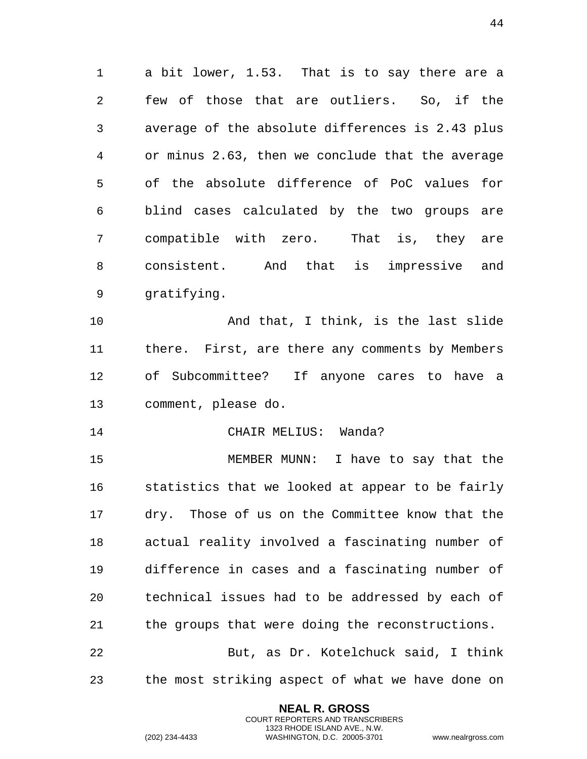a bit lower, 1.53. That is to say there are a few of those that are outliers. So, if the average of the absolute differences is 2.43 plus or minus 2.63, then we conclude that the average of the absolute difference of PoC values for blind cases calculated by the two groups are compatible with zero. That is, they are consistent. And that is impressive and gratifying.

 And that, I think, is the last slide there. First, are there any comments by Members of Subcommittee? If anyone cares to have a comment, please do.

CHAIR MELIUS: Wanda?

 MEMBER MUNN: I have to say that the statistics that we looked at appear to be fairly dry. Those of us on the Committee know that the actual reality involved a fascinating number of difference in cases and a fascinating number of technical issues had to be addressed by each of the groups that were doing the reconstructions.

 But, as Dr. Kotelchuck said, I think the most striking aspect of what we have done on

> **NEAL R. GROSS** COURT REPORTERS AND TRANSCRIBERS 1323 RHODE ISLAND AVE., N.W.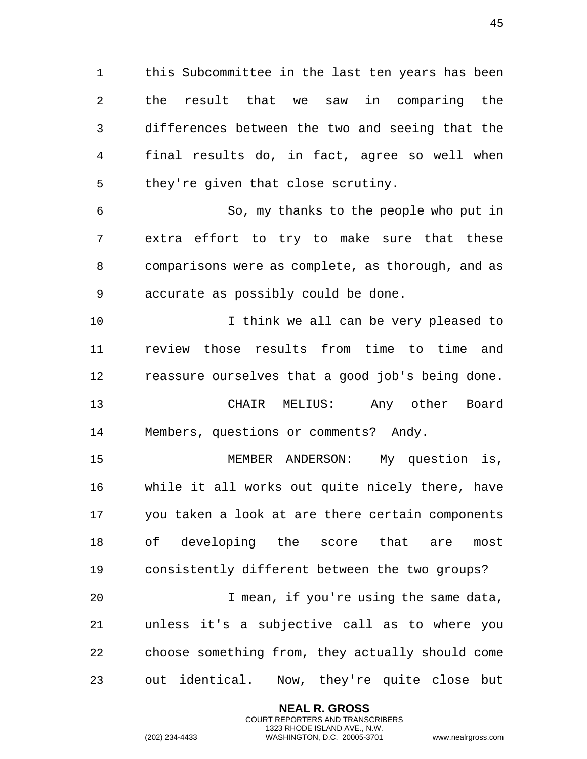this Subcommittee in the last ten years has been the result that we saw in comparing the differences between the two and seeing that the final results do, in fact, agree so well when they're given that close scrutiny.

 So, my thanks to the people who put in extra effort to try to make sure that these comparisons were as complete, as thorough, and as accurate as possibly could be done.

 I think we all can be very pleased to review those results from time to time and reassure ourselves that a good job's being done. CHAIR MELIUS: Any other Board Members, questions or comments? Andy.

 MEMBER ANDERSON: My question is, while it all works out quite nicely there, have you taken a look at are there certain components of developing the score that are most consistently different between the two groups? I mean, if you're using the same data,

 unless it's a subjective call as to where you choose something from, they actually should come out identical. Now, they're quite close but

> **NEAL R. GROSS** COURT REPORTERS AND TRANSCRIBERS 1323 RHODE ISLAND AVE., N.W.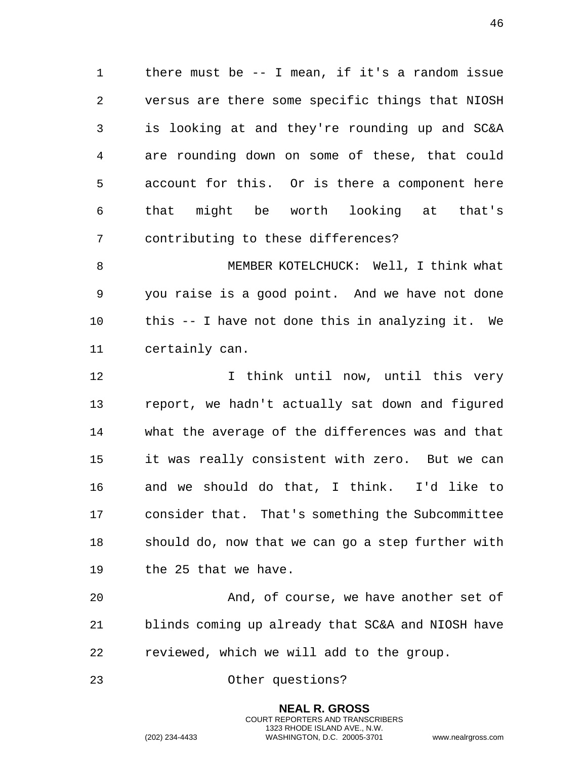there must be -- I mean, if it's a random issue versus are there some specific things that NIOSH is looking at and they're rounding up and SC&A are rounding down on some of these, that could account for this. Or is there a component here that might be worth looking at that's contributing to these differences?

 MEMBER KOTELCHUCK: Well, I think what you raise is a good point. And we have not done this -- I have not done this in analyzing it. We certainly can.

 I think until now, until this very report, we hadn't actually sat down and figured what the average of the differences was and that it was really consistent with zero. But we can and we should do that, I think. I'd like to consider that. That's something the Subcommittee should do, now that we can go a step further with the 25 that we have.

 And, of course, we have another set of blinds coming up already that SC&A and NIOSH have reviewed, which we will add to the group.

> **NEAL R. GROSS** COURT REPORTERS AND TRANSCRIBERS 1323 RHODE ISLAND AVE., N.W.

Other questions?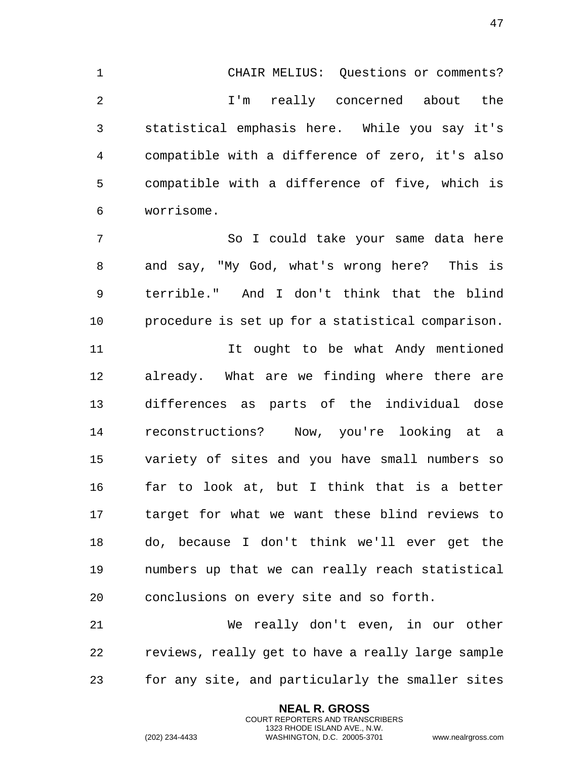CHAIR MELIUS: Questions or comments? I'm really concerned about the

 statistical emphasis here. While you say it's compatible with a difference of zero, it's also compatible with a difference of five, which is worrisome.

 So I could take your same data here and say, "My God, what's wrong here? This is terrible." And I don't think that the blind procedure is set up for a statistical comparison.

 It ought to be what Andy mentioned already. What are we finding where there are differences as parts of the individual dose reconstructions? Now, you're looking at a variety of sites and you have small numbers so far to look at, but I think that is a better target for what we want these blind reviews to do, because I don't think we'll ever get the numbers up that we can really reach statistical conclusions on every site and so forth.

 We really don't even, in our other reviews, really get to have a really large sample for any site, and particularly the smaller sites

> **NEAL R. GROSS** COURT REPORTERS AND TRANSCRIBERS 1323 RHODE ISLAND AVE., N.W.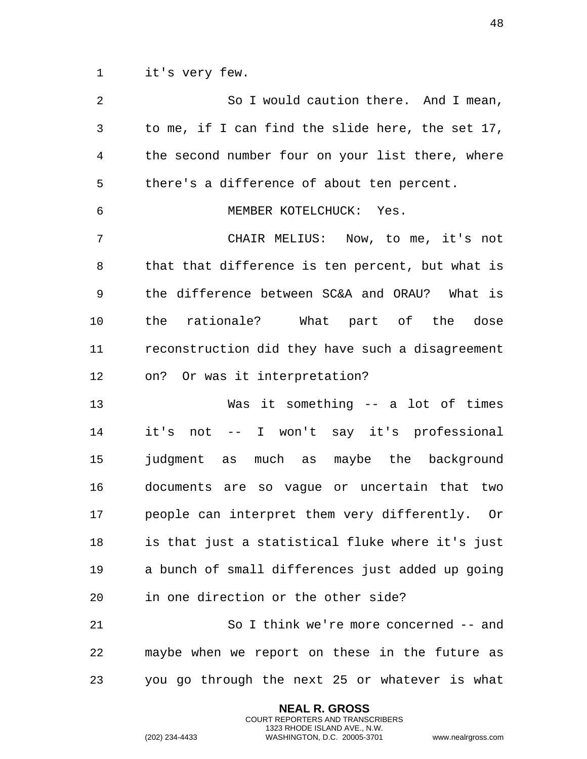it's very few.

| 2  | So I would caution there. And I mean,            |
|----|--------------------------------------------------|
| 3  | to me, if I can find the slide here, the set 17, |
| 4  | the second number four on your list there, where |
| 5  | there's a difference of about ten percent.       |
| 6  | MEMBER KOTELCHUCK: Yes.                          |
| 7  | CHAIR MELIUS: Now, to me, it's not               |
| 8  | that that difference is ten percent, but what is |
| 9  | the difference between SC&A and ORAU? What is    |
| 10 | the rationale? What part of the dose             |
| 11 | reconstruction did they have such a disagreement |
| 12 | on? Or was it interpretation?                    |
| 13 | Was it something -- a lot of times               |
| 14 | it's not -- I won't say it's professional        |
| 15 | judgment as much as maybe the background         |
| 16 | documents are so vaque or uncertain that two     |
| 17 | people can interpret them very differently. Or   |
| 18 | is that just a statistical fluke where it's just |
| 19 | a bunch of small differences just added up going |
| 20 | in one direction or the other side?              |
| 21 | So I think we're more concerned -- and           |
| 22 | maybe when we report on these in the future as   |
| 23 | you go through the next 25 or whatever is what   |

**NEAL R. GROSS** COURT REPORTERS AND TRANSCRIBERS 1323 RHODE ISLAND AVE., N.W.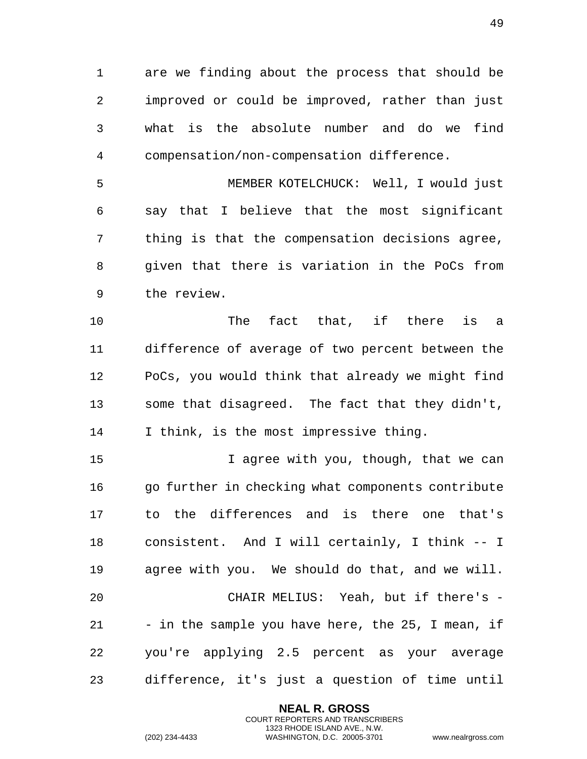are we finding about the process that should be improved or could be improved, rather than just what is the absolute number and do we find compensation/non-compensation difference.

 MEMBER KOTELCHUCK: Well, I would just say that I believe that the most significant thing is that the compensation decisions agree, given that there is variation in the PoCs from the review.

 The fact that, if there is a difference of average of two percent between the PoCs, you would think that already we might find some that disagreed. The fact that they didn't, I think, is the most impressive thing.

15 15 I agree with you, though, that we can 16 go further in checking what components contribute to the differences and is there one that's consistent. And I will certainly, I think -- I agree with you. We should do that, and we will. CHAIR MELIUS: Yeah, but if there's - 21 - in the sample you have here, the 25, I mean, if you're applying 2.5 percent as your average difference, it's just a question of time until

> **NEAL R. GROSS** COURT REPORTERS AND TRANSCRIBERS 1323 RHODE ISLAND AVE., N.W.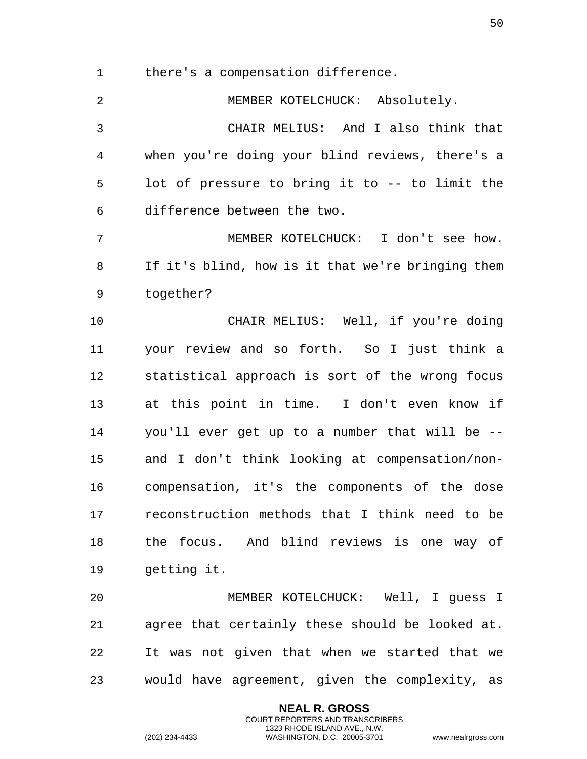there's a compensation difference.

 MEMBER KOTELCHUCK: Absolutely. CHAIR MELIUS: And I also think that when you're doing your blind reviews, there's a lot of pressure to bring it to -- to limit the difference between the two. MEMBER KOTELCHUCK: I don't see how. If it's blind, how is it that we're bringing them together? CHAIR MELIUS: Well, if you're doing your review and so forth. So I just think a statistical approach is sort of the wrong focus at this point in time. I don't even know if you'll ever get up to a number that will be -- and I don't think looking at compensation/non- compensation, it's the components of the dose reconstruction methods that I think need to be the focus. And blind reviews is one way of getting it. MEMBER KOTELCHUCK: Well, I guess I agree that certainly these should be looked at. It was not given that when we started that we

would have agreement, given the complexity, as

**NEAL R. GROSS** COURT REPORTERS AND TRANSCRIBERS 1323 RHODE ISLAND AVE., N.W.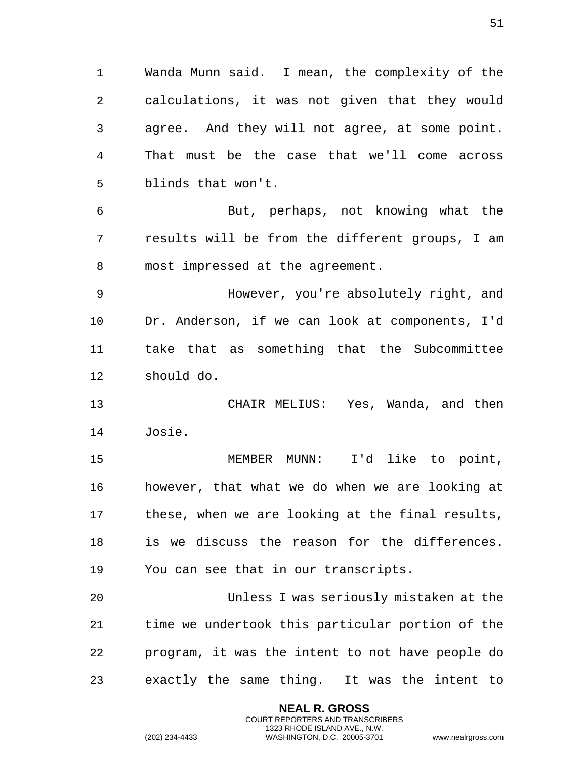Wanda Munn said. I mean, the complexity of the calculations, it was not given that they would agree. And they will not agree, at some point. That must be the case that we'll come across blinds that won't.

 But, perhaps, not knowing what the results will be from the different groups, I am most impressed at the agreement.

 However, you're absolutely right, and Dr. Anderson, if we can look at components, I'd take that as something that the Subcommittee should do.

 CHAIR MELIUS: Yes, Wanda, and then Josie.

 MEMBER MUNN: I'd like to point, however, that what we do when we are looking at these, when we are looking at the final results, is we discuss the reason for the differences. You can see that in our transcripts.

 Unless I was seriously mistaken at the time we undertook this particular portion of the program, it was the intent to not have people do exactly the same thing. It was the intent to

> **NEAL R. GROSS** COURT REPORTERS AND TRANSCRIBERS 1323 RHODE ISLAND AVE., N.W.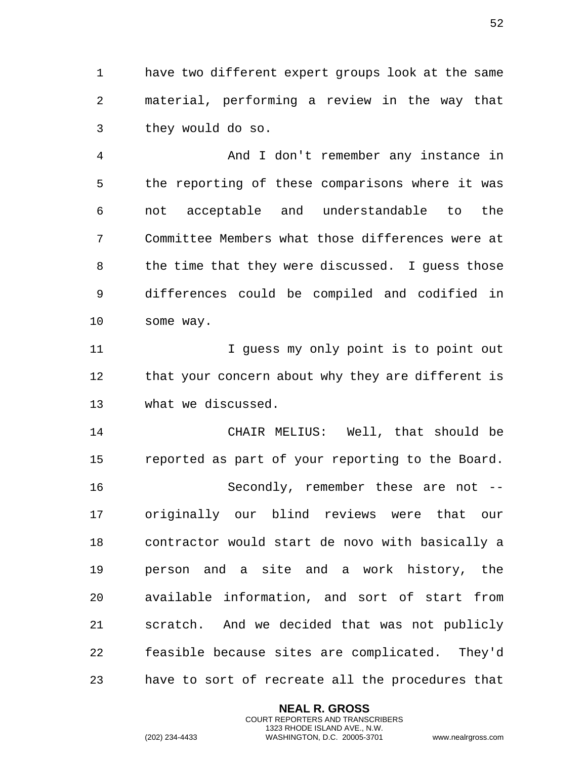have two different expert groups look at the same material, performing a review in the way that they would do so.

 And I don't remember any instance in the reporting of these comparisons where it was not acceptable and understandable to the Committee Members what those differences were at the time that they were discussed. I guess those differences could be compiled and codified in some way.

11 11 I guess my only point is to point out 12 that your concern about why they are different is what we discussed.

 CHAIR MELIUS: Well, that should be reported as part of your reporting to the Board. Secondly, remember these are not -- originally our blind reviews were that our contractor would start de novo with basically a person and a site and a work history, the available information, and sort of start from scratch. And we decided that was not publicly feasible because sites are complicated. They'd have to sort of recreate all the procedures that

> **NEAL R. GROSS** COURT REPORTERS AND TRANSCRIBERS 1323 RHODE ISLAND AVE., N.W.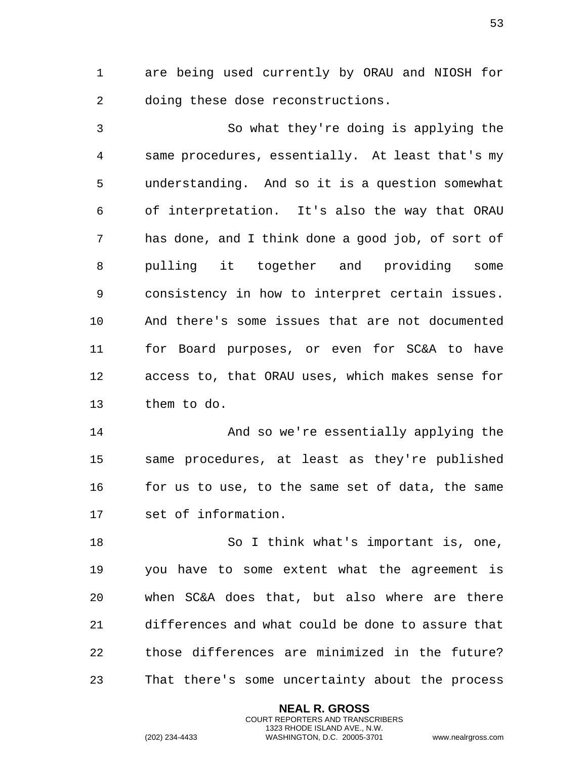are being used currently by ORAU and NIOSH for doing these dose reconstructions.

 So what they're doing is applying the same procedures, essentially. At least that's my understanding. And so it is a question somewhat of interpretation. It's also the way that ORAU has done, and I think done a good job, of sort of pulling it together and providing some consistency in how to interpret certain issues. And there's some issues that are not documented for Board purposes, or even for SC&A to have access to, that ORAU uses, which makes sense for them to do.

 And so we're essentially applying the same procedures, at least as they're published for us to use, to the same set of data, the same set of information.

 So I think what's important is, one, you have to some extent what the agreement is when SC&A does that, but also where are there differences and what could be done to assure that those differences are minimized in the future? That there's some uncertainty about the process

> **NEAL R. GROSS** COURT REPORTERS AND TRANSCRIBERS 1323 RHODE ISLAND AVE., N.W.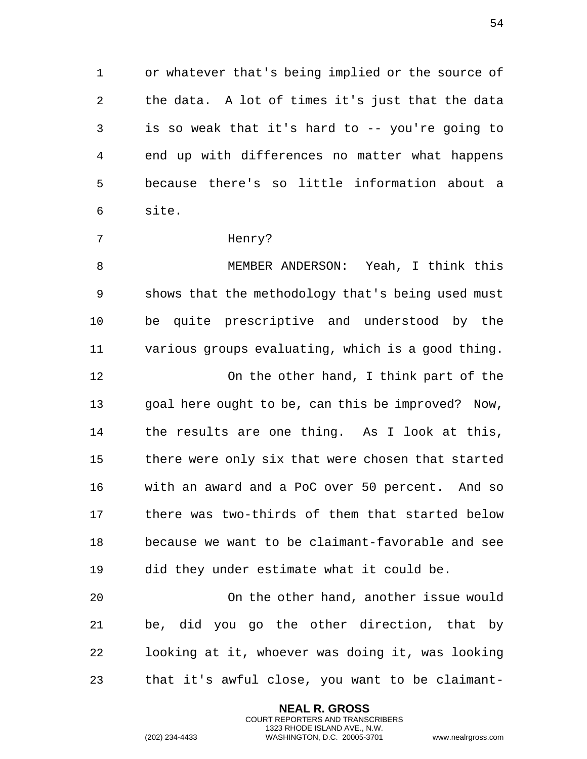or whatever that's being implied or the source of the data. A lot of times it's just that the data is so weak that it's hard to -- you're going to end up with differences no matter what happens because there's so little information about a site.

## Henry?

 MEMBER ANDERSON: Yeah, I think this shows that the methodology that's being used must be quite prescriptive and understood by the various groups evaluating, which is a good thing. On the other hand, I think part of the goal here ought to be, can this be improved? Now, the results are one thing. As I look at this, there were only six that were chosen that started with an award and a PoC over 50 percent. And so there was two-thirds of them that started below because we want to be claimant-favorable and see did they under estimate what it could be.

 On the other hand, another issue would be, did you go the other direction, that by looking at it, whoever was doing it, was looking that it's awful close, you want to be claimant-

> **NEAL R. GROSS** COURT REPORTERS AND TRANSCRIBERS 1323 RHODE ISLAND AVE., N.W.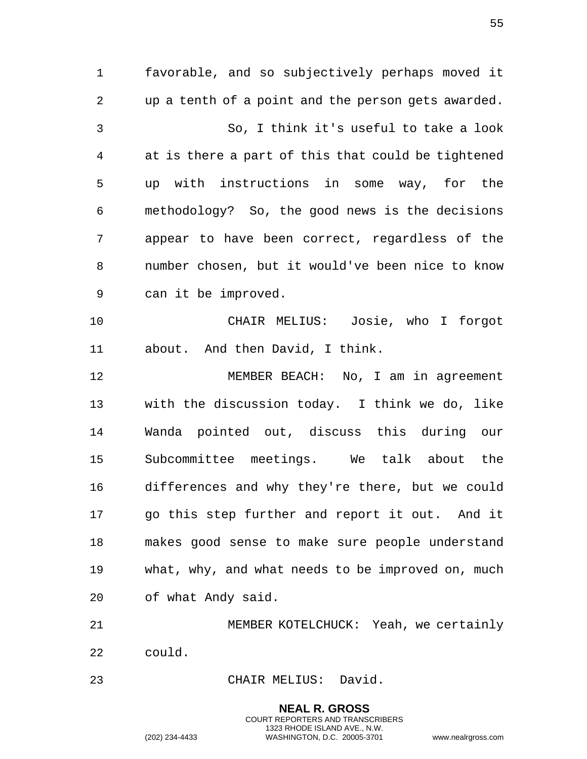favorable, and so subjectively perhaps moved it up a tenth of a point and the person gets awarded. So, I think it's useful to take a look at is there a part of this that could be tightened up with instructions in some way, for the methodology? So, the good news is the decisions appear to have been correct, regardless of the number chosen, but it would've been nice to know can it be improved. CHAIR MELIUS: Josie, who I forgot about. And then David, I think. MEMBER BEACH: No, I am in agreement with the discussion today. I think we do, like Wanda pointed out, discuss this during our Subcommittee meetings. We talk about the differences and why they're there, but we could go this step further and report it out. And it makes good sense to make sure people understand what, why, and what needs to be improved on, much of what Andy said. MEMBER KOTELCHUCK: Yeah, we certainly

could.

CHAIR MELIUS: David.

**NEAL R. GROSS** COURT REPORTERS AND TRANSCRIBERS 1323 RHODE ISLAND AVE., N.W. (202) 234-4433 WASHINGTON, D.C. 20005-3701 www.nealrgross.com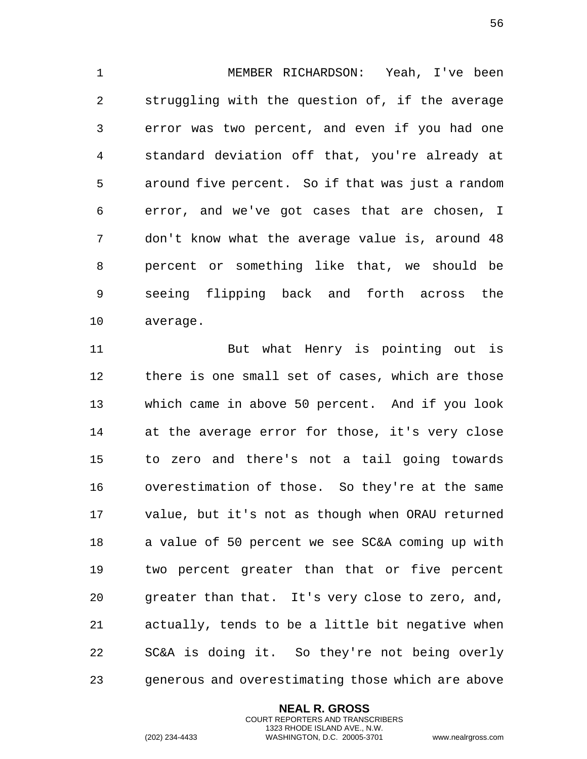MEMBER RICHARDSON: Yeah, I've been struggling with the question of, if the average error was two percent, and even if you had one standard deviation off that, you're already at around five percent. So if that was just a random error, and we've got cases that are chosen, I don't know what the average value is, around 48 percent or something like that, we should be seeing flipping back and forth across the average.

 But what Henry is pointing out is there is one small set of cases, which are those which came in above 50 percent. And if you look at the average error for those, it's very close to zero and there's not a tail going towards overestimation of those. So they're at the same value, but it's not as though when ORAU returned a value of 50 percent we see SC&A coming up with two percent greater than that or five percent greater than that. It's very close to zero, and, actually, tends to be a little bit negative when SC&A is doing it. So they're not being overly generous and overestimating those which are above

> **NEAL R. GROSS** COURT REPORTERS AND TRANSCRIBERS 1323 RHODE ISLAND AVE., N.W.

(202) 234-4433 WASHINGTON, D.C. 20005-3701 www.nealrgross.com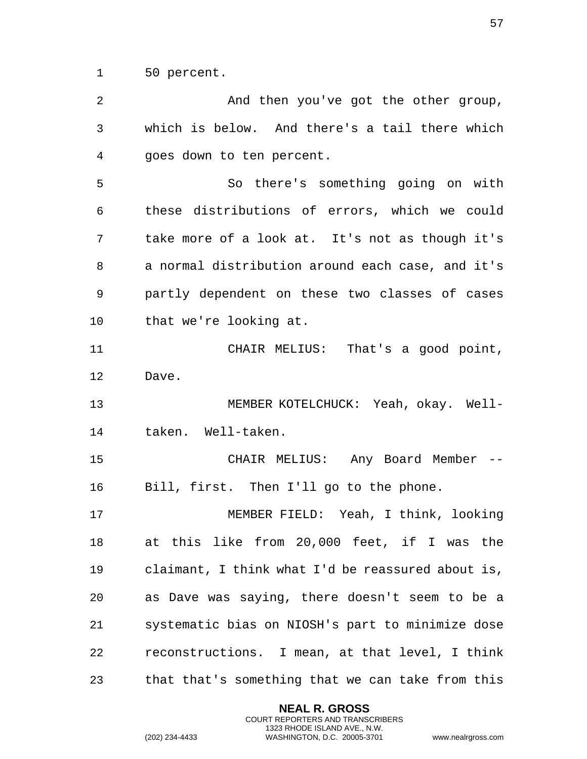50 percent.

 And then you've got the other group, which is below. And there's a tail there which goes down to ten percent. So there's something going on with these distributions of errors, which we could take more of a look at. It's not as though it's a normal distribution around each case, and it's partly dependent on these two classes of cases that we're looking at. CHAIR MELIUS: That's a good point, Dave. MEMBER KOTELCHUCK: Yeah, okay. Well- taken. Well-taken. CHAIR MELIUS: Any Board Member -- Bill, first. Then I'll go to the phone. MEMBER FIELD: Yeah, I think, looking at this like from 20,000 feet, if I was the claimant, I think what I'd be reassured about is, as Dave was saying, there doesn't seem to be a systematic bias on NIOSH's part to minimize dose reconstructions. I mean, at that level, I think that that's something that we can take from this

> **NEAL R. GROSS** COURT REPORTERS AND TRANSCRIBERS 1323 RHODE ISLAND AVE., N.W.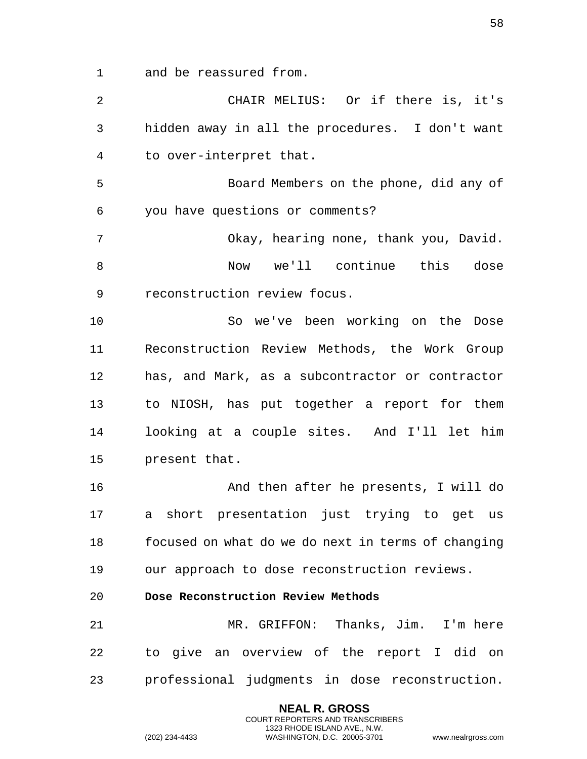and be reassured from.

| 2  | CHAIR MELIUS: Or if there is, it's                 |
|----|----------------------------------------------------|
| 3  | hidden away in all the procedures. I don't want    |
| 4  | to over-interpret that.                            |
| 5  | Board Members on the phone, did any of             |
| 6  | you have questions or comments?                    |
| 7  | Okay, hearing none, thank you, David.              |
| 8  | Now we'll continue this<br>dose                    |
| 9  | reconstruction review focus.                       |
| 10 | So we've been working on the Dose                  |
| 11 | Reconstruction Review Methods, the Work Group      |
| 12 | has, and Mark, as a subcontractor or contractor    |
| 13 | to NIOSH, has put together a report for them       |
| 14 | looking at a couple sites. And I'll let him        |
| 15 | present that.                                      |
| 16 | And then after he presents, I will do              |
| 17 | a short presentation just trying to get us         |
| 18 | focused on what do we do next in terms of changing |
| 19 | our approach to dose reconstruction reviews.       |
| 20 | Dose Reconstruction Review Methods                 |
| 21 | MR. GRIFFON: Thanks, Jim. I'm here                 |
| 22 | to give an overview of the report I did on         |
| 23 | professional judgments in dose reconstruction.     |
|    | <b>NEAL R. GROSS</b>                               |

COURT REPORTERS AND TRANSCRIBERS 1323 RHODE ISLAND AVE., N.W.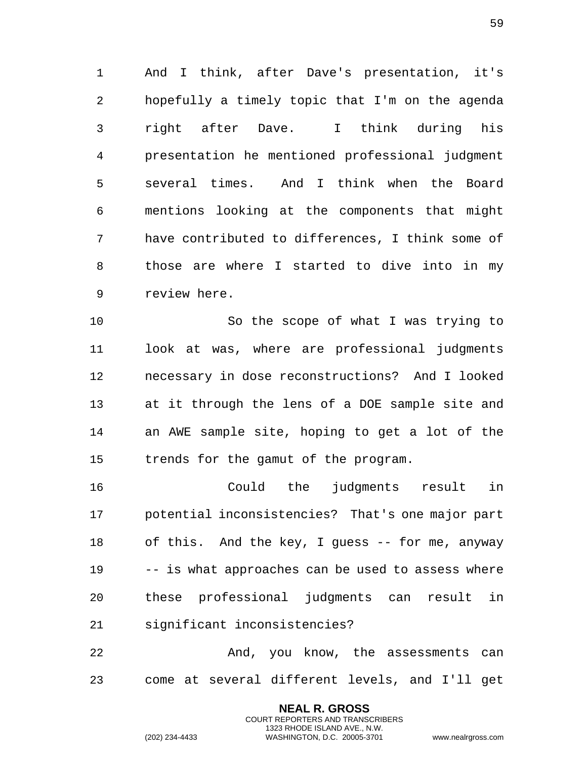And I think, after Dave's presentation, it's hopefully a timely topic that I'm on the agenda right after Dave. I think during his presentation he mentioned professional judgment several times. And I think when the Board mentions looking at the components that might have contributed to differences, I think some of those are where I started to dive into in my review here.

 So the scope of what I was trying to look at was, where are professional judgments necessary in dose reconstructions? And I looked at it through the lens of a DOE sample site and an AWE sample site, hoping to get a lot of the trends for the gamut of the program.

 Could the judgments result in potential inconsistencies? That's one major part of this. And the key, I guess -- for me, anyway -- is what approaches can be used to assess where these professional judgments can result in significant inconsistencies?

 And, you know, the assessments can come at several different levels, and I'll get

> **NEAL R. GROSS** COURT REPORTERS AND TRANSCRIBERS 1323 RHODE ISLAND AVE., N.W.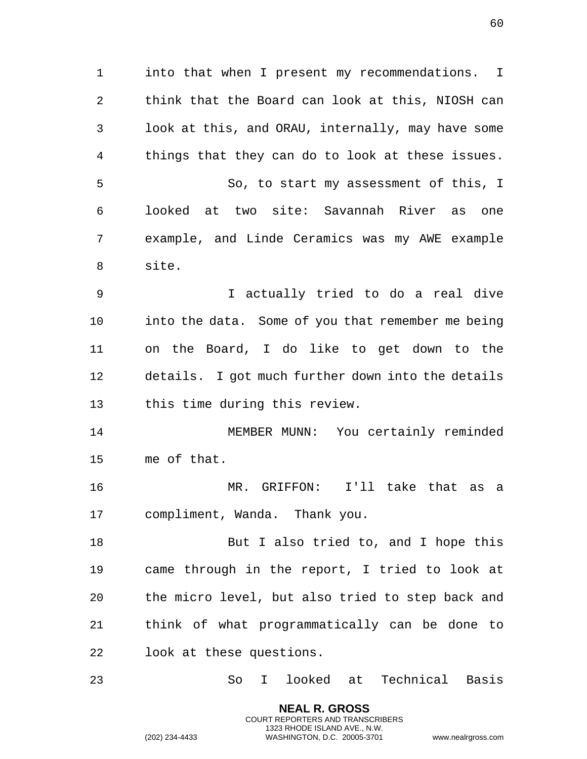into that when I present my recommendations. I think that the Board can look at this, NIOSH can look at this, and ORAU, internally, may have some things that they can do to look at these issues. So, to start my assessment of this, I looked at two site: Savannah River as one example, and Linde Ceramics was my AWE example site. I actually tried to do a real dive into the data. Some of you that remember me being on the Board, I do like to get down to the details. I got much further down into the details this time during this review. MEMBER MUNN: You certainly reminded me of that. MR. GRIFFON: I'll take that as a compliment, Wanda. Thank you. 18 But I also tried to, and I hope this came through in the report, I tried to look at the micro level, but also tried to step back and think of what programmatically can be done to look at these questions.

So I looked at Technical Basis

**NEAL R. GROSS** COURT REPORTERS AND TRANSCRIBERS 1323 RHODE ISLAND AVE., N.W.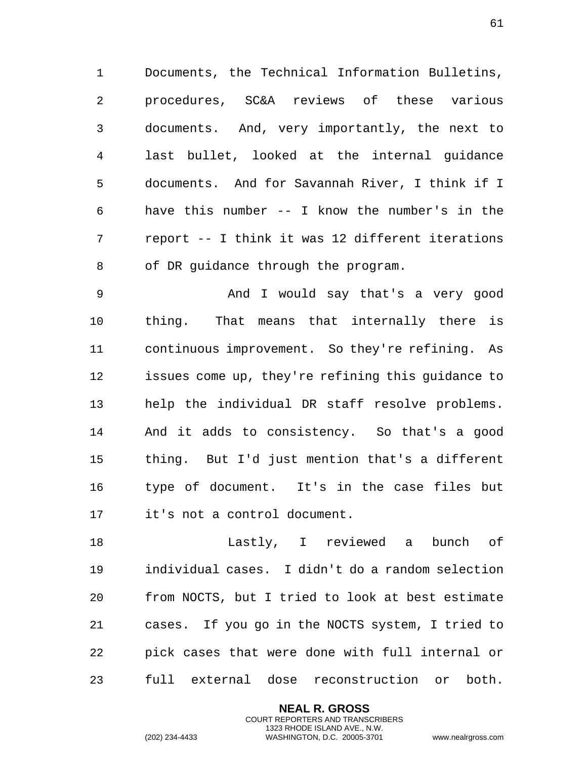Documents, the Technical Information Bulletins, procedures, SC&A reviews of these various documents. And, very importantly, the next to last bullet, looked at the internal guidance documents. And for Savannah River, I think if I have this number -- I know the number's in the report -- I think it was 12 different iterations of DR guidance through the program.

 And I would say that's a very good thing. That means that internally there is continuous improvement. So they're refining. As issues come up, they're refining this guidance to help the individual DR staff resolve problems. And it adds to consistency. So that's a good thing. But I'd just mention that's a different type of document. It's in the case files but it's not a control document.

 Lastly, I reviewed a bunch of individual cases. I didn't do a random selection from NOCTS, but I tried to look at best estimate cases. If you go in the NOCTS system, I tried to pick cases that were done with full internal or full external dose reconstruction or both.

> **NEAL R. GROSS** COURT REPORTERS AND TRANSCRIBERS 1323 RHODE ISLAND AVE., N.W.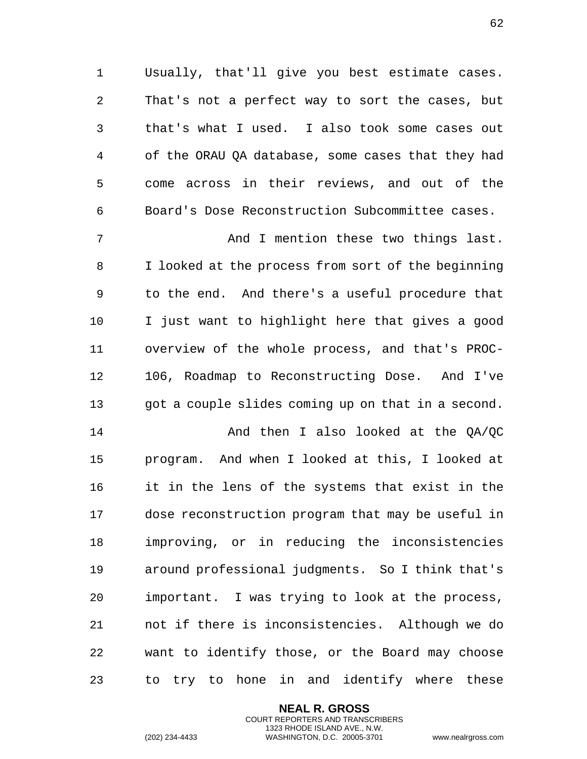Usually, that'll give you best estimate cases. That's not a perfect way to sort the cases, but that's what I used. I also took some cases out of the ORAU QA database, some cases that they had come across in their reviews, and out of the Board's Dose Reconstruction Subcommittee cases.

 And I mention these two things last. I looked at the process from sort of the beginning to the end. And there's a useful procedure that I just want to highlight here that gives a good overview of the whole process, and that's PROC- 106, Roadmap to Reconstructing Dose. And I've got a couple slides coming up on that in a second.

14 And then I also looked at the OA/OC program. And when I looked at this, I looked at it in the lens of the systems that exist in the dose reconstruction program that may be useful in improving, or in reducing the inconsistencies around professional judgments. So I think that's important. I was trying to look at the process, not if there is inconsistencies. Although we do want to identify those, or the Board may choose to try to hone in and identify where these

> **NEAL R. GROSS** COURT REPORTERS AND TRANSCRIBERS 1323 RHODE ISLAND AVE., N.W.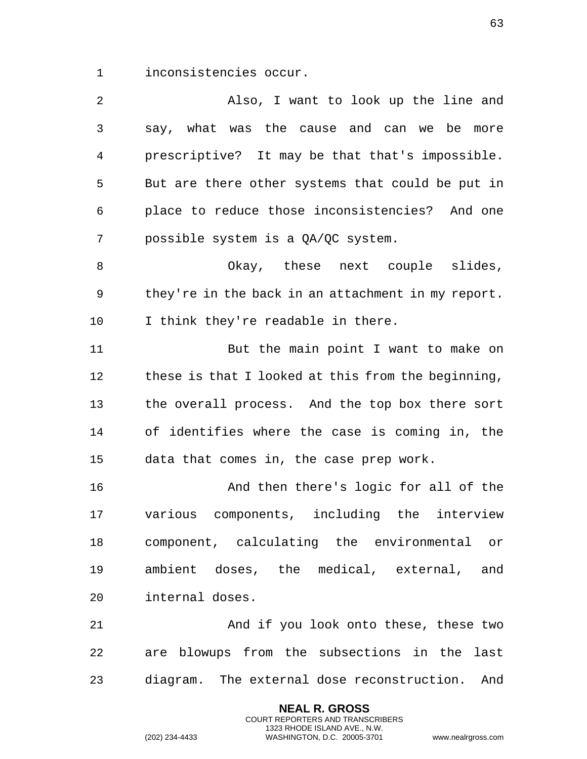inconsistencies occur.

| 2              | Also, I want to look up the line and               |
|----------------|----------------------------------------------------|
| 3              | say, what was the cause and can we be more         |
| $\overline{4}$ | prescriptive? It may be that that's impossible.    |
| 5              | But are there other systems that could be put in   |
| 6              | place to reduce those inconsistencies? And one     |
| 7              | possible system is a QA/QC system.                 |
| 8              | Okay, these next couple slides,                    |
| 9              | they're in the back in an attachment in my report. |
| 10             | I think they're readable in there.                 |
| 11             | But the main point I want to make on               |
| 12             | these is that I looked at this from the beginning, |
| 13             | the overall process. And the top box there sort    |
| 14             | of identifies where the case is coming in, the     |
| 15             | data that comes in, the case prep work.            |
| 16             | And then there's logic for all of the              |
| 17             | various components, including the interview        |
| 18             | component, calculating the environmental or        |
| 19             | ambient doses, the medical, external,<br>and       |
| 20             | internal doses.                                    |
| 21             | And if you look onto these, these two              |
| 22             | are blowups from the subsections in the last       |
| 23             | diagram. The external dose reconstruction.<br>And  |

**NEAL R. GROSS** COURT REPORTERS AND TRANSCRIBERS 1323 RHODE ISLAND AVE., N.W.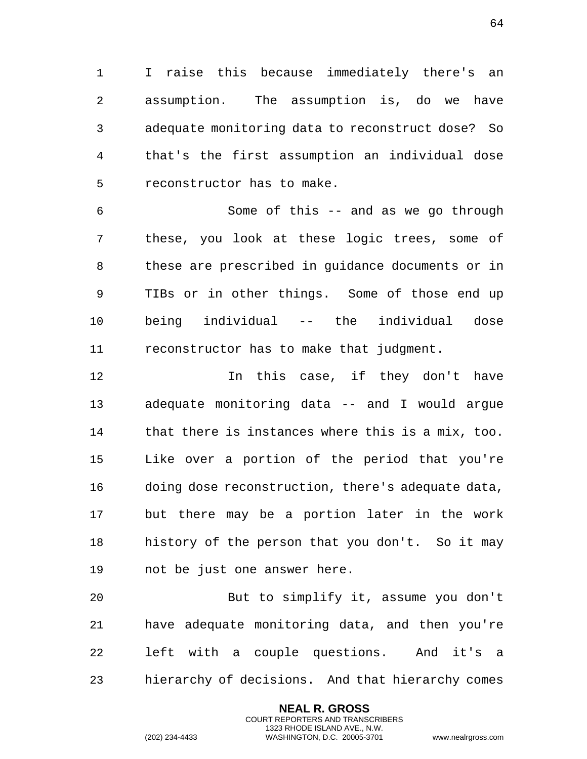I raise this because immediately there's an assumption. The assumption is, do we have adequate monitoring data to reconstruct dose? So that's the first assumption an individual dose reconstructor has to make.

 Some of this -- and as we go through these, you look at these logic trees, some of these are prescribed in guidance documents or in TIBs or in other things. Some of those end up being individual -- the individual dose reconstructor has to make that judgment.

12 12 In this case, if they don't have adequate monitoring data -- and I would argue that there is instances where this is a mix, too. Like over a portion of the period that you're doing dose reconstruction, there's adequate data, but there may be a portion later in the work history of the person that you don't. So it may not be just one answer here.

 But to simplify it, assume you don't have adequate monitoring data, and then you're left with a couple questions. And it's a hierarchy of decisions. And that hierarchy comes

> **NEAL R. GROSS** COURT REPORTERS AND TRANSCRIBERS 1323 RHODE ISLAND AVE., N.W.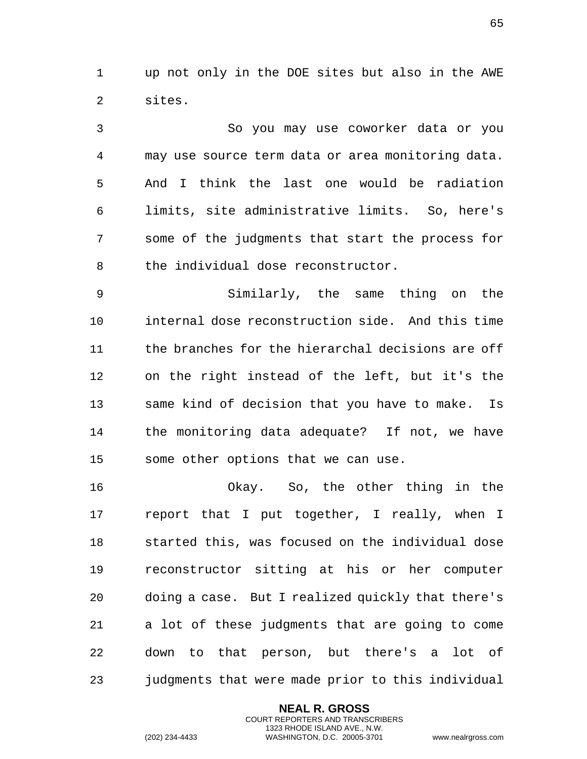up not only in the DOE sites but also in the AWE sites.

 So you may use coworker data or you may use source term data or area monitoring data. And I think the last one would be radiation limits, site administrative limits. So, here's some of the judgments that start the process for the individual dose reconstructor.

 Similarly, the same thing on the internal dose reconstruction side. And this time the branches for the hierarchal decisions are off on the right instead of the left, but it's the same kind of decision that you have to make. Is the monitoring data adequate? If not, we have some other options that we can use.

 Okay. So, the other thing in the report that I put together, I really, when I started this, was focused on the individual dose reconstructor sitting at his or her computer doing a case. But I realized quickly that there's a lot of these judgments that are going to come down to that person, but there's a lot of judgments that were made prior to this individual

> **NEAL R. GROSS** COURT REPORTERS AND TRANSCRIBERS 1323 RHODE ISLAND AVE., N.W.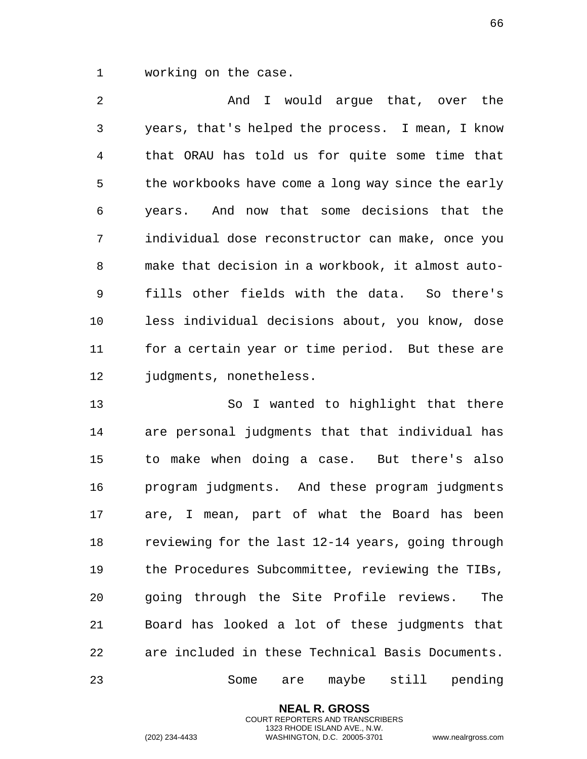working on the case.

 And I would argue that, over the years, that's helped the process. I mean, I know that ORAU has told us for quite some time that the workbooks have come a long way since the early years. And now that some decisions that the individual dose reconstructor can make, once you make that decision in a workbook, it almost auto- fills other fields with the data. So there's less individual decisions about, you know, dose for a certain year or time period. But these are 12 judgments, nonetheless.

 So I wanted to highlight that there are personal judgments that that individual has to make when doing a case. But there's also program judgments. And these program judgments are, I mean, part of what the Board has been reviewing for the last 12-14 years, going through the Procedures Subcommittee, reviewing the TIBs, going through the Site Profile reviews. The Board has looked a lot of these judgments that are included in these Technical Basis Documents. Some are maybe still pending

> **NEAL R. GROSS** COURT REPORTERS AND TRANSCRIBERS 1323 RHODE ISLAND AVE., N.W.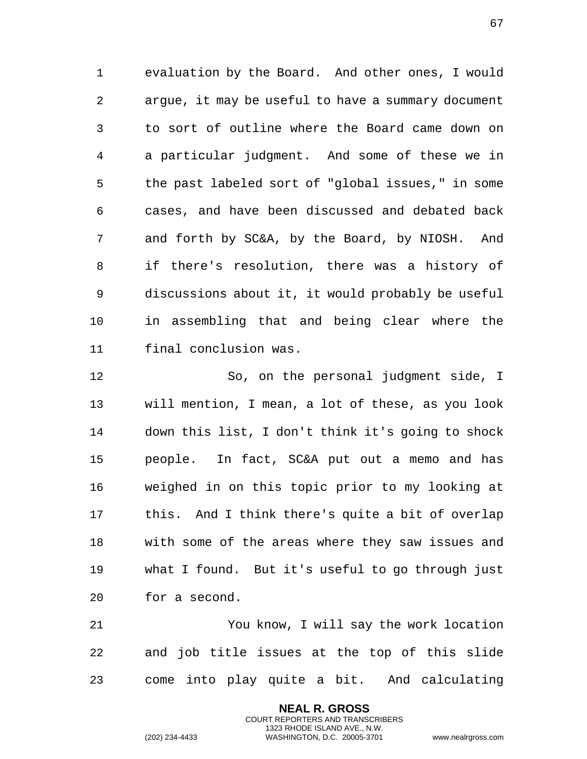evaluation by the Board. And other ones, I would argue, it may be useful to have a summary document to sort of outline where the Board came down on a particular judgment. And some of these we in the past labeled sort of "global issues," in some cases, and have been discussed and debated back and forth by SC&A, by the Board, by NIOSH. And if there's resolution, there was a history of discussions about it, it would probably be useful in assembling that and being clear where the final conclusion was.

 So, on the personal judgment side, I will mention, I mean, a lot of these, as you look down this list, I don't think it's going to shock people. In fact, SC&A put out a memo and has weighed in on this topic prior to my looking at this. And I think there's quite a bit of overlap with some of the areas where they saw issues and what I found. But it's useful to go through just for a second.

 You know, I will say the work location and job title issues at the top of this slide come into play quite a bit. And calculating

> **NEAL R. GROSS** COURT REPORTERS AND TRANSCRIBERS 1323 RHODE ISLAND AVE., N.W.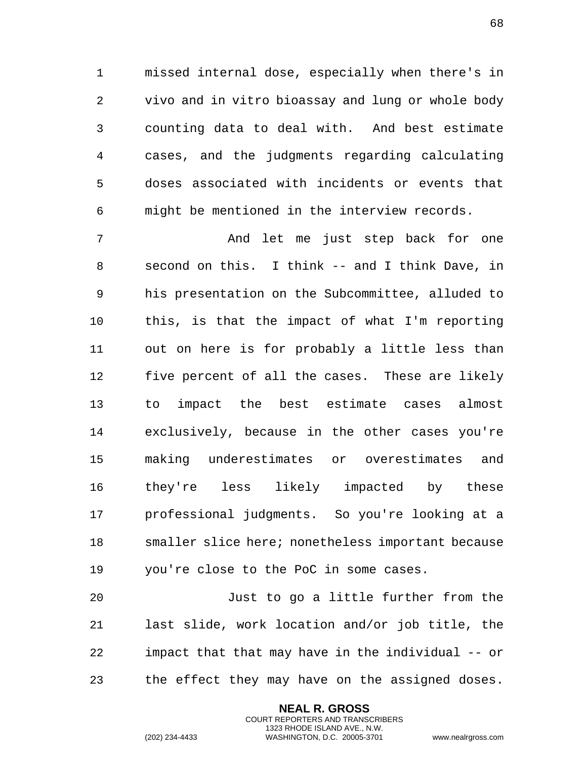missed internal dose, especially when there's in vivo and in vitro bioassay and lung or whole body counting data to deal with. And best estimate cases, and the judgments regarding calculating doses associated with incidents or events that might be mentioned in the interview records.

 And let me just step back for one second on this. I think -- and I think Dave, in his presentation on the Subcommittee, alluded to this, is that the impact of what I'm reporting out on here is for probably a little less than five percent of all the cases. These are likely to impact the best estimate cases almost exclusively, because in the other cases you're making underestimates or overestimates and they're less likely impacted by these professional judgments. So you're looking at a smaller slice here; nonetheless important because you're close to the PoC in some cases.

 Just to go a little further from the last slide, work location and/or job title, the impact that that may have in the individual -- or the effect they may have on the assigned doses.

> **NEAL R. GROSS** COURT REPORTERS AND TRANSCRIBERS 1323 RHODE ISLAND AVE., N.W.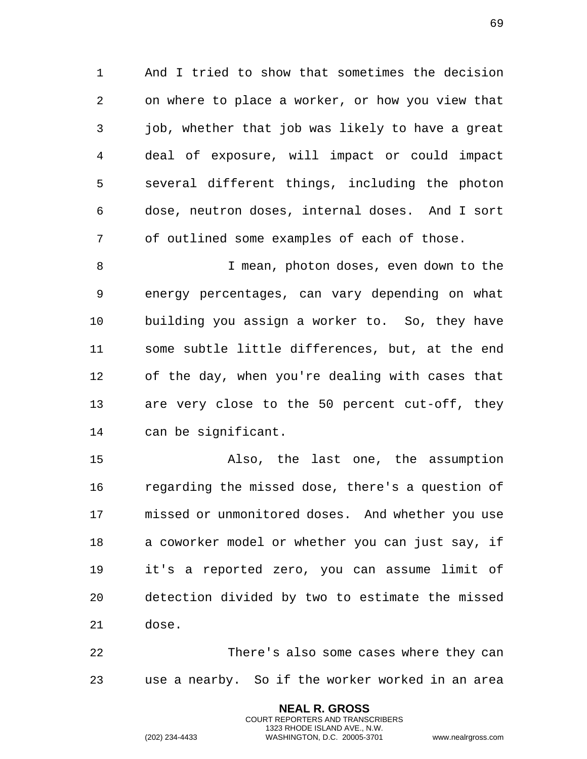And I tried to show that sometimes the decision on where to place a worker, or how you view that job, whether that job was likely to have a great deal of exposure, will impact or could impact several different things, including the photon dose, neutron doses, internal doses. And I sort of outlined some examples of each of those.

8 I mean, photon doses, even down to the energy percentages, can vary depending on what building you assign a worker to. So, they have some subtle little differences, but, at the end of the day, when you're dealing with cases that are very close to the 50 percent cut-off, they can be significant.

 Also, the last one, the assumption regarding the missed dose, there's a question of missed or unmonitored doses. And whether you use a coworker model or whether you can just say, if it's a reported zero, you can assume limit of detection divided by two to estimate the missed dose.

 There's also some cases where they can use a nearby. So if the worker worked in an area

> **NEAL R. GROSS** COURT REPORTERS AND TRANSCRIBERS 1323 RHODE ISLAND AVE., N.W.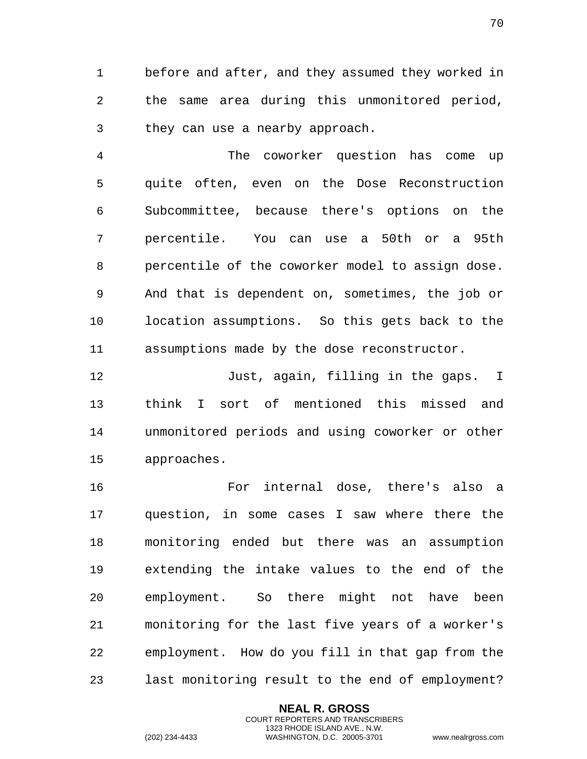before and after, and they assumed they worked in the same area during this unmonitored period, they can use a nearby approach.

 The coworker question has come up quite often, even on the Dose Reconstruction Subcommittee, because there's options on the percentile. You can use a 50th or a 95th percentile of the coworker model to assign dose. And that is dependent on, sometimes, the job or location assumptions. So this gets back to the assumptions made by the dose reconstructor.

12 Just, again, filling in the gaps. I think I sort of mentioned this missed and unmonitored periods and using coworker or other approaches.

 For internal dose, there's also a question, in some cases I saw where there the monitoring ended but there was an assumption extending the intake values to the end of the employment. So there might not have been monitoring for the last five years of a worker's employment. How do you fill in that gap from the last monitoring result to the end of employment?

> **NEAL R. GROSS** COURT REPORTERS AND TRANSCRIBERS 1323 RHODE ISLAND AVE., N.W.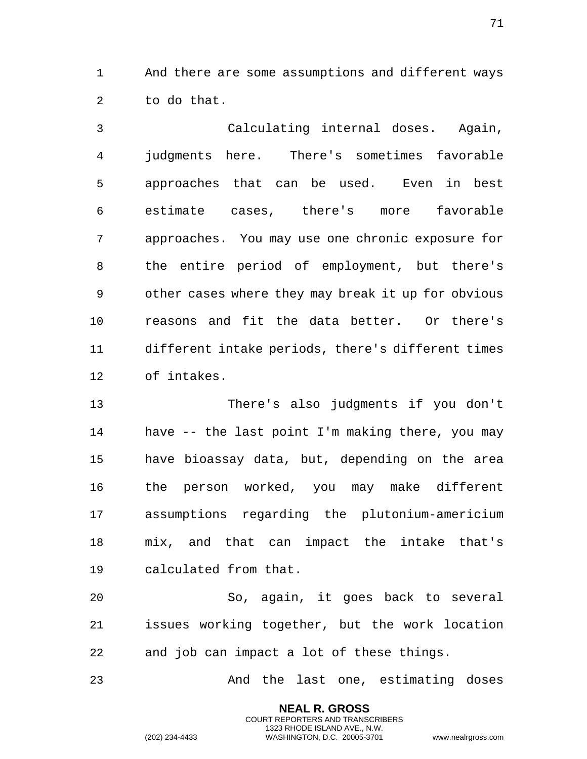And there are some assumptions and different ways to do that.

 Calculating internal doses. Again, judgments here. There's sometimes favorable approaches that can be used. Even in best estimate cases, there's more favorable approaches. You may use one chronic exposure for the entire period of employment, but there's other cases where they may break it up for obvious reasons and fit the data better. Or there's different intake periods, there's different times of intakes.

 There's also judgments if you don't have -- the last point I'm making there, you may have bioassay data, but, depending on the area the person worked, you may make different assumptions regarding the plutonium-americium mix, and that can impact the intake that's calculated from that.

 So, again, it goes back to several issues working together, but the work location and job can impact a lot of these things.

And the last one, estimating doses

**NEAL R. GROSS** COURT REPORTERS AND TRANSCRIBERS 1323 RHODE ISLAND AVE., N.W.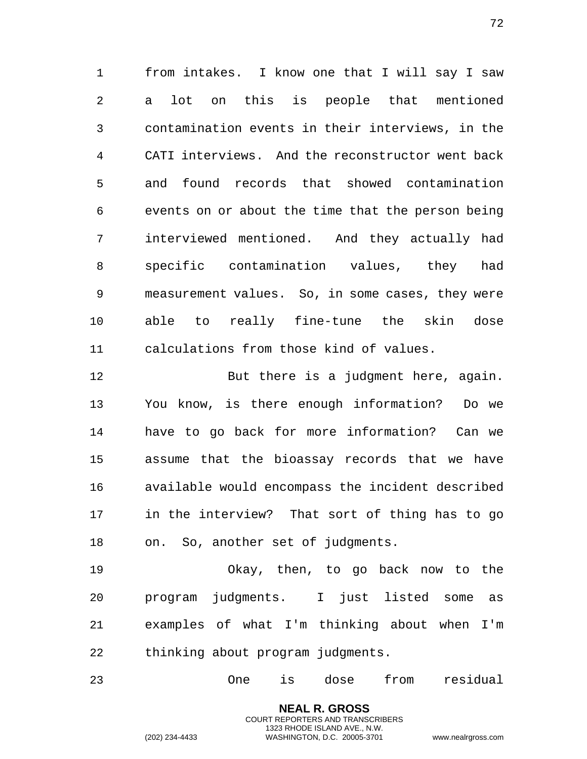from intakes. I know one that I will say I saw a lot on this is people that mentioned contamination events in their interviews, in the CATI interviews. And the reconstructor went back and found records that showed contamination events on or about the time that the person being interviewed mentioned. And they actually had specific contamination values, they had measurement values. So, in some cases, they were able to really fine-tune the skin dose calculations from those kind of values.

 But there is a judgment here, again. You know, is there enough information? Do we have to go back for more information? Can we assume that the bioassay records that we have available would encompass the incident described in the interview? That sort of thing has to go on. So, another set of judgments.

 Okay, then, to go back now to the program judgments. I just listed some as examples of what I'm thinking about when I'm thinking about program judgments.

One is dose from residual

**NEAL R. GROSS** COURT REPORTERS AND TRANSCRIBERS 1323 RHODE ISLAND AVE., N.W.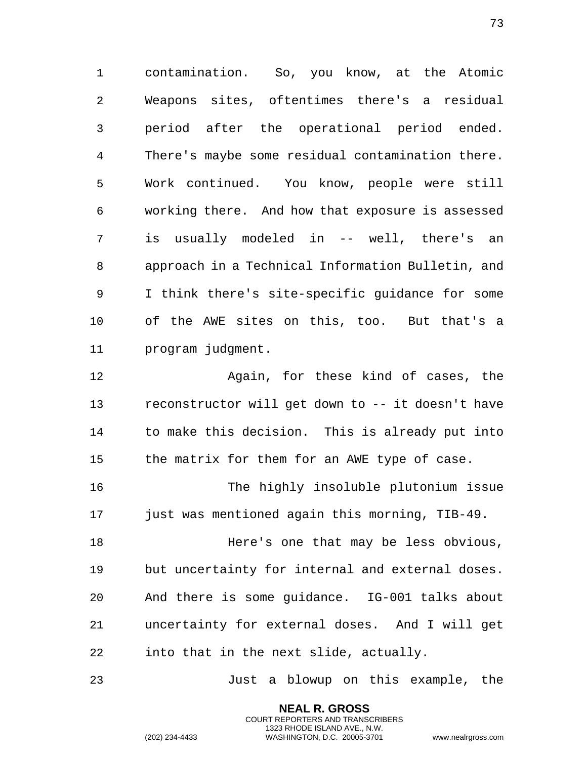contamination. So, you know, at the Atomic Weapons sites, oftentimes there's a residual period after the operational period ended. There's maybe some residual contamination there. Work continued. You know, people were still working there. And how that exposure is assessed is usually modeled in -- well, there's an approach in a Technical Information Bulletin, and I think there's site-specific guidance for some of the AWE sites on this, too. But that's a program judgment.

 Again, for these kind of cases, the reconstructor will get down to -- it doesn't have to make this decision. This is already put into the matrix for them for an AWE type of case.

 The highly insoluble plutonium issue just was mentioned again this morning, TIB-49.

 Here's one that may be less obvious, but uncertainty for internal and external doses. And there is some guidance. IG-001 talks about uncertainty for external doses. And I will get into that in the next slide, actually.

Just a blowup on this example, the

**NEAL R. GROSS** COURT REPORTERS AND TRANSCRIBERS 1323 RHODE ISLAND AVE., N.W.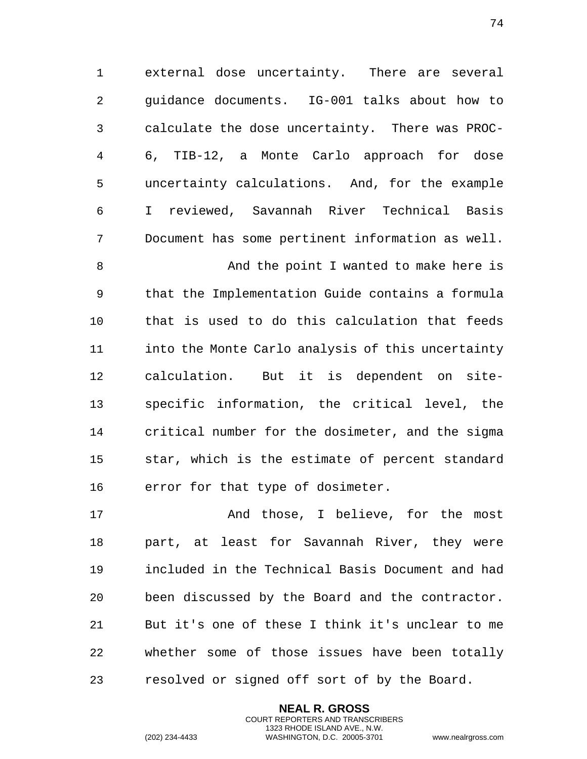external dose uncertainty. There are several guidance documents. IG-001 talks about how to calculate the dose uncertainty. There was PROC- 6, TIB-12, a Monte Carlo approach for dose uncertainty calculations. And, for the example I reviewed, Savannah River Technical Basis Document has some pertinent information as well.

 And the point I wanted to make here is that the Implementation Guide contains a formula that is used to do this calculation that feeds into the Monte Carlo analysis of this uncertainty calculation. But it is dependent on site- specific information, the critical level, the critical number for the dosimeter, and the sigma star, which is the estimate of percent standard error for that type of dosimeter.

17 The Mand those, I believe, for the most part, at least for Savannah River, they were included in the Technical Basis Document and had been discussed by the Board and the contractor. But it's one of these I think it's unclear to me whether some of those issues have been totally resolved or signed off sort of by the Board.

> **NEAL R. GROSS** COURT REPORTERS AND TRANSCRIBERS 1323 RHODE ISLAND AVE., N.W.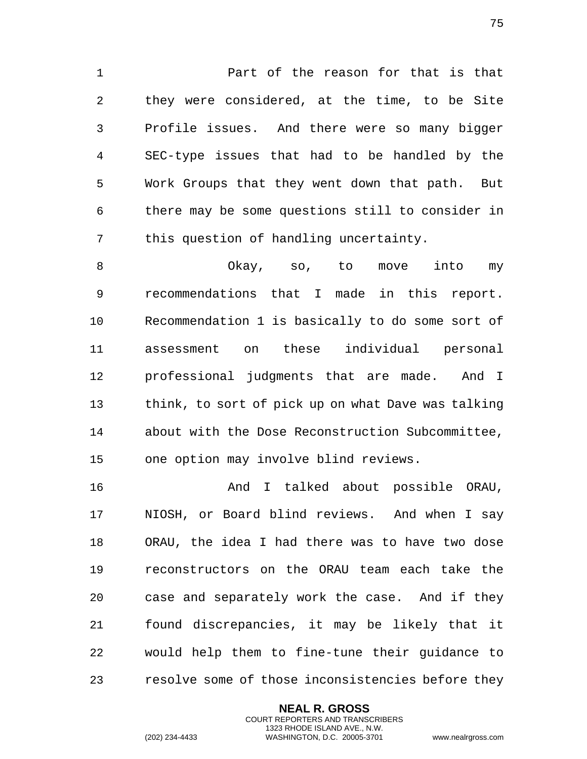Part of the reason for that is that they were considered, at the time, to be Site Profile issues. And there were so many bigger SEC-type issues that had to be handled by the Work Groups that they went down that path. But there may be some questions still to consider in this question of handling uncertainty.

 Okay, so, to move into my recommendations that I made in this report. Recommendation 1 is basically to do some sort of assessment on these individual personal professional judgments that are made. And I think, to sort of pick up on what Dave was talking about with the Dose Reconstruction Subcommittee, one option may involve blind reviews.

 And I talked about possible ORAU, NIOSH, or Board blind reviews. And when I say ORAU, the idea I had there was to have two dose reconstructors on the ORAU team each take the case and separately work the case. And if they found discrepancies, it may be likely that it would help them to fine-tune their guidance to resolve some of those inconsistencies before they

> **NEAL R. GROSS** COURT REPORTERS AND TRANSCRIBERS 1323 RHODE ISLAND AVE., N.W.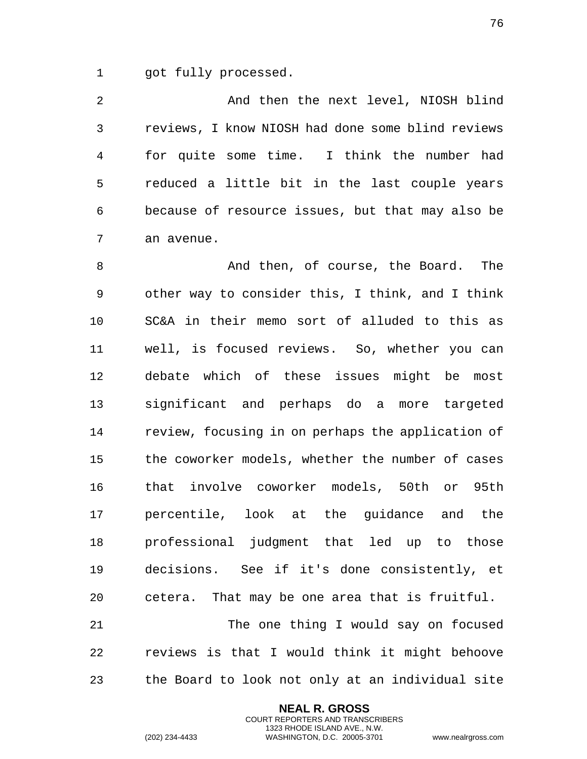got fully processed.

 And then the next level, NIOSH blind reviews, I know NIOSH had done some blind reviews for quite some time. I think the number had reduced a little bit in the last couple years because of resource issues, but that may also be an avenue.

8 And then, of course, the Board. The other way to consider this, I think, and I think SC&A in their memo sort of alluded to this as well, is focused reviews. So, whether you can debate which of these issues might be most significant and perhaps do a more targeted review, focusing in on perhaps the application of the coworker models, whether the number of cases that involve coworker models, 50th or 95th percentile, look at the guidance and the professional judgment that led up to those decisions. See if it's done consistently, et cetera. That may be one area that is fruitful. The one thing I would say on focused reviews is that I would think it might behoove

the Board to look not only at an individual site

**NEAL R. GROSS** COURT REPORTERS AND TRANSCRIBERS 1323 RHODE ISLAND AVE., N.W.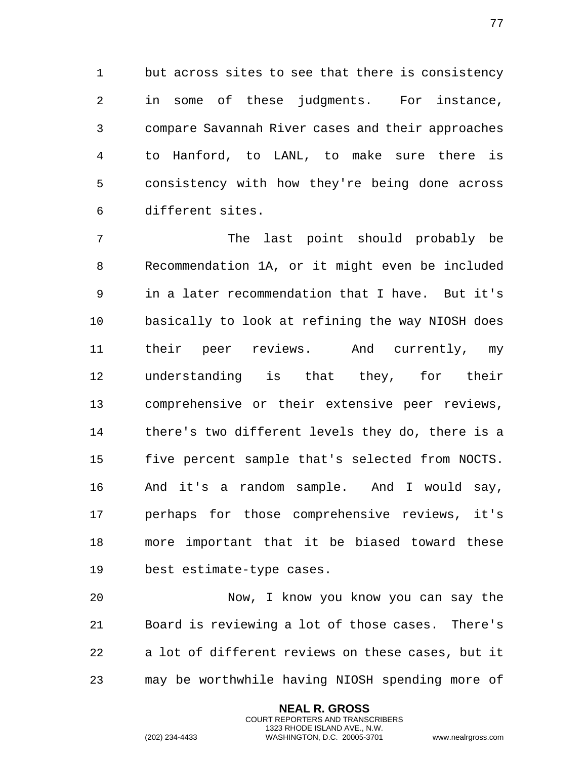but across sites to see that there is consistency in some of these judgments. For instance, compare Savannah River cases and their approaches to Hanford, to LANL, to make sure there is consistency with how they're being done across different sites.

 The last point should probably be Recommendation 1A, or it might even be included in a later recommendation that I have. But it's basically to look at refining the way NIOSH does their peer reviews. And currently, my understanding is that they, for their comprehensive or their extensive peer reviews, there's two different levels they do, there is a five percent sample that's selected from NOCTS. And it's a random sample. And I would say, perhaps for those comprehensive reviews, it's more important that it be biased toward these best estimate-type cases.

 Now, I know you know you can say the Board is reviewing a lot of those cases. There's a lot of different reviews on these cases, but it may be worthwhile having NIOSH spending more of

> **NEAL R. GROSS** COURT REPORTERS AND TRANSCRIBERS 1323 RHODE ISLAND AVE., N.W.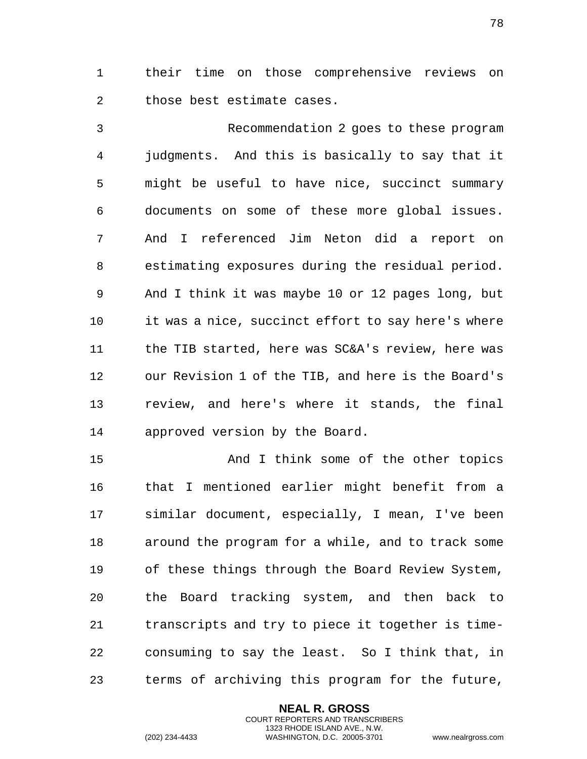their time on those comprehensive reviews on those best estimate cases.

 Recommendation 2 goes to these program judgments. And this is basically to say that it might be useful to have nice, succinct summary documents on some of these more global issues. And I referenced Jim Neton did a report on estimating exposures during the residual period. And I think it was maybe 10 or 12 pages long, but it was a nice, succinct effort to say here's where the TIB started, here was SC&A's review, here was our Revision 1 of the TIB, and here is the Board's review, and here's where it stands, the final approved version by the Board.

 And I think some of the other topics that I mentioned earlier might benefit from a similar document, especially, I mean, I've been around the program for a while, and to track some of these things through the Board Review System, the Board tracking system, and then back to transcripts and try to piece it together is time- consuming to say the least. So I think that, in terms of archiving this program for the future,

> **NEAL R. GROSS** COURT REPORTERS AND TRANSCRIBERS 1323 RHODE ISLAND AVE., N.W.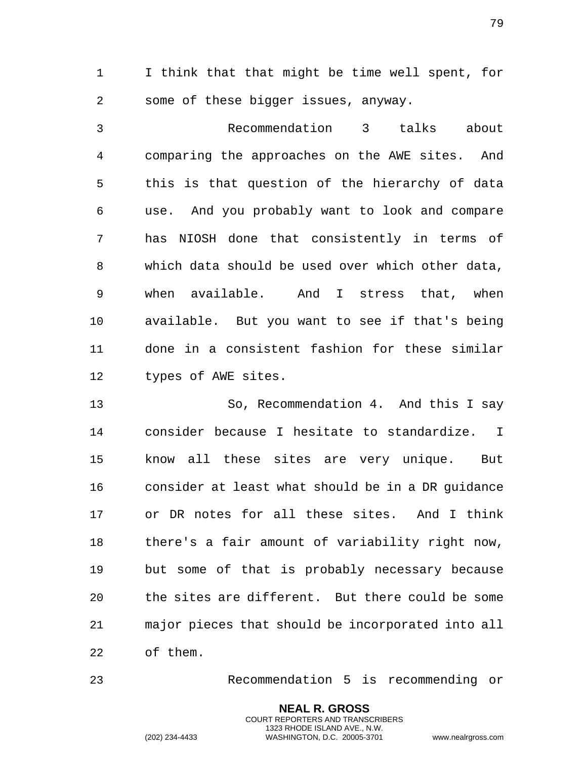I think that that might be time well spent, for some of these bigger issues, anyway.

 Recommendation 3 talks about comparing the approaches on the AWE sites. And this is that question of the hierarchy of data use. And you probably want to look and compare has NIOSH done that consistently in terms of which data should be used over which other data, when available. And I stress that, when available. But you want to see if that's being done in a consistent fashion for these similar types of AWE sites.

 So, Recommendation 4. And this I say consider because I hesitate to standardize. I know all these sites are very unique. But consider at least what should be in a DR guidance or DR notes for all these sites. And I think there's a fair amount of variability right now, but some of that is probably necessary because the sites are different. But there could be some major pieces that should be incorporated into all of them.

Recommendation 5 is recommending or

**NEAL R. GROSS** COURT REPORTERS AND TRANSCRIBERS 1323 RHODE ISLAND AVE., N.W.

(202) 234-4433 WASHINGTON, D.C. 20005-3701 www.nealrgross.com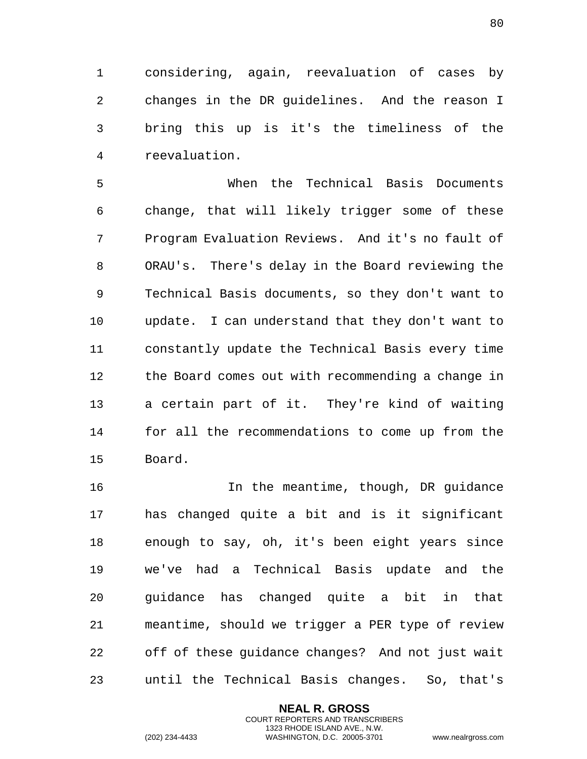considering, again, reevaluation of cases by changes in the DR guidelines. And the reason I bring this up is it's the timeliness of the reevaluation.

 When the Technical Basis Documents change, that will likely trigger some of these Program Evaluation Reviews. And it's no fault of ORAU's. There's delay in the Board reviewing the Technical Basis documents, so they don't want to update. I can understand that they don't want to constantly update the Technical Basis every time the Board comes out with recommending a change in a certain part of it. They're kind of waiting for all the recommendations to come up from the Board.

 In the meantime, though, DR guidance has changed quite a bit and is it significant enough to say, oh, it's been eight years since we've had a Technical Basis update and the guidance has changed quite a bit in that meantime, should we trigger a PER type of review off of these guidance changes? And not just wait until the Technical Basis changes. So, that's

> **NEAL R. GROSS** COURT REPORTERS AND TRANSCRIBERS 1323 RHODE ISLAND AVE., N.W.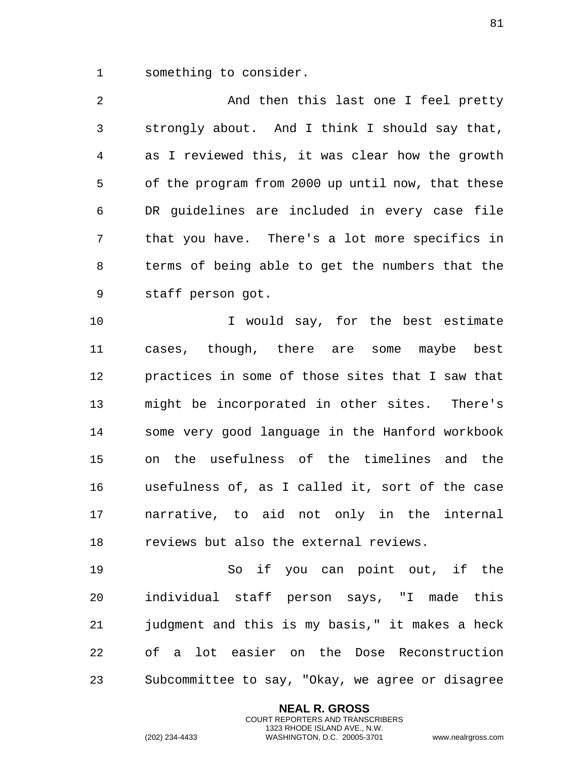something to consider.

2 And then this last one I feel pretty strongly about. And I think I should say that, as I reviewed this, it was clear how the growth of the program from 2000 up until now, that these DR guidelines are included in every case file that you have. There's a lot more specifics in terms of being able to get the numbers that the staff person got.

 I would say, for the best estimate cases, though, there are some maybe best practices in some of those sites that I saw that might be incorporated in other sites. There's some very good language in the Hanford workbook on the usefulness of the timelines and the usefulness of, as I called it, sort of the case narrative, to aid not only in the internal reviews but also the external reviews.

 So if you can point out, if the individual staff person says, "I made this judgment and this is my basis," it makes a heck of a lot easier on the Dose Reconstruction Subcommittee to say, "Okay, we agree or disagree

> **NEAL R. GROSS** COURT REPORTERS AND TRANSCRIBERS 1323 RHODE ISLAND AVE., N.W.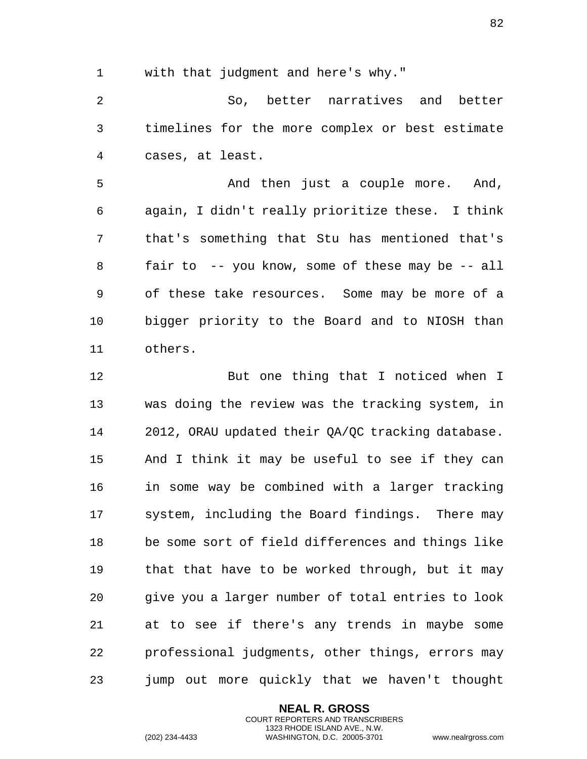with that judgment and here's why."

 So, better narratives and better timelines for the more complex or best estimate cases, at least.

5 And then just a couple more. And, again, I didn't really prioritize these. I think that's something that Stu has mentioned that's fair to -- you know, some of these may be -- all of these take resources. Some may be more of a bigger priority to the Board and to NIOSH than others.

 But one thing that I noticed when I was doing the review was the tracking system, in 2012, ORAU updated their QA/QC tracking database. And I think it may be useful to see if they can in some way be combined with a larger tracking system, including the Board findings. There may be some sort of field differences and things like that that have to be worked through, but it may give you a larger number of total entries to look at to see if there's any trends in maybe some professional judgments, other things, errors may jump out more quickly that we haven't thought

> **NEAL R. GROSS** COURT REPORTERS AND TRANSCRIBERS 1323 RHODE ISLAND AVE., N.W.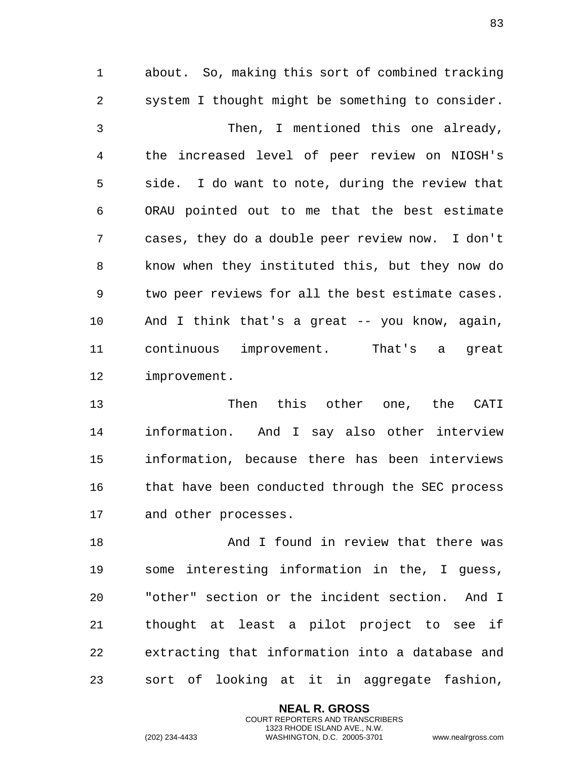about. So, making this sort of combined tracking system I thought might be something to consider. Then, I mentioned this one already, the increased level of peer review on NIOSH's side. I do want to note, during the review that ORAU pointed out to me that the best estimate cases, they do a double peer review now. I don't know when they instituted this, but they now do two peer reviews for all the best estimate cases. And I think that's a great -- you know, again, continuous improvement. That's a great improvement.

 Then this other one, the CATI information. And I say also other interview information, because there has been interviews that have been conducted through the SEC process and other processes.

18 And I found in review that there was some interesting information in the, I guess, "other" section or the incident section. And I thought at least a pilot project to see if extracting that information into a database and sort of looking at it in aggregate fashion,

> **NEAL R. GROSS** COURT REPORTERS AND TRANSCRIBERS 1323 RHODE ISLAND AVE., N.W.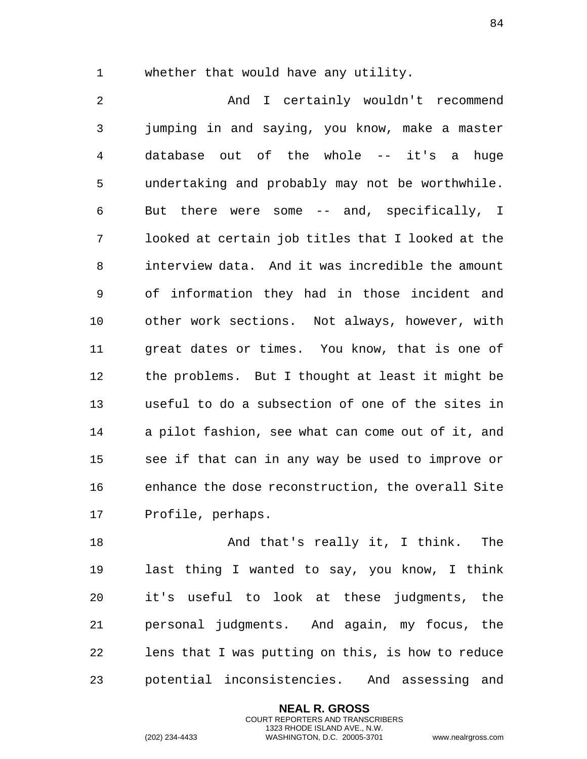whether that would have any utility.

 And I certainly wouldn't recommend jumping in and saying, you know, make a master database out of the whole -- it's a huge undertaking and probably may not be worthwhile. But there were some -- and, specifically, I looked at certain job titles that I looked at the interview data. And it was incredible the amount of information they had in those incident and other work sections. Not always, however, with great dates or times. You know, that is one of the problems. But I thought at least it might be useful to do a subsection of one of the sites in a pilot fashion, see what can come out of it, and see if that can in any way be used to improve or enhance the dose reconstruction, the overall Site Profile, perhaps.

18 And that's really it, I think. The last thing I wanted to say, you know, I think it's useful to look at these judgments, the personal judgments. And again, my focus, the lens that I was putting on this, is how to reduce potential inconsistencies. And assessing and

> **NEAL R. GROSS** COURT REPORTERS AND TRANSCRIBERS 1323 RHODE ISLAND AVE., N.W.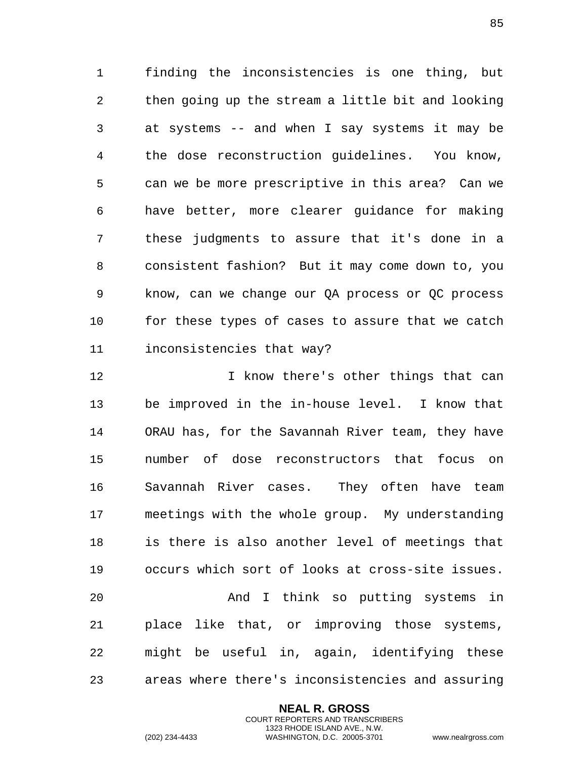finding the inconsistencies is one thing, but then going up the stream a little bit and looking at systems -- and when I say systems it may be the dose reconstruction guidelines. You know, can we be more prescriptive in this area? Can we have better, more clearer guidance for making these judgments to assure that it's done in a consistent fashion? But it may come down to, you know, can we change our QA process or QC process for these types of cases to assure that we catch inconsistencies that way?

 I know there's other things that can be improved in the in-house level. I know that ORAU has, for the Savannah River team, they have number of dose reconstructors that focus on Savannah River cases. They often have team meetings with the whole group. My understanding is there is also another level of meetings that occurs which sort of looks at cross-site issues. And I think so putting systems in place like that, or improving those systems, might be useful in, again, identifying these areas where there's inconsistencies and assuring

> **NEAL R. GROSS** COURT REPORTERS AND TRANSCRIBERS 1323 RHODE ISLAND AVE., N.W.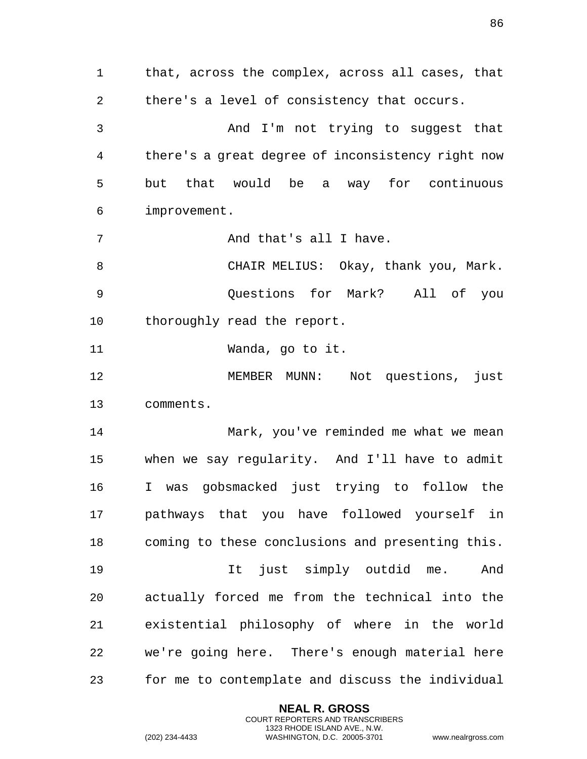that, across the complex, across all cases, that there's a level of consistency that occurs. And I'm not trying to suggest that there's a great degree of inconsistency right now but that would be a way for continuous improvement. 7 And that's all I have. CHAIR MELIUS: Okay, thank you, Mark. Questions for Mark? All of you 10 thoroughly read the report. Wanda, go to it. MEMBER MUNN: Not questions, just comments. Mark, you've reminded me what we mean when we say regularity. And I'll have to admit I was gobsmacked just trying to follow the pathways that you have followed yourself in coming to these conclusions and presenting this. It just simply outdid me. And actually forced me from the technical into the existential philosophy of where in the world we're going here. There's enough material here for me to contemplate and discuss the individual

> **NEAL R. GROSS** COURT REPORTERS AND TRANSCRIBERS 1323 RHODE ISLAND AVE., N.W.

(202) 234-4433 WASHINGTON, D.C. 20005-3701 www.nealrgross.com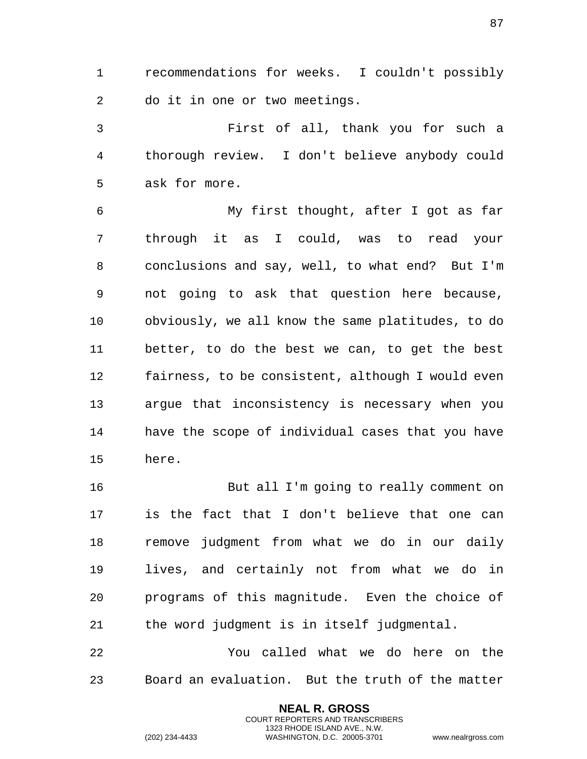recommendations for weeks. I couldn't possibly do it in one or two meetings.

 First of all, thank you for such a thorough review. I don't believe anybody could ask for more.

 My first thought, after I got as far through it as I could, was to read your conclusions and say, well, to what end? But I'm not going to ask that question here because, obviously, we all know the same platitudes, to do better, to do the best we can, to get the best fairness, to be consistent, although I would even argue that inconsistency is necessary when you have the scope of individual cases that you have here.

 But all I'm going to really comment on is the fact that I don't believe that one can remove judgment from what we do in our daily lives, and certainly not from what we do in programs of this magnitude. Even the choice of the word judgment is in itself judgmental.

 You called what we do here on the Board an evaluation. But the truth of the matter

> **NEAL R. GROSS** COURT REPORTERS AND TRANSCRIBERS 1323 RHODE ISLAND AVE., N.W.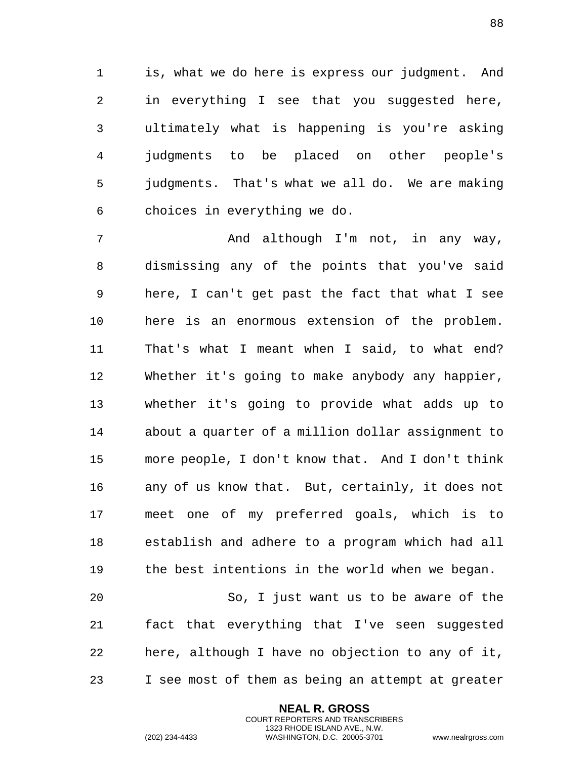is, what we do here is express our judgment. And in everything I see that you suggested here, ultimately what is happening is you're asking judgments to be placed on other people's judgments. That's what we all do. We are making choices in everything we do.

7 and although I'm not, in any way, dismissing any of the points that you've said here, I can't get past the fact that what I see here is an enormous extension of the problem. That's what I meant when I said, to what end? Whether it's going to make anybody any happier, whether it's going to provide what adds up to about a quarter of a million dollar assignment to more people, I don't know that. And I don't think any of us know that. But, certainly, it does not meet one of my preferred goals, which is to establish and adhere to a program which had all the best intentions in the world when we began.

 So, I just want us to be aware of the fact that everything that I've seen suggested here, although I have no objection to any of it, I see most of them as being an attempt at greater

> **NEAL R. GROSS** COURT REPORTERS AND TRANSCRIBERS 1323 RHODE ISLAND AVE., N.W.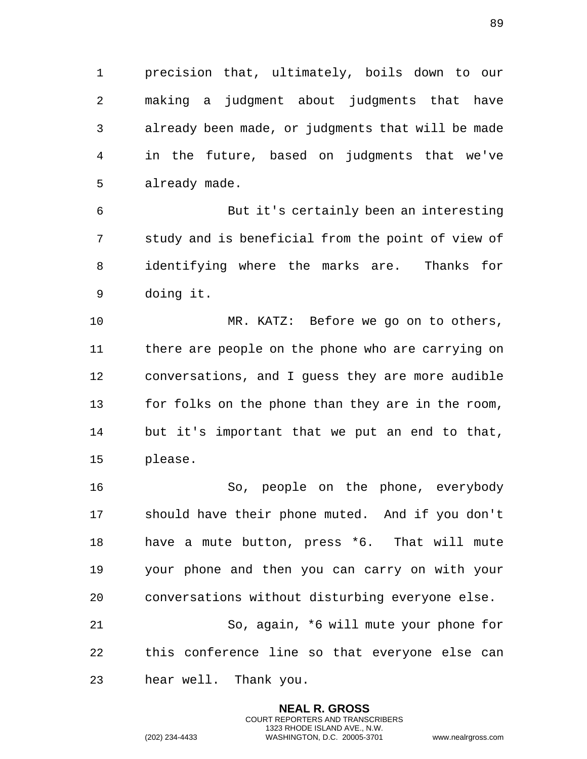precision that, ultimately, boils down to our making a judgment about judgments that have already been made, or judgments that will be made in the future, based on judgments that we've already made.

 But it's certainly been an interesting study and is beneficial from the point of view of identifying where the marks are. Thanks for doing it.

 MR. KATZ: Before we go on to others, there are people on the phone who are carrying on conversations, and I guess they are more audible for folks on the phone than they are in the room, but it's important that we put an end to that, please.

 So, people on the phone, everybody should have their phone muted. And if you don't have a mute button, press \*6. That will mute your phone and then you can carry on with your conversations without disturbing everyone else. So, again, \*6 will mute your phone for

 this conference line so that everyone else can hear well. Thank you.

> **NEAL R. GROSS** COURT REPORTERS AND TRANSCRIBERS 1323 RHODE ISLAND AVE., N.W.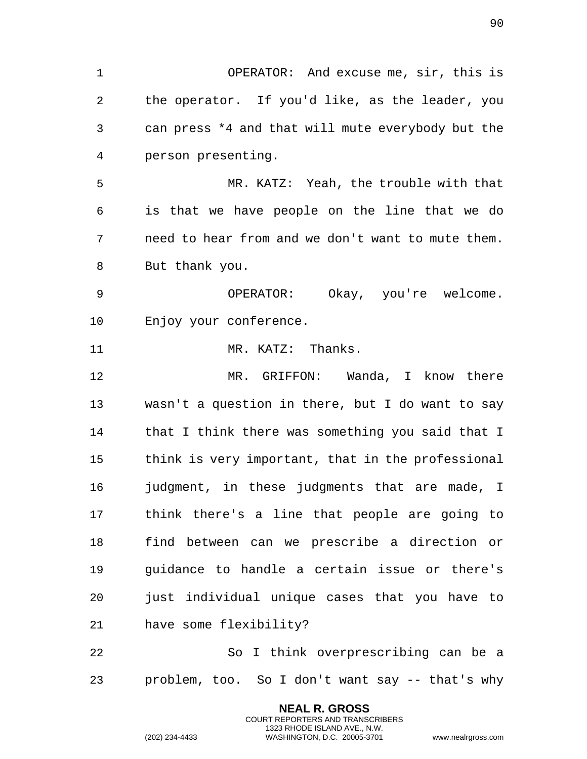OPERATOR: And excuse me, sir, this is the operator. If you'd like, as the leader, you can press \*4 and that will mute everybody but the person presenting. MR. KATZ: Yeah, the trouble with that is that we have people on the line that we do need to hear from and we don't want to mute them. But thank you. OPERATOR: Okay, you're welcome. Enjoy your conference. 11 MR. KATZ: Thanks. MR. GRIFFON: Wanda, I know there wasn't a question in there, but I do want to say that I think there was something you said that I think is very important, that in the professional judgment, in these judgments that are made, I think there's a line that people are going to find between can we prescribe a direction or guidance to handle a certain issue or there's just individual unique cases that you have to have some flexibility? So I think overprescribing can be a problem, too. So I don't want say -- that's why

> **NEAL R. GROSS** COURT REPORTERS AND TRANSCRIBERS 1323 RHODE ISLAND AVE., N.W.

(202) 234-4433 WASHINGTON, D.C. 20005-3701 www.nealrgross.com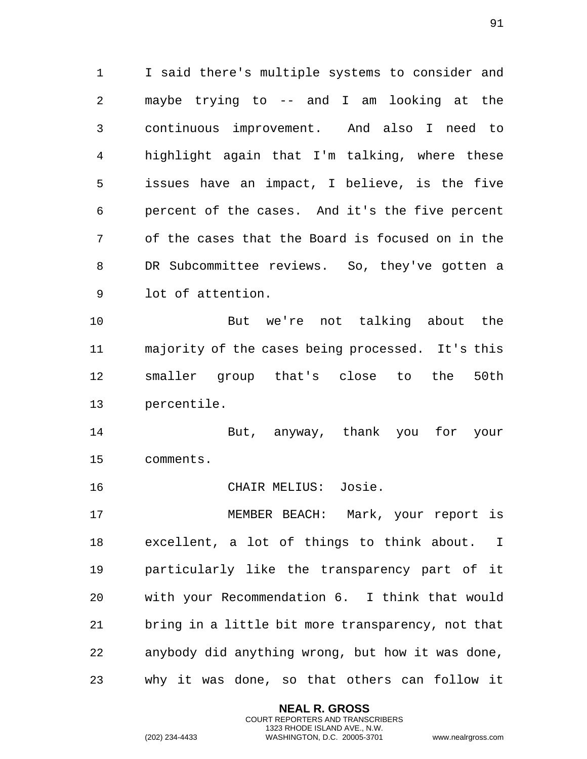I said there's multiple systems to consider and maybe trying to -- and I am looking at the continuous improvement. And also I need to highlight again that I'm talking, where these issues have an impact, I believe, is the five percent of the cases. And it's the five percent of the cases that the Board is focused on in the DR Subcommittee reviews. So, they've gotten a lot of attention.

 But we're not talking about the majority of the cases being processed. It's this smaller group that's close to the 50th percentile.

 But, anyway, thank you for your comments.

CHAIR MELIUS: Josie.

 MEMBER BEACH: Mark, your report is excellent, a lot of things to think about. I particularly like the transparency part of it with your Recommendation 6. I think that would bring in a little bit more transparency, not that anybody did anything wrong, but how it was done, why it was done, so that others can follow it

> **NEAL R. GROSS** COURT REPORTERS AND TRANSCRIBERS 1323 RHODE ISLAND AVE., N.W.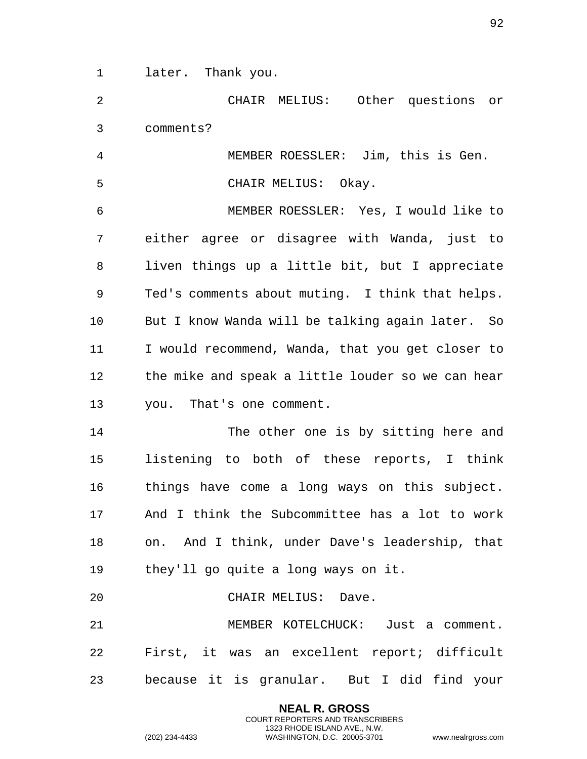later. Thank you.

 CHAIR MELIUS: Other questions or comments?

 MEMBER ROESSLER: Jim, this is Gen. CHAIR MELIUS: Okay.

 MEMBER ROESSLER: Yes, I would like to either agree or disagree with Wanda, just to liven things up a little bit, but I appreciate Ted's comments about muting. I think that helps. But I know Wanda will be talking again later. So I would recommend, Wanda, that you get closer to the mike and speak a little louder so we can hear you. That's one comment.

 The other one is by sitting here and listening to both of these reports, I think things have come a long ways on this subject. And I think the Subcommittee has a lot to work on. And I think, under Dave's leadership, that they'll go quite a long ways on it.

CHAIR MELIUS: Dave.

 MEMBER KOTELCHUCK: Just a comment. First, it was an excellent report; difficult because it is granular. But I did find your

> **NEAL R. GROSS** COURT REPORTERS AND TRANSCRIBERS 1323 RHODE ISLAND AVE., N.W.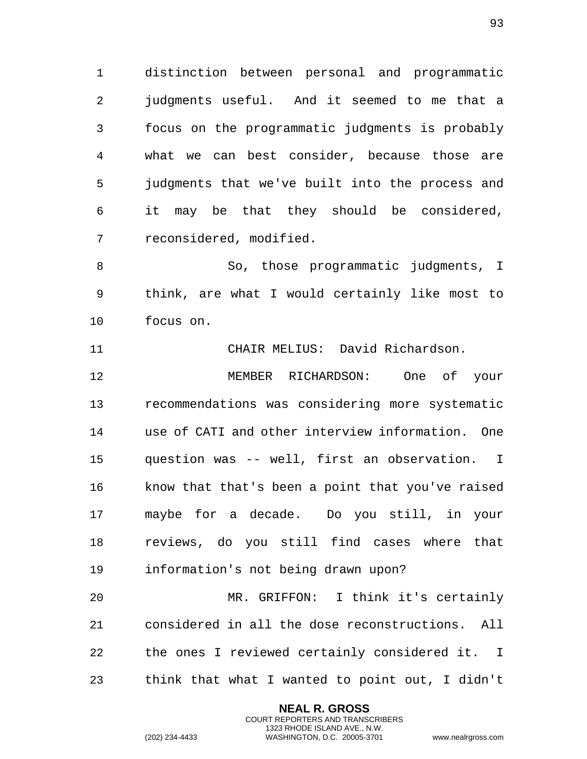distinction between personal and programmatic judgments useful. And it seemed to me that a focus on the programmatic judgments is probably what we can best consider, because those are judgments that we've built into the process and it may be that they should be considered, reconsidered, modified.

 So, those programmatic judgments, I think, are what I would certainly like most to focus on.

CHAIR MELIUS: David Richardson.

 MEMBER RICHARDSON: One of your recommendations was considering more systematic use of CATI and other interview information. One question was -- well, first an observation. I know that that's been a point that you've raised maybe for a decade. Do you still, in your reviews, do you still find cases where that information's not being drawn upon?

 MR. GRIFFON: I think it's certainly considered in all the dose reconstructions. All the ones I reviewed certainly considered it. I think that what I wanted to point out, I didn't

> **NEAL R. GROSS** COURT REPORTERS AND TRANSCRIBERS 1323 RHODE ISLAND AVE., N.W.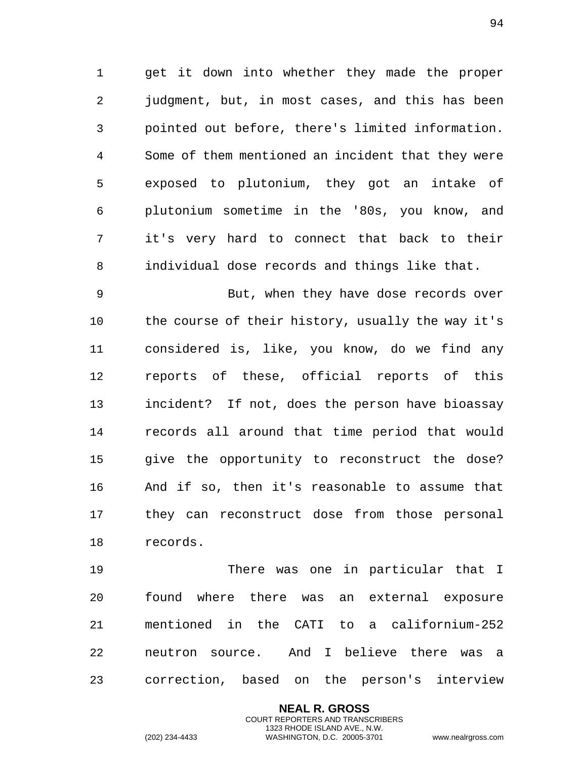get it down into whether they made the proper judgment, but, in most cases, and this has been pointed out before, there's limited information. Some of them mentioned an incident that they were exposed to plutonium, they got an intake of plutonium sometime in the '80s, you know, and it's very hard to connect that back to their individual dose records and things like that.

 But, when they have dose records over the course of their history, usually the way it's considered is, like, you know, do we find any reports of these, official reports of this incident? If not, does the person have bioassay records all around that time period that would give the opportunity to reconstruct the dose? And if so, then it's reasonable to assume that they can reconstruct dose from those personal records.

 There was one in particular that I found where there was an external exposure mentioned in the CATI to a californium-252 neutron source. And I believe there was a correction, based on the person's interview

> **NEAL R. GROSS** COURT REPORTERS AND TRANSCRIBERS 1323 RHODE ISLAND AVE., N.W.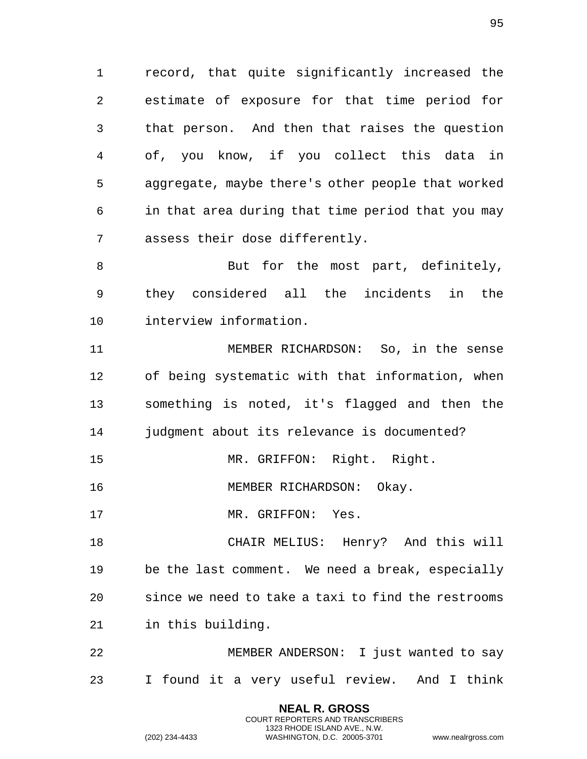record, that quite significantly increased the estimate of exposure for that time period for that person. And then that raises the question of, you know, if you collect this data in aggregate, maybe there's other people that worked in that area during that time period that you may assess their dose differently.

8 But for the most part, definitely, they considered all the incidents in the interview information.

 MEMBER RICHARDSON: So, in the sense of being systematic with that information, when something is noted, it's flagged and then the judgment about its relevance is documented?

MR. GRIFFON: Right. Right.

16 MEMBER RICHARDSON: Okay.

17 MR. GRIFFON: Yes.

 CHAIR MELIUS: Henry? And this will be the last comment. We need a break, especially since we need to take a taxi to find the restrooms in this building.

 MEMBER ANDERSON: I just wanted to say I found it a very useful review. And I think

> **NEAL R. GROSS** COURT REPORTERS AND TRANSCRIBERS 1323 RHODE ISLAND AVE., N.W.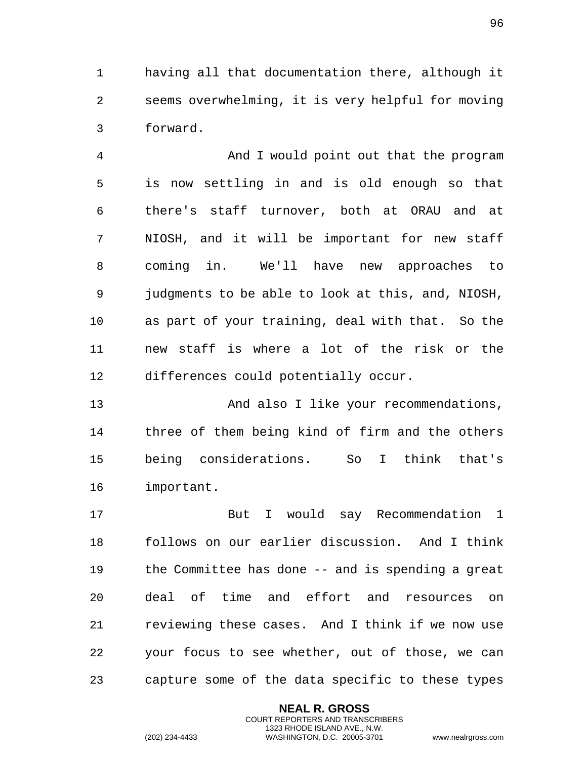having all that documentation there, although it seems overwhelming, it is very helpful for moving forward.

 And I would point out that the program is now settling in and is old enough so that there's staff turnover, both at ORAU and at NIOSH, and it will be important for new staff coming in. We'll have new approaches to judgments to be able to look at this, and, NIOSH, as part of your training, deal with that. So the new staff is where a lot of the risk or the differences could potentially occur.

 And also I like your recommendations, three of them being kind of firm and the others being considerations. So I think that's important.

 But I would say Recommendation 1 follows on our earlier discussion. And I think the Committee has done -- and is spending a great deal of time and effort and resources on reviewing these cases. And I think if we now use your focus to see whether, out of those, we can capture some of the data specific to these types

> **NEAL R. GROSS** COURT REPORTERS AND TRANSCRIBERS 1323 RHODE ISLAND AVE., N.W.

(202) 234-4433 WASHINGTON, D.C. 20005-3701 www.nealrgross.com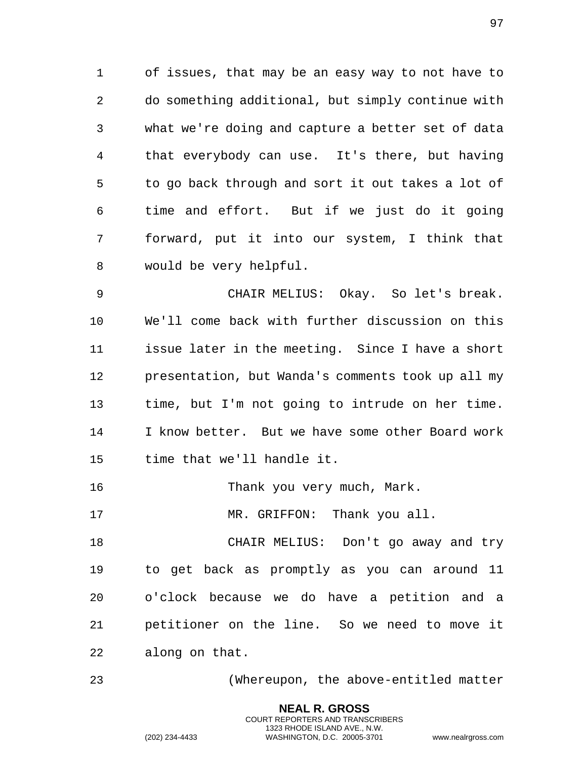of issues, that may be an easy way to not have to do something additional, but simply continue with what we're doing and capture a better set of data that everybody can use. It's there, but having to go back through and sort it out takes a lot of time and effort. But if we just do it going forward, put it into our system, I think that would be very helpful.

 CHAIR MELIUS: Okay. So let's break. We'll come back with further discussion on this issue later in the meeting. Since I have a short presentation, but Wanda's comments took up all my time, but I'm not going to intrude on her time. I know better. But we have some other Board work time that we'll handle it.

16 Thank you very much, Mark.

17 MR. GRIFFON: Thank you all.

 CHAIR MELIUS: Don't go away and try to get back as promptly as you can around 11 o'clock because we do have a petition and a petitioner on the line. So we need to move it along on that.

(Whereupon, the above-entitled matter

**NEAL R. GROSS** COURT REPORTERS AND TRANSCRIBERS 1323 RHODE ISLAND AVE., N.W.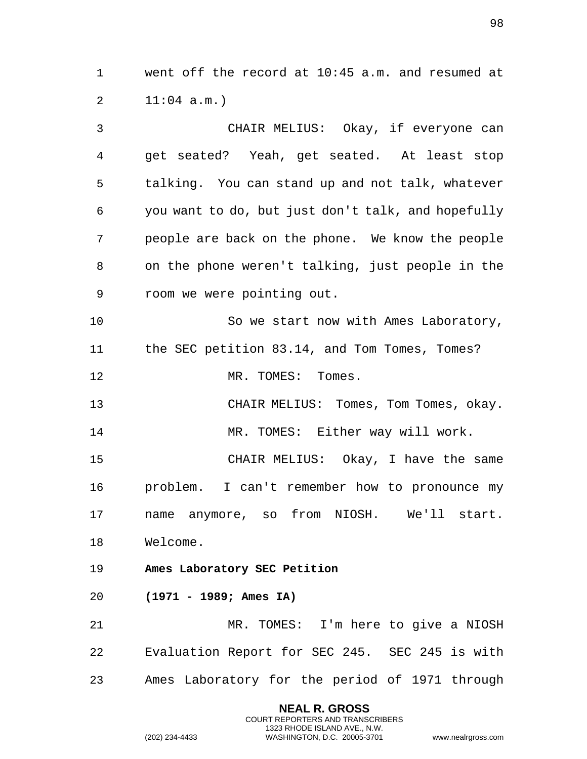went off the record at 10:45 a.m. and resumed at 11:04 a.m.)

 CHAIR MELIUS: Okay, if everyone can get seated? Yeah, get seated. At least stop talking. You can stand up and not talk, whatever you want to do, but just don't talk, and hopefully people are back on the phone. We know the people on the phone weren't talking, just people in the room we were pointing out. So we start now with Ames Laboratory, the SEC petition 83.14, and Tom Tomes, Tomes? 12 MR. TOMES: Tomes. CHAIR MELIUS: Tomes, Tom Tomes, okay. 14 MR. TOMES: Either way will work. CHAIR MELIUS: Okay, I have the same problem. I can't remember how to pronounce my name anymore, so from NIOSH. We'll start. Welcome. **Ames Laboratory SEC Petition (1971 - 1989; Ames IA)** MR. TOMES: I'm here to give a NIOSH Evaluation Report for SEC 245. SEC 245 is with Ames Laboratory for the period of 1971 through

> **NEAL R. GROSS** COURT REPORTERS AND TRANSCRIBERS 1323 RHODE ISLAND AVE., N.W.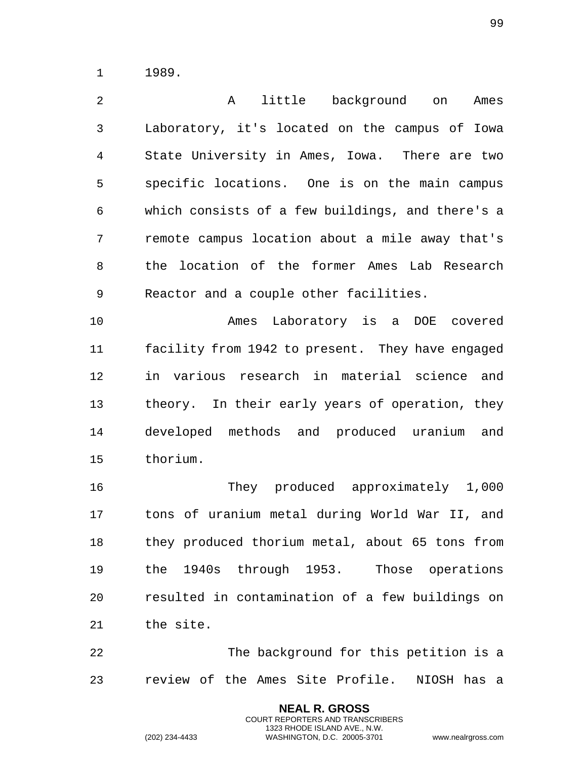1989.

 A little background on Ames Laboratory, it's located on the campus of Iowa State University in Ames, Iowa. There are two specific locations. One is on the main campus which consists of a few buildings, and there's a remote campus location about a mile away that's the location of the former Ames Lab Research Reactor and a couple other facilities.

 Ames Laboratory is a DOE covered facility from 1942 to present. They have engaged in various research in material science and theory. In their early years of operation, they developed methods and produced uranium and thorium.

 They produced approximately 1,000 tons of uranium metal during World War II, and they produced thorium metal, about 65 tons from the 1940s through 1953. Those operations resulted in contamination of a few buildings on the site.

 The background for this petition is a review of the Ames Site Profile. NIOSH has a

> **NEAL R. GROSS** COURT REPORTERS AND TRANSCRIBERS 1323 RHODE ISLAND AVE., N.W.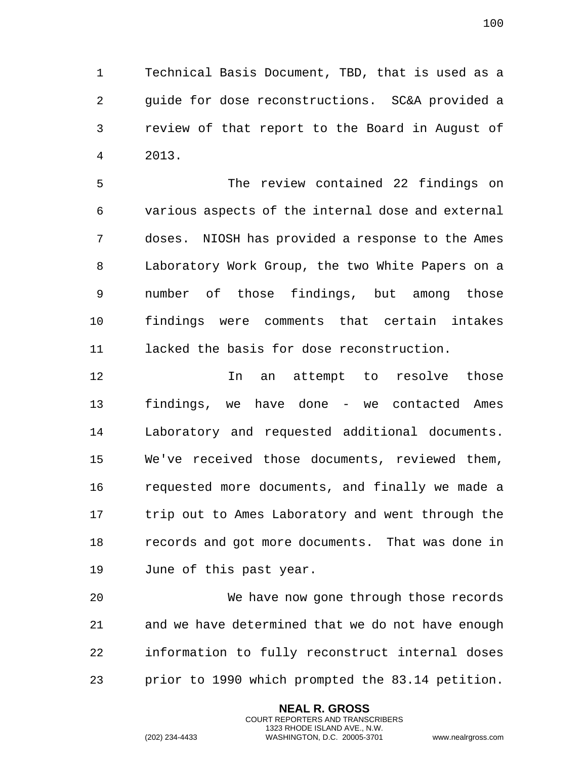Technical Basis Document, TBD, that is used as a guide for dose reconstructions. SC&A provided a review of that report to the Board in August of 2013.

 The review contained 22 findings on various aspects of the internal dose and external doses. NIOSH has provided a response to the Ames Laboratory Work Group, the two White Papers on a number of those findings, but among those findings were comments that certain intakes lacked the basis for dose reconstruction.

 In an attempt to resolve those findings, we have done - we contacted Ames Laboratory and requested additional documents. We've received those documents, reviewed them, requested more documents, and finally we made a trip out to Ames Laboratory and went through the records and got more documents. That was done in June of this past year.

 We have now gone through those records and we have determined that we do not have enough information to fully reconstruct internal doses prior to 1990 which prompted the 83.14 petition.

> **NEAL R. GROSS** COURT REPORTERS AND TRANSCRIBERS 1323 RHODE ISLAND AVE., N.W.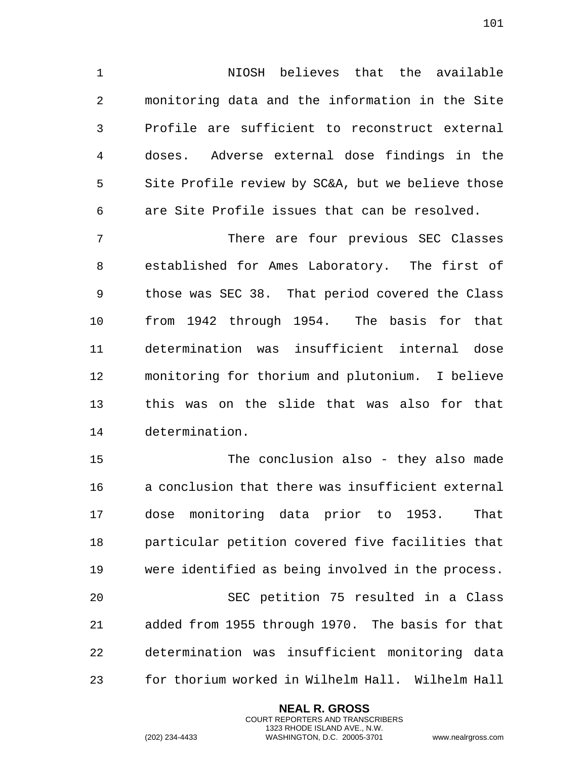NIOSH believes that the available monitoring data and the information in the Site Profile are sufficient to reconstruct external doses. Adverse external dose findings in the Site Profile review by SC&A, but we believe those are Site Profile issues that can be resolved.

 There are four previous SEC Classes established for Ames Laboratory. The first of those was SEC 38. That period covered the Class from 1942 through 1954. The basis for that determination was insufficient internal dose monitoring for thorium and plutonium. I believe this was on the slide that was also for that determination.

 The conclusion also - they also made a conclusion that there was insufficient external dose monitoring data prior to 1953. That particular petition covered five facilities that were identified as being involved in the process. SEC petition 75 resulted in a Class added from 1955 through 1970. The basis for that determination was insufficient monitoring data for thorium worked in Wilhelm Hall. Wilhelm Hall

> **NEAL R. GROSS** COURT REPORTERS AND TRANSCRIBERS 1323 RHODE ISLAND AVE., N.W.

(202) 234-4433 WASHINGTON, D.C. 20005-3701 www.nealrgross.com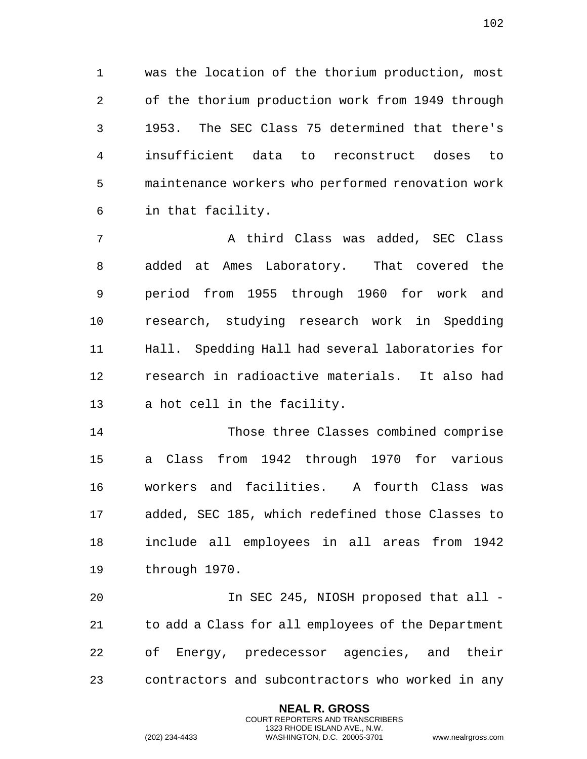was the location of the thorium production, most of the thorium production work from 1949 through 1953. The SEC Class 75 determined that there's insufficient data to reconstruct doses to maintenance workers who performed renovation work in that facility.

7 A third Class was added, SEC Class added at Ames Laboratory. That covered the period from 1955 through 1960 for work and research, studying research work in Spedding Hall. Spedding Hall had several laboratories for research in radioactive materials. It also had a hot cell in the facility.

 Those three Classes combined comprise a Class from 1942 through 1970 for various workers and facilities. A fourth Class was added, SEC 185, which redefined those Classes to include all employees in all areas from 1942 through 1970.

 In SEC 245, NIOSH proposed that all - to add a Class for all employees of the Department of Energy, predecessor agencies, and their contractors and subcontractors who worked in any

> **NEAL R. GROSS** COURT REPORTERS AND TRANSCRIBERS 1323 RHODE ISLAND AVE., N.W.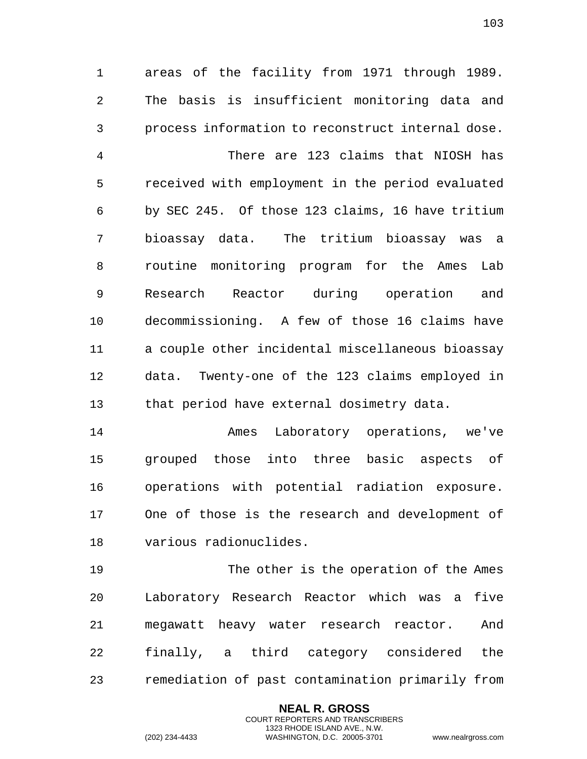areas of the facility from 1971 through 1989. The basis is insufficient monitoring data and process information to reconstruct internal dose. There are 123 claims that NIOSH has received with employment in the period evaluated by SEC 245. Of those 123 claims, 16 have tritium bioassay data. The tritium bioassay was a routine monitoring program for the Ames Lab Research Reactor during operation and decommissioning. A few of those 16 claims have a couple other incidental miscellaneous bioassay data. Twenty-one of the 123 claims employed in that period have external dosimetry data.

 Ames Laboratory operations, we've grouped those into three basic aspects of operations with potential radiation exposure. One of those is the research and development of various radionuclides.

 The other is the operation of the Ames Laboratory Research Reactor which was a five megawatt heavy water research reactor. And finally, a third category considered the remediation of past contamination primarily from

> **NEAL R. GROSS** COURT REPORTERS AND TRANSCRIBERS 1323 RHODE ISLAND AVE., N.W.

(202) 234-4433 WASHINGTON, D.C. 20005-3701 www.nealrgross.com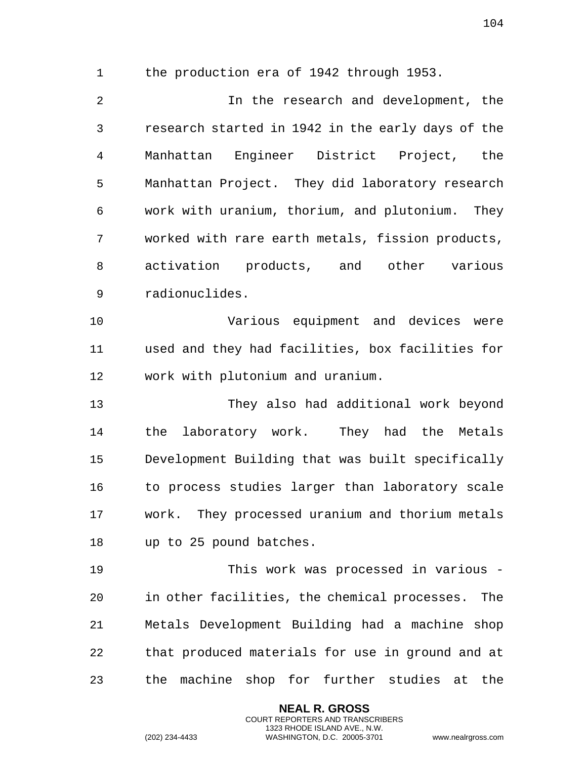the production era of 1942 through 1953.

 In the research and development, the research started in 1942 in the early days of the Manhattan Engineer District Project, the Manhattan Project. They did laboratory research work with uranium, thorium, and plutonium. They worked with rare earth metals, fission products, activation products, and other various radionuclides.

 Various equipment and devices were used and they had facilities, box facilities for work with plutonium and uranium.

 They also had additional work beyond the laboratory work. They had the Metals Development Building that was built specifically to process studies larger than laboratory scale work. They processed uranium and thorium metals up to 25 pound batches.

 This work was processed in various - in other facilities, the chemical processes. The Metals Development Building had a machine shop that produced materials for use in ground and at the machine shop for further studies at the

> **NEAL R. GROSS** COURT REPORTERS AND TRANSCRIBERS 1323 RHODE ISLAND AVE., N.W.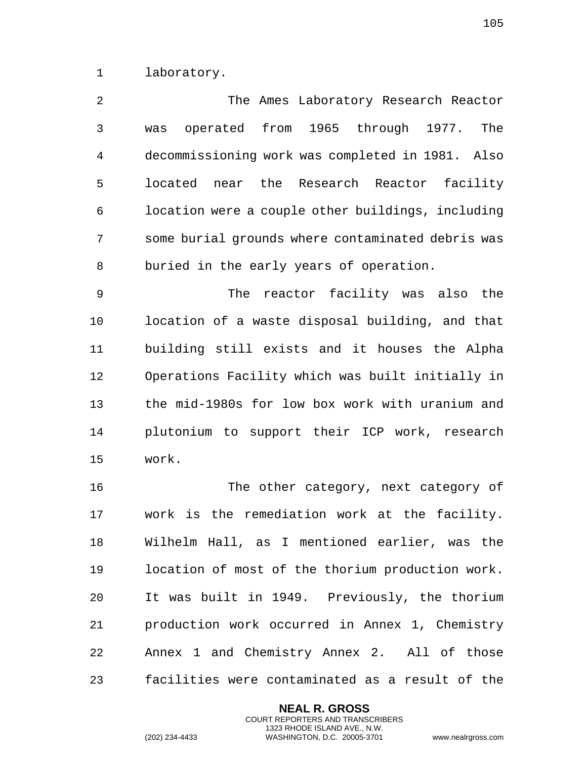laboratory.

 The Ames Laboratory Research Reactor was operated from 1965 through 1977. The decommissioning work was completed in 1981. Also located near the Research Reactor facility location were a couple other buildings, including some burial grounds where contaminated debris was buried in the early years of operation.

 The reactor facility was also the location of a waste disposal building, and that building still exists and it houses the Alpha Operations Facility which was built initially in the mid-1980s for low box work with uranium and plutonium to support their ICP work, research work.

 The other category, next category of work is the remediation work at the facility. Wilhelm Hall, as I mentioned earlier, was the location of most of the thorium production work. It was built in 1949. Previously, the thorium production work occurred in Annex 1, Chemistry Annex 1 and Chemistry Annex 2. All of those facilities were contaminated as a result of the

> **NEAL R. GROSS** COURT REPORTERS AND TRANSCRIBERS 1323 RHODE ISLAND AVE., N.W.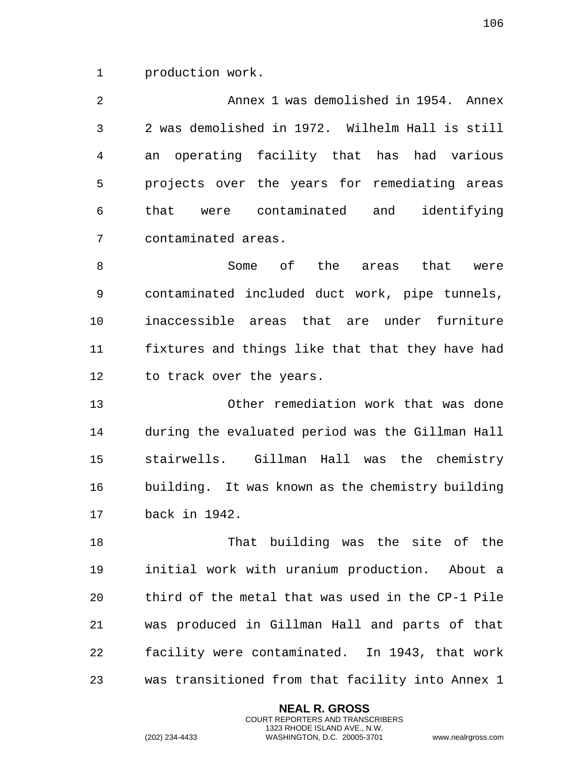production work.

 Annex 1 was demolished in 1954. Annex 2 was demolished in 1972. Wilhelm Hall is still an operating facility that has had various projects over the years for remediating areas that were contaminated and identifying contaminated areas.

8 Some of the areas that were contaminated included duct work, pipe tunnels, inaccessible areas that are under furniture fixtures and things like that that they have had 12 to track over the years.

 Other remediation work that was done during the evaluated period was the Gillman Hall stairwells. Gillman Hall was the chemistry building. It was known as the chemistry building back in 1942.

 That building was the site of the initial work with uranium production. About a third of the metal that was used in the CP-1 Pile was produced in Gillman Hall and parts of that facility were contaminated. In 1943, that work was transitioned from that facility into Annex 1

> **NEAL R. GROSS** COURT REPORTERS AND TRANSCRIBERS 1323 RHODE ISLAND AVE., N.W.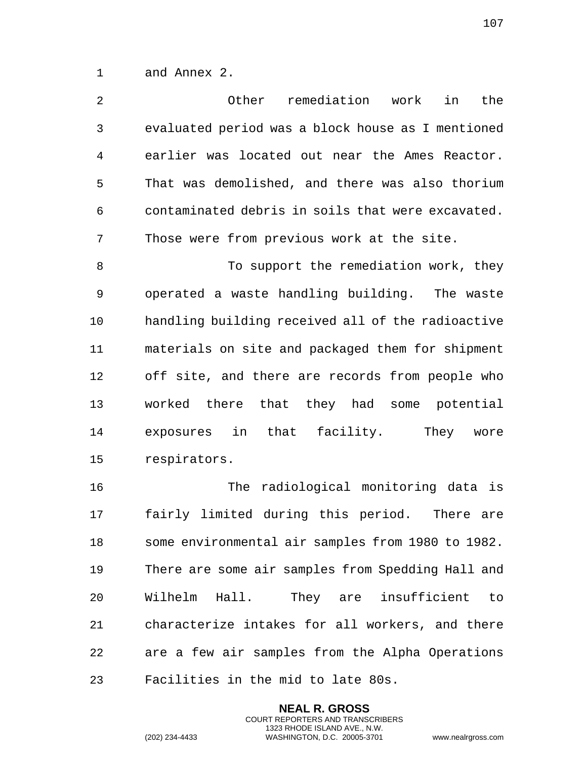and Annex 2.

| 2            | Other<br>remediation<br>work<br>in<br>the         |
|--------------|---------------------------------------------------|
| $\mathbf{3}$ | evaluated period was a block house as I mentioned |
| 4            | earlier was located out near the Ames Reactor.    |
| 5            | That was demolished, and there was also thorium   |
| 6            | contaminated debris in soils that were excavated. |
| 7            | Those were from previous work at the site.        |
| 8            | To support the remediation work, they             |
| 9            | operated a waste handling building. The waste     |
| 10           | handling building received all of the radioactive |
| 11           | materials on site and packaged them for shipment  |
| 12           | off site, and there are records from people who   |
| 13           | worked there that they had some potential         |
| 14           | exposures in that facility.<br>They<br>wore       |
| 15           | respirators.                                      |
| 16           | radiological monitoring data is<br>The            |
| 17           | fairly limited during this period. There are      |
| 18           | some environmental air samples from 1980 to 1982. |
| 19           | There are some air samples from Spedding Hall and |
| 20           | Wilhelm Hall.<br>They are insufficient<br>to      |
| 21           | characterize intakes for all workers, and there   |

 are a few air samples from the Alpha Operations Facilities in the mid to late 80s.

> **NEAL R. GROSS** COURT REPORTERS AND TRANSCRIBERS 1323 RHODE ISLAND AVE., N.W.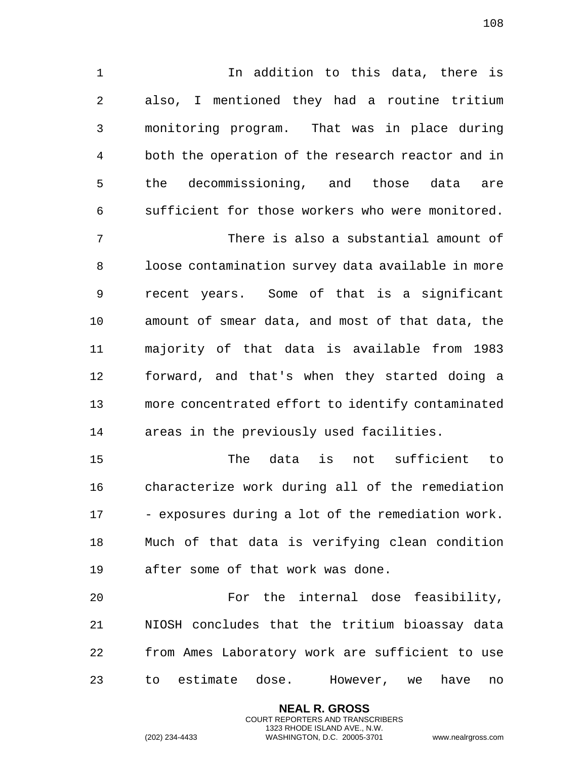In addition to this data, there is also, I mentioned they had a routine tritium monitoring program. That was in place during both the operation of the research reactor and in the decommissioning, and those data are sufficient for those workers who were monitored. There is also a substantial amount of loose contamination survey data available in more recent years. Some of that is a significant amount of smear data, and most of that data, the majority of that data is available from 1983 forward, and that's when they started doing a more concentrated effort to identify contaminated areas in the previously used facilities.

 The data is not sufficient to characterize work during all of the remediation - exposures during a lot of the remediation work. Much of that data is verifying clean condition after some of that work was done.

 For the internal dose feasibility, NIOSH concludes that the tritium bioassay data from Ames Laboratory work are sufficient to use to estimate dose. However, we have no

> **NEAL R. GROSS** COURT REPORTERS AND TRANSCRIBERS 1323 RHODE ISLAND AVE., N.W.

(202) 234-4433 WASHINGTON, D.C. 20005-3701 www.nealrgross.com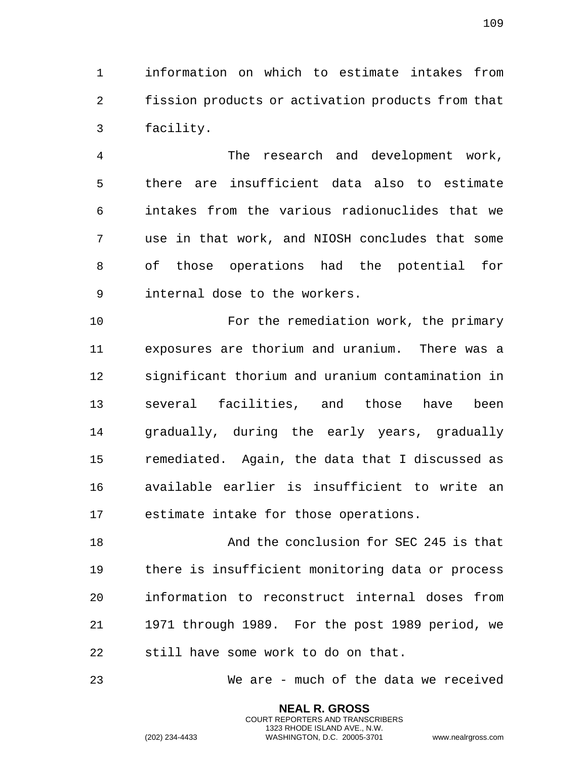information on which to estimate intakes from fission products or activation products from that facility.

 The research and development work, there are insufficient data also to estimate intakes from the various radionuclides that we use in that work, and NIOSH concludes that some of those operations had the potential for internal dose to the workers.

 For the remediation work, the primary exposures are thorium and uranium. There was a significant thorium and uranium contamination in several facilities, and those have been gradually, during the early years, gradually remediated. Again, the data that I discussed as available earlier is insufficient to write an estimate intake for those operations.

 And the conclusion for SEC 245 is that there is insufficient monitoring data or process information to reconstruct internal doses from 1971 through 1989. For the post 1989 period, we still have some work to do on that.

We are - much of the data we received

**NEAL R. GROSS** COURT REPORTERS AND TRANSCRIBERS 1323 RHODE ISLAND AVE., N.W.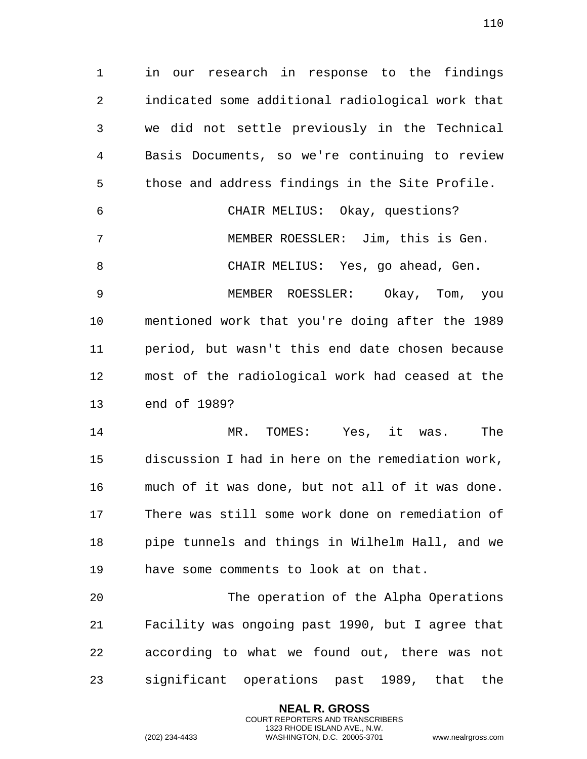in our research in response to the findings indicated some additional radiological work that we did not settle previously in the Technical Basis Documents, so we're continuing to review those and address findings in the Site Profile. CHAIR MELIUS: Okay, questions? MEMBER ROESSLER: Jim, this is Gen. CHAIR MELIUS: Yes, go ahead, Gen. MEMBER ROESSLER: Okay, Tom, you mentioned work that you're doing after the 1989 period, but wasn't this end date chosen because most of the radiological work had ceased at the end of 1989?

 MR. TOMES: Yes, it was. The discussion I had in here on the remediation work, much of it was done, but not all of it was done. There was still some work done on remediation of pipe tunnels and things in Wilhelm Hall, and we have some comments to look at on that.

 The operation of the Alpha Operations Facility was ongoing past 1990, but I agree that according to what we found out, there was not significant operations past 1989, that the

> **NEAL R. GROSS** COURT REPORTERS AND TRANSCRIBERS 1323 RHODE ISLAND AVE., N.W.

(202) 234-4433 WASHINGTON, D.C. 20005-3701 www.nealrgross.com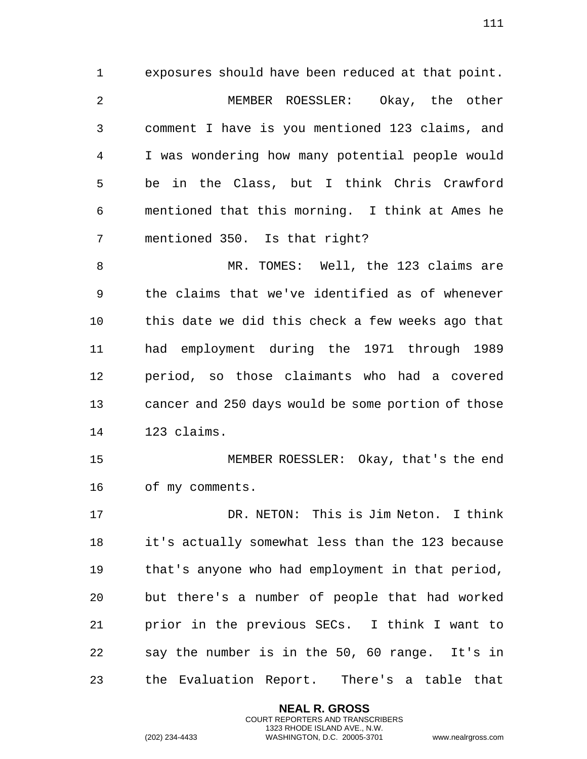exposures should have been reduced at that point. MEMBER ROESSLER: Okay, the other comment I have is you mentioned 123 claims, and I was wondering how many potential people would be in the Class, but I think Chris Crawford mentioned that this morning. I think at Ames he mentioned 350. Is that right?

 MR. TOMES: Well, the 123 claims are the claims that we've identified as of whenever this date we did this check a few weeks ago that had employment during the 1971 through 1989 period, so those claimants who had a covered cancer and 250 days would be some portion of those 123 claims.

 MEMBER ROESSLER: Okay, that's the end of my comments.

 DR. NETON: This is Jim Neton. I think it's actually somewhat less than the 123 because that's anyone who had employment in that period, but there's a number of people that had worked prior in the previous SECs. I think I want to say the number is in the 50, 60 range. It's in the Evaluation Report. There's a table that

> **NEAL R. GROSS** COURT REPORTERS AND TRANSCRIBERS 1323 RHODE ISLAND AVE., N.W.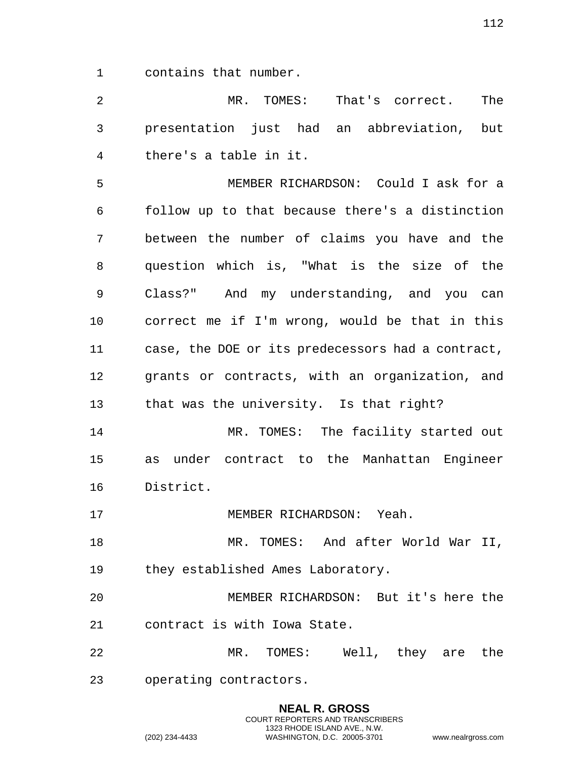contains that number.

 MR. TOMES: That's correct. The presentation just had an abbreviation, but there's a table in it.

 MEMBER RICHARDSON: Could I ask for a follow up to that because there's a distinction between the number of claims you have and the question which is, "What is the size of the Class?" And my understanding, and you can correct me if I'm wrong, would be that in this case, the DOE or its predecessors had a contract, grants or contracts, with an organization, and that was the university. Is that right?

14 MR. TOMES: The facility started out as under contract to the Manhattan Engineer District.

MEMBER RICHARDSON: Yeah.

18 MR. TOMES: And after World War II, they established Ames Laboratory.

 MEMBER RICHARDSON: But it's here the contract is with Iowa State.

 MR. TOMES: Well, they are the operating contractors.

> **NEAL R. GROSS** COURT REPORTERS AND TRANSCRIBERS 1323 RHODE ISLAND AVE., N.W.

(202) 234-4433 WASHINGTON, D.C. 20005-3701 www.nealrgross.com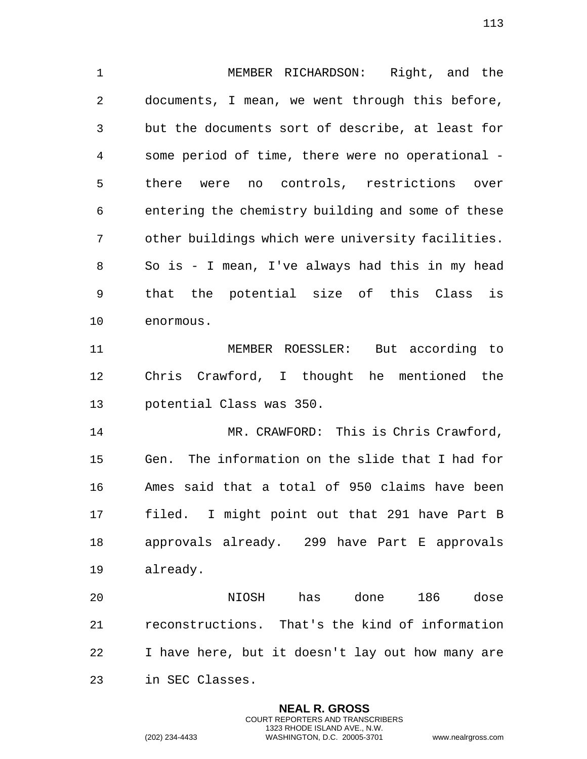MEMBER RICHARDSON: Right, and the documents, I mean, we went through this before, but the documents sort of describe, at least for some period of time, there were no operational - there were no controls, restrictions over entering the chemistry building and some of these other buildings which were university facilities. So is - I mean, I've always had this in my head that the potential size of this Class is enormous.

 MEMBER ROESSLER: But according to Chris Crawford, I thought he mentioned the potential Class was 350.

 MR. CRAWFORD: This is Chris Crawford, Gen. The information on the slide that I had for Ames said that a total of 950 claims have been filed. I might point out that 291 have Part B approvals already. 299 have Part E approvals already.

 NIOSH has done 186 dose reconstructions. That's the kind of information I have here, but it doesn't lay out how many are in SEC Classes.

> **NEAL R. GROSS** COURT REPORTERS AND TRANSCRIBERS 1323 RHODE ISLAND AVE., N.W.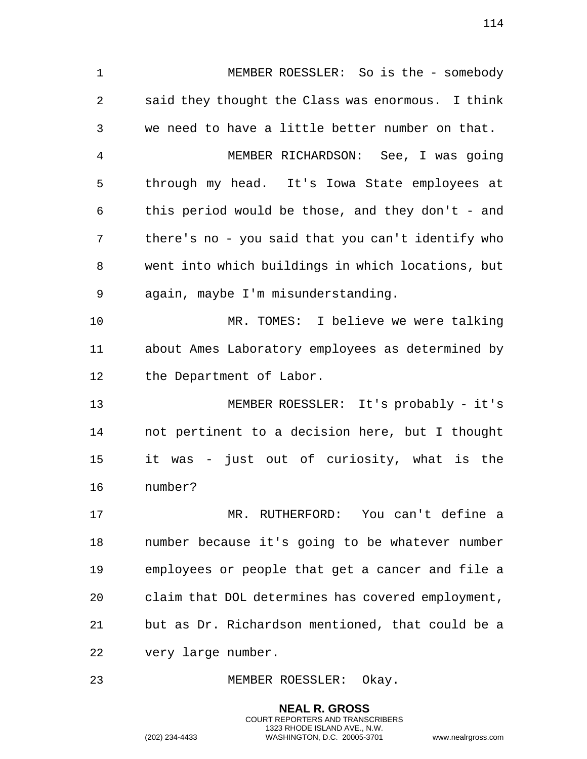MEMBER ROESSLER: So is the - somebody said they thought the Class was enormous. I think we need to have a little better number on that. MEMBER RICHARDSON: See, I was going through my head. It's Iowa State employees at this period would be those, and they don't - and there's no - you said that you can't identify who went into which buildings in which locations, but again, maybe I'm misunderstanding. MR. TOMES: I believe we were talking about Ames Laboratory employees as determined by the Department of Labor. MEMBER ROESSLER: It's probably - it's not pertinent to a decision here, but I thought it was - just out of curiosity, what is the number? MR. RUTHERFORD: You can't define a number because it's going to be whatever number employees or people that get a cancer and file a claim that DOL determines has covered employment, but as Dr. Richardson mentioned, that could be a very large number.

MEMBER ROESSLER: Okay.

**NEAL R. GROSS** COURT REPORTERS AND TRANSCRIBERS 1323 RHODE ISLAND AVE., N.W.

(202) 234-4433 WASHINGTON, D.C. 20005-3701 www.nealrgross.com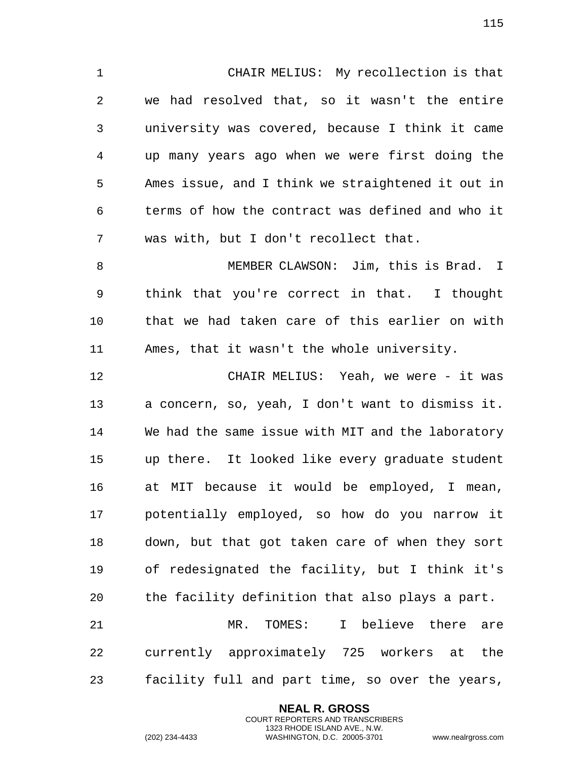CHAIR MELIUS: My recollection is that we had resolved that, so it wasn't the entire university was covered, because I think it came up many years ago when we were first doing the Ames issue, and I think we straightened it out in terms of how the contract was defined and who it was with, but I don't recollect that.

 MEMBER CLAWSON: Jim, this is Brad. I think that you're correct in that. I thought that we had taken care of this earlier on with Ames, that it wasn't the whole university.

 CHAIR MELIUS: Yeah, we were - it was a concern, so, yeah, I don't want to dismiss it. We had the same issue with MIT and the laboratory up there. It looked like every graduate student at MIT because it would be employed, I mean, potentially employed, so how do you narrow it down, but that got taken care of when they sort of redesignated the facility, but I think it's the facility definition that also plays a part.

 MR. TOMES: I believe there are currently approximately 725 workers at the facility full and part time, so over the years,

> **NEAL R. GROSS** COURT REPORTERS AND TRANSCRIBERS 1323 RHODE ISLAND AVE., N.W.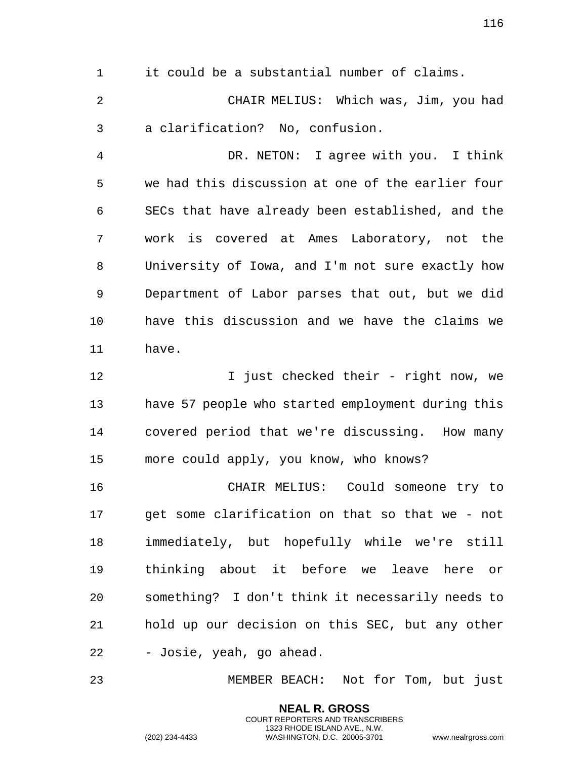it could be a substantial number of claims.

 CHAIR MELIUS: Which was, Jim, you had a clarification? No, confusion.

 DR. NETON: I agree with you. I think we had this discussion at one of the earlier four SECs that have already been established, and the work is covered at Ames Laboratory, not the University of Iowa, and I'm not sure exactly how Department of Labor parses that out, but we did have this discussion and we have the claims we have.

12 12 I just checked their - right now, we have 57 people who started employment during this covered period that we're discussing. How many more could apply, you know, who knows?

 CHAIR MELIUS: Could someone try to get some clarification on that so that we - not immediately, but hopefully while we're still thinking about it before we leave here or something? I don't think it necessarily needs to hold up our decision on this SEC, but any other - Josie, yeah, go ahead.

MEMBER BEACH: Not for Tom, but just

**NEAL R. GROSS** COURT REPORTERS AND TRANSCRIBERS 1323 RHODE ISLAND AVE., N.W.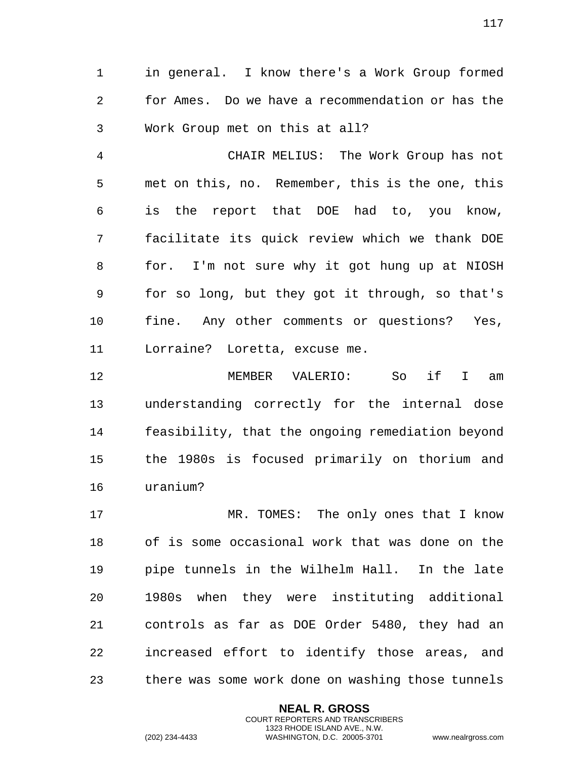in general. I know there's a Work Group formed for Ames. Do we have a recommendation or has the Work Group met on this at all?

 CHAIR MELIUS: The Work Group has not met on this, no. Remember, this is the one, this is the report that DOE had to, you know, facilitate its quick review which we thank DOE for. I'm not sure why it got hung up at NIOSH for so long, but they got it through, so that's fine. Any other comments or questions? Yes, Lorraine? Loretta, excuse me.

 MEMBER VALERIO: So if I am understanding correctly for the internal dose feasibility, that the ongoing remediation beyond the 1980s is focused primarily on thorium and uranium?

 MR. TOMES: The only ones that I know of is some occasional work that was done on the pipe tunnels in the Wilhelm Hall. In the late 1980s when they were instituting additional controls as far as DOE Order 5480, they had an increased effort to identify those areas, and there was some work done on washing those tunnels

> **NEAL R. GROSS** COURT REPORTERS AND TRANSCRIBERS 1323 RHODE ISLAND AVE., N.W.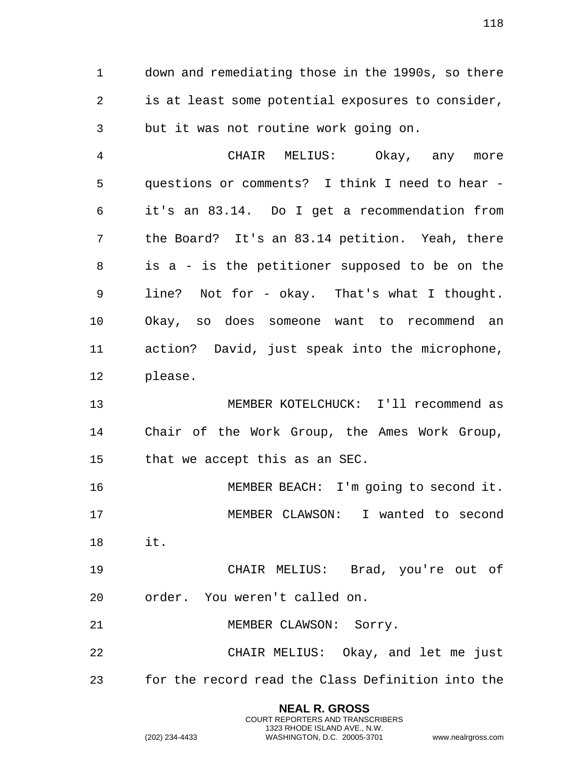down and remediating those in the 1990s, so there is at least some potential exposures to consider, but it was not routine work going on.

 CHAIR MELIUS: Okay, any more questions or comments? I think I need to hear - it's an 83.14. Do I get a recommendation from the Board? It's an 83.14 petition. Yeah, there is a - is the petitioner supposed to be on the line? Not for - okay. That's what I thought. Okay, so does someone want to recommend an action? David, just speak into the microphone, please.

 MEMBER KOTELCHUCK: I'll recommend as Chair of the Work Group, the Ames Work Group, that we accept this as an SEC.

 MEMBER BEACH: I'm going to second it. MEMBER CLAWSON: I wanted to second it.

 CHAIR MELIUS: Brad, you're out of order. You weren't called on.

MEMBER CLAWSON: Sorry.

 CHAIR MELIUS: Okay, and let me just for the record read the Class Definition into the

> **NEAL R. GROSS** COURT REPORTERS AND TRANSCRIBERS 1323 RHODE ISLAND AVE., N.W. (202) 234-4433 WASHINGTON, D.C. 20005-3701 www.nealrgross.com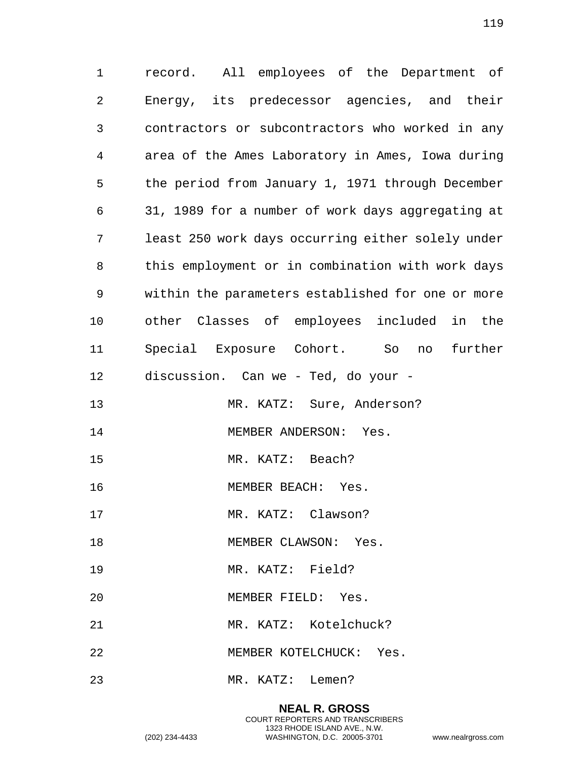record. All employees of the Department of Energy, its predecessor agencies, and their contractors or subcontractors who worked in any area of the Ames Laboratory in Ames, Iowa during the period from January 1, 1971 through December 31, 1989 for a number of work days aggregating at least 250 work days occurring either solely under this employment or in combination with work days within the parameters established for one or more other Classes of employees included in the Special Exposure Cohort. So no further discussion. Can we - Ted, do your - 13 MR. KATZ: Sure, Anderson? 14 MEMBER ANDERSON: Yes. MR. KATZ: Beach? MEMBER BEACH: Yes. 17 MR. KATZ: Clawson? 18 MEMBER CLAWSON: Yes. MR. KATZ: Field? MEMBER FIELD: Yes. MR. KATZ: Kotelchuck?

MEMBER KOTELCHUCK: Yes.

MR. KATZ: Lemen?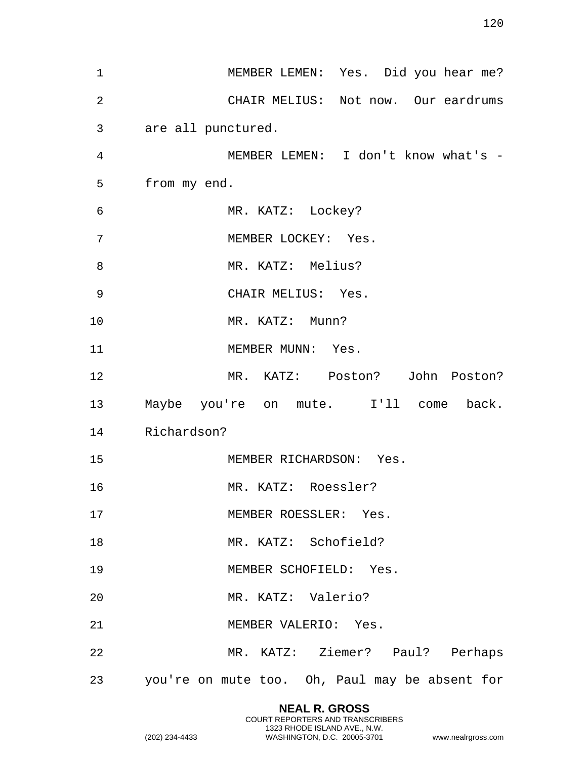| $\mathbf{1}$   | MEMBER LEMEN: Yes. Did you hear me?               |
|----------------|---------------------------------------------------|
| $\overline{2}$ | CHAIR MELIUS: Not now. Our eardrums               |
| 3              | are all punctured.                                |
| 4              | MEMBER LEMEN: I don't know what's -               |
| 5              | from my end.                                      |
| 6              | MR. KATZ: Lockey?                                 |
| 7              | MEMBER LOCKEY: Yes.                               |
| 8              | MR. KATZ: Melius?                                 |
| 9              | CHAIR MELIUS: Yes.                                |
| 10             | MR. KATZ: Munn?                                   |
| 11             | MEMBER MUNN: Yes.                                 |
| 12             | MR. KATZ: Poston? John Poston?                    |
| 13             | Maybe you're on mute. I'll come back.             |
| 14             | Richardson?                                       |
| 15             | MEMBER RICHARDSON: Yes.                           |
| 16             | MR. KATZ: Roessler?                               |
| 17             | MEMBER ROESSLER: Yes.                             |
| 18             | MR. KATZ: Schofield?                              |
| 19             | MEMBER SCHOFIELD: Yes.                            |
| 20             | MR. KATZ: Valerio?                                |
| 21             | MEMBER VALERIO: Yes.                              |
| 22             | MR. KATZ: Ziemer? Paul? Perhaps                   |
|                | 23 you're on mute too. Oh, Paul may be absent for |

**NEAL R. GROSS** COURT REPORTERS AND TRANSCRIBERS 1323 RHODE ISLAND AVE., N.W.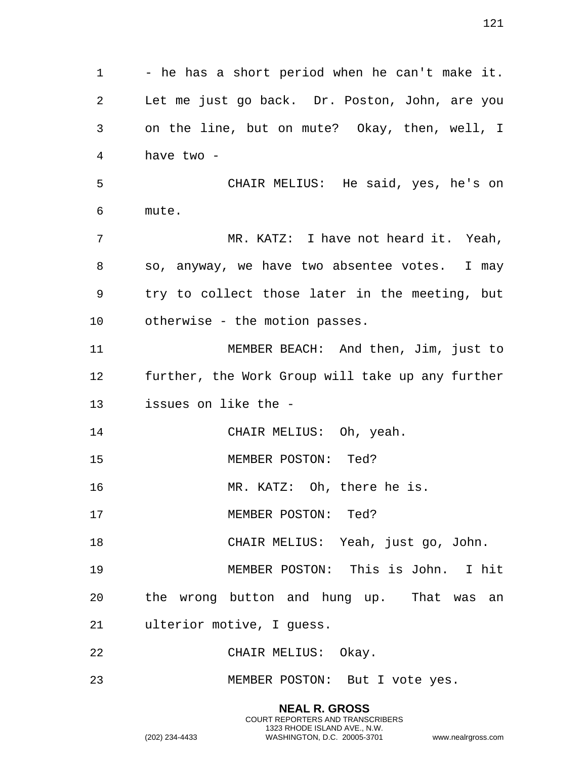1 - he has a short period when he can't make it. Let me just go back. Dr. Poston, John, are you on the line, but on mute? Okay, then, well, I have two - CHAIR MELIUS: He said, yes, he's on mute. MR. KATZ: I have not heard it. Yeah, so, anyway, we have two absentee votes. I may try to collect those later in the meeting, but otherwise - the motion passes. MEMBER BEACH: And then, Jim, just to further, the Work Group will take up any further issues on like the - 14 CHAIR MELIUS: Oh, yeah. MEMBER POSTON: Ted? MR. KATZ: Oh, there he is. 17 MEMBER POSTON: Ted? CHAIR MELIUS: Yeah, just go, John. MEMBER POSTON: This is John. I hit the wrong button and hung up. That was an ulterior motive, I guess. CHAIR MELIUS: Okay. MEMBER POSTON: But I vote yes.

> **NEAL R. GROSS** COURT REPORTERS AND TRANSCRIBERS 1323 RHODE ISLAND AVE., N.W.

(202) 234-4433 WASHINGTON, D.C. 20005-3701 www.nealrgross.com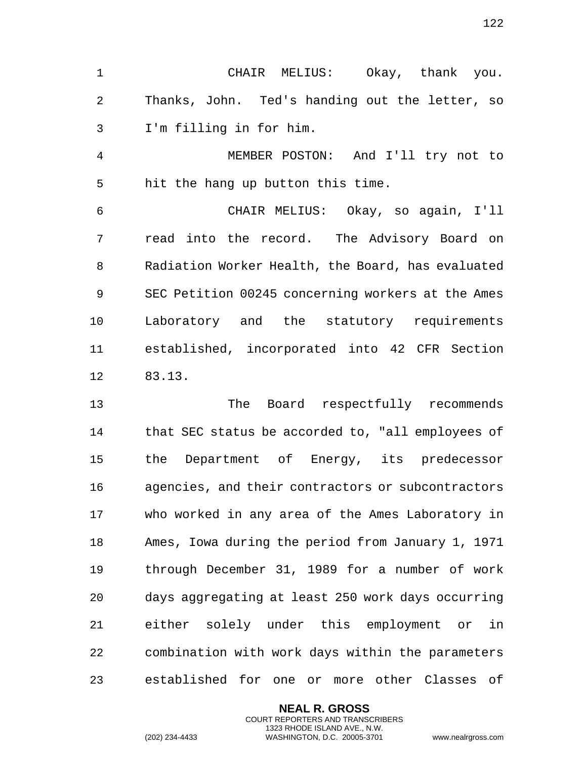CHAIR MELIUS: Okay, thank you. Thanks, John. Ted's handing out the letter, so I'm filling in for him.

 MEMBER POSTON: And I'll try not to hit the hang up button this time.

 CHAIR MELIUS: Okay, so again, I'll read into the record. The Advisory Board on Radiation Worker Health, the Board, has evaluated SEC Petition 00245 concerning workers at the Ames Laboratory and the statutory requirements established, incorporated into 42 CFR Section 83.13.

 The Board respectfully recommends that SEC status be accorded to, "all employees of the Department of Energy, its predecessor agencies, and their contractors or subcontractors who worked in any area of the Ames Laboratory in Ames, Iowa during the period from January 1, 1971 through December 31, 1989 for a number of work days aggregating at least 250 work days occurring either solely under this employment or in combination with work days within the parameters established for one or more other Classes of

> **NEAL R. GROSS** COURT REPORTERS AND TRANSCRIBERS 1323 RHODE ISLAND AVE., N.W.

(202) 234-4433 WASHINGTON, D.C. 20005-3701 www.nealrgross.com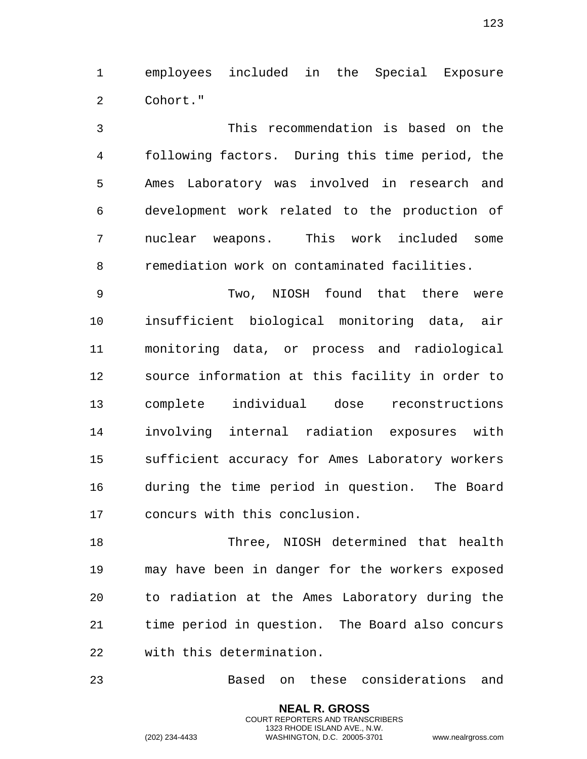employees included in the Special Exposure Cohort."

 This recommendation is based on the following factors. During this time period, the Ames Laboratory was involved in research and development work related to the production of nuclear weapons. This work included some remediation work on contaminated facilities.

 Two, NIOSH found that there were insufficient biological monitoring data, air monitoring data, or process and radiological source information at this facility in order to complete individual dose reconstructions involving internal radiation exposures with sufficient accuracy for Ames Laboratory workers during the time period in question. The Board concurs with this conclusion.

 Three, NIOSH determined that health may have been in danger for the workers exposed to radiation at the Ames Laboratory during the time period in question. The Board also concurs with this determination.

Based on these considerations and

**NEAL R. GROSS** COURT REPORTERS AND TRANSCRIBERS 1323 RHODE ISLAND AVE., N.W.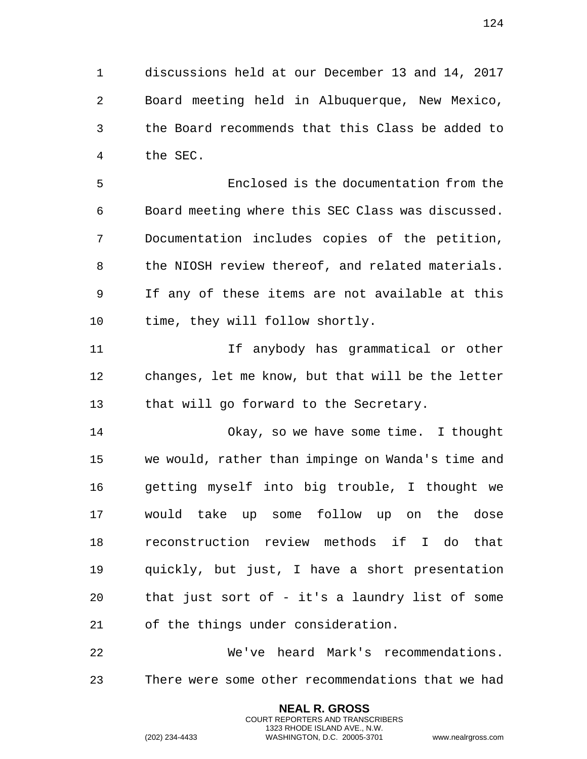discussions held at our December 13 and 14, 2017 Board meeting held in Albuquerque, New Mexico, the Board recommends that this Class be added to the SEC.

 Enclosed is the documentation from the Board meeting where this SEC Class was discussed. Documentation includes copies of the petition, the NIOSH review thereof, and related materials. If any of these items are not available at this time, they will follow shortly.

 If anybody has grammatical or other changes, let me know, but that will be the letter that will go forward to the Secretary.

 Okay, so we have some time. I thought we would, rather than impinge on Wanda's time and getting myself into big trouble, I thought we would take up some follow up on the dose reconstruction review methods if I do that quickly, but just, I have a short presentation that just sort of - it's a laundry list of some of the things under consideration.

 We've heard Mark's recommendations. There were some other recommendations that we had

> **NEAL R. GROSS** COURT REPORTERS AND TRANSCRIBERS 1323 RHODE ISLAND AVE., N.W.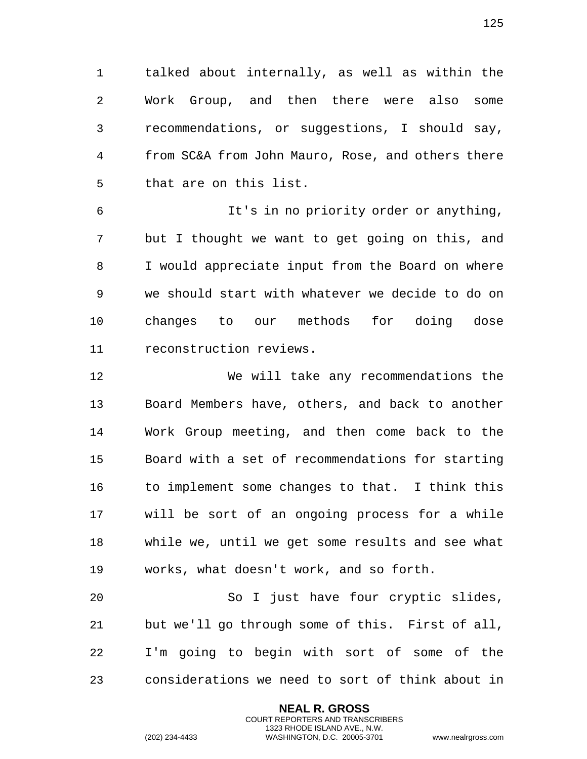talked about internally, as well as within the Work Group, and then there were also some recommendations, or suggestions, I should say, from SC&A from John Mauro, Rose, and others there that are on this list.

 It's in no priority order or anything, but I thought we want to get going on this, and I would appreciate input from the Board on where we should start with whatever we decide to do on changes to our methods for doing dose reconstruction reviews.

 We will take any recommendations the Board Members have, others, and back to another Work Group meeting, and then come back to the Board with a set of recommendations for starting 16 to implement some changes to that. I think this will be sort of an ongoing process for a while while we, until we get some results and see what works, what doesn't work, and so forth.

 So I just have four cryptic slides, but we'll go through some of this. First of all, I'm going to begin with sort of some of the considerations we need to sort of think about in

> **NEAL R. GROSS** COURT REPORTERS AND TRANSCRIBERS 1323 RHODE ISLAND AVE., N.W.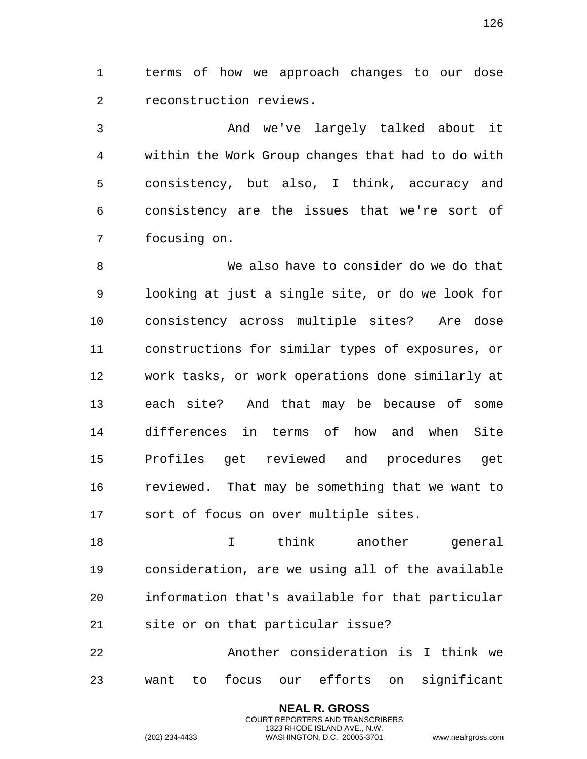terms of how we approach changes to our dose reconstruction reviews.

 And we've largely talked about it within the Work Group changes that had to do with consistency, but also, I think, accuracy and consistency are the issues that we're sort of focusing on.

 We also have to consider do we do that looking at just a single site, or do we look for consistency across multiple sites? Are dose constructions for similar types of exposures, or work tasks, or work operations done similarly at each site? And that may be because of some differences in terms of how and when Site Profiles get reviewed and procedures get reviewed. That may be something that we want to sort of focus on over multiple sites.

18 I think another general consideration, are we using all of the available information that's available for that particular site or on that particular issue?

 Another consideration is I think we want to focus our efforts on significant

> **NEAL R. GROSS** COURT REPORTERS AND TRANSCRIBERS 1323 RHODE ISLAND AVE., N.W.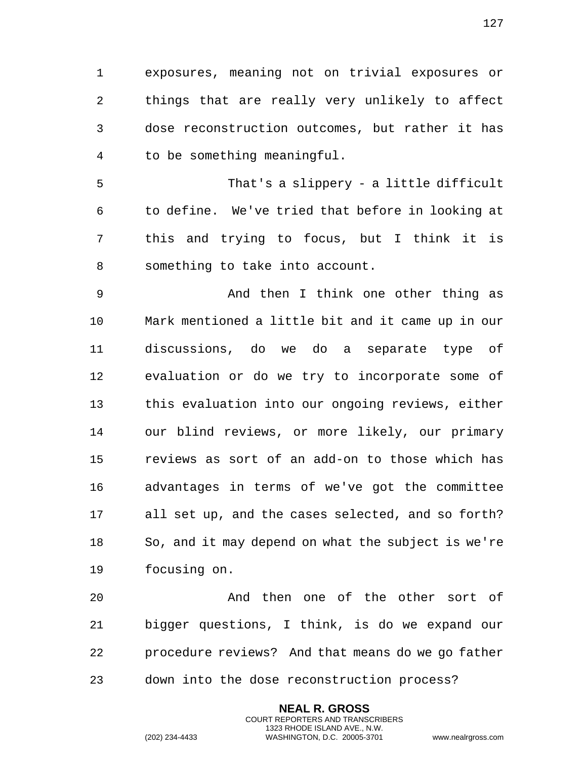exposures, meaning not on trivial exposures or things that are really very unlikely to affect dose reconstruction outcomes, but rather it has to be something meaningful.

 That's a slippery - a little difficult to define. We've tried that before in looking at this and trying to focus, but I think it is something to take into account.

 And then I think one other thing as Mark mentioned a little bit and it came up in our discussions, do we do a separate type of evaluation or do we try to incorporate some of this evaluation into our ongoing reviews, either our blind reviews, or more likely, our primary reviews as sort of an add-on to those which has advantages in terms of we've got the committee all set up, and the cases selected, and so forth? So, and it may depend on what the subject is we're focusing on.

 And then one of the other sort of bigger questions, I think, is do we expand our procedure reviews? And that means do we go father down into the dose reconstruction process?

> **NEAL R. GROSS** COURT REPORTERS AND TRANSCRIBERS 1323 RHODE ISLAND AVE., N.W.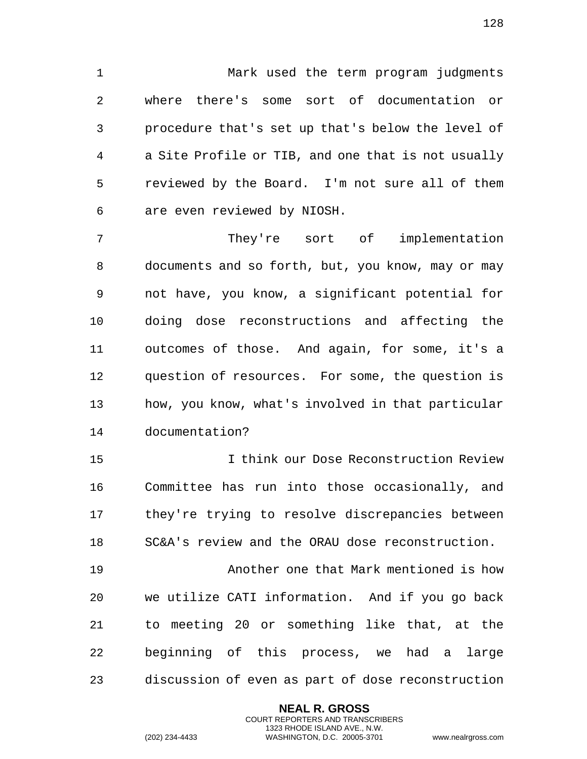Mark used the term program judgments where there's some sort of documentation or procedure that's set up that's below the level of a Site Profile or TIB, and one that is not usually reviewed by the Board. I'm not sure all of them are even reviewed by NIOSH.

 They're sort of implementation documents and so forth, but, you know, may or may not have, you know, a significant potential for doing dose reconstructions and affecting the outcomes of those. And again, for some, it's a question of resources. For some, the question is how, you know, what's involved in that particular documentation?

 I think our Dose Reconstruction Review Committee has run into those occasionally, and they're trying to resolve discrepancies between SC&A's review and the ORAU dose reconstruction.

19 Another one that Mark mentioned is how we utilize CATI information. And if you go back to meeting 20 or something like that, at the beginning of this process, we had a large discussion of even as part of dose reconstruction

> **NEAL R. GROSS** COURT REPORTERS AND TRANSCRIBERS 1323 RHODE ISLAND AVE., N.W.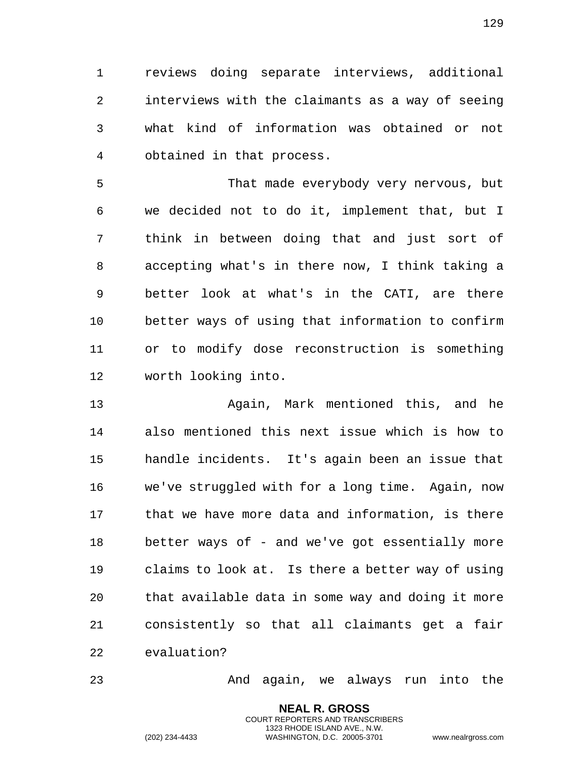reviews doing separate interviews, additional interviews with the claimants as a way of seeing what kind of information was obtained or not obtained in that process.

 That made everybody very nervous, but we decided not to do it, implement that, but I think in between doing that and just sort of accepting what's in there now, I think taking a better look at what's in the CATI, are there better ways of using that information to confirm or to modify dose reconstruction is something worth looking into.

 Again, Mark mentioned this, and he also mentioned this next issue which is how to handle incidents. It's again been an issue that we've struggled with for a long time. Again, now that we have more data and information, is there better ways of - and we've got essentially more claims to look at. Is there a better way of using that available data in some way and doing it more consistently so that all claimants get a fair evaluation?

And again, we always run into the

**NEAL R. GROSS** COURT REPORTERS AND TRANSCRIBERS 1323 RHODE ISLAND AVE., N.W.

(202) 234-4433 WASHINGTON, D.C. 20005-3701 www.nealrgross.com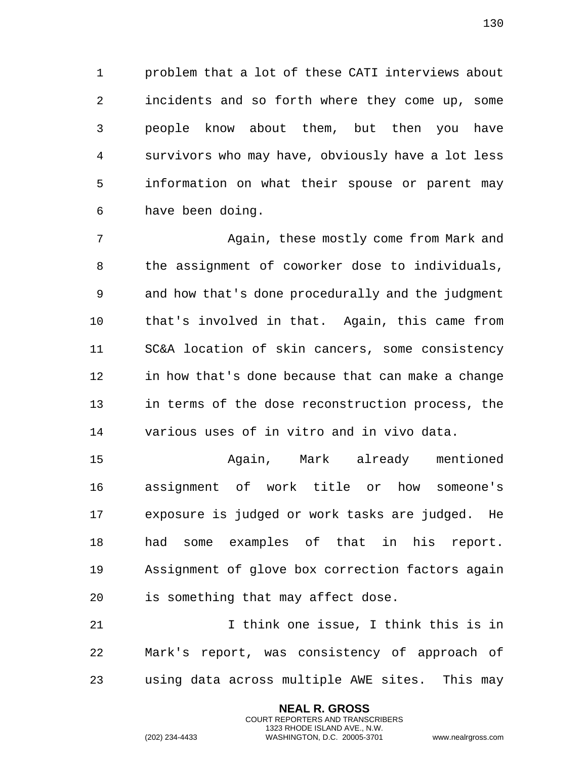problem that a lot of these CATI interviews about incidents and so forth where they come up, some people know about them, but then you have survivors who may have, obviously have a lot less information on what their spouse or parent may have been doing.

 Again, these mostly come from Mark and the assignment of coworker dose to individuals, and how that's done procedurally and the judgment that's involved in that. Again, this came from SC&A location of skin cancers, some consistency in how that's done because that can make a change in terms of the dose reconstruction process, the various uses of in vitro and in vivo data.

 Again, Mark already mentioned assignment of work title or how someone's exposure is judged or work tasks are judged. He had some examples of that in his report. Assignment of glove box correction factors again is something that may affect dose.

 I think one issue, I think this is in Mark's report, was consistency of approach of using data across multiple AWE sites. This may

> **NEAL R. GROSS** COURT REPORTERS AND TRANSCRIBERS 1323 RHODE ISLAND AVE., N.W.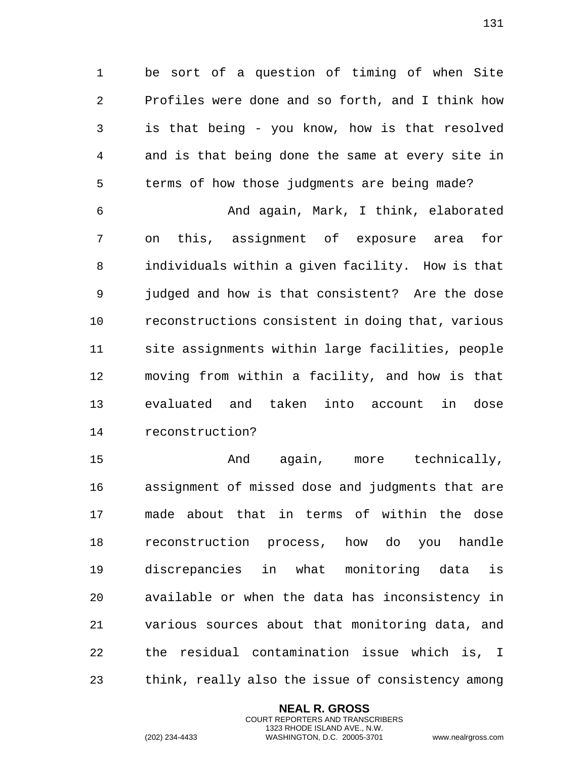be sort of a question of timing of when Site Profiles were done and so forth, and I think how is that being - you know, how is that resolved and is that being done the same at every site in terms of how those judgments are being made?

 And again, Mark, I think, elaborated on this, assignment of exposure area for individuals within a given facility. How is that judged and how is that consistent? Are the dose reconstructions consistent in doing that, various site assignments within large facilities, people moving from within a facility, and how is that evaluated and taken into account in dose reconstruction?

 And again, more technically, assignment of missed dose and judgments that are made about that in terms of within the dose reconstruction process, how do you handle discrepancies in what monitoring data is available or when the data has inconsistency in various sources about that monitoring data, and the residual contamination issue which is, I think, really also the issue of consistency among

> **NEAL R. GROSS** COURT REPORTERS AND TRANSCRIBERS 1323 RHODE ISLAND AVE., N.W.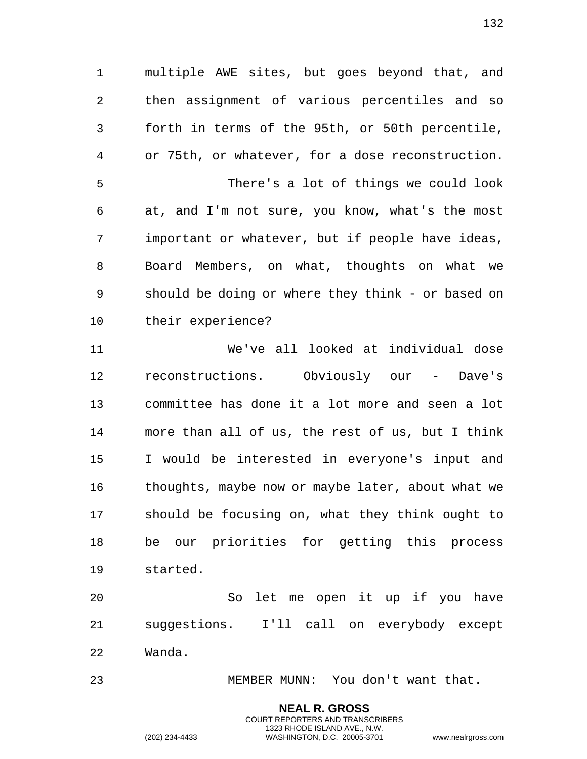multiple AWE sites, but goes beyond that, and then assignment of various percentiles and so forth in terms of the 95th, or 50th percentile, or 75th, or whatever, for a dose reconstruction. There's a lot of things we could look at, and I'm not sure, you know, what's the most important or whatever, but if people have ideas, Board Members, on what, thoughts on what we should be doing or where they think - or based on their experience?

 We've all looked at individual dose reconstructions. Obviously our - Dave's committee has done it a lot more and seen a lot more than all of us, the rest of us, but I think I would be interested in everyone's input and thoughts, maybe now or maybe later, about what we should be focusing on, what they think ought to be our priorities for getting this process started.

 So let me open it up if you have suggestions. I'll call on everybody except Wanda.

MEMBER MUNN: You don't want that.

**NEAL R. GROSS** COURT REPORTERS AND TRANSCRIBERS 1323 RHODE ISLAND AVE., N.W.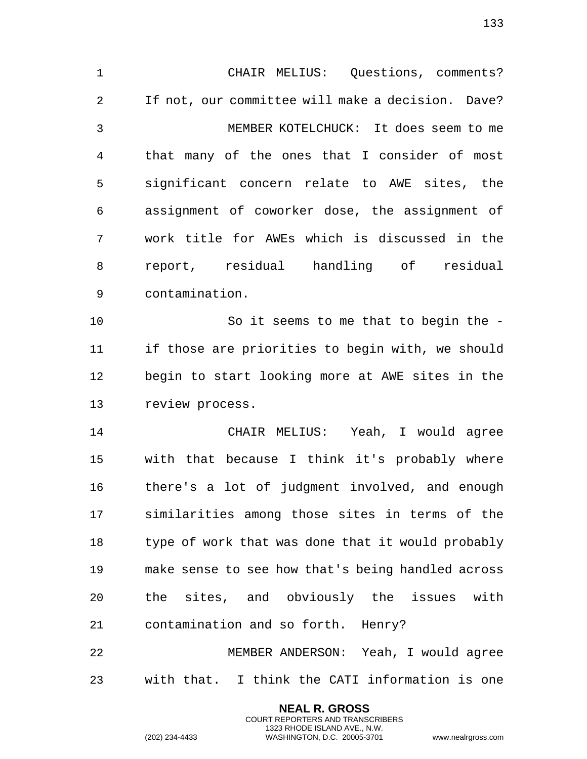CHAIR MELIUS: Questions, comments? If not, our committee will make a decision. Dave? MEMBER KOTELCHUCK: It does seem to me that many of the ones that I consider of most significant concern relate to AWE sites, the assignment of coworker dose, the assignment of work title for AWEs which is discussed in the report, residual handling of residual contamination. So it seems to me that to begin the - if those are priorities to begin with, we should begin to start looking more at AWE sites in the review process. CHAIR MELIUS: Yeah, I would agree with that because I think it's probably where there's a lot of judgment involved, and enough similarities among those sites in terms of the type of work that was done that it would probably make sense to see how that's being handled across the sites, and obviously the issues with contamination and so forth. Henry? MEMBER ANDERSON: Yeah, I would agree

with that. I think the CATI information is one

**NEAL R. GROSS** COURT REPORTERS AND TRANSCRIBERS 1323 RHODE ISLAND AVE., N.W.

(202) 234-4433 WASHINGTON, D.C. 20005-3701 www.nealrgross.com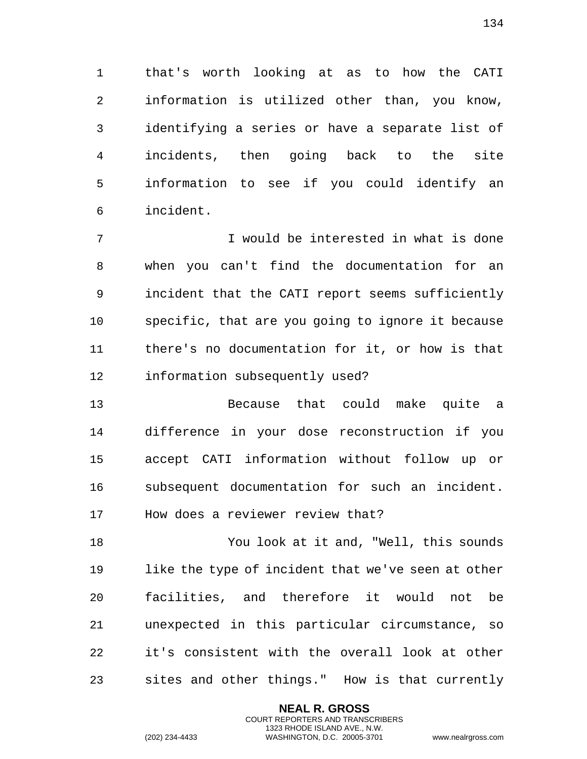that's worth looking at as to how the CATI information is utilized other than, you know, identifying a series or have a separate list of incidents, then going back to the site information to see if you could identify an incident.

 I would be interested in what is done when you can't find the documentation for an incident that the CATI report seems sufficiently specific, that are you going to ignore it because there's no documentation for it, or how is that information subsequently used?

 Because that could make quite a difference in your dose reconstruction if you accept CATI information without follow up or subsequent documentation for such an incident. How does a reviewer review that?

 You look at it and, "Well, this sounds like the type of incident that we've seen at other facilities, and therefore it would not be unexpected in this particular circumstance, so it's consistent with the overall look at other sites and other things." How is that currently

> **NEAL R. GROSS** COURT REPORTERS AND TRANSCRIBERS 1323 RHODE ISLAND AVE., N.W.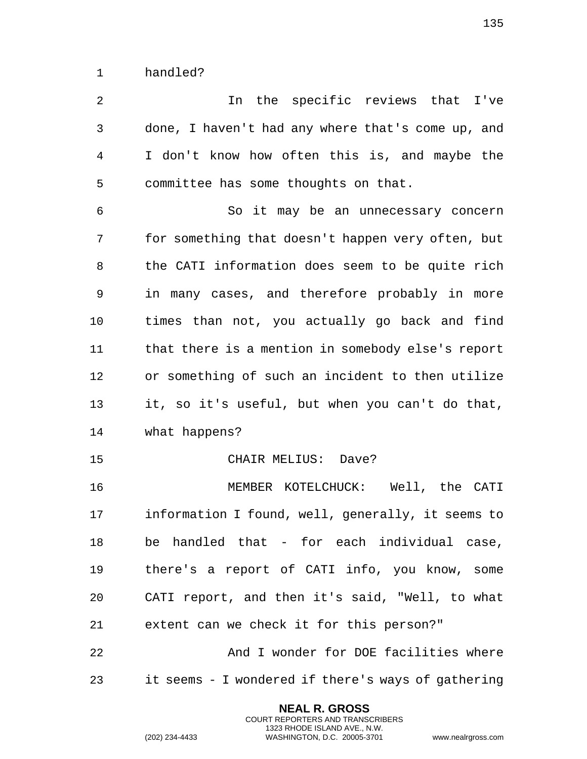handled?

 In the specific reviews that I've done, I haven't had any where that's come up, and I don't know how often this is, and maybe the committee has some thoughts on that.

 So it may be an unnecessary concern for something that doesn't happen very often, but the CATI information does seem to be quite rich in many cases, and therefore probably in more times than not, you actually go back and find that there is a mention in somebody else's report or something of such an incident to then utilize it, so it's useful, but when you can't do that, what happens?

CHAIR MELIUS: Dave?

 MEMBER KOTELCHUCK: Well, the CATI information I found, well, generally, it seems to be handled that - for each individual case, there's a report of CATI info, you know, some CATI report, and then it's said, "Well, to what extent can we check it for this person?"

 And I wonder for DOE facilities where it seems - I wondered if there's ways of gathering

> **NEAL R. GROSS** COURT REPORTERS AND TRANSCRIBERS 1323 RHODE ISLAND AVE., N.W.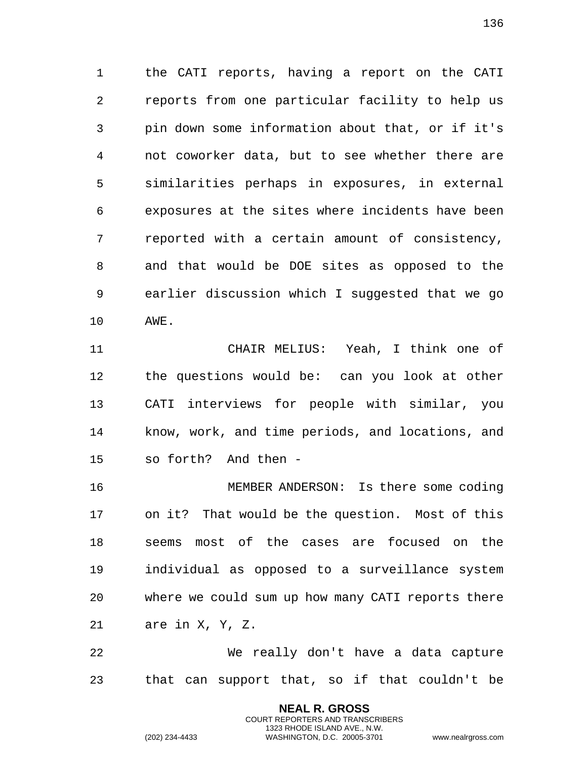the CATI reports, having a report on the CATI reports from one particular facility to help us pin down some information about that, or if it's not coworker data, but to see whether there are similarities perhaps in exposures, in external exposures at the sites where incidents have been reported with a certain amount of consistency, and that would be DOE sites as opposed to the earlier discussion which I suggested that we go AWE.

 CHAIR MELIUS: Yeah, I think one of the questions would be: can you look at other CATI interviews for people with similar, you know, work, and time periods, and locations, and so forth? And then -

 MEMBER ANDERSON: Is there some coding on it? That would be the question. Most of this seems most of the cases are focused on the individual as opposed to a surveillance system where we could sum up how many CATI reports there are in X, Y, Z.

 We really don't have a data capture that can support that, so if that couldn't be

> **NEAL R. GROSS** COURT REPORTERS AND TRANSCRIBERS 1323 RHODE ISLAND AVE., N.W.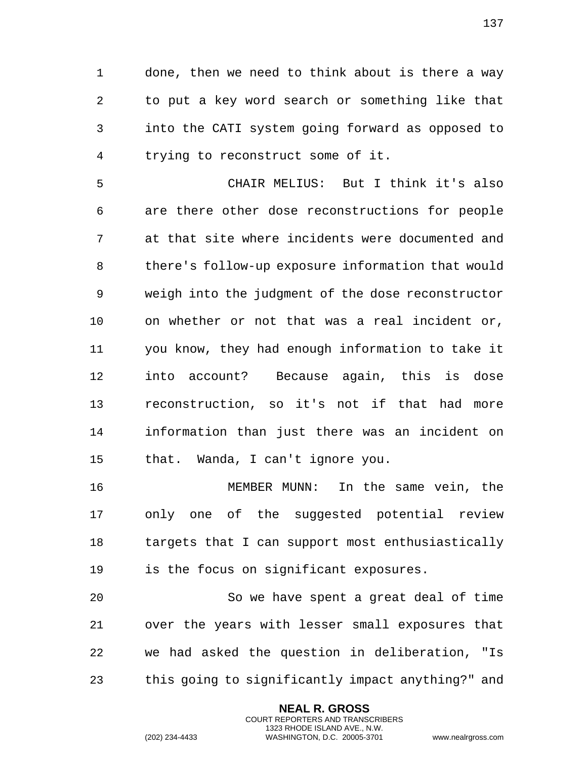done, then we need to think about is there a way to put a key word search or something like that into the CATI system going forward as opposed to trying to reconstruct some of it.

 CHAIR MELIUS: But I think it's also are there other dose reconstructions for people at that site where incidents were documented and there's follow-up exposure information that would weigh into the judgment of the dose reconstructor on whether or not that was a real incident or, you know, they had enough information to take it into account? Because again, this is dose reconstruction, so it's not if that had more information than just there was an incident on that. Wanda, I can't ignore you.

 MEMBER MUNN: In the same vein, the only one of the suggested potential review targets that I can support most enthusiastically is the focus on significant exposures.

 So we have spent a great deal of time over the years with lesser small exposures that we had asked the question in deliberation, "Is this going to significantly impact anything?" and

> **NEAL R. GROSS** COURT REPORTERS AND TRANSCRIBERS 1323 RHODE ISLAND AVE., N.W.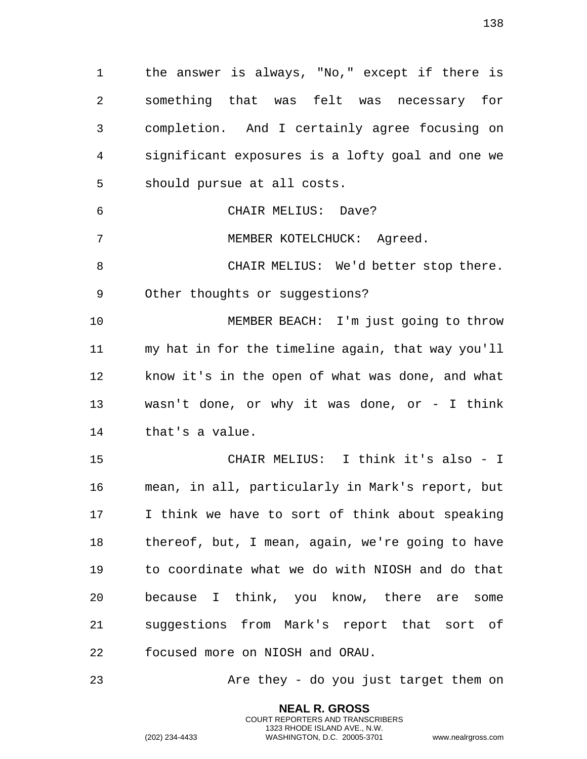the answer is always, "No," except if there is something that was felt was necessary for completion. And I certainly agree focusing on significant exposures is a lofty goal and one we should pursue at all costs.

 CHAIR MELIUS: Dave? 7 MEMBER KOTELCHUCK: Agreed.

 CHAIR MELIUS: We'd better stop there. Other thoughts or suggestions?

 MEMBER BEACH: I'm just going to throw my hat in for the timeline again, that way you'll know it's in the open of what was done, and what wasn't done, or why it was done, or - I think that's a value.

 CHAIR MELIUS: I think it's also - I mean, in all, particularly in Mark's report, but I think we have to sort of think about speaking thereof, but, I mean, again, we're going to have to coordinate what we do with NIOSH and do that because I think, you know, there are some suggestions from Mark's report that sort of focused more on NIOSH and ORAU.

Are they - do you just target them on

**NEAL R. GROSS** COURT REPORTERS AND TRANSCRIBERS 1323 RHODE ISLAND AVE., N.W.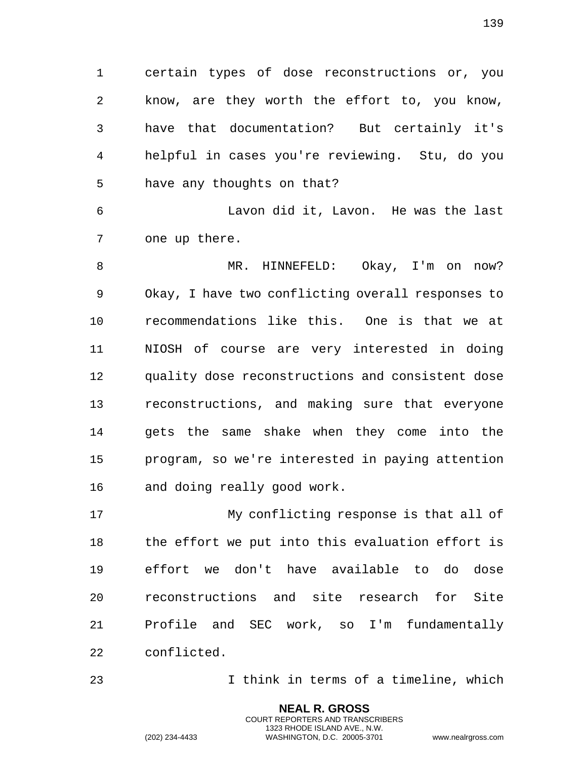certain types of dose reconstructions or, you know, are they worth the effort to, you know, have that documentation? But certainly it's helpful in cases you're reviewing. Stu, do you have any thoughts on that?

 Lavon did it, Lavon. He was the last one up there.

8 MR. HINNEFELD: Okay, I'm on now? Okay, I have two conflicting overall responses to recommendations like this. One is that we at NIOSH of course are very interested in doing quality dose reconstructions and consistent dose reconstructions, and making sure that everyone gets the same shake when they come into the program, so we're interested in paying attention and doing really good work.

 My conflicting response is that all of the effort we put into this evaluation effort is effort we don't have available to do dose reconstructions and site research for Site Profile and SEC work, so I'm fundamentally conflicted.

I think in terms of a timeline, which

**NEAL R. GROSS** COURT REPORTERS AND TRANSCRIBERS 1323 RHODE ISLAND AVE., N.W.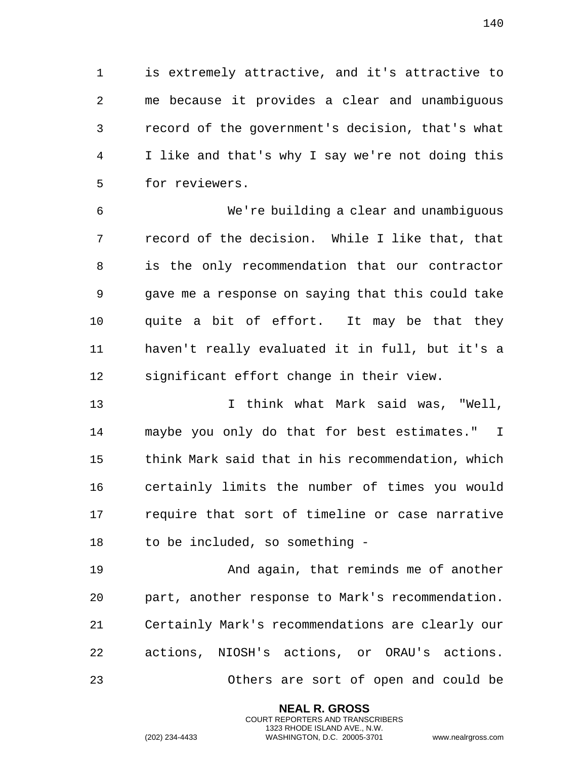is extremely attractive, and it's attractive to me because it provides a clear and unambiguous record of the government's decision, that's what I like and that's why I say we're not doing this for reviewers.

 We're building a clear and unambiguous record of the decision. While I like that, that is the only recommendation that our contractor gave me a response on saying that this could take quite a bit of effort. It may be that they haven't really evaluated it in full, but it's a significant effort change in their view.

 I think what Mark said was, "Well, maybe you only do that for best estimates." I think Mark said that in his recommendation, which certainly limits the number of times you would require that sort of timeline or case narrative to be included, so something -

 And again, that reminds me of another part, another response to Mark's recommendation. Certainly Mark's recommendations are clearly our actions, NIOSH's actions, or ORAU's actions. Others are sort of open and could be

> **NEAL R. GROSS** COURT REPORTERS AND TRANSCRIBERS 1323 RHODE ISLAND AVE., N.W.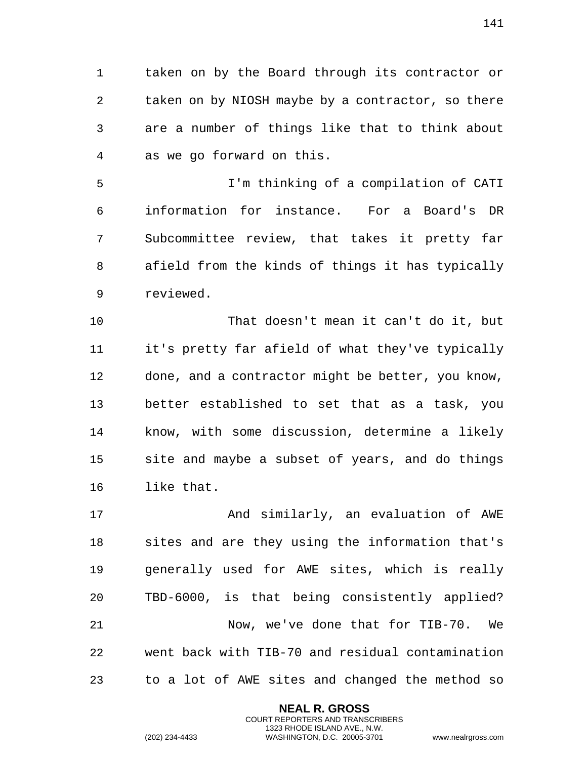taken on by the Board through its contractor or taken on by NIOSH maybe by a contractor, so there are a number of things like that to think about as we go forward on this.

 I'm thinking of a compilation of CATI information for instance. For a Board's DR Subcommittee review, that takes it pretty far afield from the kinds of things it has typically reviewed.

 That doesn't mean it can't do it, but it's pretty far afield of what they've typically done, and a contractor might be better, you know, better established to set that as a task, you know, with some discussion, determine a likely site and maybe a subset of years, and do things like that.

17 And similarly, an evaluation of AWE sites and are they using the information that's generally used for AWE sites, which is really TBD-6000, is that being consistently applied? Now, we've done that for TIB-70. We went back with TIB-70 and residual contamination to a lot of AWE sites and changed the method so

> **NEAL R. GROSS** COURT REPORTERS AND TRANSCRIBERS 1323 RHODE ISLAND AVE., N.W.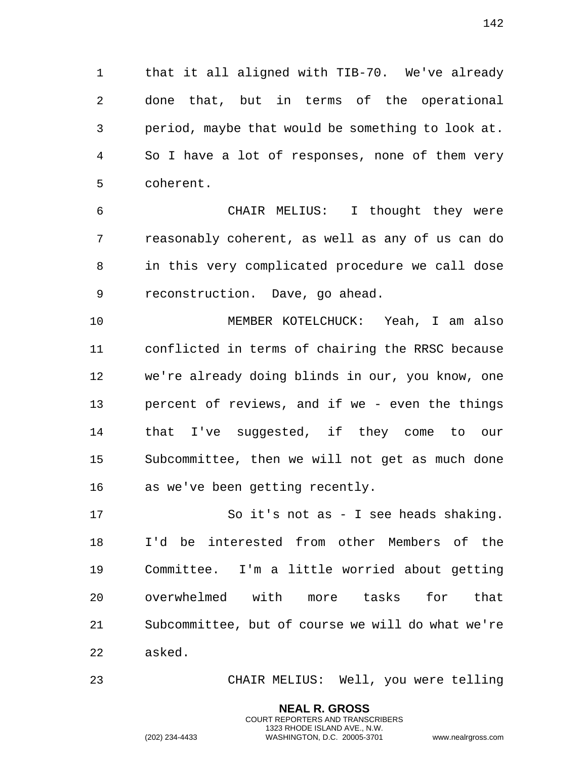that it all aligned with TIB-70. We've already done that, but in terms of the operational period, maybe that would be something to look at. So I have a lot of responses, none of them very coherent.

 CHAIR MELIUS: I thought they were reasonably coherent, as well as any of us can do in this very complicated procedure we call dose reconstruction. Dave, go ahead.

 MEMBER KOTELCHUCK: Yeah, I am also conflicted in terms of chairing the RRSC because we're already doing blinds in our, you know, one percent of reviews, and if we - even the things that I've suggested, if they come to our Subcommittee, then we will not get as much done as we've been getting recently.

 So it's not as - I see heads shaking. I'd be interested from other Members of the Committee. I'm a little worried about getting overwhelmed with more tasks for that Subcommittee, but of course we will do what we're asked.

CHAIR MELIUS: Well, you were telling

**NEAL R. GROSS** COURT REPORTERS AND TRANSCRIBERS 1323 RHODE ISLAND AVE., N.W.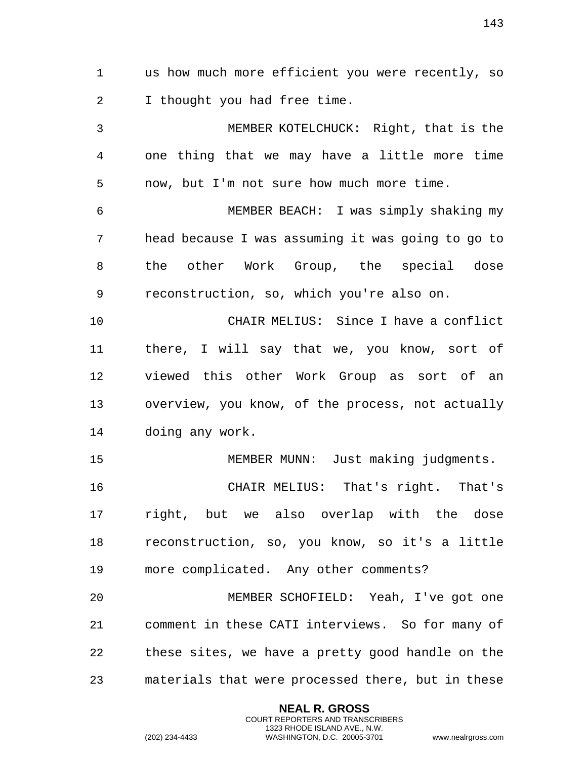us how much more efficient you were recently, so I thought you had free time. MEMBER KOTELCHUCK: Right, that is the one thing that we may have a little more time now, but I'm not sure how much more time. MEMBER BEACH: I was simply shaking my head because I was assuming it was going to go to the other Work Group, the special dose reconstruction, so, which you're also on. CHAIR MELIUS: Since I have a conflict there, I will say that we, you know, sort of viewed this other Work Group as sort of an overview, you know, of the process, not actually doing any work. MEMBER MUNN: Just making judgments. CHAIR MELIUS: That's right. That's right, but we also overlap with the dose reconstruction, so, you know, so it's a little more complicated. Any other comments? MEMBER SCHOFIELD: Yeah, I've got one comment in these CATI interviews. So for many of these sites, we have a pretty good handle on the materials that were processed there, but in these

> **NEAL R. GROSS** COURT REPORTERS AND TRANSCRIBERS 1323 RHODE ISLAND AVE., N.W.

(202) 234-4433 WASHINGTON, D.C. 20005-3701 www.nealrgross.com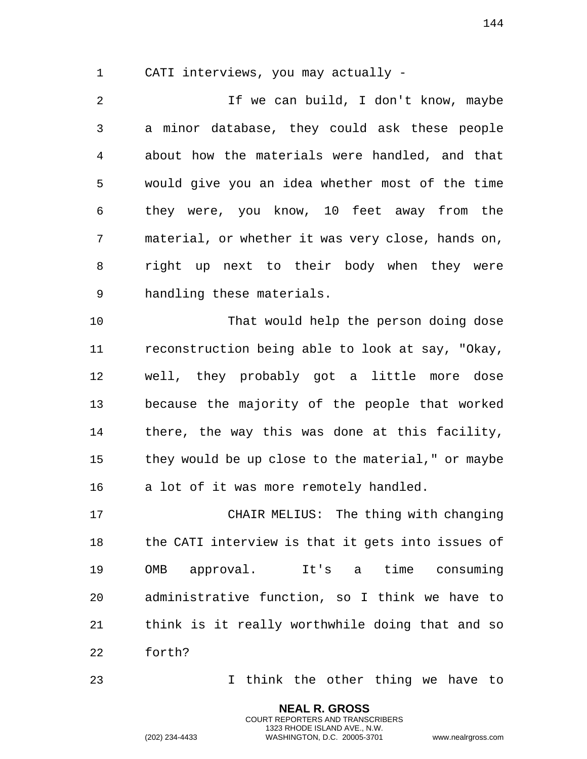CATI interviews, you may actually -

 If we can build, I don't know, maybe a minor database, they could ask these people about how the materials were handled, and that would give you an idea whether most of the time they were, you know, 10 feet away from the material, or whether it was very close, hands on, right up next to their body when they were handling these materials.

 That would help the person doing dose reconstruction being able to look at say, "Okay, well, they probably got a little more dose because the majority of the people that worked there, the way this was done at this facility, they would be up close to the material," or maybe a lot of it was more remotely handled.

 CHAIR MELIUS: The thing with changing the CATI interview is that it gets into issues of OMB approval. It's a time consuming administrative function, so I think we have to think is it really worthwhile doing that and so forth?

I think the other thing we have to

**NEAL R. GROSS** COURT REPORTERS AND TRANSCRIBERS 1323 RHODE ISLAND AVE., N.W.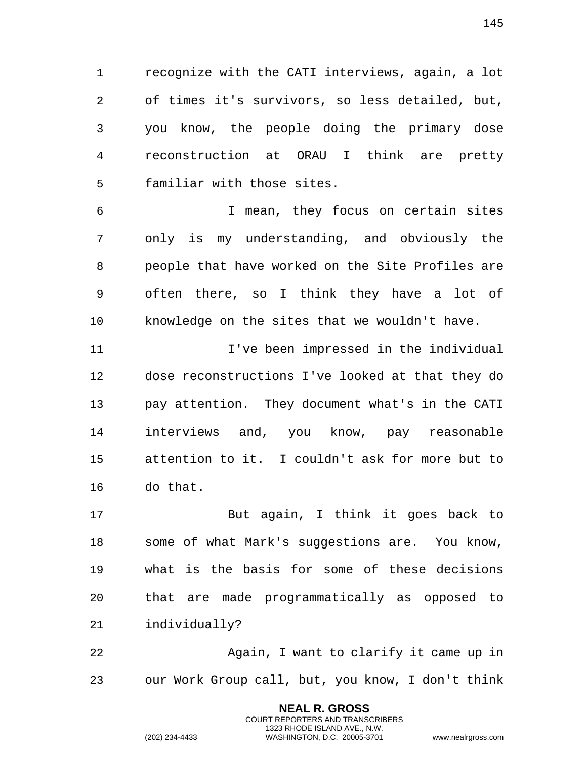recognize with the CATI interviews, again, a lot of times it's survivors, so less detailed, but, you know, the people doing the primary dose reconstruction at ORAU I think are pretty familiar with those sites.

 I mean, they focus on certain sites only is my understanding, and obviously the people that have worked on the Site Profiles are often there, so I think they have a lot of knowledge on the sites that we wouldn't have.

 I've been impressed in the individual dose reconstructions I've looked at that they do pay attention. They document what's in the CATI interviews and, you know, pay reasonable attention to it. I couldn't ask for more but to do that.

 But again, I think it goes back to some of what Mark's suggestions are. You know, what is the basis for some of these decisions that are made programmatically as opposed to individually?

22 Again, I want to clarify it came up in our Work Group call, but, you know, I don't think

> **NEAL R. GROSS** COURT REPORTERS AND TRANSCRIBERS 1323 RHODE ISLAND AVE., N.W.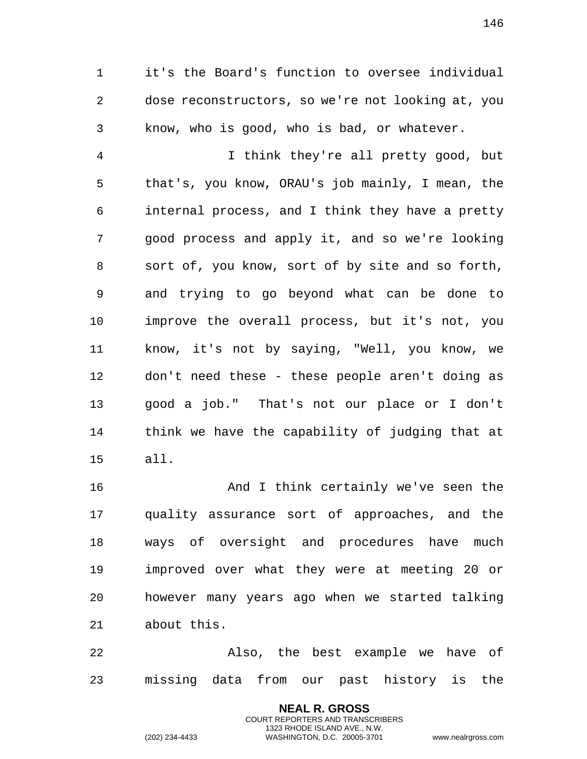it's the Board's function to oversee individual dose reconstructors, so we're not looking at, you know, who is good, who is bad, or whatever.

 I think they're all pretty good, but that's, you know, ORAU's job mainly, I mean, the internal process, and I think they have a pretty good process and apply it, and so we're looking sort of, you know, sort of by site and so forth, and trying to go beyond what can be done to improve the overall process, but it's not, you know, it's not by saying, "Well, you know, we don't need these - these people aren't doing as good a job." That's not our place or I don't think we have the capability of judging that at all.

 And I think certainly we've seen the quality assurance sort of approaches, and the ways of oversight and procedures have much improved over what they were at meeting 20 or however many years ago when we started talking about this.

 Also, the best example we have of missing data from our past history is the

> **NEAL R. GROSS** COURT REPORTERS AND TRANSCRIBERS 1323 RHODE ISLAND AVE., N.W.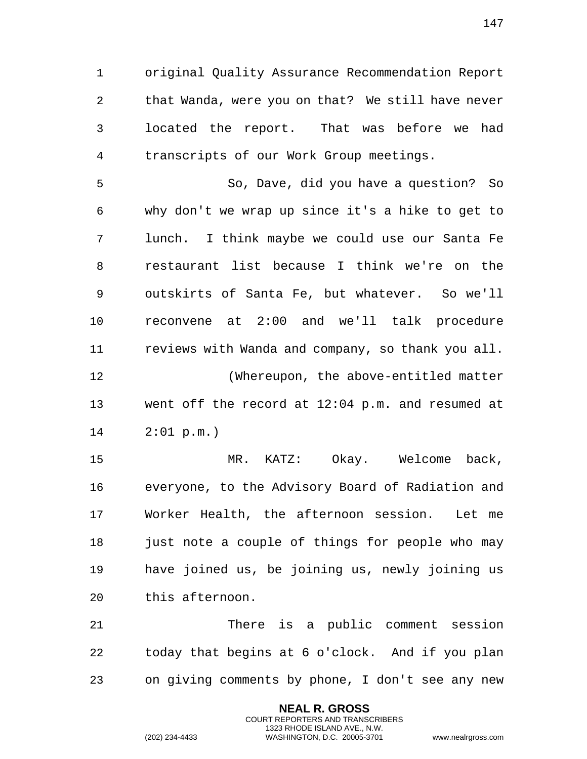original Quality Assurance Recommendation Report that Wanda, were you on that? We still have never located the report. That was before we had transcripts of our Work Group meetings.

 So, Dave, did you have a question? So why don't we wrap up since it's a hike to get to lunch. I think maybe we could use our Santa Fe restaurant list because I think we're on the outskirts of Santa Fe, but whatever. So we'll reconvene at 2:00 and we'll talk procedure reviews with Wanda and company, so thank you all. 12 (Whereupon, the above-entitled matter went off the record at 12:04 p.m. and resumed at 2:01 p.m.)

 MR. KATZ: Okay. Welcome back, everyone, to the Advisory Board of Radiation and Worker Health, the afternoon session. Let me 18 just note a couple of things for people who may have joined us, be joining us, newly joining us this afternoon.

 There is a public comment session today that begins at 6 o'clock. And if you plan on giving comments by phone, I don't see any new

> **NEAL R. GROSS** COURT REPORTERS AND TRANSCRIBERS 1323 RHODE ISLAND AVE., N.W.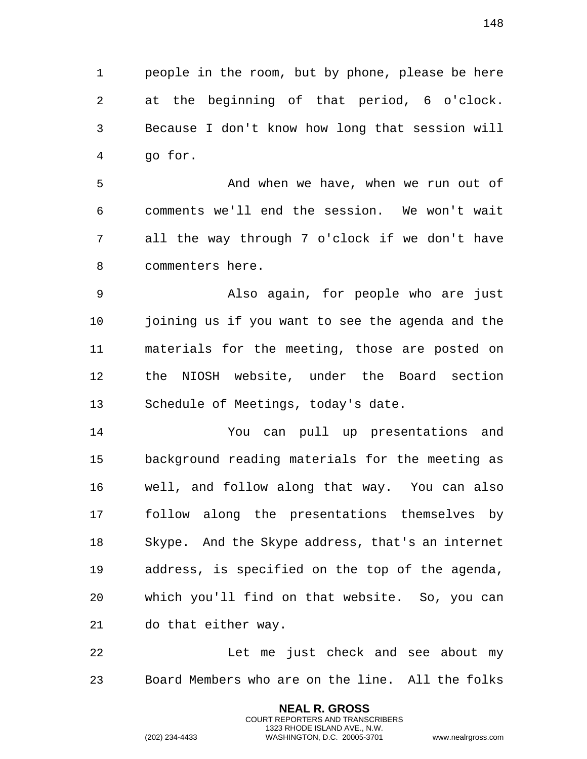people in the room, but by phone, please be here at the beginning of that period, 6 o'clock. Because I don't know how long that session will go for.

 And when we have, when we run out of comments we'll end the session. We won't wait all the way through 7 o'clock if we don't have commenters here.

 Also again, for people who are just joining us if you want to see the agenda and the materials for the meeting, those are posted on the NIOSH website, under the Board section Schedule of Meetings, today's date.

 You can pull up presentations and background reading materials for the meeting as well, and follow along that way. You can also follow along the presentations themselves by Skype. And the Skype address, that's an internet address, is specified on the top of the agenda, which you'll find on that website. So, you can do that either way.

 Let me just check and see about my Board Members who are on the line. All the folks

> **NEAL R. GROSS** COURT REPORTERS AND TRANSCRIBERS 1323 RHODE ISLAND AVE., N.W.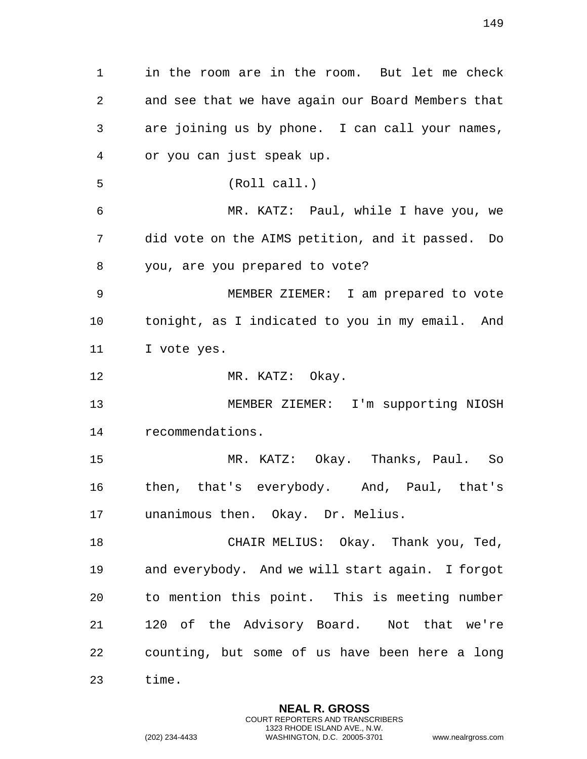in the room are in the room. But let me check and see that we have again our Board Members that are joining us by phone. I can call your names, or you can just speak up. (Roll call.) MR. KATZ: Paul, while I have you, we did vote on the AIMS petition, and it passed. Do you, are you prepared to vote? MEMBER ZIEMER: I am prepared to vote tonight, as I indicated to you in my email. And I vote yes. 12 MR. KATZ: Okay. MEMBER ZIEMER: I'm supporting NIOSH recommendations. MR. KATZ: Okay. Thanks, Paul. So then, that's everybody. And, Paul, that's unanimous then. Okay. Dr. Melius. CHAIR MELIUS: Okay. Thank you, Ted, and everybody. And we will start again. I forgot to mention this point. This is meeting number 120 of the Advisory Board. Not that we're counting, but some of us have been here a long time.

> **NEAL R. GROSS** COURT REPORTERS AND TRANSCRIBERS 1323 RHODE ISLAND AVE., N.W.

(202) 234-4433 WASHINGTON, D.C. 20005-3701 www.nealrgross.com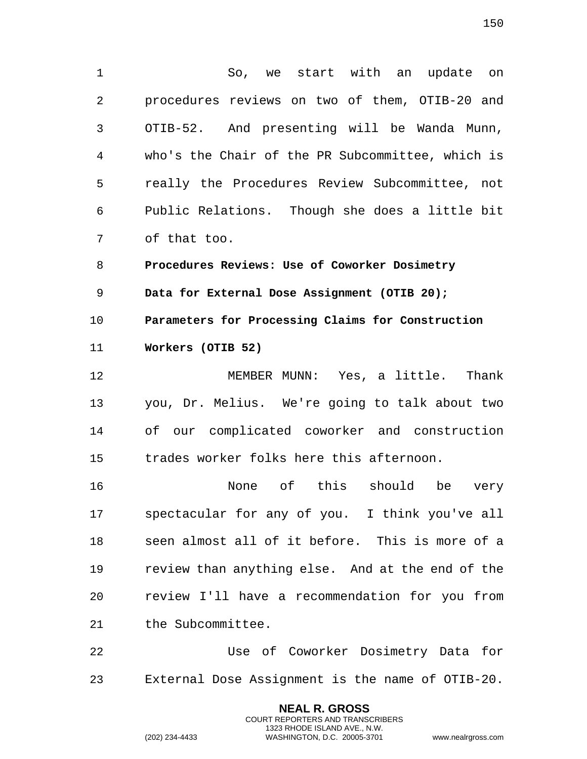So, we start with an update on procedures reviews on two of them, OTIB-20 and OTIB-52. And presenting will be Wanda Munn, who's the Chair of the PR Subcommittee, which is really the Procedures Review Subcommittee, not Public Relations. Though she does a little bit of that too.

 **Procedures Reviews: Use of Coworker Dosimetry Data for External Dose Assignment (OTIB 20); Parameters for Processing Claims for Construction Workers (OTIB 52)**

 MEMBER MUNN: Yes, a little. Thank you, Dr. Melius. We're going to talk about two of our complicated coworker and construction trades worker folks here this afternoon.

 None of this should be very spectacular for any of you. I think you've all seen almost all of it before. This is more of a review than anything else. And at the end of the review I'll have a recommendation for you from the Subcommittee.

 Use of Coworker Dosimetry Data for External Dose Assignment is the name of OTIB-20.

> **NEAL R. GROSS** COURT REPORTERS AND TRANSCRIBERS 1323 RHODE ISLAND AVE., N.W.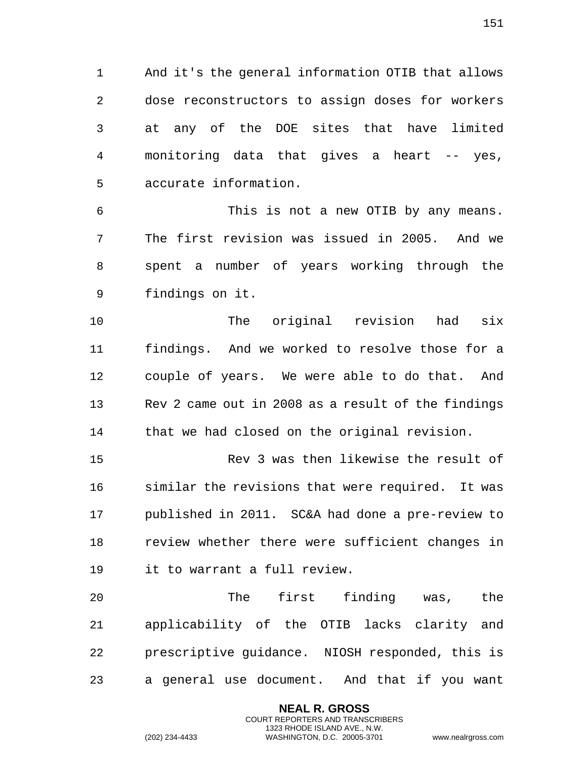And it's the general information OTIB that allows dose reconstructors to assign doses for workers at any of the DOE sites that have limited monitoring data that gives a heart -- yes, accurate information.

 This is not a new OTIB by any means. The first revision was issued in 2005. And we spent a number of years working through the findings on it.

 The original revision had six findings. And we worked to resolve those for a couple of years. We were able to do that. And Rev 2 came out in 2008 as a result of the findings that we had closed on the original revision.

 Rev 3 was then likewise the result of similar the revisions that were required. It was published in 2011. SC&A had done a pre-review to review whether there were sufficient changes in it to warrant a full review.

 The first finding was, the applicability of the OTIB lacks clarity and prescriptive guidance. NIOSH responded, this is a general use document. And that if you want

> **NEAL R. GROSS** COURT REPORTERS AND TRANSCRIBERS 1323 RHODE ISLAND AVE., N.W.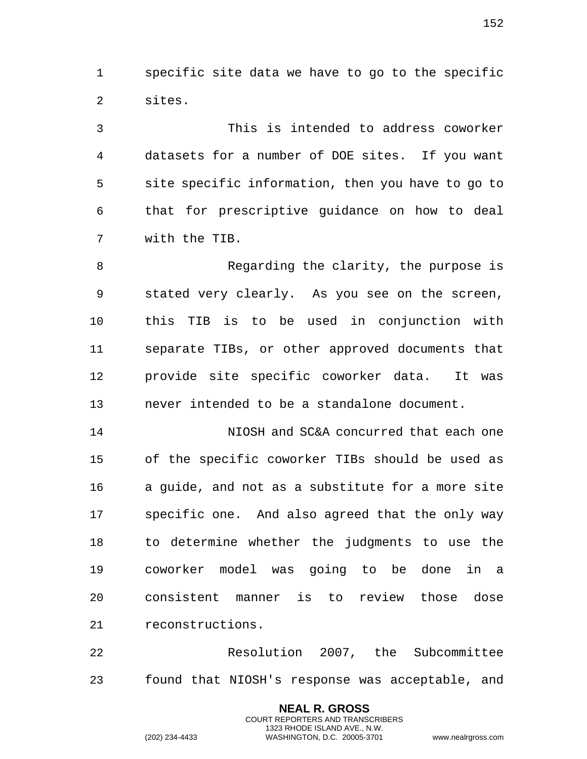specific site data we have to go to the specific sites.

 This is intended to address coworker datasets for a number of DOE sites. If you want site specific information, then you have to go to that for prescriptive guidance on how to deal with the TIB.

 Regarding the clarity, the purpose is stated very clearly. As you see on the screen, this TIB is to be used in conjunction with separate TIBs, or other approved documents that provide site specific coworker data. It was never intended to be a standalone document.

 NIOSH and SC&A concurred that each one of the specific coworker TIBs should be used as a guide, and not as a substitute for a more site specific one. And also agreed that the only way to determine whether the judgments to use the coworker model was going to be done in a consistent manner is to review those dose reconstructions.

 Resolution 2007, the Subcommittee found that NIOSH's response was acceptable, and

> **NEAL R. GROSS** COURT REPORTERS AND TRANSCRIBERS 1323 RHODE ISLAND AVE., N.W.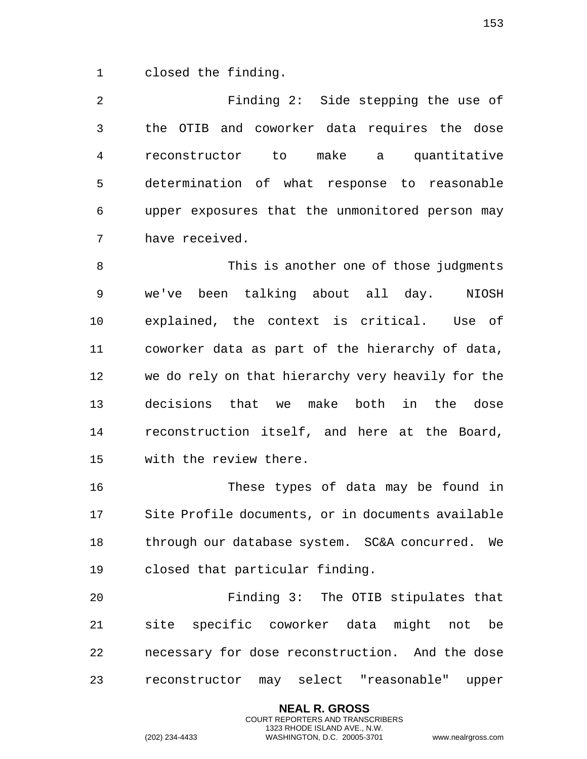closed the finding.

 Finding 2: Side stepping the use of the OTIB and coworker data requires the dose reconstructor to make a quantitative determination of what response to reasonable upper exposures that the unmonitored person may have received.

 This is another one of those judgments we've been talking about all day. NIOSH explained, the context is critical. Use of coworker data as part of the hierarchy of data, we do rely on that hierarchy very heavily for the decisions that we make both in the dose reconstruction itself, and here at the Board, with the review there.

 These types of data may be found in Site Profile documents, or in documents available through our database system. SC&A concurred. We closed that particular finding.

 Finding 3: The OTIB stipulates that site specific coworker data might not be necessary for dose reconstruction. And the dose reconstructor may select "reasonable" upper

> **NEAL R. GROSS** COURT REPORTERS AND TRANSCRIBERS 1323 RHODE ISLAND AVE., N.W.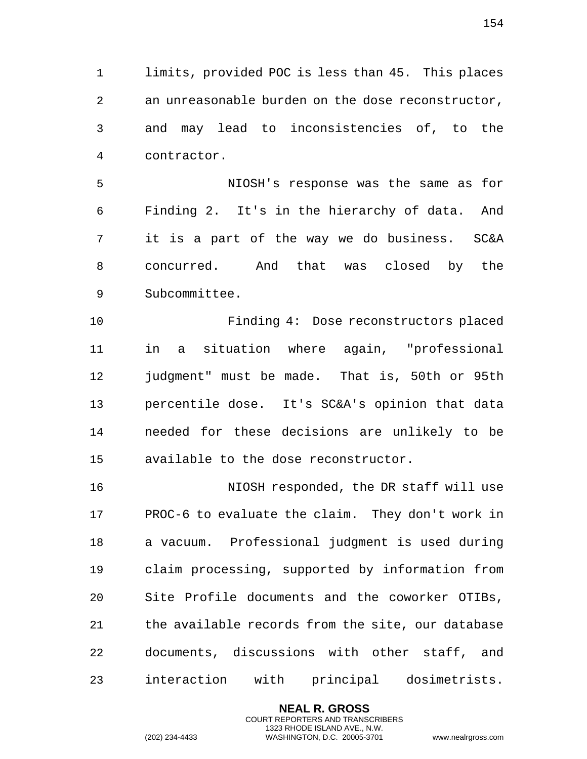limits, provided POC is less than 45. This places an unreasonable burden on the dose reconstructor, and may lead to inconsistencies of, to the contractor.

 NIOSH's response was the same as for Finding 2. It's in the hierarchy of data. And it is a part of the way we do business. SC&A concurred. And that was closed by the Subcommittee.

 Finding 4: Dose reconstructors placed in a situation where again, "professional judgment" must be made. That is, 50th or 95th percentile dose. It's SC&A's opinion that data needed for these decisions are unlikely to be available to the dose reconstructor.

 NIOSH responded, the DR staff will use PROC-6 to evaluate the claim. They don't work in a vacuum. Professional judgment is used during claim processing, supported by information from Site Profile documents and the coworker OTIBs, the available records from the site, our database documents, discussions with other staff, and interaction with principal dosimetrists.

> **NEAL R. GROSS** COURT REPORTERS AND TRANSCRIBERS 1323 RHODE ISLAND AVE., N.W.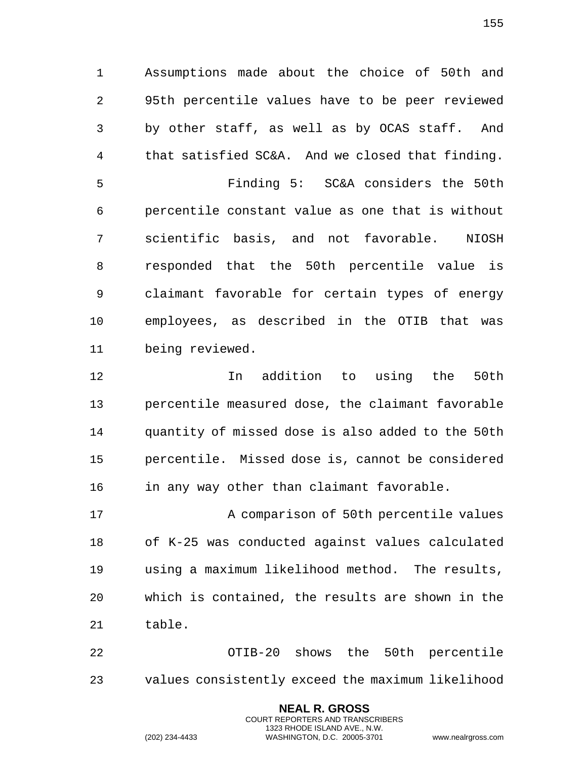Assumptions made about the choice of 50th and 95th percentile values have to be peer reviewed by other staff, as well as by OCAS staff. And that satisfied SC&A. And we closed that finding.

 Finding 5: SC&A considers the 50th percentile constant value as one that is without scientific basis, and not favorable. NIOSH responded that the 50th percentile value is claimant favorable for certain types of energy employees, as described in the OTIB that was being reviewed.

 In addition to using the 50th percentile measured dose, the claimant favorable quantity of missed dose is also added to the 50th percentile. Missed dose is, cannot be considered 16 in any way other than claimant favorable.

 A comparison of 50th percentile values of K-25 was conducted against values calculated using a maximum likelihood method. The results, which is contained, the results are shown in the table.

 OTIB-20 shows the 50th percentile values consistently exceed the maximum likelihood

> **NEAL R. GROSS** COURT REPORTERS AND TRANSCRIBERS 1323 RHODE ISLAND AVE., N.W.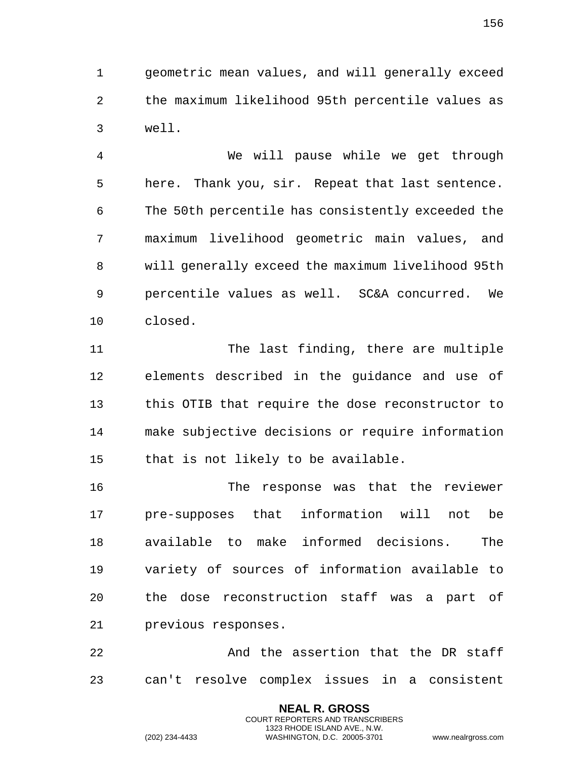geometric mean values, and will generally exceed the maximum likelihood 95th percentile values as well.

 We will pause while we get through here. Thank you, sir. Repeat that last sentence. The 50th percentile has consistently exceeded the maximum livelihood geometric main values, and will generally exceed the maximum livelihood 95th percentile values as well. SC&A concurred. We closed.

11 The last finding, there are multiple elements described in the guidance and use of this OTIB that require the dose reconstructor to make subjective decisions or require information that is not likely to be available.

 The response was that the reviewer pre-supposes that information will not be available to make informed decisions. The variety of sources of information available to the dose reconstruction staff was a part of previous responses.

 And the assertion that the DR staff can't resolve complex issues in a consistent

> **NEAL R. GROSS** COURT REPORTERS AND TRANSCRIBERS 1323 RHODE ISLAND AVE., N.W.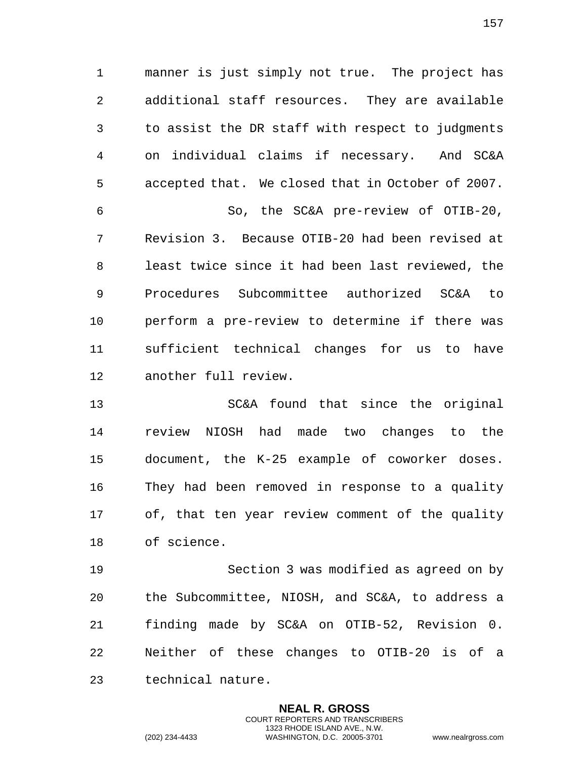manner is just simply not true. The project has additional staff resources. They are available to assist the DR staff with respect to judgments on individual claims if necessary. And SC&A accepted that. We closed that in October of 2007. So, the SC&A pre-review of OTIB-20, Revision 3. Because OTIB-20 had been revised at least twice since it had been last reviewed, the Procedures Subcommittee authorized SC&A to perform a pre-review to determine if there was sufficient technical changes for us to have another full review.

 SC&A found that since the original review NIOSH had made two changes to the document, the K-25 example of coworker doses. They had been removed in response to a quality of, that ten year review comment of the quality of science.

 Section 3 was modified as agreed on by the Subcommittee, NIOSH, and SC&A, to address a finding made by SC&A on OTIB-52, Revision 0. Neither of these changes to OTIB-20 is of a technical nature.

> **NEAL R. GROSS** COURT REPORTERS AND TRANSCRIBERS 1323 RHODE ISLAND AVE., N.W.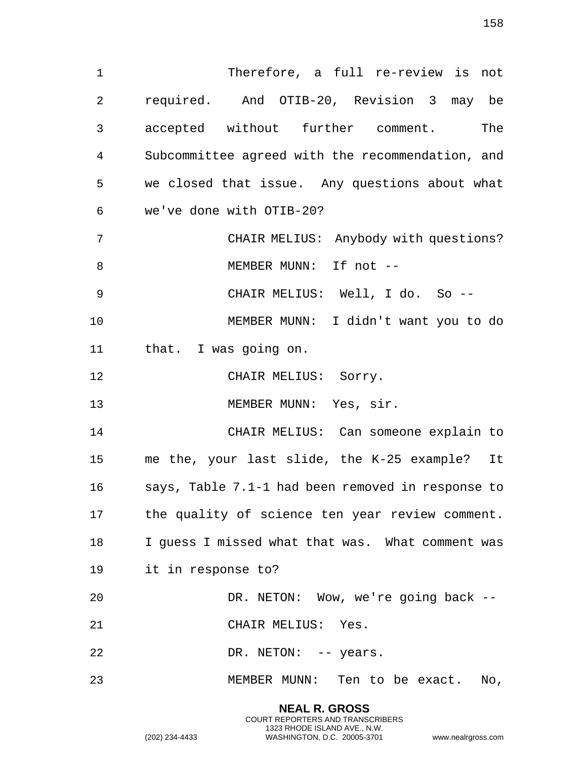Therefore, a full re-review is not required. And OTIB-20, Revision 3 may be accepted without further comment. The Subcommittee agreed with the recommendation, and we closed that issue. Any questions about what we've done with OTIB-20?

CHAIR MELIUS: Anybody with questions?

8 MEMBER MUNN: If not --

CHAIR MELIUS: Well, I do. So --

 MEMBER MUNN: I didn't want you to do that. I was going on.

12 CHAIR MELIUS: Sorry.

13 MEMBER MUNN: Yes, sir.

 CHAIR MELIUS: Can someone explain to me the, your last slide, the K-25 example? It says, Table 7.1-1 had been removed in response to the quality of science ten year review comment. I guess I missed what that was. What comment was it in response to?

 DR. NETON: Wow, we're going back -- CHAIR MELIUS: Yes.

22 DR. NETON: -- years.

MEMBER MUNN: Ten to be exact. No,

**NEAL R. GROSS** COURT REPORTERS AND TRANSCRIBERS 1323 RHODE ISLAND AVE., N.W.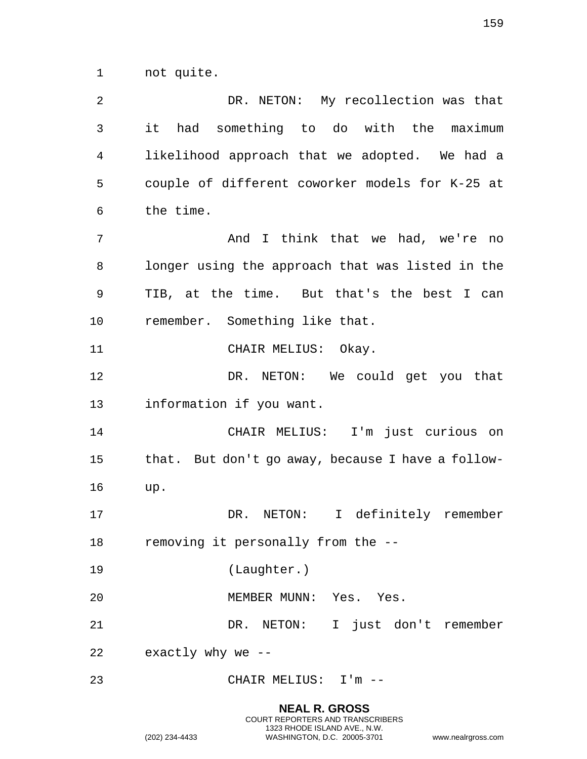not quite.

| 2  | DR. NETON: My recollection was that               |
|----|---------------------------------------------------|
| 3  | it had something to do with the maximum           |
| 4  | likelihood approach that we adopted. We had a     |
| 5  | couple of different coworker models for K-25 at   |
| 6  | the time.                                         |
| 7  | And I think that we had, we're no                 |
| 8  | longer using the approach that was listed in the  |
| 9  | TIB, at the time. But that's the best I can       |
| 10 | remember. Something like that.                    |
| 11 | CHAIR MELIUS: Okay.                               |
| 12 | DR. NETON: We could get you that                  |
| 13 | information if you want.                          |
| 14 | CHAIR MELIUS: I'm just curious on                 |
| 15 | that. But don't go away, because I have a follow- |
| 16 | up.                                               |
| 17 | DR. NETON:<br>I definitely remember               |
| 18 | removing it personally from the --                |
| 19 | (Laughter.)                                       |
| 20 | MEMBER MUNN: Yes. Yes.                            |
| 21 | DR. NETON: I just don't remember                  |
| 22 | exactly why we --                                 |
| 23 | CHAIR MELIUS: I'm --                              |

**NEAL R. GROSS** COURT REPORTERS AND TRANSCRIBERS 1323 RHODE ISLAND AVE., N.W.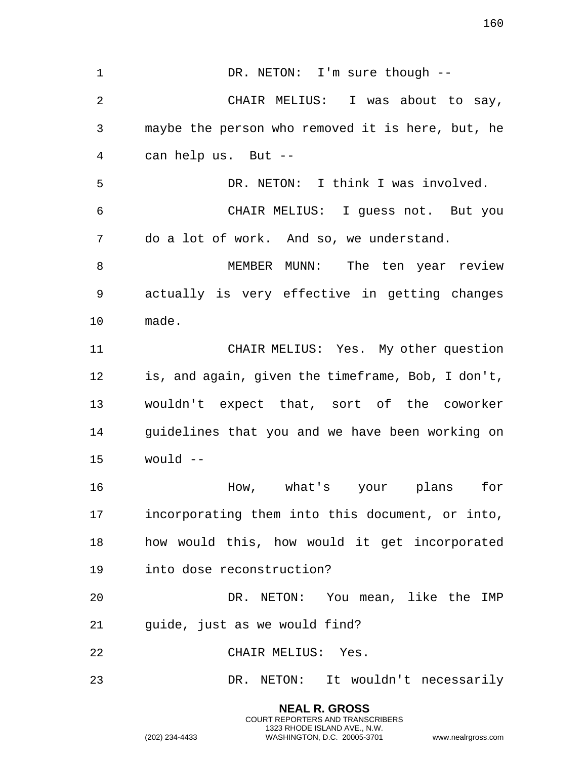1 DR. NETON: I'm sure though -- CHAIR MELIUS: I was about to say, maybe the person who removed it is here, but, he can help us. But -- DR. NETON: I think I was involved. CHAIR MELIUS: I guess not. But you do a lot of work. And so, we understand. MEMBER MUNN: The ten year review actually is very effective in getting changes made. CHAIR MELIUS: Yes. My other question is, and again, given the timeframe, Bob, I don't, wouldn't expect that, sort of the coworker guidelines that you and we have been working on would -- How, what's your plans for incorporating them into this document, or into, how would this, how would it get incorporated into dose reconstruction? DR. NETON: You mean, like the IMP guide, just as we would find? CHAIR MELIUS: Yes. DR. NETON: It wouldn't necessarily

> **NEAL R. GROSS** COURT REPORTERS AND TRANSCRIBERS 1323 RHODE ISLAND AVE., N.W.

(202) 234-4433 WASHINGTON, D.C. 20005-3701 www.nealrgross.com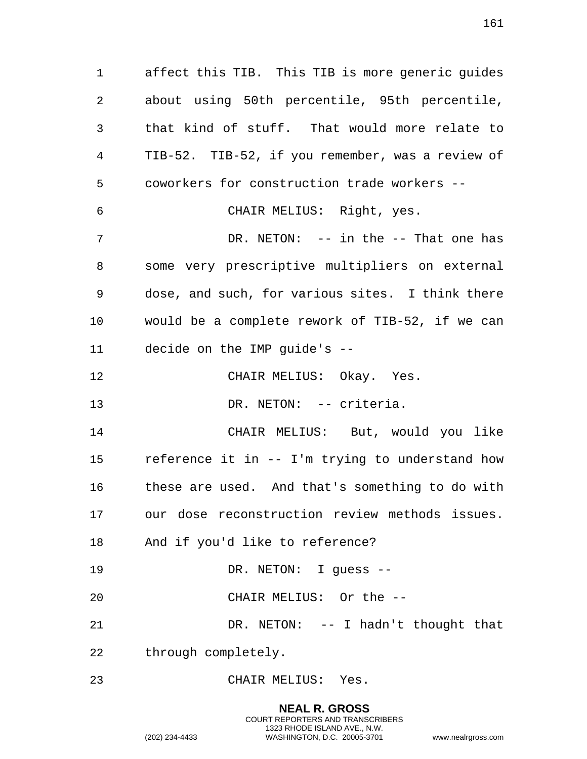affect this TIB. This TIB is more generic guides about using 50th percentile, 95th percentile, that kind of stuff. That would more relate to TIB-52. TIB-52, if you remember, was a review of coworkers for construction trade workers -- CHAIR MELIUS: Right, yes. DR. NETON: -- in the -- That one has some very prescriptive multipliers on external dose, and such, for various sites. I think there would be a complete rework of TIB-52, if we can decide on the IMP guide's -- CHAIR MELIUS: Okay. Yes. 13 DR. NETON: -- criteria. CHAIR MELIUS: But, would you like reference it in -- I'm trying to understand how these are used. And that's something to do with our dose reconstruction review methods issues. And if you'd like to reference? 19 DR. NETON: I quess -- CHAIR MELIUS: Or the -- DR. NETON: -- I hadn't thought that through completely. CHAIR MELIUS: Yes.

> **NEAL R. GROSS** COURT REPORTERS AND TRANSCRIBERS 1323 RHODE ISLAND AVE., N.W. (202) 234-4433 WASHINGTON, D.C. 20005-3701 www.nealrgross.com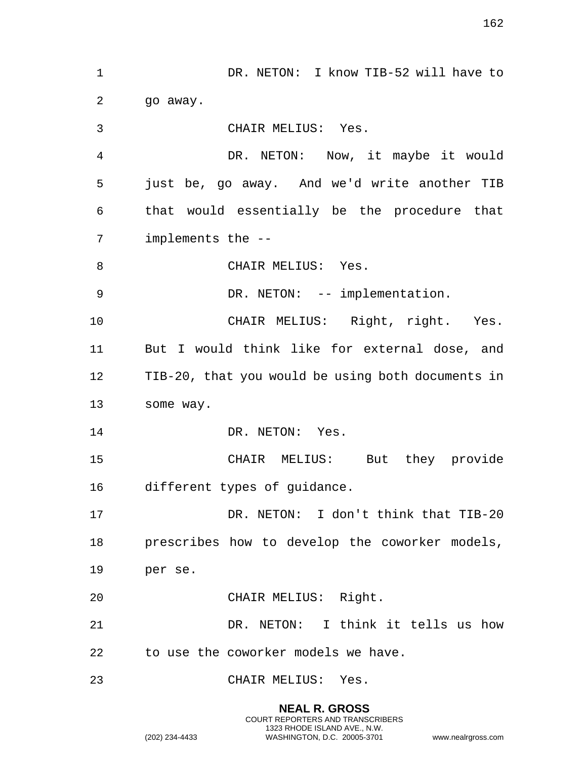DR. NETON: I know TIB-52 will have to 2 qo away. CHAIR MELIUS: Yes. DR. NETON: Now, it maybe it would just be, go away. And we'd write another TIB that would essentially be the procedure that implements the -- 8 CHAIR MELIUS: Yes. 9 DR. NETON: -- implementation. CHAIR MELIUS: Right, right. Yes. But I would think like for external dose, and TIB-20, that you would be using both documents in some way. 14 DR. NETON: Yes. CHAIR MELIUS: But they provide different types of guidance. DR. NETON: I don't think that TIB-20 prescribes how to develop the coworker models, per se. CHAIR MELIUS: Right. DR. NETON: I think it tells us how to use the coworker models we have. CHAIR MELIUS: Yes.

> **NEAL R. GROSS** COURT REPORTERS AND TRANSCRIBERS 1323 RHODE ISLAND AVE., N.W.

(202) 234-4433 WASHINGTON, D.C. 20005-3701 www.nealrgross.com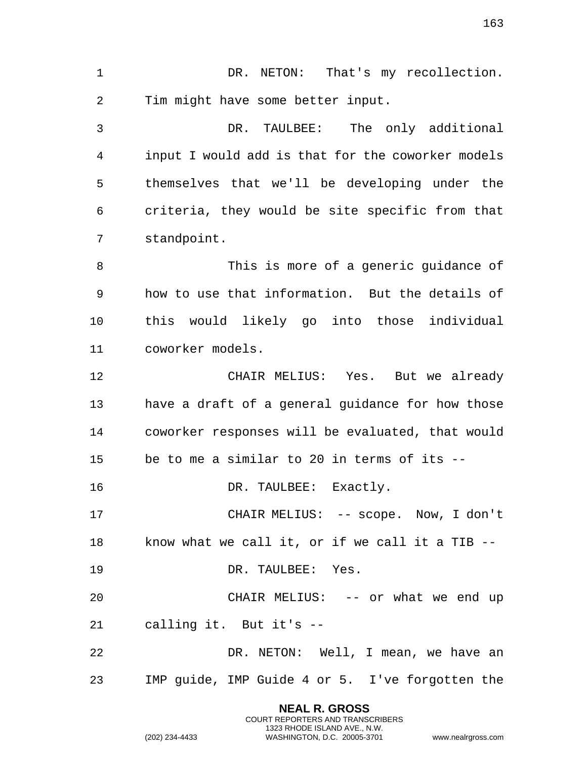**NEAL R. GROSS** 1 DR. NETON: That's my recollection. Tim might have some better input. DR. TAULBEE: The only additional input I would add is that for the coworker models themselves that we'll be developing under the criteria, they would be site specific from that standpoint. This is more of a generic guidance of how to use that information. But the details of this would likely go into those individual coworker models. CHAIR MELIUS: Yes. But we already have a draft of a general guidance for how those coworker responses will be evaluated, that would be to me a similar to 20 in terms of its -- 16 DR. TAULBEE: Exactly. CHAIR MELIUS: -- scope. Now, I don't know what we call it, or if we call it a TIB -- DR. TAULBEE: Yes. 20 CHAIR MELIUS: -- or what we end up calling it. But it's -- DR. NETON: Well, I mean, we have an IMP guide, IMP Guide 4 or 5. I've forgotten the

COURT REPORTERS AND TRANSCRIBERS 1323 RHODE ISLAND AVE., N.W.

(202) 234-4433 WASHINGTON, D.C. 20005-3701 www.nealrgross.com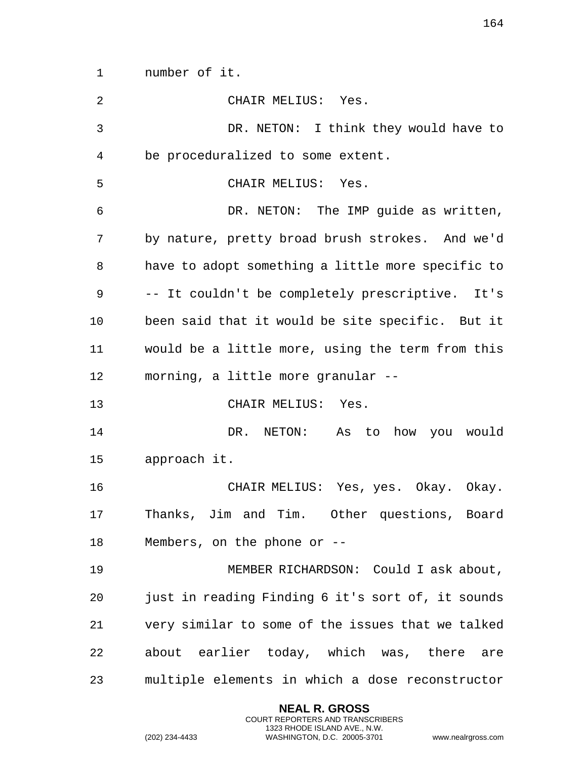number of it.

| $\overline{2}$ | CHAIR MELIUS: Yes.                                |
|----------------|---------------------------------------------------|
| 3              | DR. NETON: I think they would have to             |
| 4              | be proceduralized to some extent.                 |
| 5              | CHAIR MELIUS: Yes.                                |
| 6              | DR. NETON: The IMP guide as written,              |
| 7              | by nature, pretty broad brush strokes. And we'd   |
| 8              | have to adopt something a little more specific to |
| 9              | -- It couldn't be completely prescriptive. It's   |
| 10             | been said that it would be site specific. But it  |
| 11             | would be a little more, using the term from this  |
| 12             | morning, a little more granular --                |
| 13             | CHAIR MELIUS: Yes.                                |
| 14             | DR. NETON: As to how you would                    |
| 15             | approach it.                                      |
| 16             | CHAIR MELIUS: Yes, yes. Okay. Okay.               |
| 17             | Thanks, Jim and Tim. Other questions, Board       |
| 18             | Members, on the phone or $-$ -                    |
| 19             | MEMBER RICHARDSON: Could I ask about,             |
| 20             | just in reading Finding 6 it's sort of, it sounds |
| 21             | very similar to some of the issues that we talked |
| 22             | about earlier today, which was, there are         |
| 23             | multiple elements in which a dose reconstructor   |

**NEAL R. GROSS** COURT REPORTERS AND TRANSCRIBERS 1323 RHODE ISLAND AVE., N.W.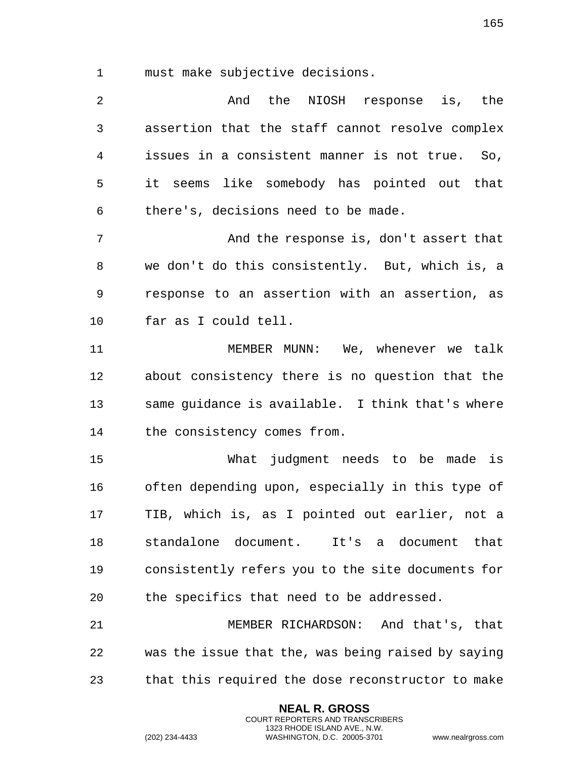must make subjective decisions.

| 2              | And the NIOSH response is, the                     |
|----------------|----------------------------------------------------|
| $\mathfrak{Z}$ | assertion that the staff cannot resolve complex    |
| 4              | issues in a consistent manner is not true. So,     |
| 5              | it seems like somebody has pointed out that        |
| 6              | there's, decisions need to be made.                |
| 7              | And the response is, don't assert that             |
| 8              | we don't do this consistently. But, which is, a    |
| 9              | response to an assertion with an assertion, as     |
| 10             | far as I could tell.                               |
| 11             | MEMBER MUNN: We, whenever we talk                  |
| 12             | about consistency there is no question that the    |
| 13             | same guidance is available. I think that's where   |
| 14             | the consistency comes from.                        |
| 15             | What judgment needs to be made is                  |
| 16             | often depending upon, especially in this type of   |
| 17             | TIB, which is, as I pointed out earlier, not a     |
| 18             | standalone document. It's a document that          |
| 19             | consistently refers you to the site documents for  |
| 20             | the specifics that need to be addressed.           |
| 21             | MEMBER RICHARDSON: And that's, that                |
| 22             | was the issue that the, was being raised by saying |
| 23             | that this required the dose reconstructor to make  |

**NEAL R. GROSS** COURT REPORTERS AND TRANSCRIBERS 1323 RHODE ISLAND AVE., N.W.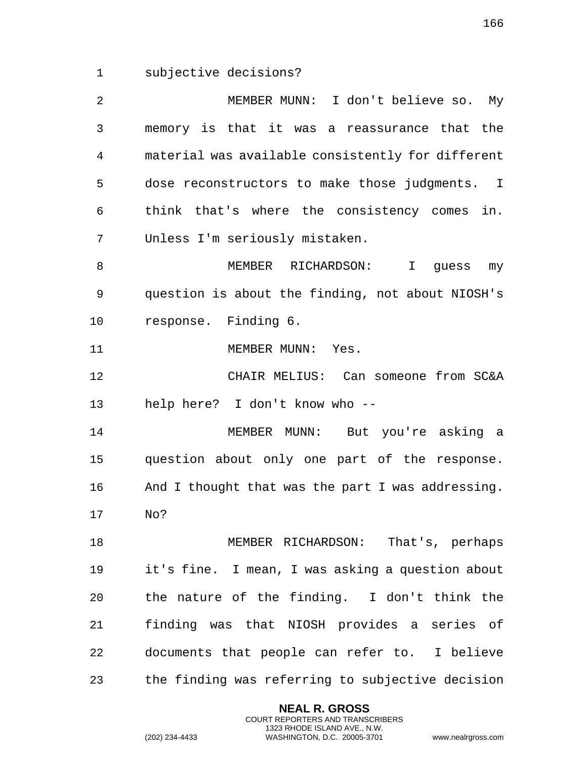subjective decisions?

 MEMBER MUNN: I don't believe so. My memory is that it was a reassurance that the material was available consistently for different dose reconstructors to make those judgments. I think that's where the consistency comes in. Unless I'm seriously mistaken. MEMBER RICHARDSON: I guess my question is about the finding, not about NIOSH's response. Finding 6. 11 MEMBER MUNN: Yes. CHAIR MELIUS: Can someone from SC&A help here? I don't know who -- MEMBER MUNN: But you're asking a question about only one part of the response. And I thought that was the part I was addressing. No? MEMBER RICHARDSON: That's, perhaps it's fine. I mean, I was asking a question about the nature of the finding. I don't think the finding was that NIOSH provides a series of documents that people can refer to. I believe the finding was referring to subjective decision

> **NEAL R. GROSS** COURT REPORTERS AND TRANSCRIBERS 1323 RHODE ISLAND AVE., N.W.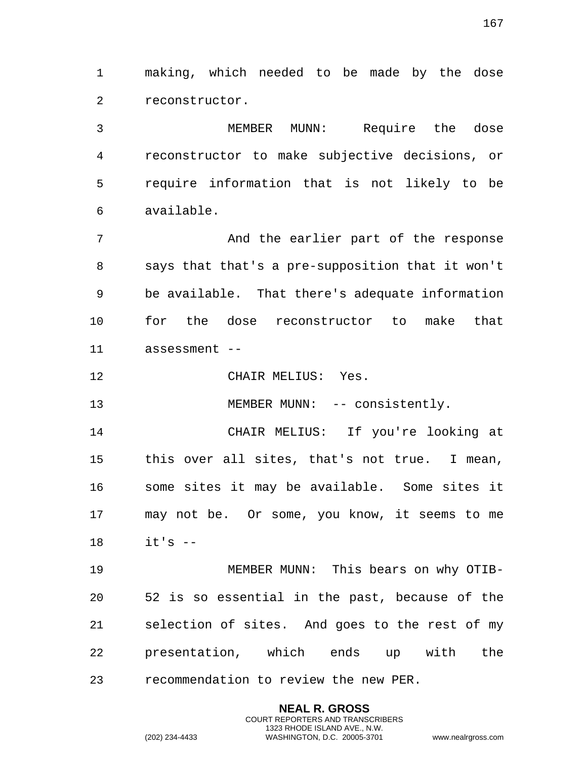making, which needed to be made by the dose reconstructor.

 MEMBER MUNN: Require the dose reconstructor to make subjective decisions, or require information that is not likely to be available.

 And the earlier part of the response says that that's a pre-supposition that it won't be available. That there's adequate information for the dose reconstructor to make that assessment --

CHAIR MELIUS: Yes.

13 MEMBER MUNN: -- consistently.

 CHAIR MELIUS: If you're looking at this over all sites, that's not true. I mean, some sites it may be available. Some sites it may not be. Or some, you know, it seems to me it's --

 MEMBER MUNN: This bears on why OTIB- 52 is so essential in the past, because of the selection of sites. And goes to the rest of my presentation, which ends up with the recommendation to review the new PER.

> **NEAL R. GROSS** COURT REPORTERS AND TRANSCRIBERS 1323 RHODE ISLAND AVE., N.W.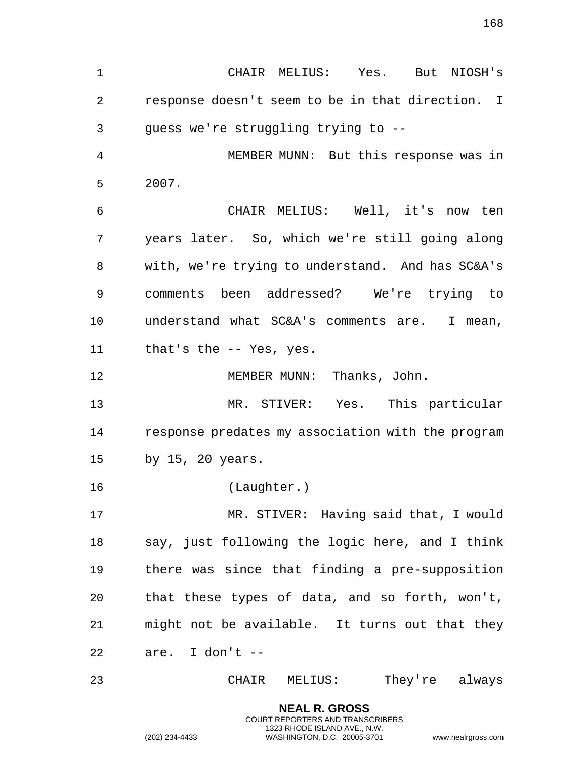CHAIR MELIUS: Yes. But NIOSH's response doesn't seem to be in that direction. I guess we're struggling trying to -- MEMBER MUNN: But this response was in 2007. CHAIR MELIUS: Well, it's now ten years later. So, which we're still going along with, we're trying to understand. And has SC&A's comments been addressed? We're trying to understand what SC&A's comments are. I mean, that's the -- Yes, yes. MEMBER MUNN: Thanks, John. MR. STIVER: Yes. This particular response predates my association with the program by 15, 20 years. (Laughter.) MR. STIVER: Having said that, I would say, just following the logic here, and I think there was since that finding a pre-supposition that these types of data, and so forth, won't, might not be available. It turns out that they are. I don't -- CHAIR MELIUS: They're always

> **NEAL R. GROSS** COURT REPORTERS AND TRANSCRIBERS 1323 RHODE ISLAND AVE., N.W.

(202) 234-4433 WASHINGTON, D.C. 20005-3701 www.nealrgross.com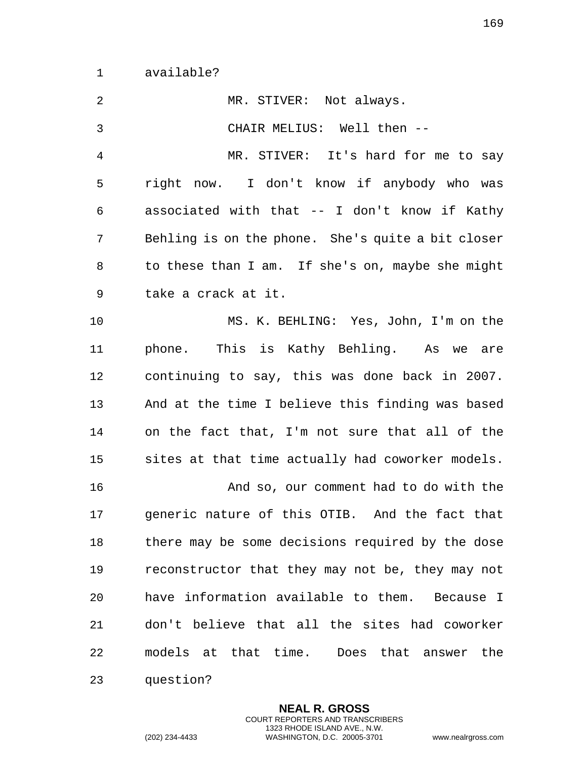available?

| 2              | MR. STIVER: Not always.                           |
|----------------|---------------------------------------------------|
| $\mathfrak{Z}$ | CHAIR MELIUS: Well then --                        |
| $\overline{4}$ | MR. STIVER: It's hard for me to say               |
| 5              | right now. I don't know if anybody who was        |
| 6              | associated with that -- I don't know if Kathy     |
| 7              | Behling is on the phone. She's quite a bit closer |
| 8              | to these than I am. If she's on, maybe she might  |
| 9              | take a crack at it.                               |
| 10             | MS. K. BEHLING: Yes, John, I'm on the             |
| 11             | phone. This is Kathy Behling. As we are           |
| 12             | continuing to say, this was done back in 2007.    |
| 13             | And at the time I believe this finding was based  |
| 14             | on the fact that, I'm not sure that all of the    |
| 15             | sites at that time actually had coworker models.  |
| 16             | And so, our comment had to do with the            |
| 17             | generic nature of this OTIB. And the fact that    |
| 18             | there may be some decisions required by the dose  |
| 19             | reconstructor that they may not be, they may not  |
| 20             | have information available to them. Because I     |
| 21             | don't believe that all the sites had coworker     |
| 22             | models at that time. Does that answer the         |
| 23             | question?                                         |

**NEAL R. GROSS** COURT REPORTERS AND TRANSCRIBERS 1323 RHODE ISLAND AVE., N.W.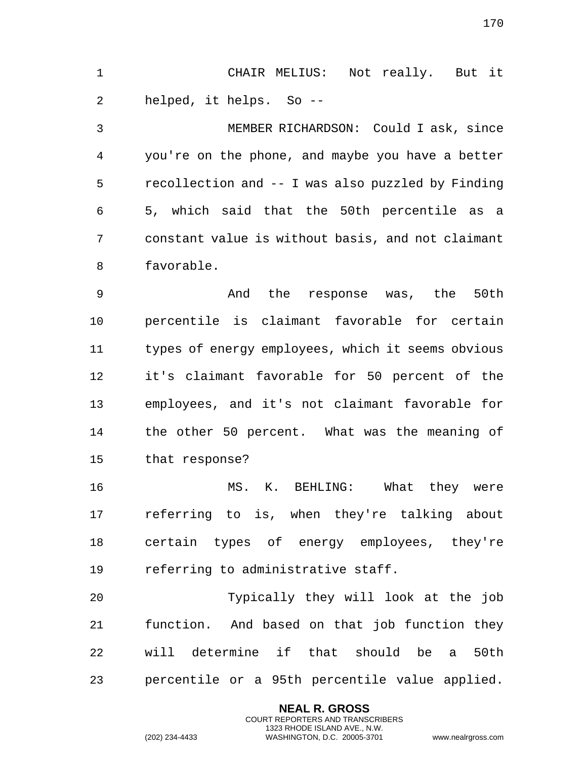CHAIR MELIUS: Not really. But it helped, it helps. So --

 MEMBER RICHARDSON: Could I ask, since you're on the phone, and maybe you have a better recollection and -- I was also puzzled by Finding 5, which said that the 50th percentile as a constant value is without basis, and not claimant favorable.

 And the response was, the 50th percentile is claimant favorable for certain types of energy employees, which it seems obvious it's claimant favorable for 50 percent of the employees, and it's not claimant favorable for the other 50 percent. What was the meaning of that response?

16 MS. K. BEHLING: What they were referring to is, when they're talking about certain types of energy employees, they're referring to administrative staff.

 Typically they will look at the job function. And based on that job function they will determine if that should be a 50th percentile or a 95th percentile value applied.

> **NEAL R. GROSS** COURT REPORTERS AND TRANSCRIBERS 1323 RHODE ISLAND AVE., N.W.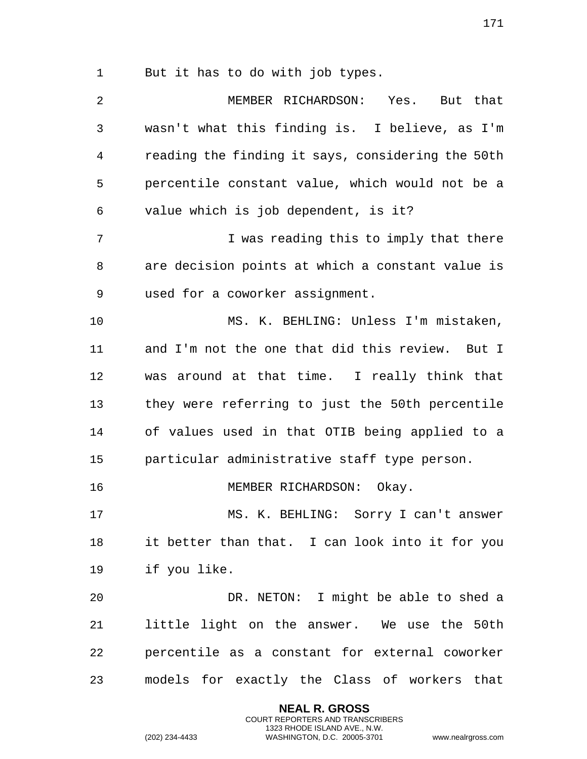But it has to do with job types.

 MEMBER RICHARDSON: Yes. But that wasn't what this finding is. I believe, as I'm reading the finding it says, considering the 50th percentile constant value, which would not be a value which is job dependent, is it? I was reading this to imply that there are decision points at which a constant value is used for a coworker assignment. MS. K. BEHLING: Unless I'm mistaken, and I'm not the one that did this review. But I was around at that time. I really think that they were referring to just the 50th percentile of values used in that OTIB being applied to a particular administrative staff type person. 16 MEMBER RICHARDSON: Okay. MS. K. BEHLING: Sorry I can't answer it better than that. I can look into it for you if you like. DR. NETON: I might be able to shed a little light on the answer. We use the 50th percentile as a constant for external coworker models for exactly the Class of workers that

> **NEAL R. GROSS** COURT REPORTERS AND TRANSCRIBERS 1323 RHODE ISLAND AVE., N.W.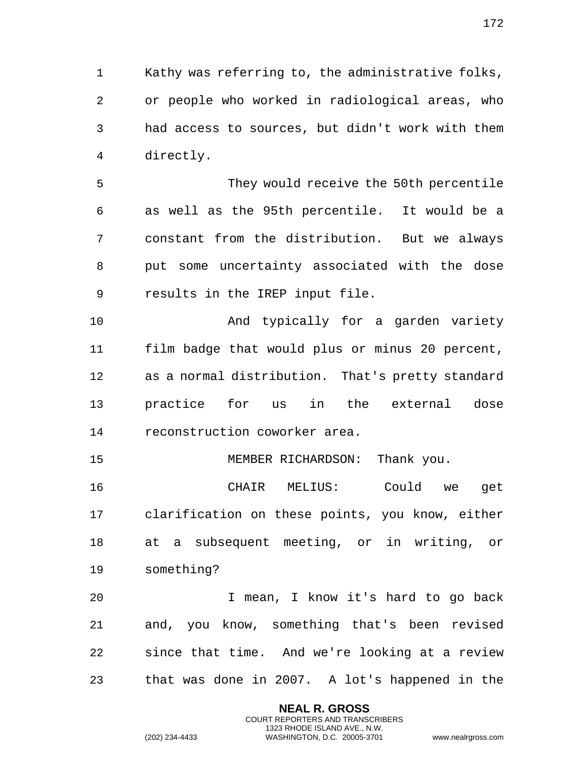Kathy was referring to, the administrative folks, or people who worked in radiological areas, who had access to sources, but didn't work with them directly.

 They would receive the 50th percentile as well as the 95th percentile. It would be a constant from the distribution. But we always put some uncertainty associated with the dose results in the IREP input file.

 And typically for a garden variety film badge that would plus or minus 20 percent, as a normal distribution. That's pretty standard practice for us in the external dose reconstruction coworker area.

MEMBER RICHARDSON: Thank you.

 CHAIR MELIUS: Could we get clarification on these points, you know, either at a subsequent meeting, or in writing, or something?

 I mean, I know it's hard to go back and, you know, something that's been revised since that time. And we're looking at a review that was done in 2007. A lot's happened in the

> **NEAL R. GROSS** COURT REPORTERS AND TRANSCRIBERS 1323 RHODE ISLAND AVE., N.W.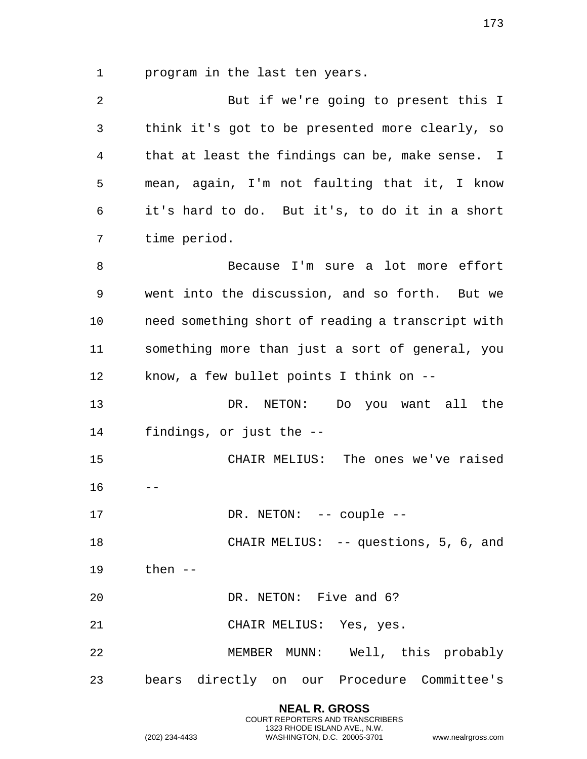program in the last ten years.

| $\overline{a}$ | But if we're going to present this I              |
|----------------|---------------------------------------------------|
| 3              | think it's got to be presented more clearly, so   |
| 4              | that at least the findings can be, make sense. I  |
| 5              | mean, again, I'm not faulting that it, I know     |
| 6              | it's hard to do. But it's, to do it in a short    |
| 7              | time period.                                      |
| 8              | Because I'm sure a lot more effort                |
| 9              | went into the discussion, and so forth. But we    |
| 10             | need something short of reading a transcript with |
| 11             | something more than just a sort of general, you   |
| 12             | know, a few bullet points I think on --           |
| 13             | DR. NETON:<br>Do you want all the                 |
| 14             | findings, or just the --                          |
| 15             | CHAIR MELIUS: The ones we've raised               |
| 16             |                                                   |
| 17             | DR. NETON: -- couple --                           |
| 18             | CHAIR MELIUS: -- questions, 5, 6, and             |
| 19             | then $--$                                         |
| 20             | DR. NETON: Five and 6?                            |
| 21             | CHAIR MELIUS: Yes, yes.                           |
| 22             | MEMBER MUNN: Well, this probably                  |
| 23             | bears directly on our Procedure Committee's       |

**NEAL R. GROSS** COURT REPORTERS AND TRANSCRIBERS 1323 RHODE ISLAND AVE., N.W.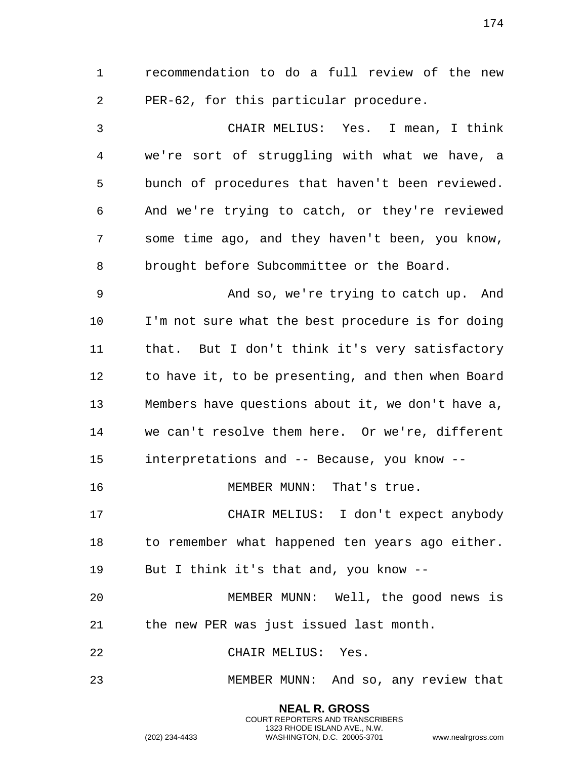recommendation to do a full review of the new PER-62, for this particular procedure.

 CHAIR MELIUS: Yes. I mean, I think we're sort of struggling with what we have, a bunch of procedures that haven't been reviewed. And we're trying to catch, or they're reviewed some time ago, and they haven't been, you know, brought before Subcommittee or the Board.

 And so, we're trying to catch up. And I'm not sure what the best procedure is for doing that. But I don't think it's very satisfactory to have it, to be presenting, and then when Board Members have questions about it, we don't have a, we can't resolve them here. Or we're, different interpretations and -- Because, you know --

16 MEMBER MUNN: That's true.

 CHAIR MELIUS: I don't expect anybody 18 to remember what happened ten years ago either. But I think it's that and, you know --

 MEMBER MUNN: Well, the good news is the new PER was just issued last month.

CHAIR MELIUS: Yes.

MEMBER MUNN: And so, any review that

**NEAL R. GROSS** COURT REPORTERS AND TRANSCRIBERS 1323 RHODE ISLAND AVE., N.W.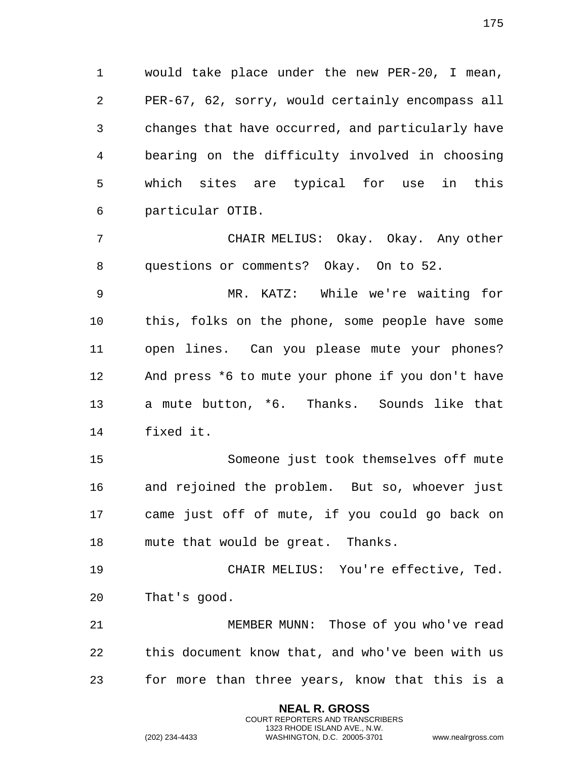would take place under the new PER-20, I mean, PER-67, 62, sorry, would certainly encompass all changes that have occurred, and particularly have bearing on the difficulty involved in choosing which sites are typical for use in this particular OTIB.

 CHAIR MELIUS: Okay. Okay. Any other questions or comments? Okay. On to 52.

 MR. KATZ: While we're waiting for this, folks on the phone, some people have some open lines. Can you please mute your phones? And press \*6 to mute your phone if you don't have a mute button, \*6. Thanks. Sounds like that fixed it.

 Someone just took themselves off mute and rejoined the problem. But so, whoever just came just off of mute, if you could go back on mute that would be great. Thanks.

 CHAIR MELIUS: You're effective, Ted. That's good.

 MEMBER MUNN: Those of you who've read this document know that, and who've been with us for more than three years, know that this is a

> **NEAL R. GROSS** COURT REPORTERS AND TRANSCRIBERS 1323 RHODE ISLAND AVE., N.W.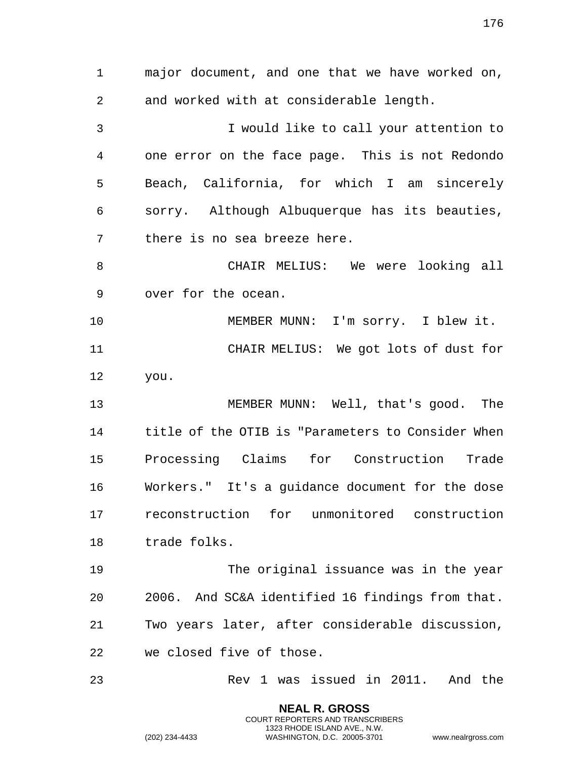major document, and one that we have worked on, and worked with at considerable length. I would like to call your attention to one error on the face page. This is not Redondo Beach, California, for which I am sincerely sorry. Although Albuquerque has its beauties, there is no sea breeze here. CHAIR MELIUS: We were looking all over for the ocean. MEMBER MUNN: I'm sorry. I blew it. CHAIR MELIUS: We got lots of dust for you. MEMBER MUNN: Well, that's good. The title of the OTIB is "Parameters to Consider When Processing Claims for Construction Trade Workers." It's a guidance document for the dose reconstruction for unmonitored construction trade folks. The original issuance was in the year 2006. And SC&A identified 16 findings from that. Two years later, after considerable discussion, we closed five of those. Rev 1 was issued in 2011. And the

> **NEAL R. GROSS** COURT REPORTERS AND TRANSCRIBERS 1323 RHODE ISLAND AVE., N.W.

(202) 234-4433 WASHINGTON, D.C. 20005-3701 www.nealrgross.com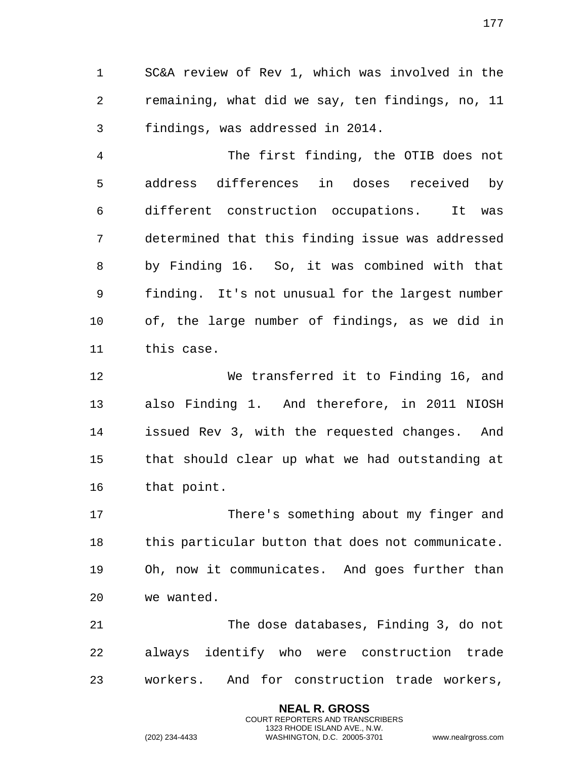SC&A review of Rev 1, which was involved in the remaining, what did we say, ten findings, no, 11 findings, was addressed in 2014.

 The first finding, the OTIB does not address differences in doses received by different construction occupations. It was determined that this finding issue was addressed by Finding 16. So, it was combined with that finding. It's not unusual for the largest number of, the large number of findings, as we did in this case.

 We transferred it to Finding 16, and also Finding 1. And therefore, in 2011 NIOSH issued Rev 3, with the requested changes. And that should clear up what we had outstanding at that point.

 There's something about my finger and this particular button that does not communicate. Oh, now it communicates. And goes further than we wanted.

 The dose databases, Finding 3, do not always identify who were construction trade workers. And for construction trade workers,

> **NEAL R. GROSS** COURT REPORTERS AND TRANSCRIBERS 1323 RHODE ISLAND AVE., N.W.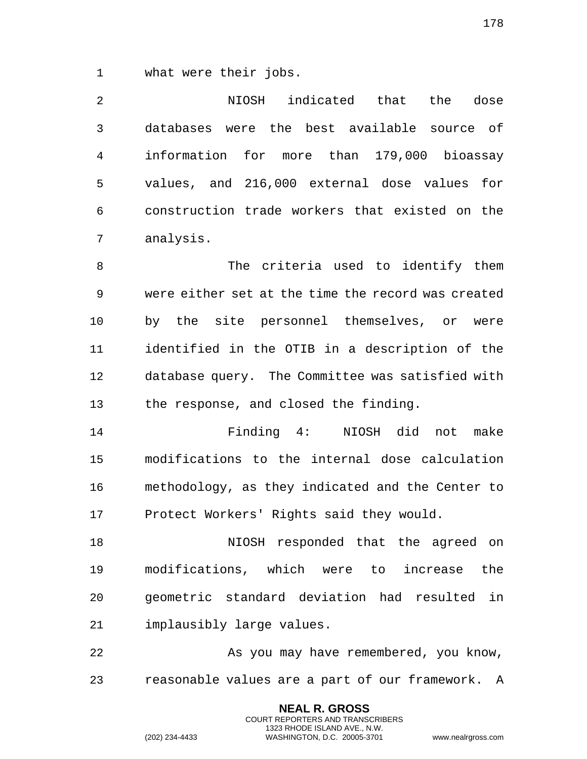what were their jobs.

 NIOSH indicated that the dose databases were the best available source of information for more than 179,000 bioassay values, and 216,000 external dose values for construction trade workers that existed on the analysis.

 The criteria used to identify them were either set at the time the record was created by the site personnel themselves, or were identified in the OTIB in a description of the database query. The Committee was satisfied with the response, and closed the finding.

 Finding 4: NIOSH did not make modifications to the internal dose calculation methodology, as they indicated and the Center to Protect Workers' Rights said they would.

 NIOSH responded that the agreed on modifications, which were to increase the geometric standard deviation had resulted in implausibly large values.

 As you may have remembered, you know, reasonable values are a part of our framework. A

> **NEAL R. GROSS** COURT REPORTERS AND TRANSCRIBERS 1323 RHODE ISLAND AVE., N.W.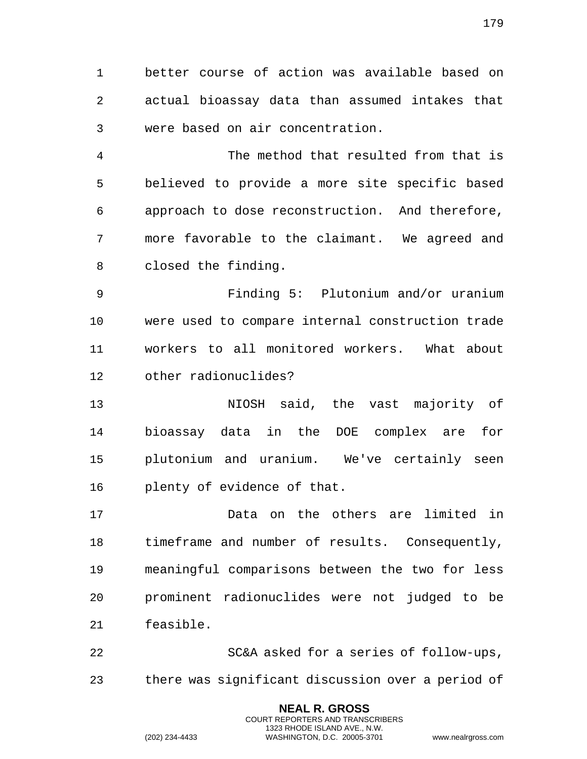better course of action was available based on actual bioassay data than assumed intakes that were based on air concentration.

 The method that resulted from that is believed to provide a more site specific based approach to dose reconstruction. And therefore, more favorable to the claimant. We agreed and closed the finding.

 Finding 5: Plutonium and/or uranium were used to compare internal construction trade workers to all monitored workers. What about other radionuclides?

 NIOSH said, the vast majority of bioassay data in the DOE complex are for plutonium and uranium. We've certainly seen plenty of evidence of that.

 Data on the others are limited in timeframe and number of results. Consequently, meaningful comparisons between the two for less prominent radionuclides were not judged to be feasible.

 SC&A asked for a series of follow-ups, there was significant discussion over a period of

> **NEAL R. GROSS** COURT REPORTERS AND TRANSCRIBERS 1323 RHODE ISLAND AVE., N.W.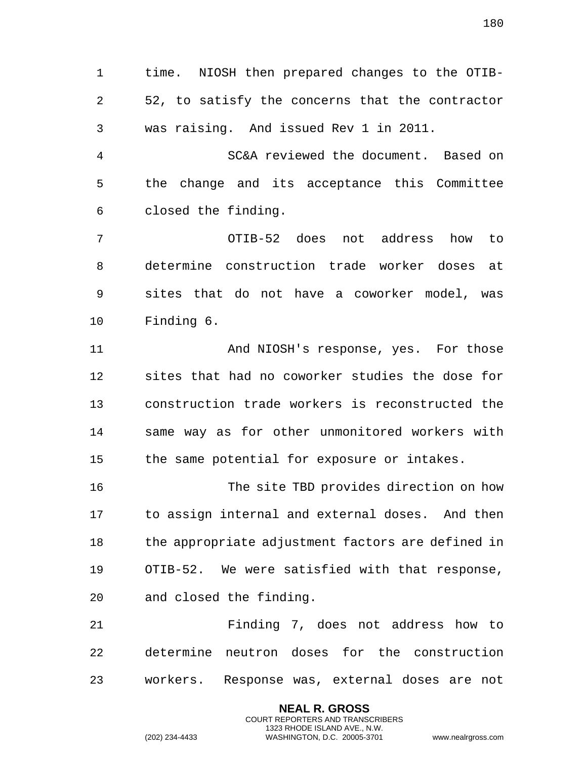time. NIOSH then prepared changes to the OTIB- 52, to satisfy the concerns that the contractor was raising. And issued Rev 1 in 2011.

 SC&A reviewed the document. Based on the change and its acceptance this Committee closed the finding.

 OTIB-52 does not address how to determine construction trade worker doses at sites that do not have a coworker model, was Finding 6.

 And NIOSH's response, yes. For those sites that had no coworker studies the dose for construction trade workers is reconstructed the same way as for other unmonitored workers with the same potential for exposure or intakes.

 The site TBD provides direction on how to assign internal and external doses. And then the appropriate adjustment factors are defined in OTIB-52. We were satisfied with that response, and closed the finding.

 Finding 7, does not address how to determine neutron doses for the construction workers. Response was, external doses are not

> **NEAL R. GROSS** COURT REPORTERS AND TRANSCRIBERS 1323 RHODE ISLAND AVE., N.W.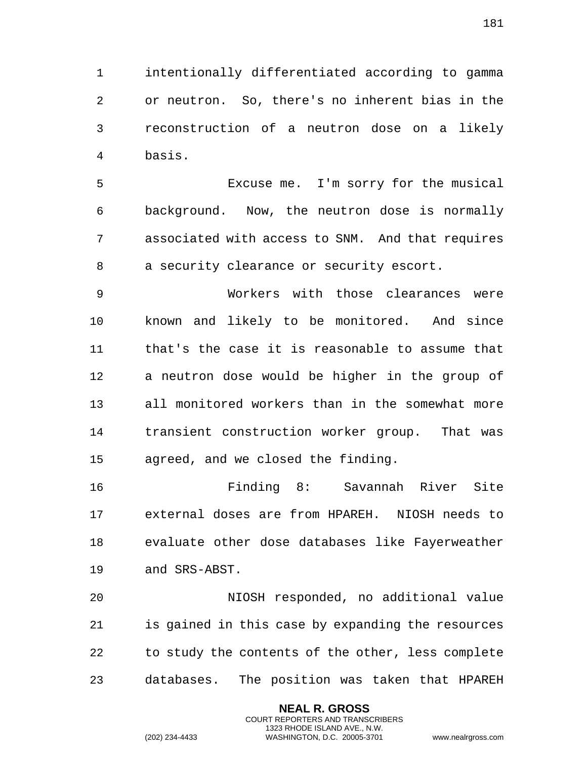intentionally differentiated according to gamma or neutron. So, there's no inherent bias in the reconstruction of a neutron dose on a likely basis.

 Excuse me. I'm sorry for the musical background. Now, the neutron dose is normally associated with access to SNM. And that requires a security clearance or security escort.

 Workers with those clearances were known and likely to be monitored. And since that's the case it is reasonable to assume that a neutron dose would be higher in the group of all monitored workers than in the somewhat more transient construction worker group. That was agreed, and we closed the finding.

 Finding 8: Savannah River Site external doses are from HPAREH. NIOSH needs to evaluate other dose databases like Fayerweather and SRS-ABST.

 NIOSH responded, no additional value is gained in this case by expanding the resources to study the contents of the other, less complete databases. The position was taken that HPAREH

> **NEAL R. GROSS** COURT REPORTERS AND TRANSCRIBERS 1323 RHODE ISLAND AVE., N.W.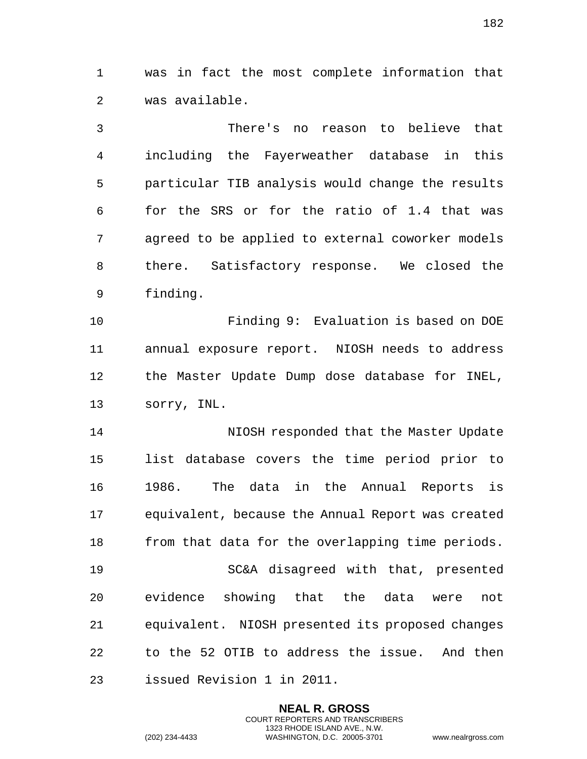was in fact the most complete information that was available.

 There's no reason to believe that including the Fayerweather database in this particular TIB analysis would change the results for the SRS or for the ratio of 1.4 that was agreed to be applied to external coworker models there. Satisfactory response. We closed the finding.

 Finding 9: Evaluation is based on DOE annual exposure report. NIOSH needs to address the Master Update Dump dose database for INEL, sorry, INL.

 NIOSH responded that the Master Update list database covers the time period prior to 1986. The data in the Annual Reports is equivalent, because the Annual Report was created 18 from that data for the overlapping time periods. SC&A disagreed with that, presented evidence showing that the data were not equivalent. NIOSH presented its proposed changes to the 52 OTIB to address the issue. And then issued Revision 1 in 2011.

> **NEAL R. GROSS** COURT REPORTERS AND TRANSCRIBERS 1323 RHODE ISLAND AVE., N.W.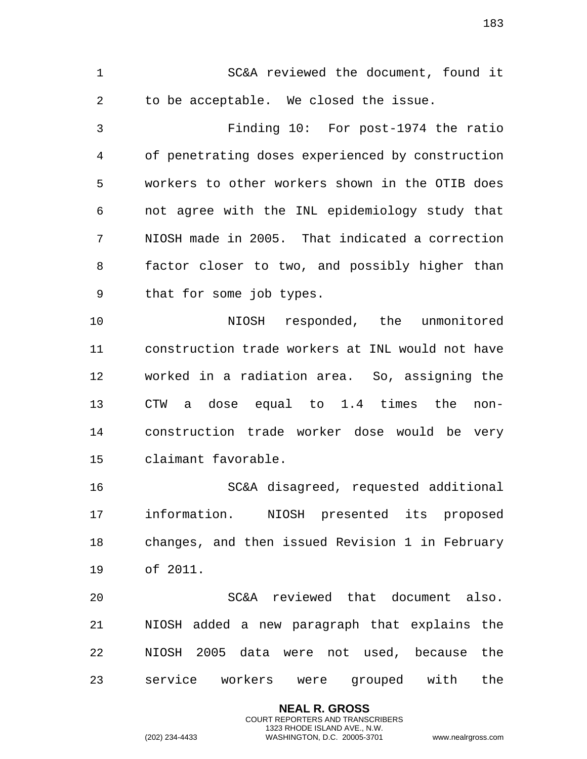SC&A reviewed the document, found it to be acceptable. We closed the issue.

 Finding 10: For post-1974 the ratio of penetrating doses experienced by construction workers to other workers shown in the OTIB does not agree with the INL epidemiology study that NIOSH made in 2005. That indicated a correction factor closer to two, and possibly higher than that for some job types.

 NIOSH responded, the unmonitored construction trade workers at INL would not have worked in a radiation area. So, assigning the CTW a dose equal to 1.4 times the non- construction trade worker dose would be very claimant favorable.

 SC&A disagreed, requested additional information. NIOSH presented its proposed changes, and then issued Revision 1 in February of 2011.

 SC&A reviewed that document also. NIOSH added a new paragraph that explains the NIOSH 2005 data were not used, because the service workers were grouped with the

> **NEAL R. GROSS** COURT REPORTERS AND TRANSCRIBERS 1323 RHODE ISLAND AVE., N.W.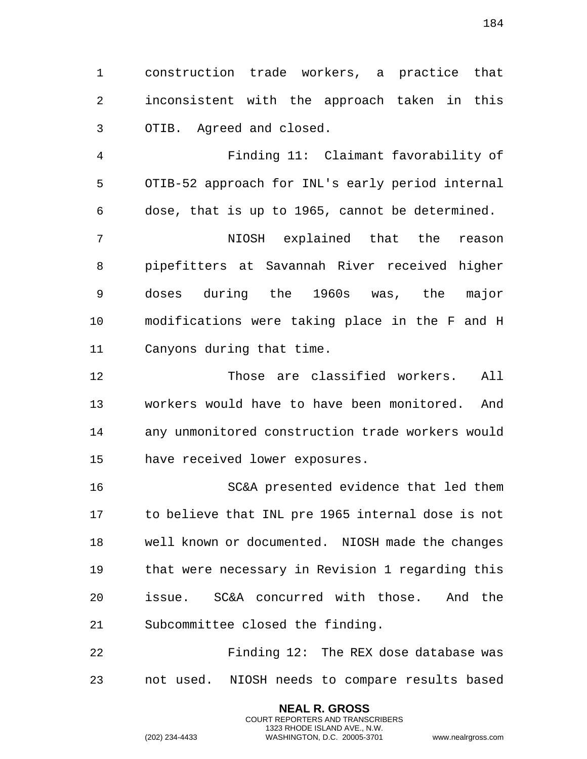construction trade workers, a practice that inconsistent with the approach taken in this OTIB. Agreed and closed.

 Finding 11: Claimant favorability of OTIB-52 approach for INL's early period internal dose, that is up to 1965, cannot be determined.

 NIOSH explained that the reason pipefitters at Savannah River received higher doses during the 1960s was, the major modifications were taking place in the F and H Canyons during that time.

 Those are classified workers. All workers would have to have been monitored. And any unmonitored construction trade workers would have received lower exposures.

 SC&A presented evidence that led them to believe that INL pre 1965 internal dose is not well known or documented. NIOSH made the changes that were necessary in Revision 1 regarding this issue. SC&A concurred with those. And the Subcommittee closed the finding.

 Finding 12: The REX dose database was not used. NIOSH needs to compare results based

> **NEAL R. GROSS** COURT REPORTERS AND TRANSCRIBERS 1323 RHODE ISLAND AVE., N.W.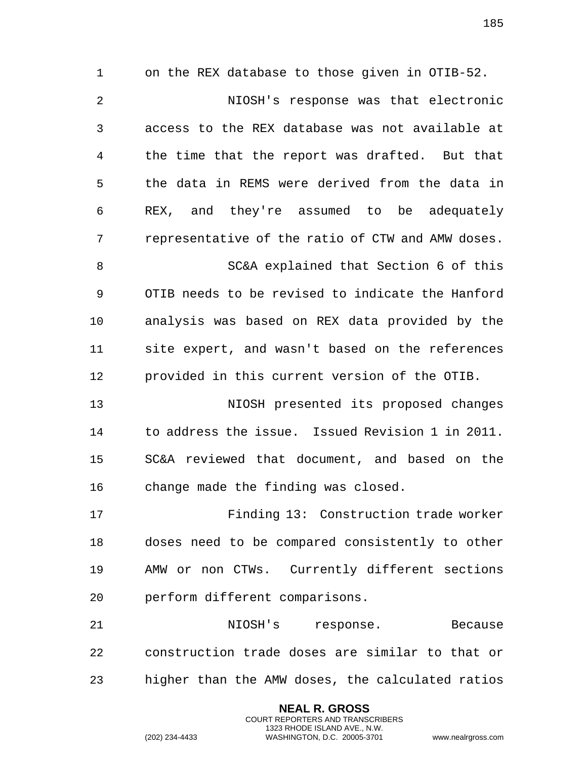on the REX database to those given in OTIB-52. NIOSH's response was that electronic access to the REX database was not available at the time that the report was drafted. But that the data in REMS were derived from the data in REX, and they're assumed to be adequately representative of the ratio of CTW and AMW doses. SC&A explained that Section 6 of this OTIB needs to be revised to indicate the Hanford analysis was based on REX data provided by the site expert, and wasn't based on the references provided in this current version of the OTIB. NIOSH presented its proposed changes to address the issue. Issued Revision 1 in 2011. SC&A reviewed that document, and based on the change made the finding was closed. Finding 13: Construction trade worker doses need to be compared consistently to other AMW or non CTWs. Currently different sections

perform different comparisons.

21 MIOSH's response. Because construction trade doses are similar to that or higher than the AMW doses, the calculated ratios

> **NEAL R. GROSS** COURT REPORTERS AND TRANSCRIBERS 1323 RHODE ISLAND AVE., N.W.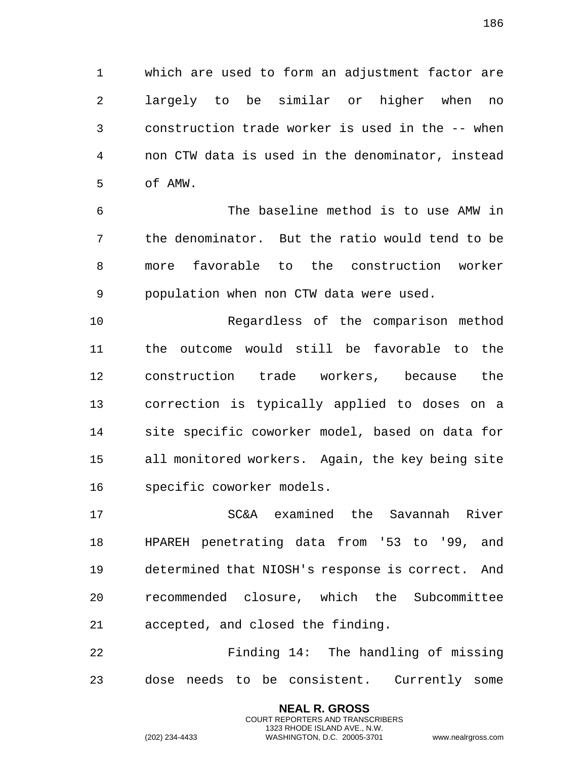which are used to form an adjustment factor are largely to be similar or higher when no construction trade worker is used in the -- when non CTW data is used in the denominator, instead of AMW.

 The baseline method is to use AMW in the denominator. But the ratio would tend to be more favorable to the construction worker population when non CTW data were used.

 Regardless of the comparison method the outcome would still be favorable to the construction trade workers, because the correction is typically applied to doses on a site specific coworker model, based on data for all monitored workers. Again, the key being site specific coworker models.

 SC&A examined the Savannah River HPAREH penetrating data from '53 to '99, and determined that NIOSH's response is correct. And recommended closure, which the Subcommittee accepted, and closed the finding.

 Finding 14: The handling of missing dose needs to be consistent. Currently some

> **NEAL R. GROSS** COURT REPORTERS AND TRANSCRIBERS 1323 RHODE ISLAND AVE., N.W.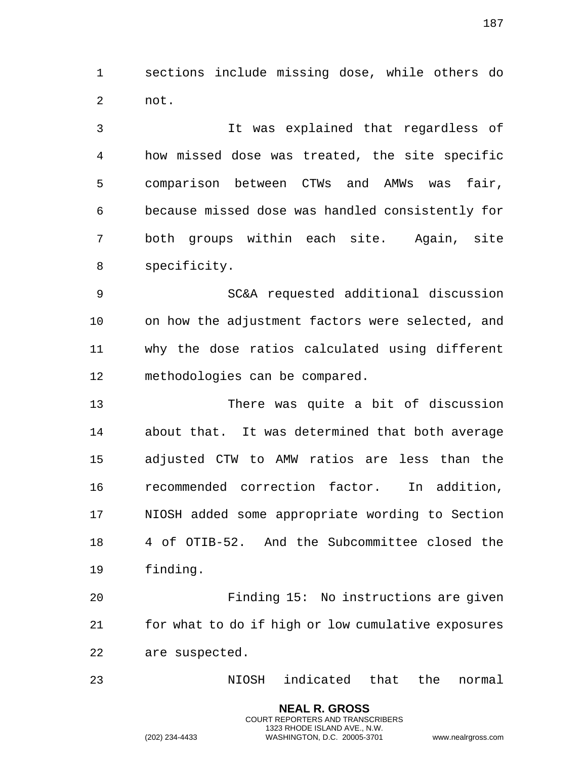sections include missing dose, while others do not.

 It was explained that regardless of how missed dose was treated, the site specific comparison between CTWs and AMWs was fair, because missed dose was handled consistently for both groups within each site. Again, site specificity.

 SC&A requested additional discussion on how the adjustment factors were selected, and why the dose ratios calculated using different methodologies can be compared.

 There was quite a bit of discussion about that. It was determined that both average adjusted CTW to AMW ratios are less than the recommended correction factor. In addition, NIOSH added some appropriate wording to Section 4 of OTIB-52. And the Subcommittee closed the finding.

 Finding 15: No instructions are given for what to do if high or low cumulative exposures are suspected.

NIOSH indicated that the normal

**NEAL R. GROSS** COURT REPORTERS AND TRANSCRIBERS 1323 RHODE ISLAND AVE., N.W.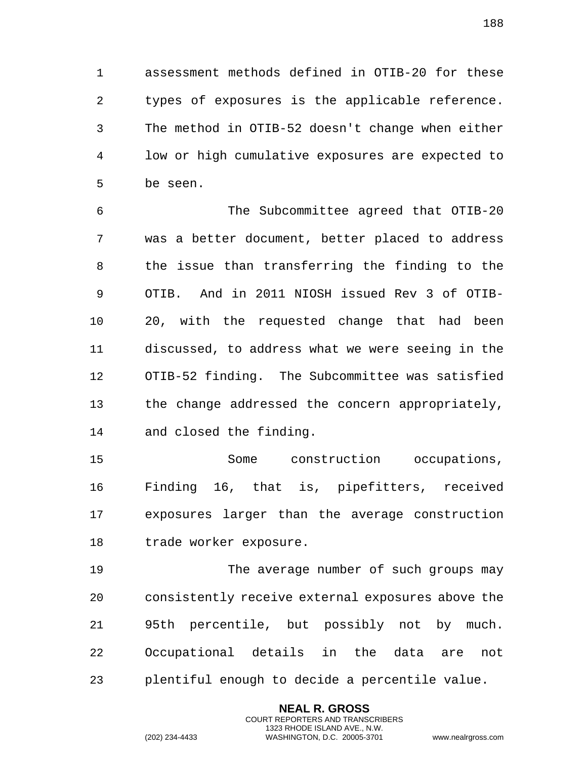assessment methods defined in OTIB-20 for these types of exposures is the applicable reference. The method in OTIB-52 doesn't change when either low or high cumulative exposures are expected to be seen.

 The Subcommittee agreed that OTIB-20 was a better document, better placed to address the issue than transferring the finding to the OTIB. And in 2011 NIOSH issued Rev 3 of OTIB- 20, with the requested change that had been discussed, to address what we were seeing in the OTIB-52 finding. The Subcommittee was satisfied the change addressed the concern appropriately, and closed the finding.

 Some construction occupations, Finding 16, that is, pipefitters, received exposures larger than the average construction trade worker exposure.

 The average number of such groups may consistently receive external exposures above the 95th percentile, but possibly not by much. Occupational details in the data are not plentiful enough to decide a percentile value.

> **NEAL R. GROSS** COURT REPORTERS AND TRANSCRIBERS 1323 RHODE ISLAND AVE., N.W.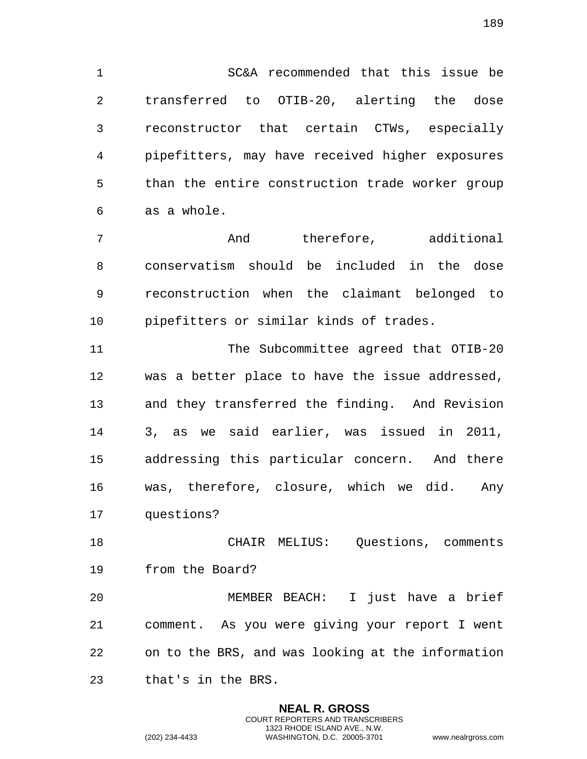SC&A recommended that this issue be transferred to OTIB-20, alerting the dose reconstructor that certain CTWs, especially pipefitters, may have received higher exposures than the entire construction trade worker group as a whole.

 And therefore, additional conservatism should be included in the dose reconstruction when the claimant belonged to pipefitters or similar kinds of trades.

11 The Subcommittee agreed that OTIB-20 was a better place to have the issue addressed, and they transferred the finding. And Revision 3, as we said earlier, was issued in 2011, addressing this particular concern. And there was, therefore, closure, which we did. Any questions?

 CHAIR MELIUS: Questions, comments from the Board?

 MEMBER BEACH: I just have a brief comment. As you were giving your report I went on to the BRS, and was looking at the information that's in the BRS.

> **NEAL R. GROSS** COURT REPORTERS AND TRANSCRIBERS 1323 RHODE ISLAND AVE., N.W.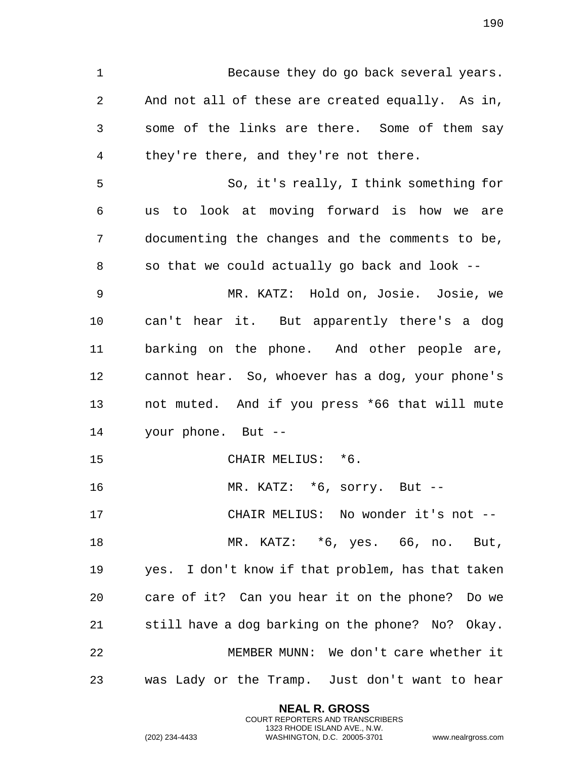Because they do go back several years. And not all of these are created equally. As in, some of the links are there. Some of them say they're there, and they're not there. So, it's really, I think something for us to look at moving forward is how we are documenting the changes and the comments to be, so that we could actually go back and look -- MR. KATZ: Hold on, Josie. Josie, we can't hear it. But apparently there's a dog barking on the phone. And other people are, cannot hear. So, whoever has a dog, your phone's not muted. And if you press \*66 that will mute your phone. But -- 15 CHAIR MELIUS: \*6. MR. KATZ: \*6, sorry. But -- CHAIR MELIUS: No wonder it's not -- MR. KATZ: \*6, yes. 66, no. But, yes. I don't know if that problem, has that taken care of it? Can you hear it on the phone? Do we still have a dog barking on the phone? No? Okay. MEMBER MUNN: We don't care whether it was Lady or the Tramp. Just don't want to hear

> **NEAL R. GROSS** COURT REPORTERS AND TRANSCRIBERS 1323 RHODE ISLAND AVE., N.W.

(202) 234-4433 WASHINGTON, D.C. 20005-3701 www.nealrgross.com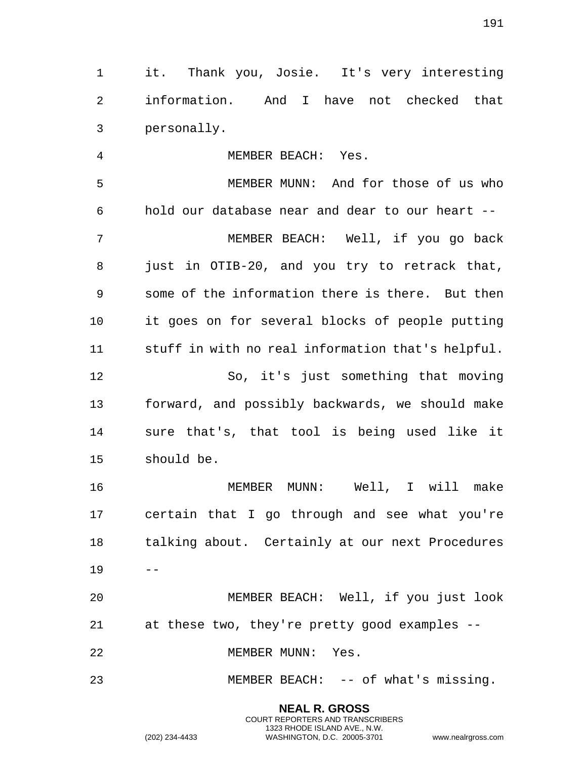it. Thank you, Josie. It's very interesting information. And I have not checked that personally.

 MEMBER BEACH: Yes. MEMBER MUNN: And for those of us who hold our database near and dear to our heart -- MEMBER BEACH: Well, if you go back just in OTIB-20, and you try to retrack that, some of the information there is there. But then it goes on for several blocks of people putting stuff in with no real information that's helpful. So, it's just something that moving forward, and possibly backwards, we should make sure that's, that tool is being used like it should be.

 MEMBER MUNN: Well, I will make certain that I go through and see what you're talking about. Certainly at our next Procedures  $19 - -$ 

 MEMBER BEACH: Well, if you just look at these two, they're pretty good examples --

MEMBER MUNN: Yes.

MEMBER BEACH: -- of what's missing.

**NEAL R. GROSS**

COURT REPORTERS AND TRANSCRIBERS 1323 RHODE ISLAND AVE., N.W.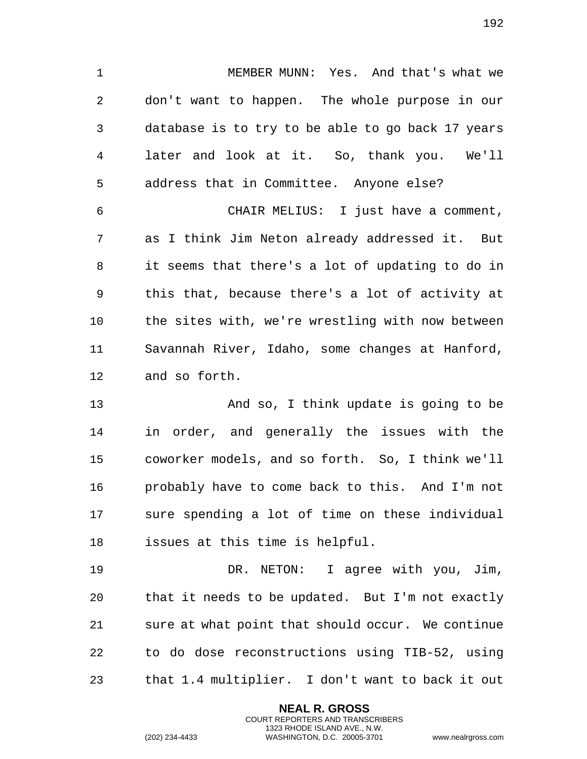MEMBER MUNN: Yes. And that's what we don't want to happen. The whole purpose in our database is to try to be able to go back 17 years later and look at it. So, thank you. We'll address that in Committee. Anyone else?

 CHAIR MELIUS: I just have a comment, as I think Jim Neton already addressed it. But it seems that there's a lot of updating to do in this that, because there's a lot of activity at the sites with, we're wrestling with now between Savannah River, Idaho, some changes at Hanford, and so forth.

 And so, I think update is going to be in order, and generally the issues with the coworker models, and so forth. So, I think we'll probably have to come back to this. And I'm not sure spending a lot of time on these individual issues at this time is helpful.

 DR. NETON: I agree with you, Jim, that it needs to be updated. But I'm not exactly sure at what point that should occur. We continue to do dose reconstructions using TIB-52, using that 1.4 multiplier. I don't want to back it out

> **NEAL R. GROSS** COURT REPORTERS AND TRANSCRIBERS 1323 RHODE ISLAND AVE., N.W.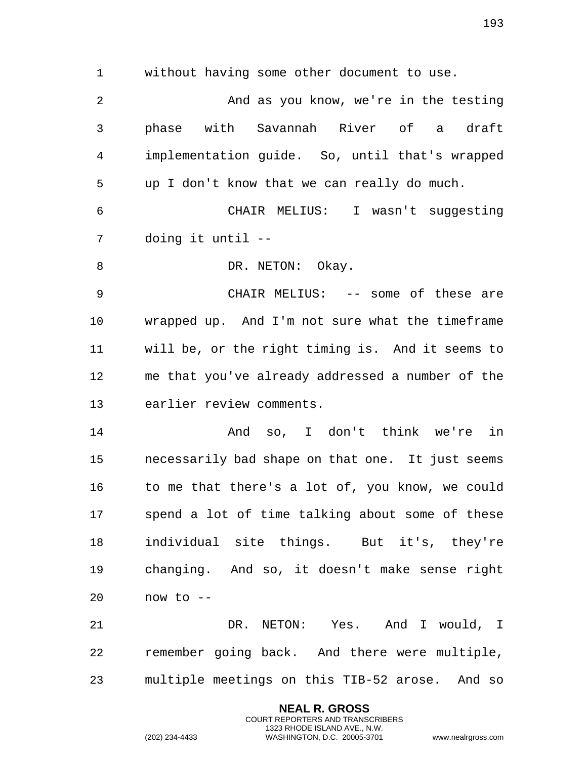without having some other document to use.

 And as you know, we're in the testing phase with Savannah River of a draft implementation guide. So, until that's wrapped up I don't know that we can really do much. CHAIR MELIUS: I wasn't suggesting doing it until -- 8 DR. NETON: Okay. CHAIR MELIUS: -- some of these are wrapped up. And I'm not sure what the timeframe will be, or the right timing is. And it seems to me that you've already addressed a number of the earlier review comments. And so, I don't think we're in necessarily bad shape on that one. It just seems to me that there's a lot of, you know, we could spend a lot of time talking about some of these individual site things. But it's, they're changing. And so, it doesn't make sense right now to -- DR. NETON: Yes. And I would, I remember going back. And there were multiple,

multiple meetings on this TIB-52 arose. And so

**NEAL R. GROSS** COURT REPORTERS AND TRANSCRIBERS 1323 RHODE ISLAND AVE., N.W.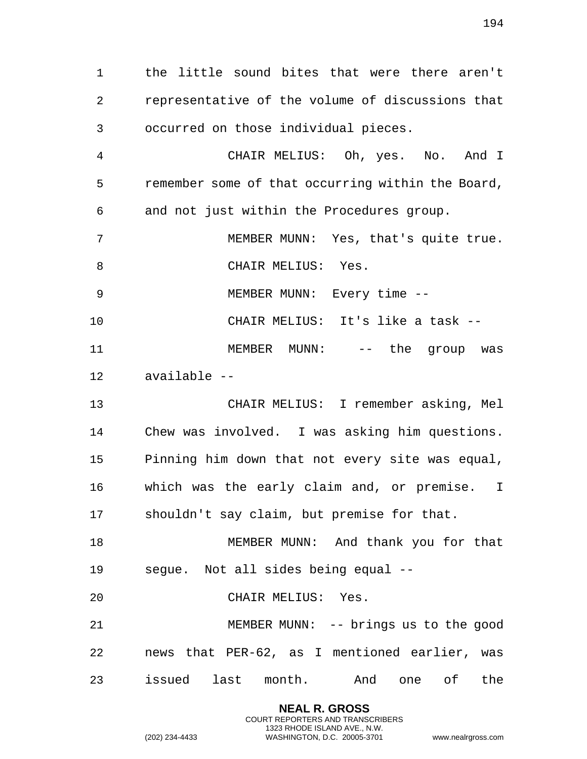the little sound bites that were there aren't representative of the volume of discussions that occurred on those individual pieces.

 CHAIR MELIUS: Oh, yes. No. And I remember some of that occurring within the Board, and not just within the Procedures group.

 MEMBER MUNN: Yes, that's quite true. 8 CHAIR MELIUS: Yes.

MEMBER MUNN: Every time --

CHAIR MELIUS: It's like a task --

 MEMBER MUNN: -- the group was available --

 CHAIR MELIUS: I remember asking, Mel Chew was involved. I was asking him questions. Pinning him down that not every site was equal, which was the early claim and, or premise. I shouldn't say claim, but premise for that.

18 MEMBER MUNN: And thank you for that segue. Not all sides being equal --

CHAIR MELIUS: Yes.

 MEMBER MUNN: -- brings us to the good news that PER-62, as I mentioned earlier, was issued last month. And one of the

> **NEAL R. GROSS** COURT REPORTERS AND TRANSCRIBERS 1323 RHODE ISLAND AVE., N.W.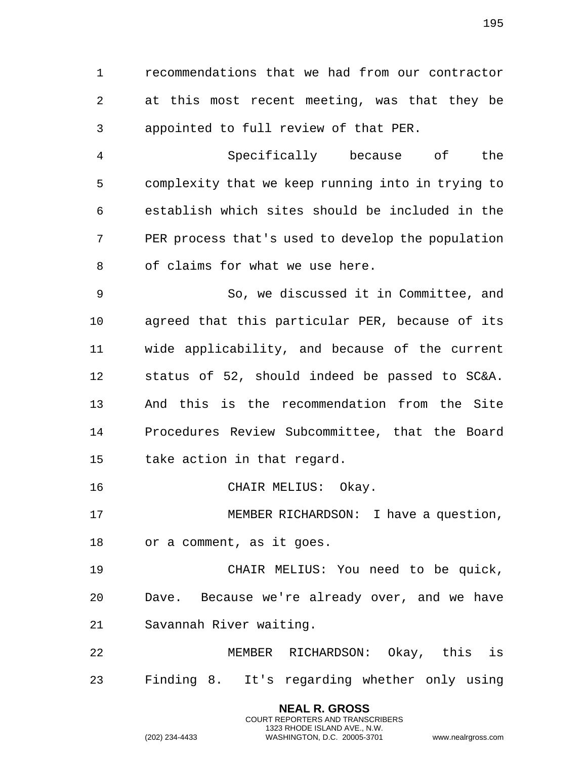recommendations that we had from our contractor at this most recent meeting, was that they be appointed to full review of that PER.

 Specifically because of the complexity that we keep running into in trying to establish which sites should be included in the PER process that's used to develop the population of claims for what we use here.

 So, we discussed it in Committee, and agreed that this particular PER, because of its wide applicability, and because of the current status of 52, should indeed be passed to SC&A. And this is the recommendation from the Site Procedures Review Subcommittee, that the Board take action in that regard.

CHAIR MELIUS: Okay.

 MEMBER RICHARDSON: I have a question, or a comment, as it goes.

 CHAIR MELIUS: You need to be quick, Dave. Because we're already over, and we have Savannah River waiting.

 MEMBER RICHARDSON: Okay, this is Finding 8. It's regarding whether only using

> **NEAL R. GROSS** COURT REPORTERS AND TRANSCRIBERS 1323 RHODE ISLAND AVE., N.W.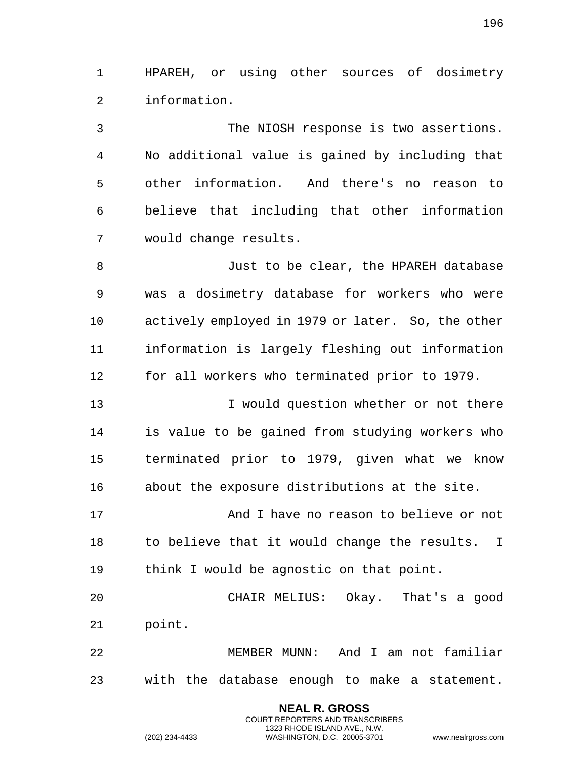HPAREH, or using other sources of dosimetry information.

 The NIOSH response is two assertions. No additional value is gained by including that other information. And there's no reason to believe that including that other information would change results.

 Just to be clear, the HPAREH database was a dosimetry database for workers who were actively employed in 1979 or later. So, the other information is largely fleshing out information for all workers who terminated prior to 1979.

 I would question whether or not there is value to be gained from studying workers who terminated prior to 1979, given what we know about the exposure distributions at the site.

17 And I have no reason to believe or not to believe that it would change the results. I think I would be agnostic on that point.

 CHAIR MELIUS: Okay. That's a good point.

 MEMBER MUNN: And I am not familiar with the database enough to make a statement.

> **NEAL R. GROSS** COURT REPORTERS AND TRANSCRIBERS 1323 RHODE ISLAND AVE., N.W.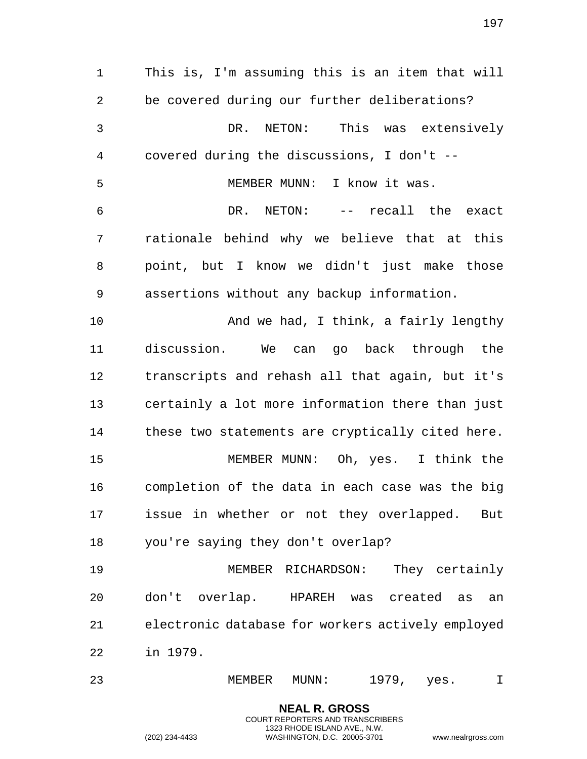**NEAL R. GROSS** This is, I'm assuming this is an item that will be covered during our further deliberations? DR. NETON: This was extensively covered during the discussions, I don't -- MEMBER MUNN: I know it was. DR. NETON: -- recall the exact rationale behind why we believe that at this point, but I know we didn't just make those assertions without any backup information. And we had, I think, a fairly lengthy discussion. We can go back through the transcripts and rehash all that again, but it's certainly a lot more information there than just 14 these two statements are cryptically cited here. MEMBER MUNN: Oh, yes. I think the completion of the data in each case was the big issue in whether or not they overlapped. But you're saying they don't overlap? MEMBER RICHARDSON: They certainly don't overlap. HPAREH was created as an electronic database for workers actively employed in 1979. MEMBER MUNN: 1979, yes. I

> COURT REPORTERS AND TRANSCRIBERS 1323 RHODE ISLAND AVE., N.W.

(202) 234-4433 WASHINGTON, D.C. 20005-3701 www.nealrgross.com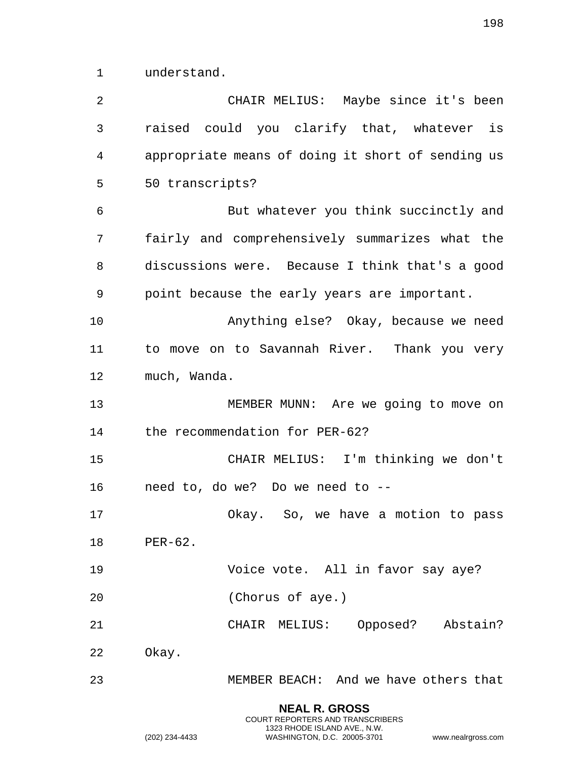understand.

| $\overline{2}$ | CHAIR MELIUS: Maybe since it's been               |
|----------------|---------------------------------------------------|
| 3              | raised could you clarify that, whatever is        |
| 4              | appropriate means of doing it short of sending us |
| 5              | 50 transcripts?                                   |
| 6              | But whatever you think succinctly and             |
| 7              | fairly and comprehensively summarizes what the    |
| 8              | discussions were. Because I think that's a good   |
| 9              | point because the early years are important.      |
| 10             | Anything else? Okay, because we need              |
| 11             | to move on to Savannah River. Thank you very      |
| 12             | much, Wanda.                                      |
| 13             | MEMBER MUNN: Are we going to move on              |
| 14             | the recommendation for PER-62?                    |
| 15             | CHAIR MELIUS: I'm thinking we don't               |
| 16             | need to, do we? Do we need to --                  |
| 17             | Okay. So, we have a motion to pass                |
| 18             | PER-62.                                           |
| 19             | Voice vote. All in favor say aye?                 |
| 20             | (Chorus of aye.)                                  |
| 21             | CHAIR MELIUS: Opposed? Abstain?                   |
| 22             | Okay.                                             |
| 23             | MEMBER BEACH: And we have others that             |
|                |                                                   |

**NEAL R. GROSS** COURT REPORTERS AND TRANSCRIBERS 1323 RHODE ISLAND AVE., N.W.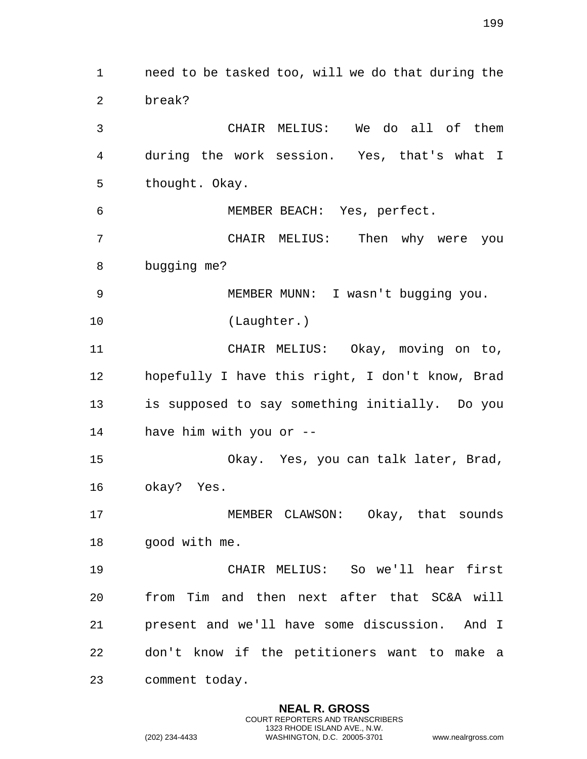need to be tasked too, will we do that during the break? CHAIR MELIUS: We do all of them during the work session. Yes, that's what I thought. Okay. MEMBER BEACH: Yes, perfect. CHAIR MELIUS: Then why were you bugging me? MEMBER MUNN: I wasn't bugging you. (Laughter.) CHAIR MELIUS: Okay, moving on to, hopefully I have this right, I don't know, Brad is supposed to say something initially. Do you have him with you or -- Okay. Yes, you can talk later, Brad, okay? Yes. MEMBER CLAWSON: Okay, that sounds good with me. CHAIR MELIUS: So we'll hear first from Tim and then next after that SC&A will present and we'll have some discussion. And I don't know if the petitioners want to make a comment today.

> **NEAL R. GROSS** COURT REPORTERS AND TRANSCRIBERS 1323 RHODE ISLAND AVE., N.W.

(202) 234-4433 WASHINGTON, D.C. 20005-3701 www.nealrgross.com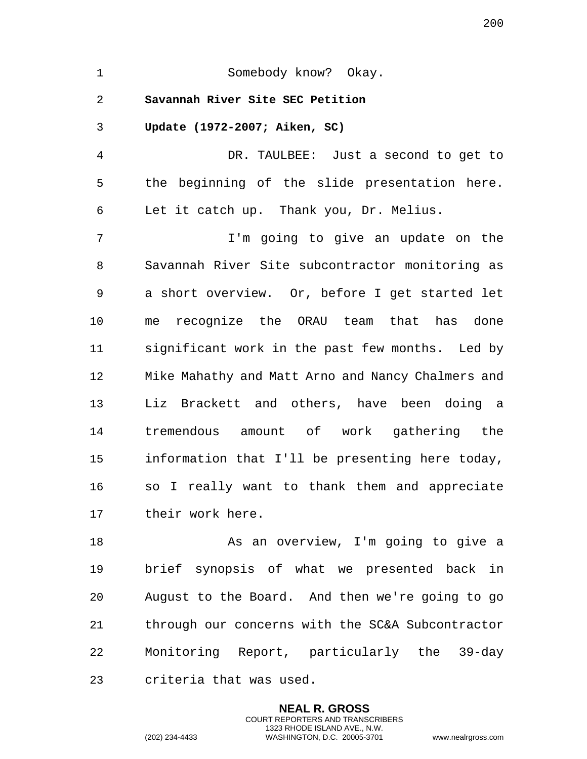| $\mathbf 1$ | Somebody know? Okay.                              |
|-------------|---------------------------------------------------|
| 2           | Savannah River Site SEC Petition                  |
| 3           | Update (1972-2007; Aiken, SC)                     |
| 4           | DR. TAULBEE: Just a second to get to              |
| 5           | the beginning of the slide presentation here.     |
| 6           | Let it catch up. Thank you, Dr. Melius.           |
| 7           | I'm going to give an update on the                |
| 8           | Savannah River Site subcontractor monitoring as   |
| 9           | a short overview. Or, before I get started let    |
| 10          | me recognize the ORAU team that has done          |
| 11          | significant work in the past few months. Led by   |
| 12          | Mike Mahathy and Matt Arno and Nancy Chalmers and |
| 13          | Liz Brackett and others, have been doing a        |
| 14          | tremendous amount of work gathering the           |
| 15          | information that I'll be presenting here today,   |
| 16          | so I really want to thank them and appreciate     |
| 17          | their work here.                                  |
| 18          | As an overview, I'm going to give a               |
| 19          | brief synopsis of what we presented back in       |
| 20          | August to the Board. And then we're going to go   |
| 21          | through our concerns with the SC&A Subcontractor  |

22 Monitoring Report, particularly the 39-day 23 criteria that was used.

> **NEAL R. GROSS** COURT REPORTERS AND TRANSCRIBERS 1323 RHODE ISLAND AVE., N.W.

(202) 234-4433 WASHINGTON, D.C. 20005-3701 www.nealrgross.com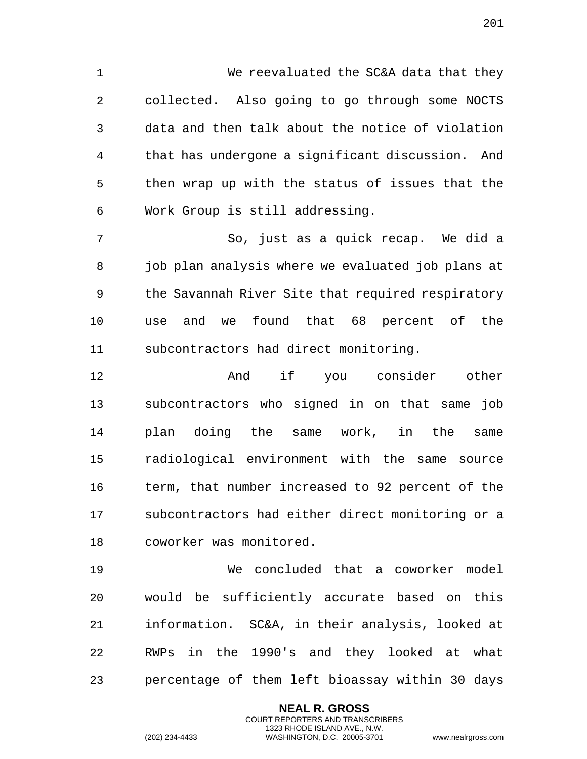We reevaluated the SC&A data that they collected. Also going to go through some NOCTS data and then talk about the notice of violation that has undergone a significant discussion. And then wrap up with the status of issues that the Work Group is still addressing.

 So, just as a quick recap. We did a 8 job plan analysis where we evaluated job plans at the Savannah River Site that required respiratory use and we found that 68 percent of the subcontractors had direct monitoring.

 And if you consider other subcontractors who signed in on that same job plan doing the same work, in the same radiological environment with the same source term, that number increased to 92 percent of the subcontractors had either direct monitoring or a coworker was monitored.

 We concluded that a coworker model would be sufficiently accurate based on this information. SC&A, in their analysis, looked at RWPs in the 1990's and they looked at what percentage of them left bioassay within 30 days

> **NEAL R. GROSS** COURT REPORTERS AND TRANSCRIBERS 1323 RHODE ISLAND AVE., N.W.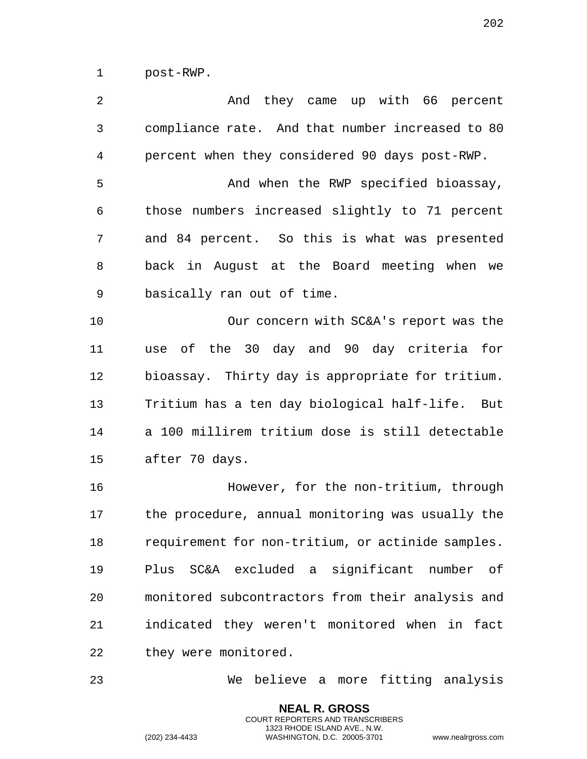post-RWP.

 And they came up with 66 percent compliance rate. And that number increased to 80 percent when they considered 90 days post-RWP. And when the RWP specified bioassay, those numbers increased slightly to 71 percent and 84 percent. So this is what was presented back in August at the Board meeting when we basically ran out of time. Our concern with SC&A's report was the use of the 30 day and 90 day criteria for bioassay. Thirty day is appropriate for tritium. Tritium has a ten day biological half-life. But a 100 millirem tritium dose is still detectable after 70 days. However, for the non-tritium, through the procedure, annual monitoring was usually the requirement for non-tritium, or actinide samples. Plus SC&A excluded a significant number of monitored subcontractors from their analysis and indicated they weren't monitored when in fact they were monitored.

We believe a more fitting analysis

**NEAL R. GROSS** COURT REPORTERS AND TRANSCRIBERS 1323 RHODE ISLAND AVE., N.W.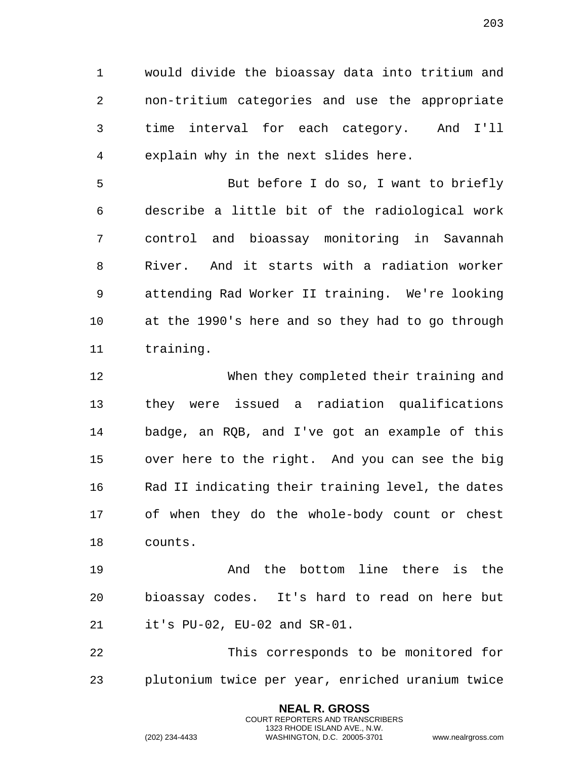would divide the bioassay data into tritium and non-tritium categories and use the appropriate time interval for each category. And I'll explain why in the next slides here.

 But before I do so, I want to briefly describe a little bit of the radiological work control and bioassay monitoring in Savannah River. And it starts with a radiation worker attending Rad Worker II training. We're looking at the 1990's here and so they had to go through training.

 When they completed their training and they were issued a radiation qualifications badge, an RQB, and I've got an example of this over here to the right. And you can see the big Rad II indicating their training level, the dates of when they do the whole-body count or chest counts.

 And the bottom line there is the bioassay codes. It's hard to read on here but it's PU-02, EU-02 and SR-01.

 This corresponds to be monitored for plutonium twice per year, enriched uranium twice

> **NEAL R. GROSS** COURT REPORTERS AND TRANSCRIBERS 1323 RHODE ISLAND AVE., N.W.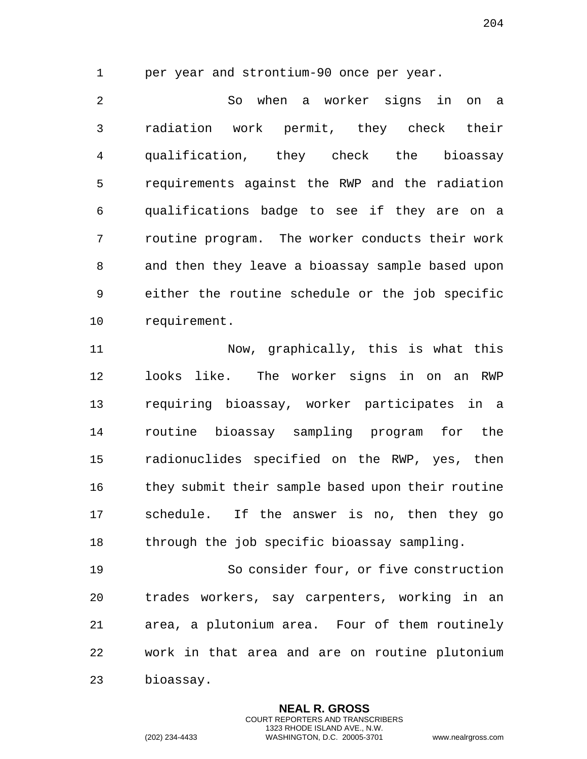per year and strontium-90 once per year.

 So when a worker signs in on a radiation work permit, they check their qualification, they check the bioassay requirements against the RWP and the radiation qualifications badge to see if they are on a routine program. The worker conducts their work and then they leave a bioassay sample based upon either the routine schedule or the job specific requirement.

 Now, graphically, this is what this looks like. The worker signs in on an RWP requiring bioassay, worker participates in a routine bioassay sampling program for the radionuclides specified on the RWP, yes, then they submit their sample based upon their routine schedule. If the answer is no, then they go through the job specific bioassay sampling.

 So consider four, or five construction trades workers, say carpenters, working in an area, a plutonium area. Four of them routinely work in that area and are on routine plutonium bioassay.

> **NEAL R. GROSS** COURT REPORTERS AND TRANSCRIBERS 1323 RHODE ISLAND AVE., N.W.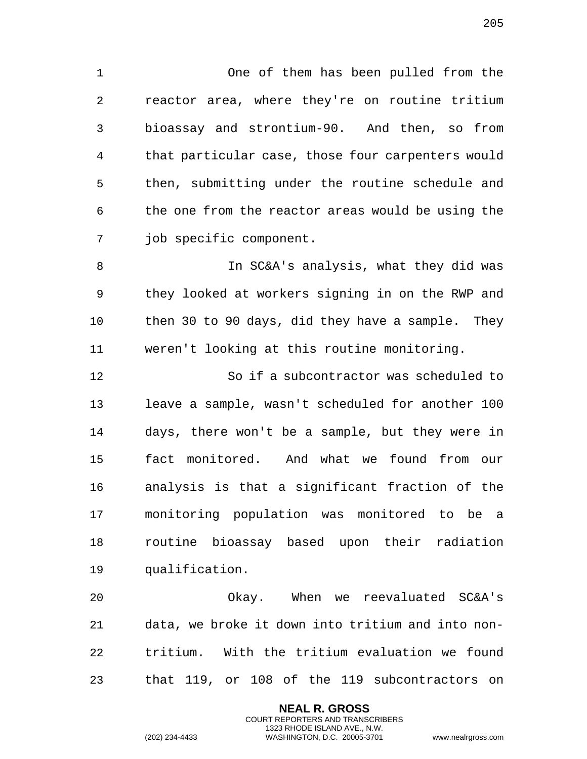One of them has been pulled from the reactor area, where they're on routine tritium bioassay and strontium-90. And then, so from that particular case, those four carpenters would then, submitting under the routine schedule and the one from the reactor areas would be using the job specific component.

 In SC&A's analysis, what they did was they looked at workers signing in on the RWP and then 30 to 90 days, did they have a sample. They weren't looking at this routine monitoring.

 So if a subcontractor was scheduled to leave a sample, wasn't scheduled for another 100 days, there won't be a sample, but they were in fact monitored. And what we found from our analysis is that a significant fraction of the monitoring population was monitored to be a routine bioassay based upon their radiation qualification.

 Okay. When we reevaluated SC&A's data, we broke it down into tritium and into non- tritium. With the tritium evaluation we found that 119, or 108 of the 119 subcontractors on

> **NEAL R. GROSS** COURT REPORTERS AND TRANSCRIBERS 1323 RHODE ISLAND AVE., N.W.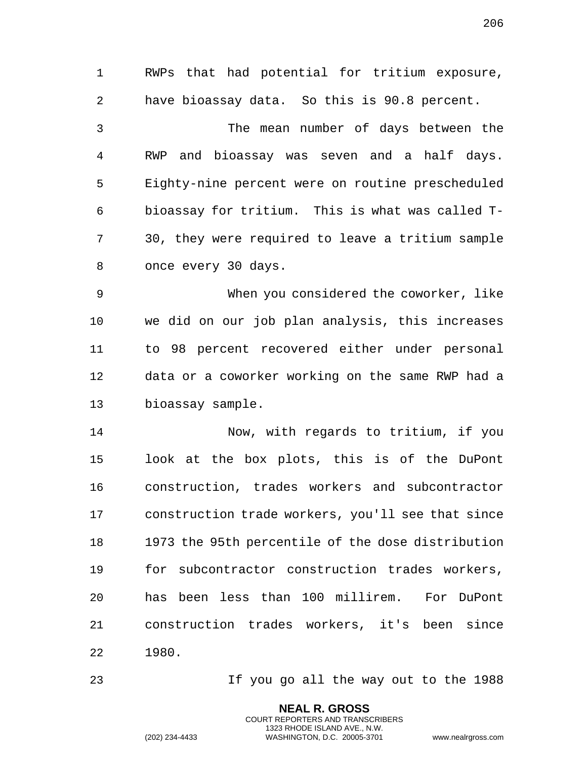RWPs that had potential for tritium exposure, have bioassay data. So this is 90.8 percent. The mean number of days between the RWP and bioassay was seven and a half days. Eighty-nine percent were on routine prescheduled bioassay for tritium. This is what was called T- 30, they were required to leave a tritium sample once every 30 days. When you considered the coworker, like we did on our job plan analysis, this increases to 98 percent recovered either under personal data or a coworker working on the same RWP had a bioassay sample. Now, with regards to tritium, if you look at the box plots, this is of the DuPont construction, trades workers and subcontractor construction trade workers, you'll see that since 1973 the 95th percentile of the dose distribution for subcontractor construction trades workers, has been less than 100 millirem. For DuPont construction trades workers, it's been since

1980.

If you go all the way out to the 1988

**NEAL R. GROSS** COURT REPORTERS AND TRANSCRIBERS 1323 RHODE ISLAND AVE., N.W.

(202) 234-4433 WASHINGTON, D.C. 20005-3701 www.nealrgross.com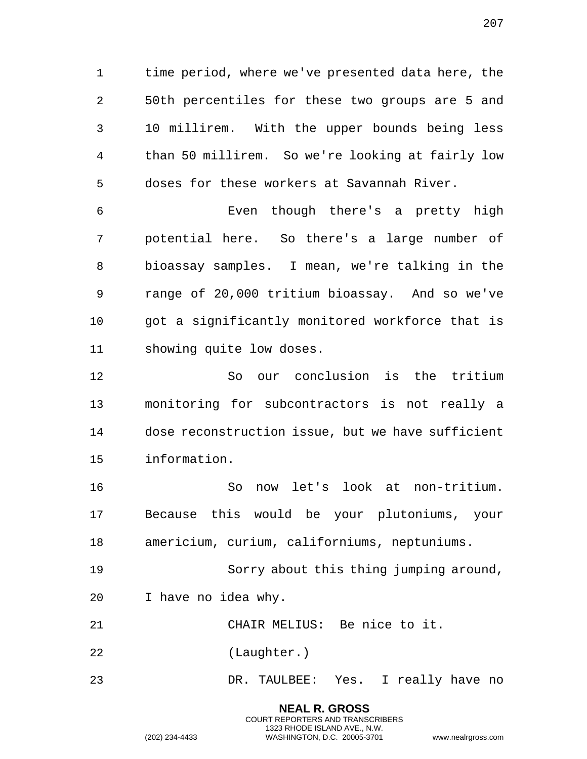time period, where we've presented data here, the 50th percentiles for these two groups are 5 and 10 millirem. With the upper bounds being less than 50 millirem. So we're looking at fairly low doses for these workers at Savannah River.

 Even though there's a pretty high potential here. So there's a large number of bioassay samples. I mean, we're talking in the range of 20,000 tritium bioassay. And so we've got a significantly monitored workforce that is showing quite low doses.

 So our conclusion is the tritium monitoring for subcontractors is not really a dose reconstruction issue, but we have sufficient information.

 So now let's look at non-tritium. Because this would be your plutoniums, your americium, curium, californiums, neptuniums.

 Sorry about this thing jumping around, I have no idea why.

CHAIR MELIUS: Be nice to it.

(Laughter.)

DR. TAULBEE: Yes. I really have no

**NEAL R. GROSS** COURT REPORTERS AND TRANSCRIBERS 1323 RHODE ISLAND AVE., N.W.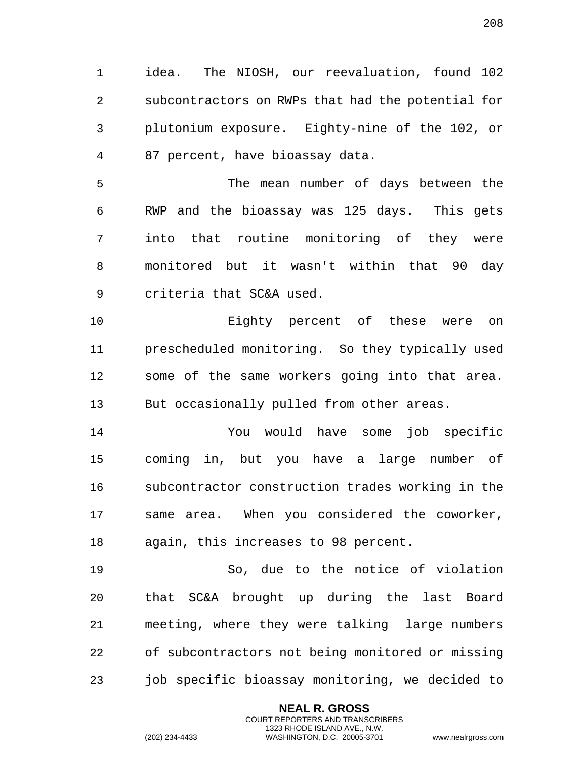idea. The NIOSH, our reevaluation, found 102 subcontractors on RWPs that had the potential for plutonium exposure. Eighty-nine of the 102, or 87 percent, have bioassay data.

 The mean number of days between the RWP and the bioassay was 125 days. This gets into that routine monitoring of they were monitored but it wasn't within that 90 day criteria that SC&A used.

 Eighty percent of these were on prescheduled monitoring. So they typically used some of the same workers going into that area. But occasionally pulled from other areas.

 You would have some job specific coming in, but you have a large number of subcontractor construction trades working in the same area. When you considered the coworker, again, this increases to 98 percent.

 So, due to the notice of violation that SC&A brought up during the last Board meeting, where they were talking large numbers of subcontractors not being monitored or missing job specific bioassay monitoring, we decided to

> **NEAL R. GROSS** COURT REPORTERS AND TRANSCRIBERS 1323 RHODE ISLAND AVE., N.W.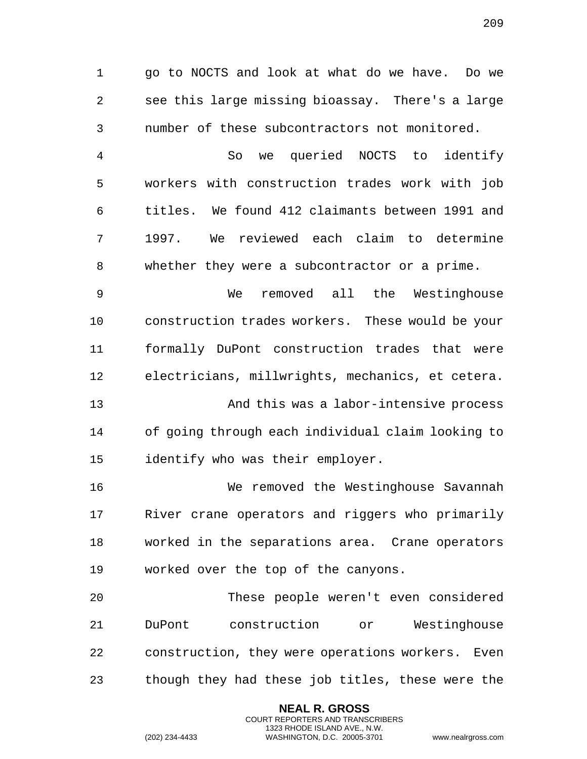go to NOCTS and look at what do we have. Do we see this large missing bioassay. There's a large number of these subcontractors not monitored. So we queried NOCTS to identify workers with construction trades work with job titles. We found 412 claimants between 1991 and 1997. We reviewed each claim to determine whether they were a subcontractor or a prime. We removed all the Westinghouse construction trades workers. These would be your formally DuPont construction trades that were electricians, millwrights, mechanics, et cetera. And this was a labor-intensive process of going through each individual claim looking to identify who was their employer. We removed the Westinghouse Savannah River crane operators and riggers who primarily worked in the separations area. Crane operators worked over the top of the canyons. These people weren't even considered DuPont construction or Westinghouse construction, they were operations workers. Even though they had these job titles, these were the

> **NEAL R. GROSS** COURT REPORTERS AND TRANSCRIBERS 1323 RHODE ISLAND AVE., N.W.

(202) 234-4433 WASHINGTON, D.C. 20005-3701 www.nealrgross.com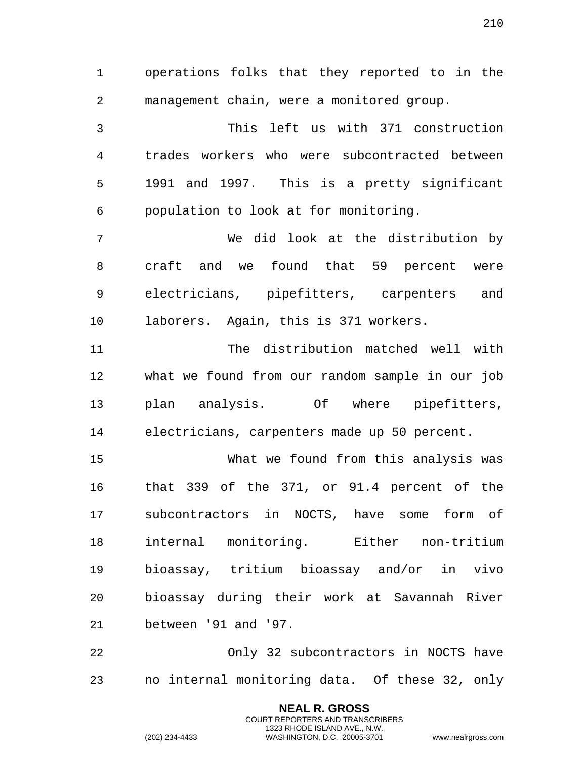operations folks that they reported to in the management chain, were a monitored group. This left us with 371 construction trades workers who were subcontracted between 1991 and 1997. This is a pretty significant population to look at for monitoring. We did look at the distribution by craft and we found that 59 percent were electricians, pipefitters, carpenters and laborers. Again, this is 371 workers. The distribution matched well with what we found from our random sample in our job plan analysis. Of where pipefitters, electricians, carpenters made up 50 percent. What we found from this analysis was that 339 of the 371, or 91.4 percent of the subcontractors in NOCTS, have some form of internal monitoring. Either non-tritium bioassay, tritium bioassay and/or in vivo bioassay during their work at Savannah River between '91 and '97. Only 32 subcontractors in NOCTS have no internal monitoring data. Of these 32, only

> **NEAL R. GROSS** COURT REPORTERS AND TRANSCRIBERS 1323 RHODE ISLAND AVE., N.W.

(202) 234-4433 WASHINGTON, D.C. 20005-3701 www.nealrgross.com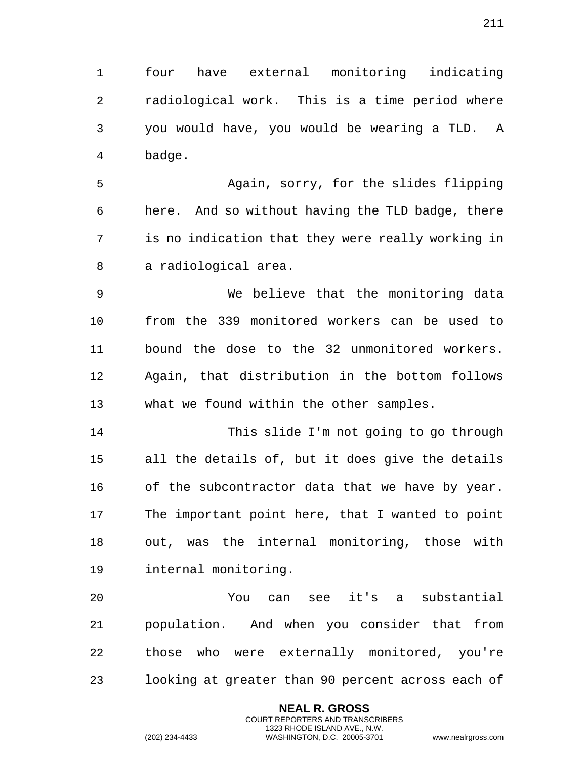four have external monitoring indicating radiological work. This is a time period where you would have, you would be wearing a TLD. A badge.

 Again, sorry, for the slides flipping here. And so without having the TLD badge, there is no indication that they were really working in a radiological area.

 We believe that the monitoring data from the 339 monitored workers can be used to bound the dose to the 32 unmonitored workers. Again, that distribution in the bottom follows what we found within the other samples.

 This slide I'm not going to go through all the details of, but it does give the details of the subcontractor data that we have by year. The important point here, that I wanted to point out, was the internal monitoring, those with internal monitoring.

 You can see it's a substantial population. And when you consider that from those who were externally monitored, you're looking at greater than 90 percent across each of

> **NEAL R. GROSS** COURT REPORTERS AND TRANSCRIBERS 1323 RHODE ISLAND AVE., N.W.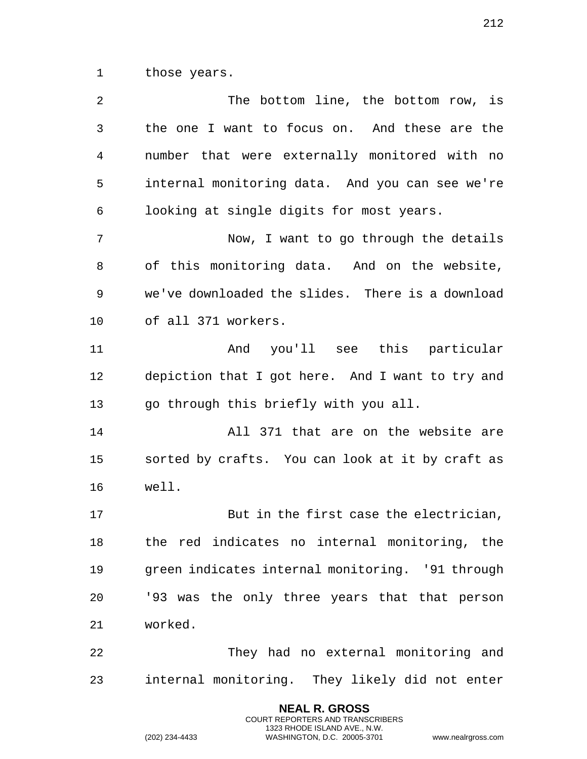those years.

 The bottom line, the bottom row, is the one I want to focus on. And these are the number that were externally monitored with no internal monitoring data. And you can see we're looking at single digits for most years. Now, I want to go through the details of this monitoring data. And on the website, we've downloaded the slides. There is a download of all 371 workers. And you'll see this particular depiction that I got here. And I want to try and go through this briefly with you all. All 371 that are on the website are sorted by crafts. You can look at it by craft as well. But in the first case the electrician, the red indicates no internal monitoring, the green indicates internal monitoring. '91 through '93 was the only three years that that person worked. They had no external monitoring and internal monitoring. They likely did not enter

> **NEAL R. GROSS** COURT REPORTERS AND TRANSCRIBERS 1323 RHODE ISLAND AVE., N.W.

(202) 234-4433 WASHINGTON, D.C. 20005-3701 www.nealrgross.com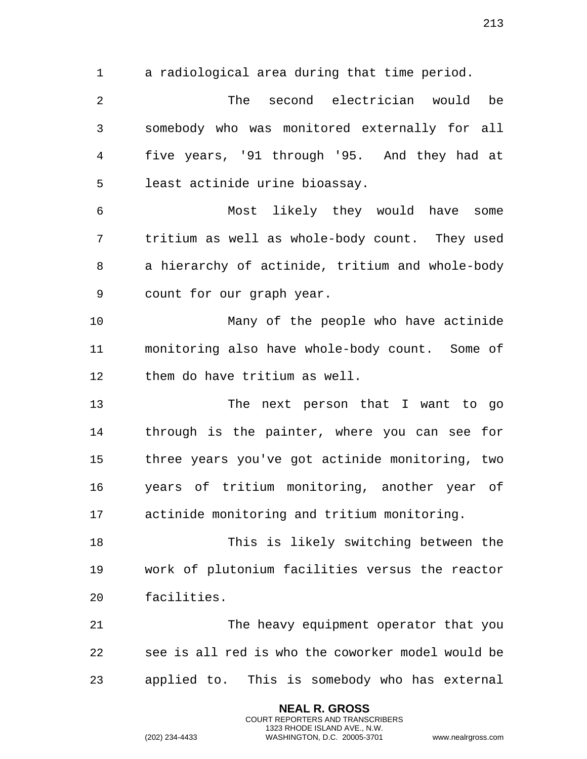a radiological area during that time period. The second electrician would be somebody who was monitored externally for all five years, '91 through '95. And they had at

least actinide urine bioassay.

 Most likely they would have some tritium as well as whole-body count. They used a hierarchy of actinide, tritium and whole-body count for our graph year.

 Many of the people who have actinide monitoring also have whole-body count. Some of them do have tritium as well.

 The next person that I want to go through is the painter, where you can see for three years you've got actinide monitoring, two years of tritium monitoring, another year of actinide monitoring and tritium monitoring.

 This is likely switching between the work of plutonium facilities versus the reactor facilities.

 The heavy equipment operator that you see is all red is who the coworker model would be applied to. This is somebody who has external

> **NEAL R. GROSS** COURT REPORTERS AND TRANSCRIBERS 1323 RHODE ISLAND AVE., N.W.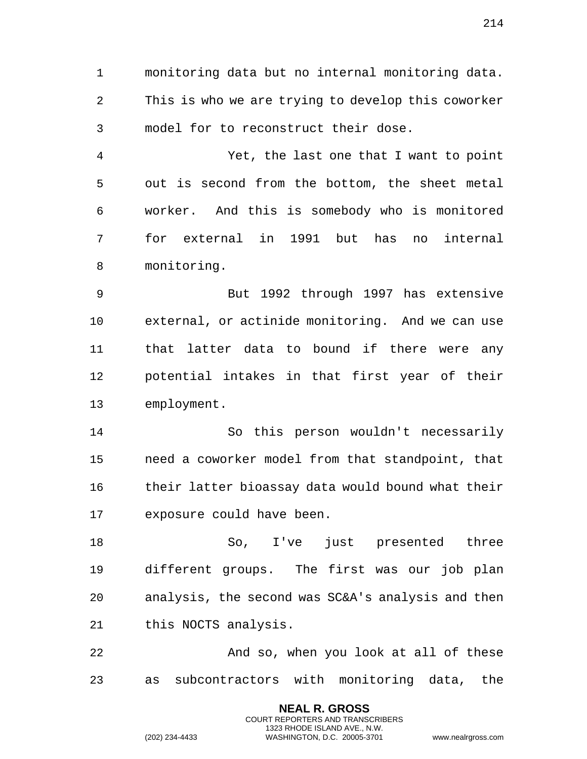monitoring data but no internal monitoring data. This is who we are trying to develop this coworker

model for to reconstruct their dose.

 Yet, the last one that I want to point out is second from the bottom, the sheet metal worker. And this is somebody who is monitored for external in 1991 but has no internal monitoring.

 But 1992 through 1997 has extensive external, or actinide monitoring. And we can use that latter data to bound if there were any potential intakes in that first year of their employment.

 So this person wouldn't necessarily need a coworker model from that standpoint, that their latter bioassay data would bound what their exposure could have been.

 So, I've just presented three different groups. The first was our job plan analysis, the second was SC&A's analysis and then this NOCTS analysis.

 And so, when you look at all of these as subcontractors with monitoring data, the

> **NEAL R. GROSS** COURT REPORTERS AND TRANSCRIBERS 1323 RHODE ISLAND AVE., N.W.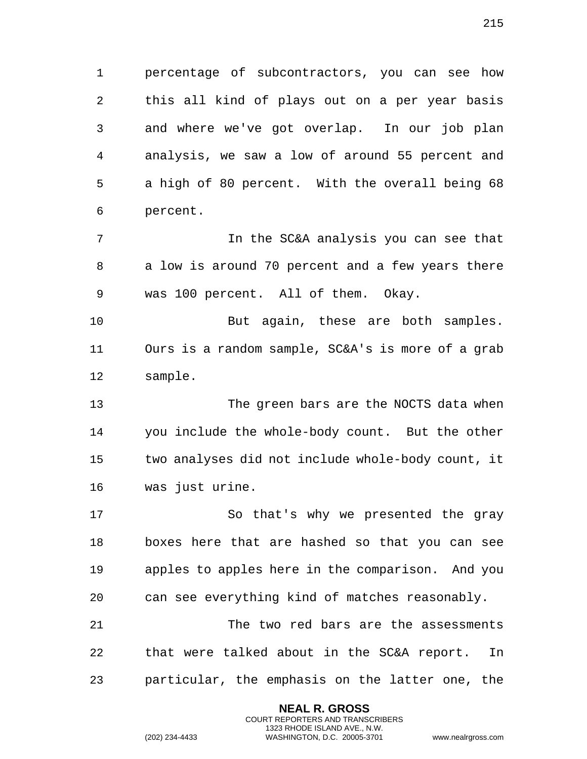percentage of subcontractors, you can see how this all kind of plays out on a per year basis and where we've got overlap. In our job plan analysis, we saw a low of around 55 percent and a high of 80 percent. With the overall being 68 percent.

 In the SC&A analysis you can see that a low is around 70 percent and a few years there was 100 percent. All of them. Okay.

 But again, these are both samples. Ours is a random sample, SC&A's is more of a grab sample.

 The green bars are the NOCTS data when you include the whole-body count. But the other two analyses did not include whole-body count, it was just urine.

 So that's why we presented the gray boxes here that are hashed so that you can see apples to apples here in the comparison. And you can see everything kind of matches reasonably.

 The two red bars are the assessments that were talked about in the SC&A report. In particular, the emphasis on the latter one, the

> **NEAL R. GROSS** COURT REPORTERS AND TRANSCRIBERS 1323 RHODE ISLAND AVE., N.W.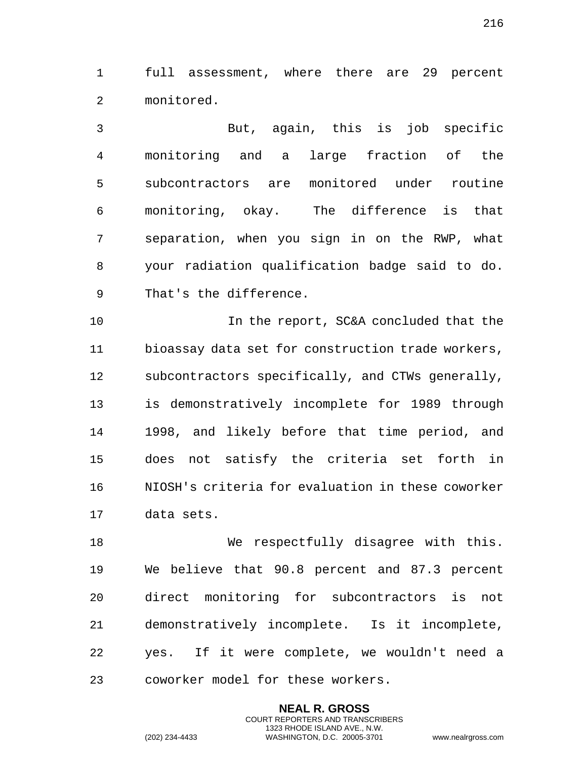full assessment, where there are 29 percent monitored.

 But, again, this is job specific monitoring and a large fraction of the subcontractors are monitored under routine monitoring, okay. The difference is that separation, when you sign in on the RWP, what your radiation qualification badge said to do. That's the difference.

 In the report, SC&A concluded that the bioassay data set for construction trade workers, subcontractors specifically, and CTWs generally, is demonstratively incomplete for 1989 through 1998, and likely before that time period, and does not satisfy the criteria set forth in NIOSH's criteria for evaluation in these coworker data sets.

18 We respectfully disagree with this. We believe that 90.8 percent and 87.3 percent direct monitoring for subcontractors is not demonstratively incomplete. Is it incomplete, yes. If it were complete, we wouldn't need a coworker model for these workers.

> **NEAL R. GROSS** COURT REPORTERS AND TRANSCRIBERS 1323 RHODE ISLAND AVE., N.W.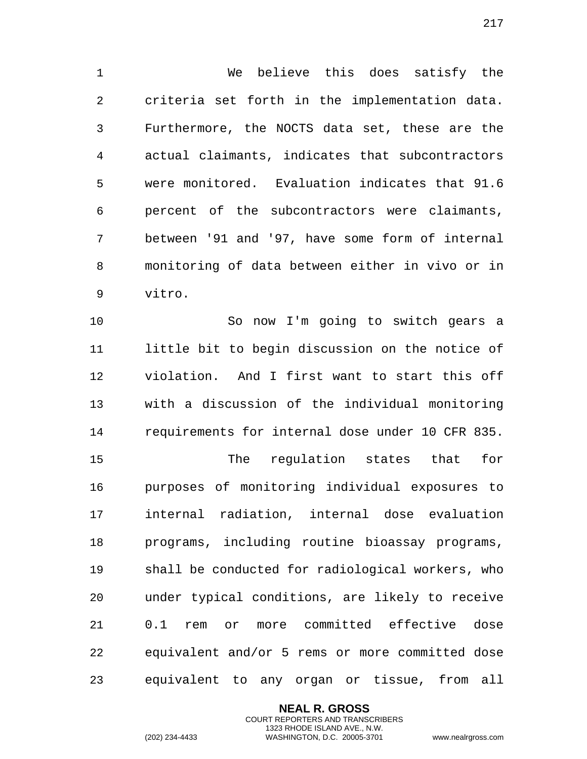We believe this does satisfy the criteria set forth in the implementation data. Furthermore, the NOCTS data set, these are the actual claimants, indicates that subcontractors were monitored. Evaluation indicates that 91.6 percent of the subcontractors were claimants, between '91 and '97, have some form of internal monitoring of data between either in vivo or in vitro.

 So now I'm going to switch gears a little bit to begin discussion on the notice of violation. And I first want to start this off with a discussion of the individual monitoring requirements for internal dose under 10 CFR 835. The regulation states that for purposes of monitoring individual exposures to internal radiation, internal dose evaluation programs, including routine bioassay programs, shall be conducted for radiological workers, who under typical conditions, are likely to receive 0.1 rem or more committed effective dose equivalent and/or 5 rems or more committed dose equivalent to any organ or tissue, from all

> **NEAL R. GROSS** COURT REPORTERS AND TRANSCRIBERS 1323 RHODE ISLAND AVE., N.W. (202) 234-4433 WASHINGTON, D.C. 20005-3701 www.nealrgross.com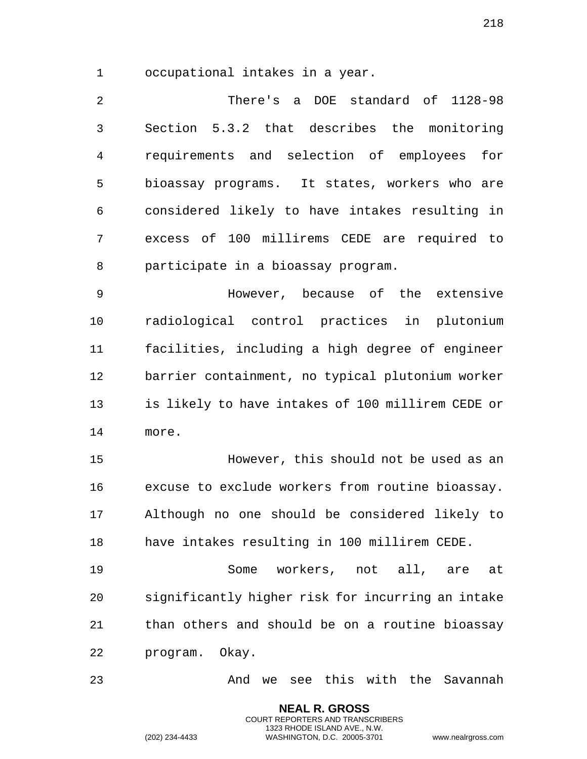occupational intakes in a year.

 There's a DOE standard of 1128-98 Section 5.3.2 that describes the monitoring requirements and selection of employees for bioassay programs. It states, workers who are considered likely to have intakes resulting in excess of 100 millirems CEDE are required to participate in a bioassay program.

 However, because of the extensive radiological control practices in plutonium facilities, including a high degree of engineer barrier containment, no typical plutonium worker is likely to have intakes of 100 millirem CEDE or more.

 However, this should not be used as an excuse to exclude workers from routine bioassay. Although no one should be considered likely to have intakes resulting in 100 millirem CEDE.

 Some workers, not all, are at significantly higher risk for incurring an intake than others and should be on a routine bioassay program. Okay.

And we see this with the Savannah

**NEAL R. GROSS** COURT REPORTERS AND TRANSCRIBERS 1323 RHODE ISLAND AVE., N.W.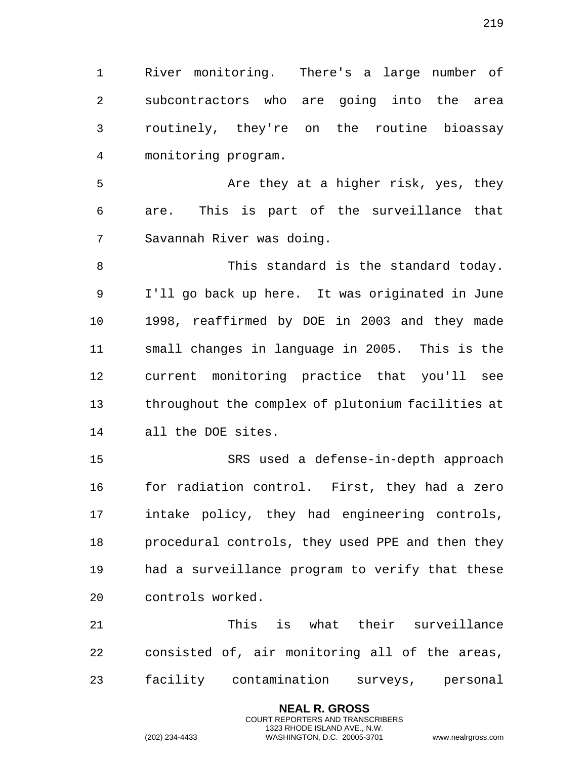River monitoring. There's a large number of subcontractors who are going into the area routinely, they're on the routine bioassay monitoring program.

5 Are they at a higher risk, yes, they are. This is part of the surveillance that Savannah River was doing.

 This standard is the standard today. I'll go back up here. It was originated in June 1998, reaffirmed by DOE in 2003 and they made small changes in language in 2005. This is the current monitoring practice that you'll see throughout the complex of plutonium facilities at all the DOE sites.

 SRS used a defense-in-depth approach for radiation control. First, they had a zero intake policy, they had engineering controls, procedural controls, they used PPE and then they had a surveillance program to verify that these controls worked.

 This is what their surveillance consisted of, air monitoring all of the areas, facility contamination surveys, personal

> **NEAL R. GROSS** COURT REPORTERS AND TRANSCRIBERS 1323 RHODE ISLAND AVE., N.W.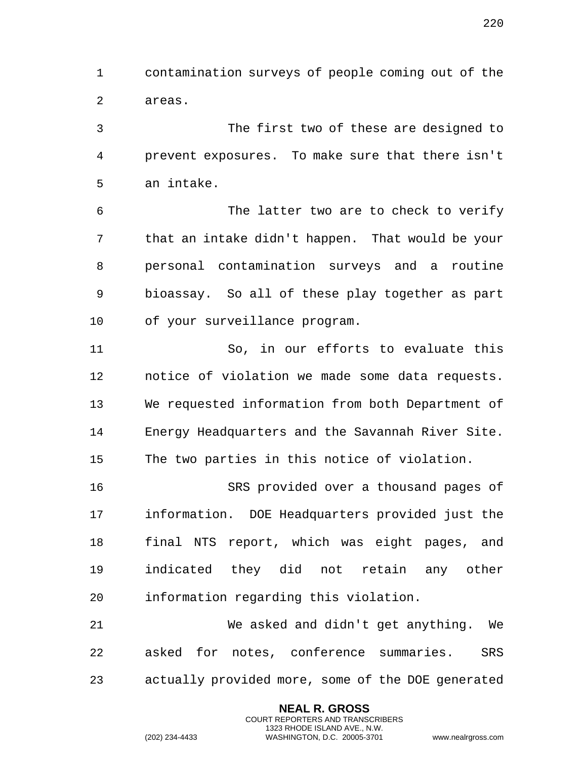contamination surveys of people coming out of the areas.

 The first two of these are designed to prevent exposures. To make sure that there isn't an intake.

 The latter two are to check to verify that an intake didn't happen. That would be your personal contamination surveys and a routine bioassay. So all of these play together as part of your surveillance program.

 So, in our efforts to evaluate this notice of violation we made some data requests. We requested information from both Department of Energy Headquarters and the Savannah River Site. The two parties in this notice of violation.

 SRS provided over a thousand pages of information. DOE Headquarters provided just the final NTS report, which was eight pages, and indicated they did not retain any other information regarding this violation.

 We asked and didn't get anything. We asked for notes, conference summaries. SRS actually provided more, some of the DOE generated

> **NEAL R. GROSS** COURT REPORTERS AND TRANSCRIBERS 1323 RHODE ISLAND AVE., N.W.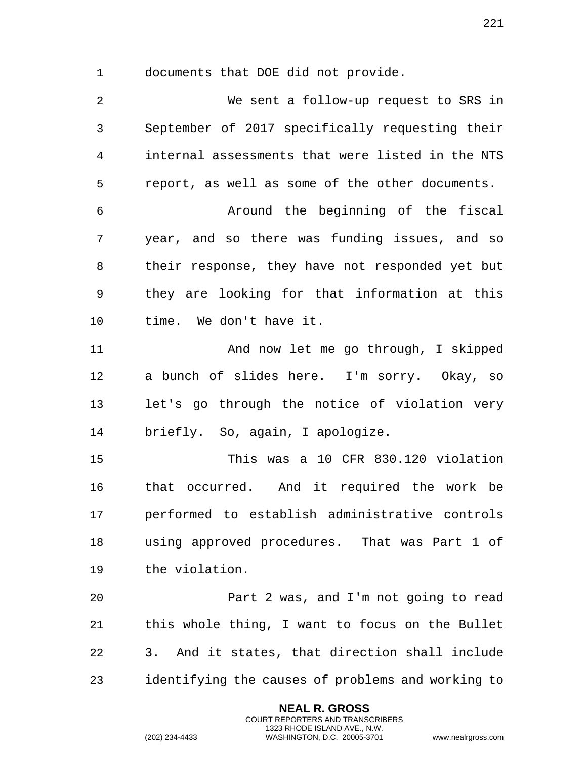documents that DOE did not provide.

 We sent a follow-up request to SRS in September of 2017 specifically requesting their internal assessments that were listed in the NTS report, as well as some of the other documents. Around the beginning of the fiscal year, and so there was funding issues, and so their response, they have not responded yet but they are looking for that information at this time. We don't have it. And now let me go through, I skipped a bunch of slides here. I'm sorry. Okay, so let's go through the notice of violation very briefly. So, again, I apologize. This was a 10 CFR 830.120 violation

 that occurred. And it required the work be performed to establish administrative controls using approved procedures. That was Part 1 of the violation.

 Part 2 was, and I'm not going to read this whole thing, I want to focus on the Bullet 3. And it states, that direction shall include identifying the causes of problems and working to

> **NEAL R. GROSS** COURT REPORTERS AND TRANSCRIBERS 1323 RHODE ISLAND AVE., N.W.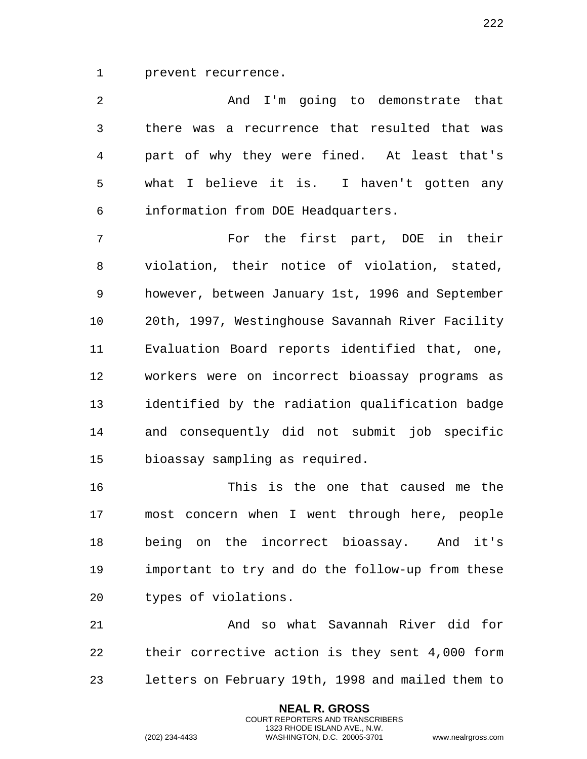prevent recurrence.

| 2           | And I'm going to demonstrate that                |
|-------------|--------------------------------------------------|
| 3           | there was a recurrence that resulted that was    |
| 4           | part of why they were fined. At least that's     |
| 5           | what I believe it is. I haven't gotten any       |
| 6           | information from DOE Headquarters.               |
| 7           | For the first part, DOE in their                 |
| 8           | violation, their notice of violation, stated,    |
| $\mathsf 9$ | however, between January 1st, 1996 and September |
| 10          | 20th, 1997, Westinghouse Savannah River Facility |
| 11          | Evaluation Board reports identified that, one,   |
| 12          | workers were on incorrect bioassay programs as   |
| 13          | identified by the radiation qualification badge  |
| 14          | and consequently did not submit job specific     |
| 15          | bioassay sampling as required.                   |
|             |                                                  |

 This is the one that caused me the most concern when I went through here, people being on the incorrect bioassay. And it's important to try and do the follow-up from these types of violations.

 And so what Savannah River did for their corrective action is they sent 4,000 form letters on February 19th, 1998 and mailed them to

> **NEAL R. GROSS** COURT REPORTERS AND TRANSCRIBERS 1323 RHODE ISLAND AVE., N.W.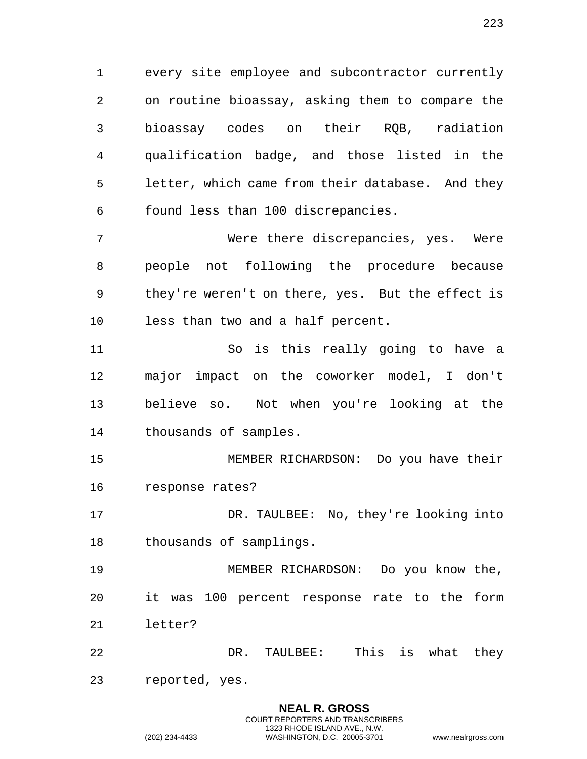every site employee and subcontractor currently on routine bioassay, asking them to compare the bioassay codes on their RQB, radiation qualification badge, and those listed in the letter, which came from their database. And they found less than 100 discrepancies.

 Were there discrepancies, yes. Were people not following the procedure because they're weren't on there, yes. But the effect is less than two and a half percent.

 So is this really going to have a major impact on the coworker model, I don't believe so. Not when you're looking at the thousands of samples.

 MEMBER RICHARDSON: Do you have their response rates?

17 DR. TAULBEE: No, they're looking into thousands of samplings.

 MEMBER RICHARDSON: Do you know the, it was 100 percent response rate to the form letter?

 DR. TAULBEE: This is what they reported, yes.

> **NEAL R. GROSS** COURT REPORTERS AND TRANSCRIBERS 1323 RHODE ISLAND AVE., N.W.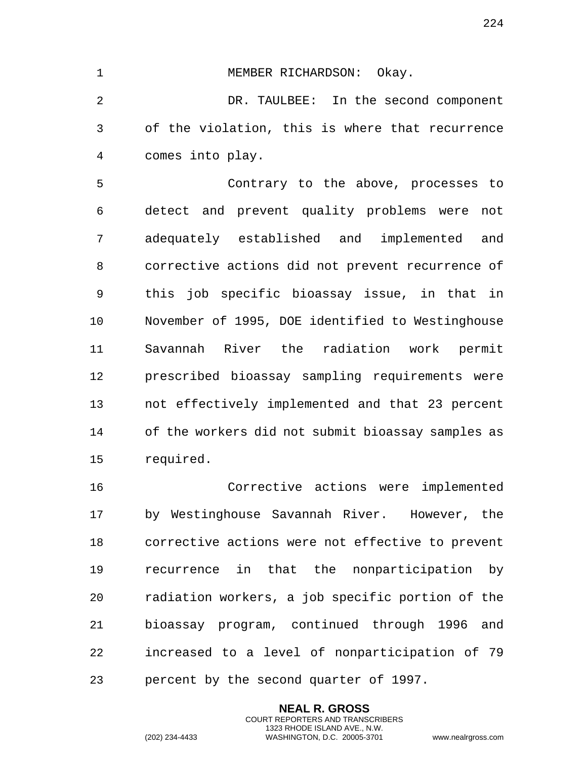1 MEMBER RICHARDSON: Okay.

 DR. TAULBEE: In the second component of the violation, this is where that recurrence comes into play.

 Contrary to the above, processes to detect and prevent quality problems were not adequately established and implemented and corrective actions did not prevent recurrence of this job specific bioassay issue, in that in November of 1995, DOE identified to Westinghouse Savannah River the radiation work permit prescribed bioassay sampling requirements were not effectively implemented and that 23 percent of the workers did not submit bioassay samples as required.

 Corrective actions were implemented by Westinghouse Savannah River. However, the corrective actions were not effective to prevent recurrence in that the nonparticipation by radiation workers, a job specific portion of the bioassay program, continued through 1996 and increased to a level of nonparticipation of 79 percent by the second quarter of 1997.

> **NEAL R. GROSS** COURT REPORTERS AND TRANSCRIBERS 1323 RHODE ISLAND AVE., N.W.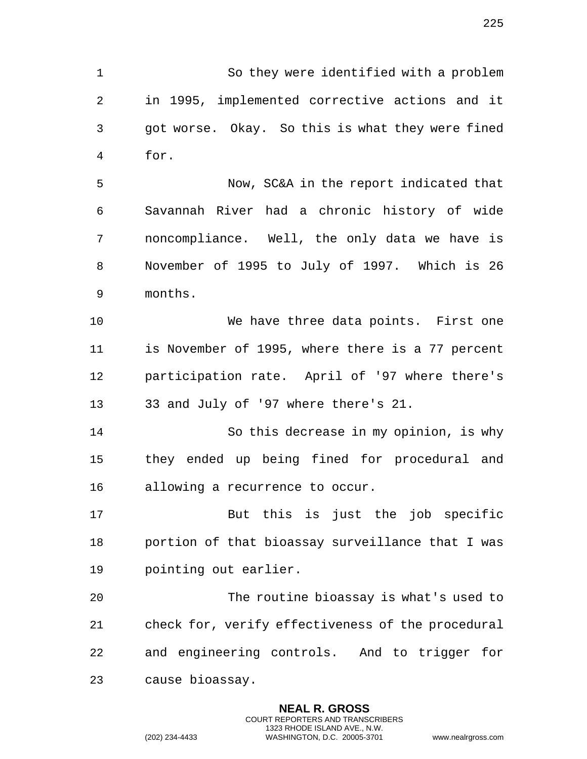So they were identified with a problem in 1995, implemented corrective actions and it got worse. Okay. So this is what they were fined for.

 Now, SC&A in the report indicated that Savannah River had a chronic history of wide noncompliance. Well, the only data we have is November of 1995 to July of 1997. Which is 26 months.

 We have three data points. First one is November of 1995, where there is a 77 percent participation rate. April of '97 where there's 33 and July of '97 where there's 21.

 So this decrease in my opinion, is why they ended up being fined for procedural and allowing a recurrence to occur.

 But this is just the job specific portion of that bioassay surveillance that I was pointing out earlier.

 The routine bioassay is what's used to check for, verify effectiveness of the procedural and engineering controls. And to trigger for cause bioassay.

> **NEAL R. GROSS** COURT REPORTERS AND TRANSCRIBERS 1323 RHODE ISLAND AVE., N.W.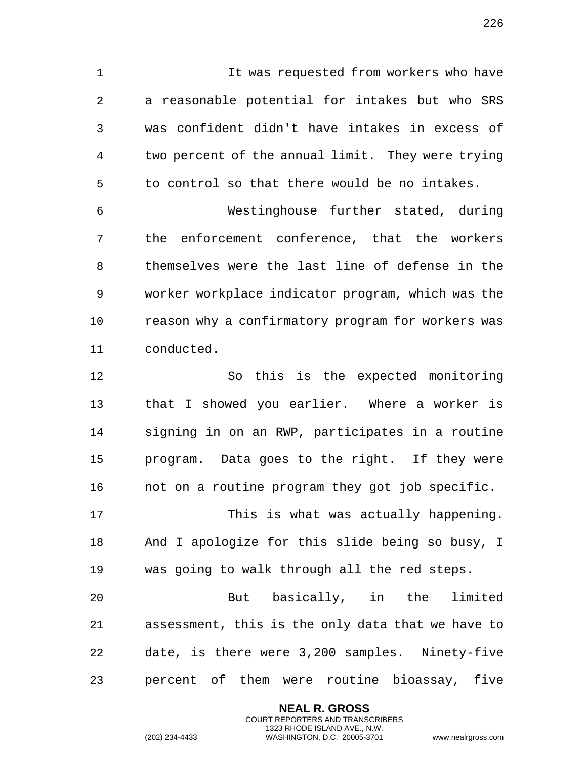It was requested from workers who have a reasonable potential for intakes but who SRS was confident didn't have intakes in excess of two percent of the annual limit. They were trying to control so that there would be no intakes.

 Westinghouse further stated, during the enforcement conference, that the workers themselves were the last line of defense in the worker workplace indicator program, which was the 10 reason why a confirmatory program for workers was conducted.

 So this is the expected monitoring that I showed you earlier. Where a worker is signing in on an RWP, participates in a routine program. Data goes to the right. If they were not on a routine program they got job specific.

 This is what was actually happening. And I apologize for this slide being so busy, I was going to walk through all the red steps.

 But basically, in the limited assessment, this is the only data that we have to date, is there were 3,200 samples. Ninety-five percent of them were routine bioassay, five

> **NEAL R. GROSS** COURT REPORTERS AND TRANSCRIBERS 1323 RHODE ISLAND AVE., N.W.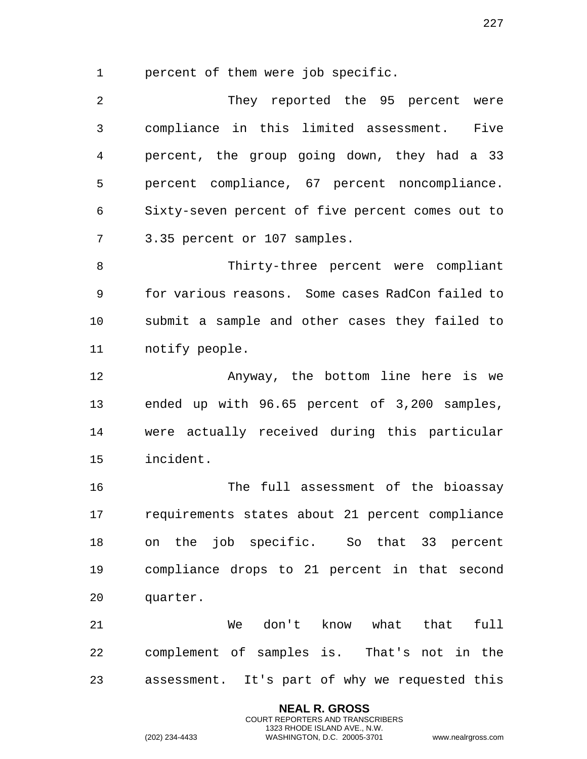percent of them were job specific.

 They reported the 95 percent were compliance in this limited assessment. Five percent, the group going down, they had a 33 percent compliance, 67 percent noncompliance. Sixty-seven percent of five percent comes out to 3.35 percent or 107 samples.

 Thirty-three percent were compliant for various reasons. Some cases RadCon failed to submit a sample and other cases they failed to notify people.

 Anyway, the bottom line here is we ended up with 96.65 percent of 3,200 samples, were actually received during this particular incident.

 The full assessment of the bioassay requirements states about 21 percent compliance on the job specific. So that 33 percent compliance drops to 21 percent in that second quarter.

 We don't know what that full complement of samples is. That's not in the assessment. It's part of why we requested this

> **NEAL R. GROSS** COURT REPORTERS AND TRANSCRIBERS 1323 RHODE ISLAND AVE., N.W.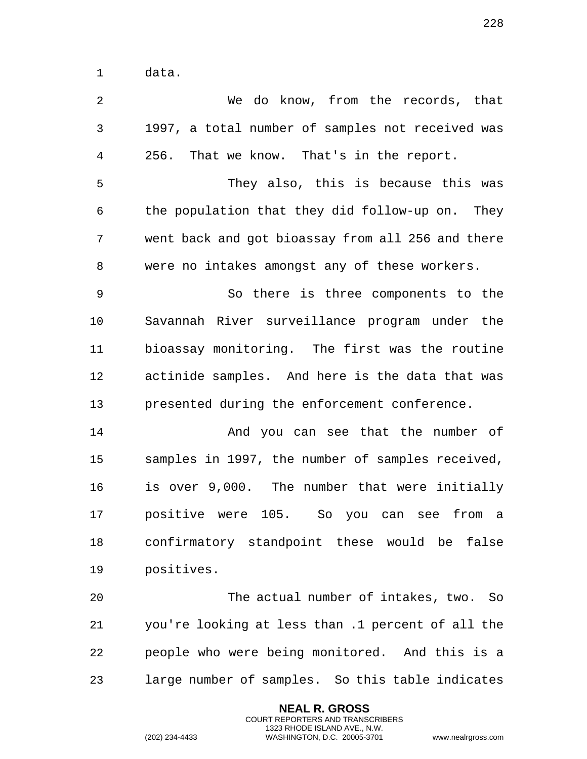data.

| 2  | We do know, from the records, that                |
|----|---------------------------------------------------|
| 3  | 1997, a total number of samples not received was  |
| 4  | That we know. That's in the report.<br>256.       |
| 5  | They also, this is because this was               |
| 6  | the population that they did follow-up on. They   |
| 7  | went back and got bioassay from all 256 and there |
| 8  | were no intakes amongst any of these workers.     |
| 9  | So there is three components to the               |
| 10 | Savannah River surveillance program under the     |
| 11 | bioassay monitoring. The first was the routine    |
| 12 | actinide samples. And here is the data that was   |
| 13 | presented during the enforcement conference.      |
| 14 | And you can see that the number of                |
| 15 | samples in 1997, the number of samples received,  |
| 16 | is over 9,000. The number that were initially     |
| 17 | positive were 105. So you can see from a          |
| 18 | confirmatory standpoint these would be false      |
| 19 | positives.                                        |
| 20 | The actual number of intakes, two.<br>So          |
| 21 | you're looking at less than .1 percent of all the |
| 22 | people who were being monitored. And this is a    |
| 23 | large number of samples. So this table indicates  |

**NEAL R. GROSS** COURT REPORTERS AND TRANSCRIBERS 1323 RHODE ISLAND AVE., N.W.

(202) 234-4433 WASHINGTON, D.C. 20005-3701 www.nealrgross.com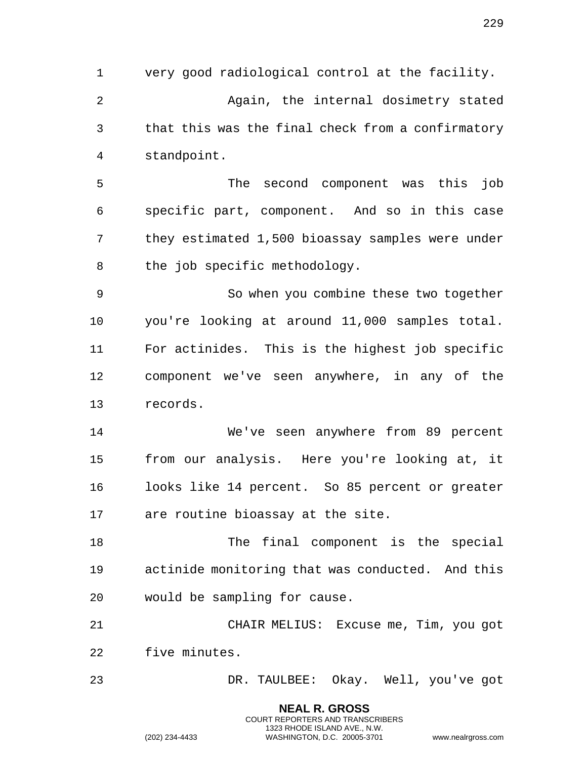very good radiological control at the facility. Again, the internal dosimetry stated that this was the final check from a confirmatory standpoint.

 The second component was this job specific part, component. And so in this case they estimated 1,500 bioassay samples were under the job specific methodology.

 So when you combine these two together you're looking at around 11,000 samples total. For actinides. This is the highest job specific component we've seen anywhere, in any of the records.

 We've seen anywhere from 89 percent from our analysis. Here you're looking at, it looks like 14 percent. So 85 percent or greater are routine bioassay at the site.

18 The final component is the special actinide monitoring that was conducted. And this would be sampling for cause.

 CHAIR MELIUS: Excuse me, Tim, you got five minutes.

DR. TAULBEE: Okay. Well, you've got

**NEAL R. GROSS** COURT REPORTERS AND TRANSCRIBERS 1323 RHODE ISLAND AVE., N.W.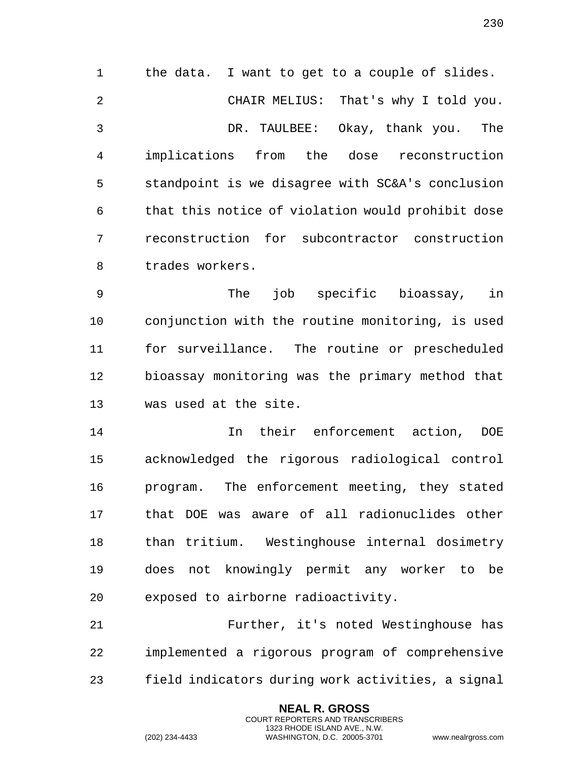the data. I want to get to a couple of slides. CHAIR MELIUS: That's why I told you. DR. TAULBEE: Okay, thank you. The implications from the dose reconstruction standpoint is we disagree with SC&A's conclusion that this notice of violation would prohibit dose reconstruction for subcontractor construction trades workers.

 The job specific bioassay, in conjunction with the routine monitoring, is used for surveillance. The routine or prescheduled bioassay monitoring was the primary method that was used at the site.

 In their enforcement action, DOE acknowledged the rigorous radiological control program. The enforcement meeting, they stated that DOE was aware of all radionuclides other than tritium. Westinghouse internal dosimetry does not knowingly permit any worker to be exposed to airborne radioactivity.

 Further, it's noted Westinghouse has implemented a rigorous program of comprehensive field indicators during work activities, a signal

> **NEAL R. GROSS** COURT REPORTERS AND TRANSCRIBERS 1323 RHODE ISLAND AVE., N.W.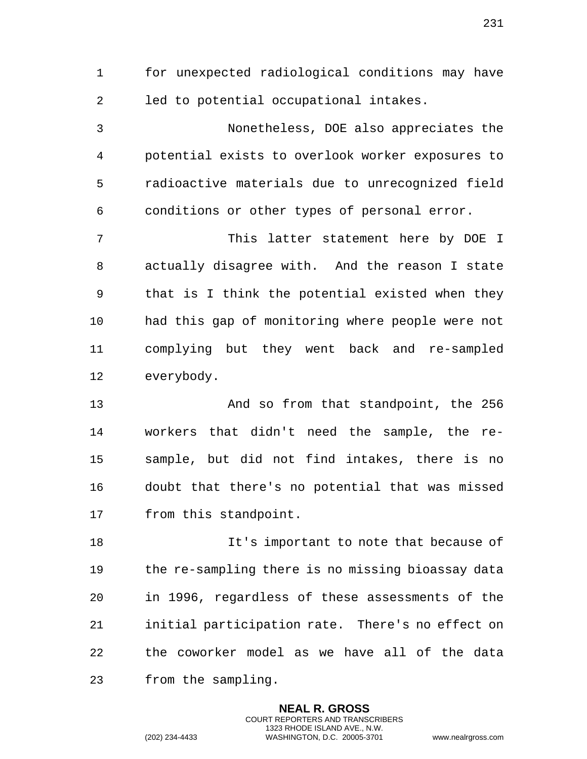for unexpected radiological conditions may have led to potential occupational intakes.

 Nonetheless, DOE also appreciates the potential exists to overlook worker exposures to radioactive materials due to unrecognized field conditions or other types of personal error.

 This latter statement here by DOE I actually disagree with. And the reason I state that is I think the potential existed when they had this gap of monitoring where people were not complying but they went back and re-sampled everybody.

 And so from that standpoint, the 256 workers that didn't need the sample, the re- sample, but did not find intakes, there is no doubt that there's no potential that was missed from this standpoint.

 It's important to note that because of the re-sampling there is no missing bioassay data in 1996, regardless of these assessments of the initial participation rate. There's no effect on the coworker model as we have all of the data from the sampling.

> **NEAL R. GROSS** COURT REPORTERS AND TRANSCRIBERS 1323 RHODE ISLAND AVE., N.W.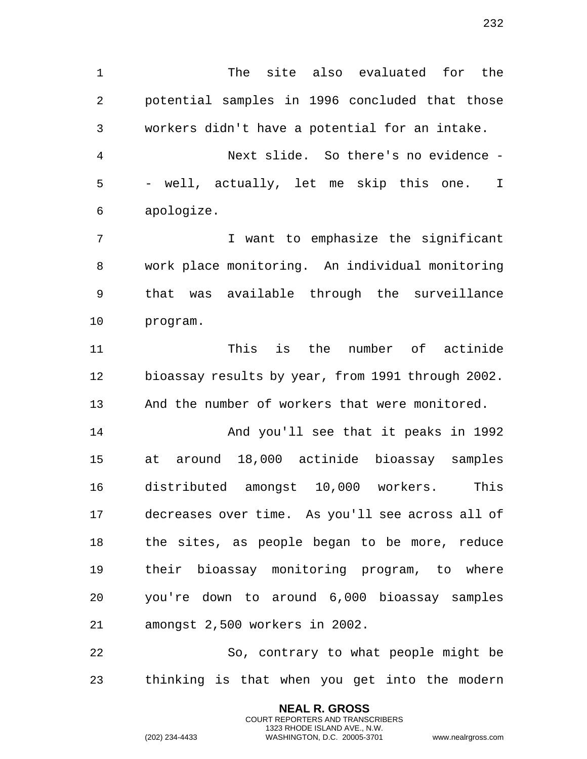The site also evaluated for the potential samples in 1996 concluded that those workers didn't have a potential for an intake. Next slide. So there's no evidence - - well, actually, let me skip this one. I apologize. I want to emphasize the significant work place monitoring. An individual monitoring that was available through the surveillance program. This is the number of actinide bioassay results by year, from 1991 through 2002. And the number of workers that were monitored. And you'll see that it peaks in 1992 at around 18,000 actinide bioassay samples distributed amongst 10,000 workers. This decreases over time. As you'll see across all of

 the sites, as people began to be more, reduce their bioassay monitoring program, to where you're down to around 6,000 bioassay samples amongst 2,500 workers in 2002.

 So, contrary to what people might be thinking is that when you get into the modern

> **NEAL R. GROSS** COURT REPORTERS AND TRANSCRIBERS 1323 RHODE ISLAND AVE., N.W.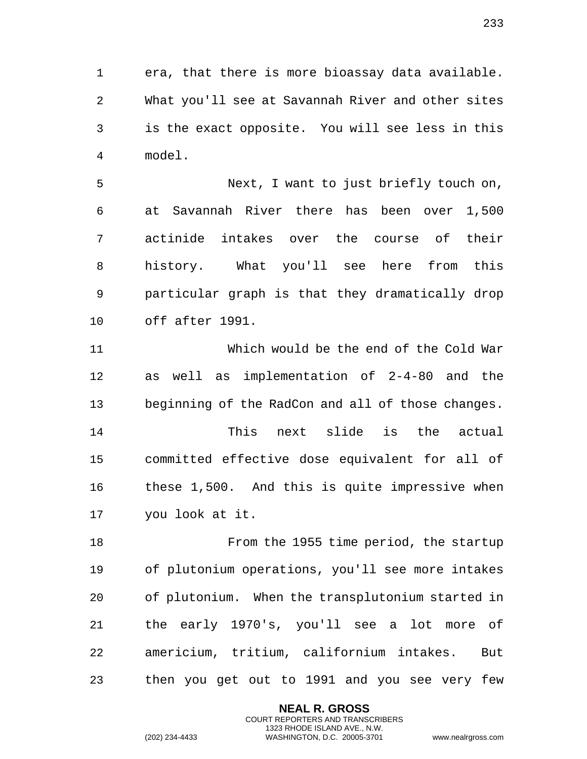era, that there is more bioassay data available. What you'll see at Savannah River and other sites is the exact opposite. You will see less in this model.

 Next, I want to just briefly touch on, at Savannah River there has been over 1,500 actinide intakes over the course of their history. What you'll see here from this particular graph is that they dramatically drop off after 1991.

 Which would be the end of the Cold War as well as implementation of 2-4-80 and the beginning of the RadCon and all of those changes.

 This next slide is the actual committed effective dose equivalent for all of these 1,500. And this is quite impressive when you look at it.

 From the 1955 time period, the startup of plutonium operations, you'll see more intakes of plutonium. When the transplutonium started in the early 1970's, you'll see a lot more of americium, tritium, californium intakes. But then you get out to 1991 and you see very few

> **NEAL R. GROSS** COURT REPORTERS AND TRANSCRIBERS 1323 RHODE ISLAND AVE., N.W.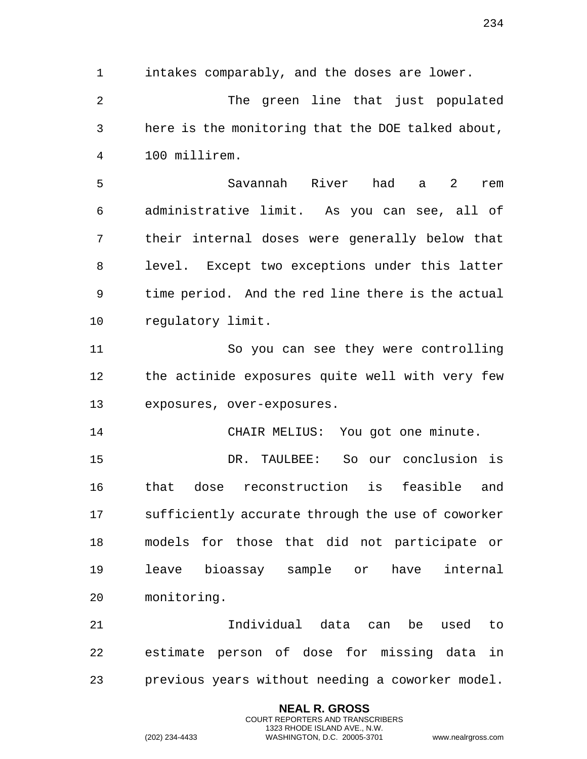1 intakes comparably, and the doses are lower.

2 The green line that just populated 3 here is the monitoring that the DOE talked about, 4 100 millirem.

5 Savannah River had a 2 rem 6 administrative limit. As you can see, all of 7 their internal doses were generally below that 8 level. Except two exceptions under this latter 9 time period. And the red line there is the actual 10 regulatory limit.

11 So you can see they were controlling 12 the actinide exposures quite well with very few 13 exposures, over-exposures.

14 CHAIR MELIUS: You got one minute.

15 DR. TAULBEE: So our conclusion is 16 that dose reconstruction is feasible and 17 sufficiently accurate through the use of coworker 18 models for those that did not participate or 19 leave bioassay sample or have internal 20 monitoring.

21 Individual data can be used to 22 estimate person of dose for missing data in 23 previous years without needing a coworker model.

> **NEAL R. GROSS** COURT REPORTERS AND TRANSCRIBERS 1323 RHODE ISLAND AVE., N.W.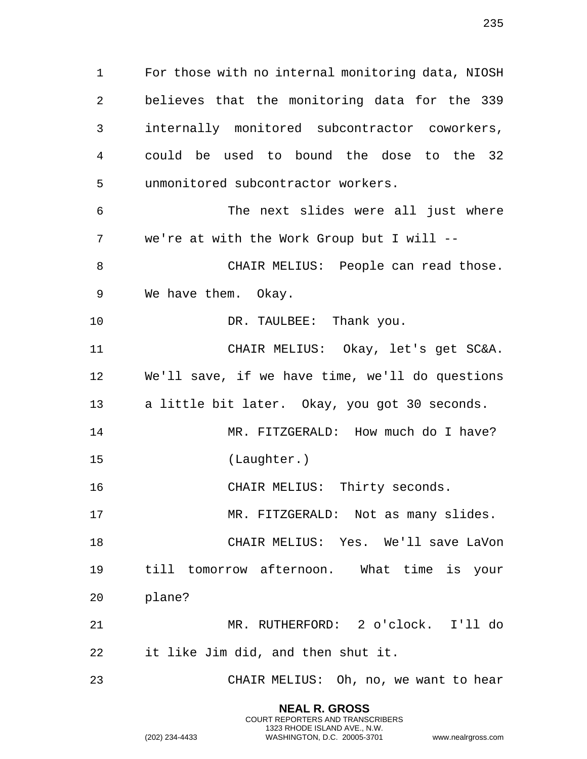For those with no internal monitoring data, NIOSH believes that the monitoring data for the 339 internally monitored subcontractor coworkers, could be used to bound the dose to the 32 unmonitored subcontractor workers. The next slides were all just where we're at with the Work Group but I will -- 8 CHAIR MELIUS: People can read those. We have them. Okay. 10 DR. TAULBEE: Thank you. CHAIR MELIUS: Okay, let's get SC&A. We'll save, if we have time, we'll do questions a little bit later. Okay, you got 30 seconds. 14 MR. FITZGERALD: How much do I have? (Laughter.) CHAIR MELIUS: Thirty seconds. MR. FITZGERALD: Not as many slides.

 CHAIR MELIUS: Yes. We'll save LaVon till tomorrow afternoon. What time is your plane?

 MR. RUTHERFORD: 2 o'clock. I'll do it like Jim did, and then shut it.

CHAIR MELIUS: Oh, no, we want to hear

**NEAL R. GROSS** COURT REPORTERS AND TRANSCRIBERS 1323 RHODE ISLAND AVE., N.W.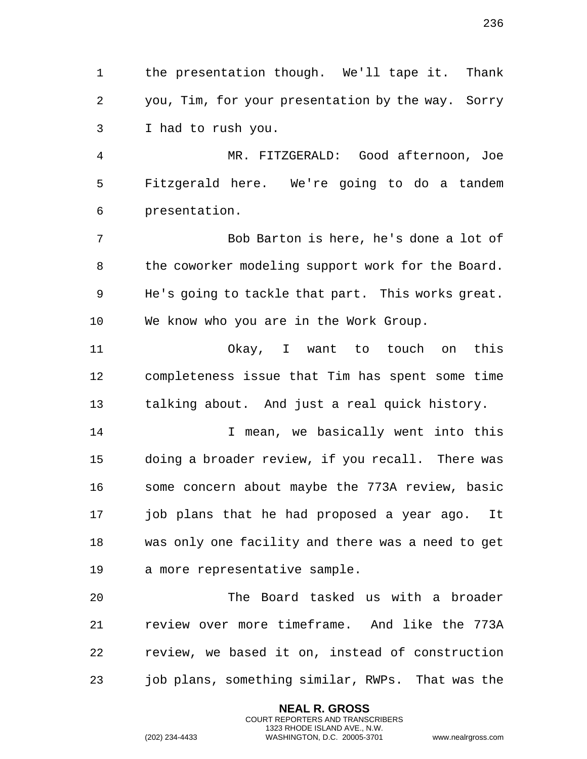the presentation though. We'll tape it. Thank you, Tim, for your presentation by the way. Sorry I had to rush you.

 MR. FITZGERALD: Good afternoon, Joe Fitzgerald here. We're going to do a tandem presentation.

 Bob Barton is here, he's done a lot of 8 the coworker modeling support work for the Board. He's going to tackle that part. This works great. We know who you are in the Work Group.

 Okay, I want to touch on this completeness issue that Tim has spent some time talking about. And just a real quick history.

14 14 I mean, we basically went into this doing a broader review, if you recall. There was some concern about maybe the 773A review, basic job plans that he had proposed a year ago. It was only one facility and there was a need to get a more representative sample.

 The Board tasked us with a broader review over more timeframe. And like the 773A review, we based it on, instead of construction job plans, something similar, RWPs. That was the

> **NEAL R. GROSS** COURT REPORTERS AND TRANSCRIBERS 1323 RHODE ISLAND AVE., N.W.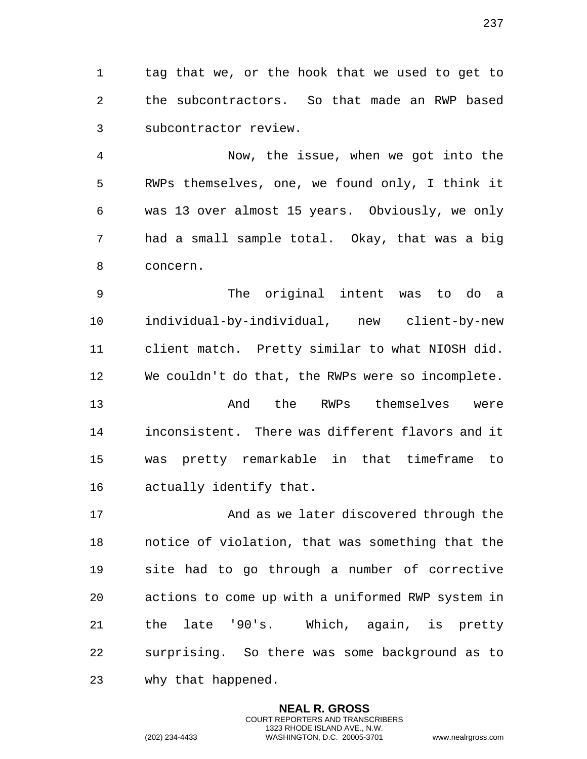tag that we, or the hook that we used to get to the subcontractors. So that made an RWP based subcontractor review.

 Now, the issue, when we got into the RWPs themselves, one, we found only, I think it was 13 over almost 15 years. Obviously, we only had a small sample total. Okay, that was a big concern.

 The original intent was to do a individual-by-individual, new client-by-new client match. Pretty similar to what NIOSH did. We couldn't do that, the RWPs were so incomplete. And the RWPs themselves were inconsistent. There was different flavors and it was pretty remarkable in that timeframe to actually identify that.

 And as we later discovered through the notice of violation, that was something that the site had to go through a number of corrective actions to come up with a uniformed RWP system in the late '90's. Which, again, is pretty surprising. So there was some background as to why that happened.

> **NEAL R. GROSS** COURT REPORTERS AND TRANSCRIBERS 1323 RHODE ISLAND AVE., N.W.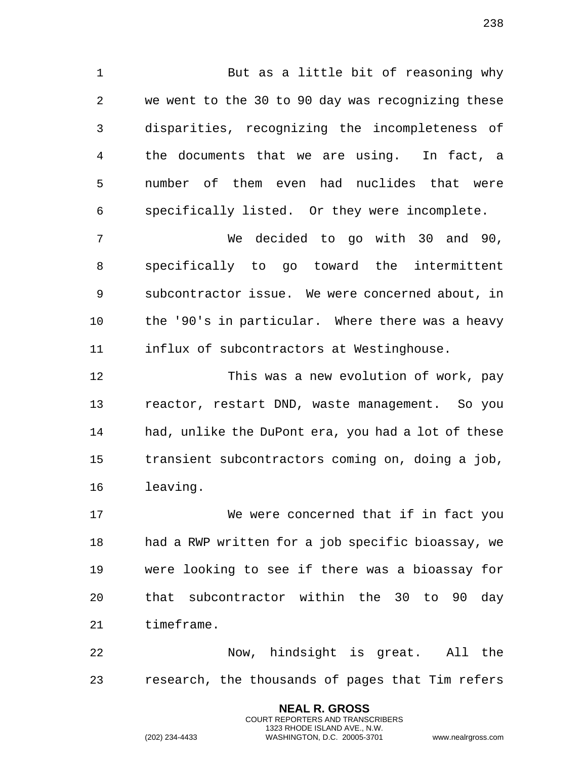But as a little bit of reasoning why we went to the 30 to 90 day was recognizing these disparities, recognizing the incompleteness of the documents that we are using. In fact, a number of them even had nuclides that were specifically listed. Or they were incomplete.

 We decided to go with 30 and 90, specifically to go toward the intermittent subcontractor issue. We were concerned about, in the '90's in particular. Where there was a heavy influx of subcontractors at Westinghouse.

 This was a new evolution of work, pay reactor, restart DND, waste management. So you had, unlike the DuPont era, you had a lot of these transient subcontractors coming on, doing a job, leaving.

 We were concerned that if in fact you had a RWP written for a job specific bioassay, we were looking to see if there was a bioassay for that subcontractor within the 30 to 90 day timeframe.

 Now, hindsight is great. All the research, the thousands of pages that Tim refers

> **NEAL R. GROSS** COURT REPORTERS AND TRANSCRIBERS 1323 RHODE ISLAND AVE., N.W.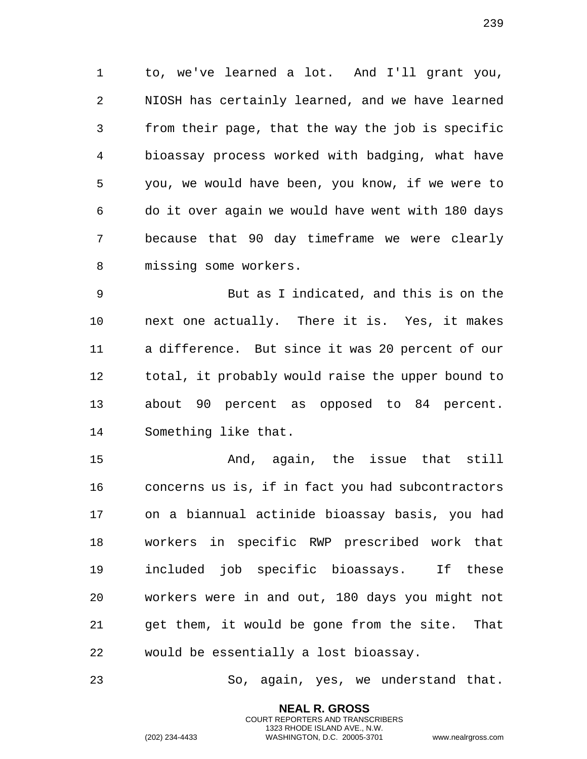to, we've learned a lot. And I'll grant you, NIOSH has certainly learned, and we have learned from their page, that the way the job is specific bioassay process worked with badging, what have you, we would have been, you know, if we were to do it over again we would have went with 180 days because that 90 day timeframe we were clearly missing some workers.

 But as I indicated, and this is on the next one actually. There it is. Yes, it makes a difference. But since it was 20 percent of our total, it probably would raise the upper bound to about 90 percent as opposed to 84 percent. Something like that.

 And, again, the issue that still concerns us is, if in fact you had subcontractors on a biannual actinide bioassay basis, you had workers in specific RWP prescribed work that included job specific bioassays. If these workers were in and out, 180 days you might not get them, it would be gone from the site. That would be essentially a lost bioassay.

So, again, yes, we understand that.

**NEAL R. GROSS** COURT REPORTERS AND TRANSCRIBERS 1323 RHODE ISLAND AVE., N.W.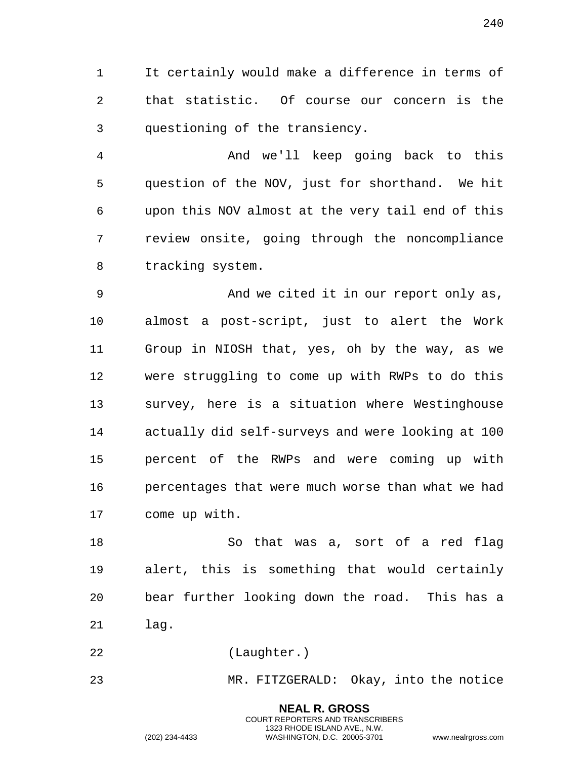It certainly would make a difference in terms of that statistic. Of course our concern is the questioning of the transiency.

 And we'll keep going back to this question of the NOV, just for shorthand. We hit upon this NOV almost at the very tail end of this review onsite, going through the noncompliance tracking system.

 And we cited it in our report only as, almost a post-script, just to alert the Work Group in NIOSH that, yes, oh by the way, as we were struggling to come up with RWPs to do this survey, here is a situation where Westinghouse actually did self-surveys and were looking at 100 percent of the RWPs and were coming up with percentages that were much worse than what we had come up with.

 So that was a, sort of a red flag alert, this is something that would certainly bear further looking down the road. This has a lag.

(Laughter.)

MR. FITZGERALD: Okay, into the notice

**NEAL R. GROSS** COURT REPORTERS AND TRANSCRIBERS 1323 RHODE ISLAND AVE., N.W.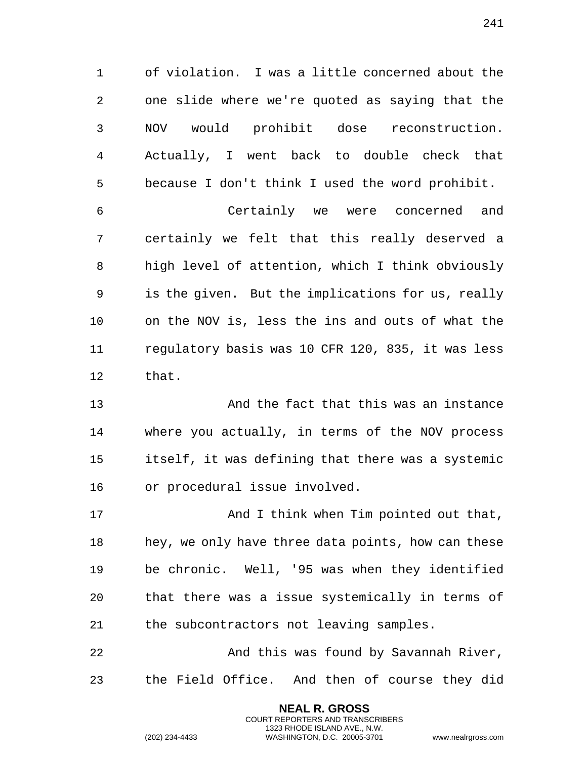of violation. I was a little concerned about the one slide where we're quoted as saying that the NOV would prohibit dose reconstruction. Actually, I went back to double check that because I don't think I used the word prohibit.

 Certainly we were concerned and certainly we felt that this really deserved a high level of attention, which I think obviously is the given. But the implications for us, really on the NOV is, less the ins and outs of what the regulatory basis was 10 CFR 120, 835, it was less that.

 And the fact that this was an instance where you actually, in terms of the NOV process itself, it was defining that there was a systemic or procedural issue involved.

 And I think when Tim pointed out that, hey, we only have three data points, how can these be chronic. Well, '95 was when they identified that there was a issue systemically in terms of the subcontractors not leaving samples.

 And this was found by Savannah River, the Field Office. And then of course they did

> **NEAL R. GROSS** COURT REPORTERS AND TRANSCRIBERS 1323 RHODE ISLAND AVE., N.W.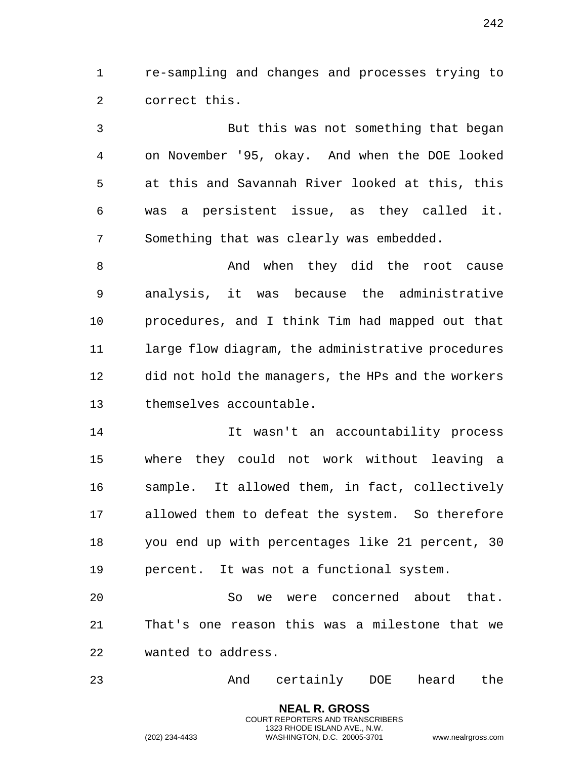1 re-sampling and changes and processes trying to 2 correct this.

3 But this was not something that began 4 on November '95, okay. And when the DOE looked 5 at this and Savannah River looked at this, this 6 was a persistent issue, as they called it. 7 Something that was clearly was embedded.

8 And when they did the root cause 9 analysis, it was because the administrative 10 procedures, and I think Tim had mapped out that 11 large flow diagram, the administrative procedures 12 did not hold the managers, the HPs and the workers 13 themselves accountable.

14 It wasn't an accountability process 15 where they could not work without leaving a 16 sample. It allowed them, in fact, collectively 17 allowed them to defeat the system. So therefore 18 you end up with percentages like 21 percent, 30 19 percent. It was not a functional system.

20 So we were concerned about that. 21 That's one reason this was a milestone that we 22 wanted to address.

23 And certainly DOE heard the

**NEAL R. GROSS** COURT REPORTERS AND TRANSCRIBERS 1323 RHODE ISLAND AVE., N.W.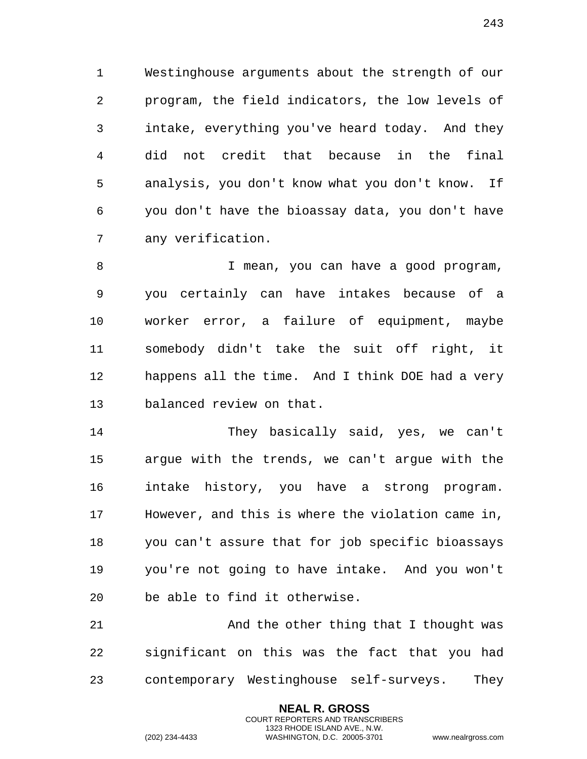Westinghouse arguments about the strength of our program, the field indicators, the low levels of intake, everything you've heard today. And they did not credit that because in the final analysis, you don't know what you don't know. If you don't have the bioassay data, you don't have any verification.

 I mean, you can have a good program, you certainly can have intakes because of a worker error, a failure of equipment, maybe somebody didn't take the suit off right, it happens all the time. And I think DOE had a very balanced review on that.

 They basically said, yes, we can't argue with the trends, we can't argue with the intake history, you have a strong program. However, and this is where the violation came in, you can't assure that for job specific bioassays you're not going to have intake. And you won't be able to find it otherwise.

21 And the other thing that I thought was significant on this was the fact that you had contemporary Westinghouse self-surveys. They

> **NEAL R. GROSS** COURT REPORTERS AND TRANSCRIBERS 1323 RHODE ISLAND AVE., N.W.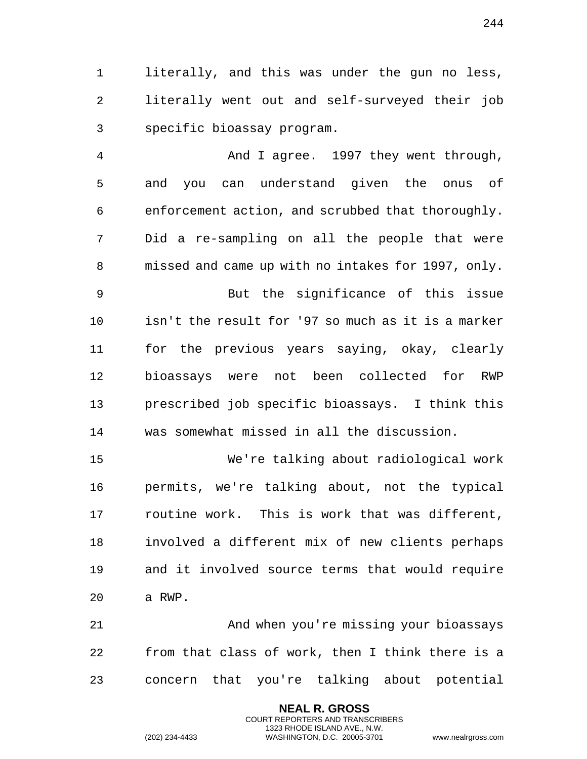literally, and this was under the gun no less, literally went out and self-surveyed their job specific bioassay program.

 And I agree. 1997 they went through, and you can understand given the onus of enforcement action, and scrubbed that thoroughly. Did a re-sampling on all the people that were missed and came up with no intakes for 1997, only. But the significance of this issue isn't the result for '97 so much as it is a marker for the previous years saying, okay, clearly bioassays were not been collected for RWP prescribed job specific bioassays. I think this was somewhat missed in all the discussion.

 We're talking about radiological work permits, we're talking about, not the typical routine work. This is work that was different, involved a different mix of new clients perhaps and it involved source terms that would require a RWP.

 And when you're missing your bioassays from that class of work, then I think there is a concern that you're talking about potential

> **NEAL R. GROSS** COURT REPORTERS AND TRANSCRIBERS 1323 RHODE ISLAND AVE., N.W.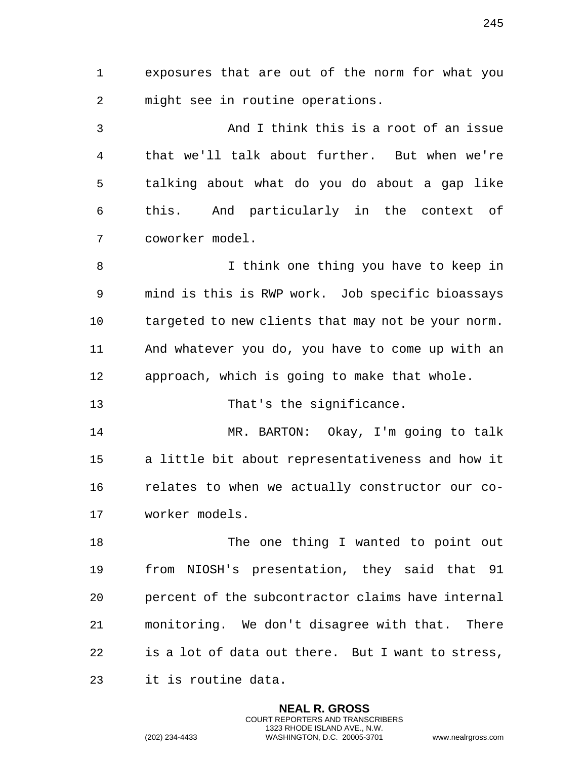exposures that are out of the norm for what you might see in routine operations.

 And I think this is a root of an issue that we'll talk about further. But when we're talking about what do you do about a gap like this. And particularly in the context of coworker model.

 I think one thing you have to keep in mind is this is RWP work. Job specific bioassays targeted to new clients that may not be your norm. And whatever you do, you have to come up with an approach, which is going to make that whole.

13 That's the significance.

 MR. BARTON: Okay, I'm going to talk a little bit about representativeness and how it relates to when we actually constructor our co-worker models.

18 The one thing I wanted to point out from NIOSH's presentation, they said that 91 percent of the subcontractor claims have internal monitoring. We don't disagree with that. There is a lot of data out there. But I want to stress, it is routine data.

> **NEAL R. GROSS** COURT REPORTERS AND TRANSCRIBERS 1323 RHODE ISLAND AVE., N.W.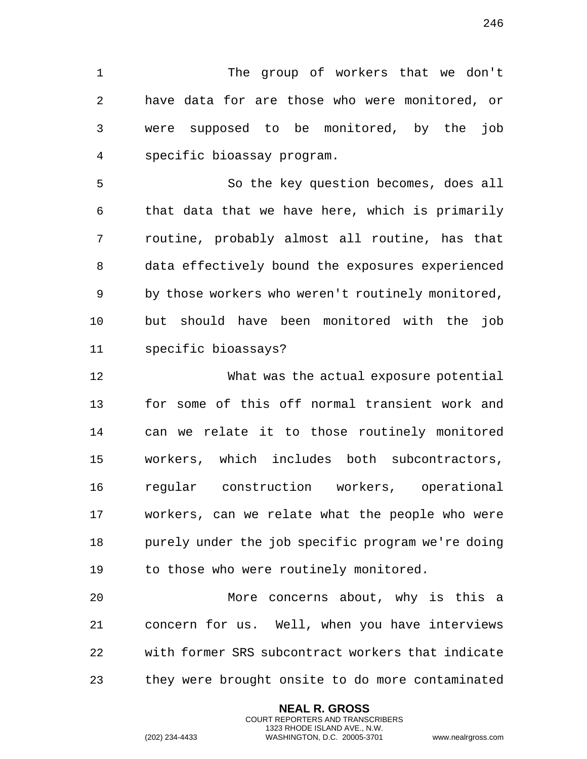The group of workers that we don't have data for are those who were monitored, or were supposed to be monitored, by the job specific bioassay program.

 So the key question becomes, does all that data that we have here, which is primarily routine, probably almost all routine, has that data effectively bound the exposures experienced by those workers who weren't routinely monitored, but should have been monitored with the job specific bioassays?

 What was the actual exposure potential for some of this off normal transient work and can we relate it to those routinely monitored workers, which includes both subcontractors, regular construction workers, operational workers, can we relate what the people who were purely under the job specific program we're doing to those who were routinely monitored.

 More concerns about, why is this a concern for us. Well, when you have interviews with former SRS subcontract workers that indicate they were brought onsite to do more contaminated

> **NEAL R. GROSS** COURT REPORTERS AND TRANSCRIBERS 1323 RHODE ISLAND AVE., N.W.

(202) 234-4433 WASHINGTON, D.C. 20005-3701 www.nealrgross.com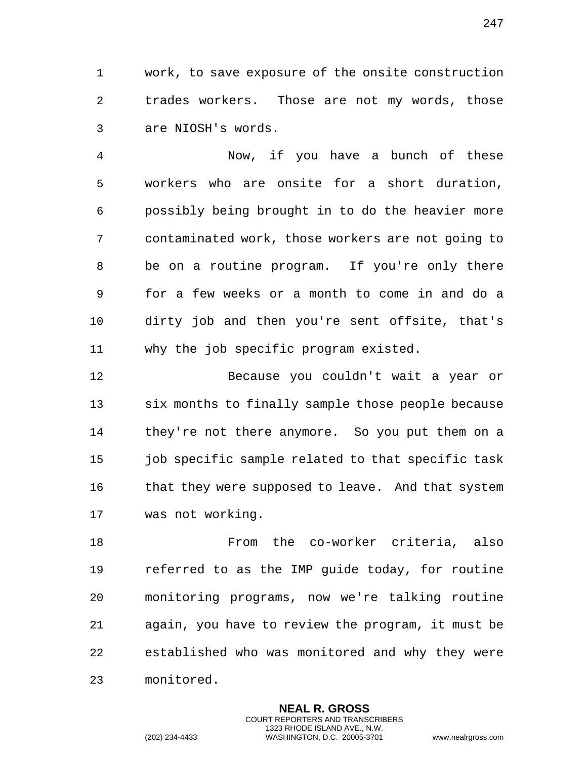work, to save exposure of the onsite construction trades workers. Those are not my words, those are NIOSH's words.

 Now, if you have a bunch of these workers who are onsite for a short duration, possibly being brought in to do the heavier more contaminated work, those workers are not going to be on a routine program. If you're only there for a few weeks or a month to come in and do a dirty job and then you're sent offsite, that's why the job specific program existed.

 Because you couldn't wait a year or six months to finally sample those people because they're not there anymore. So you put them on a job specific sample related to that specific task 16 that they were supposed to leave. And that system was not working.

 From the co-worker criteria, also referred to as the IMP guide today, for routine monitoring programs, now we're talking routine again, you have to review the program, it must be established who was monitored and why they were monitored.

> **NEAL R. GROSS** COURT REPORTERS AND TRANSCRIBERS 1323 RHODE ISLAND AVE., N.W.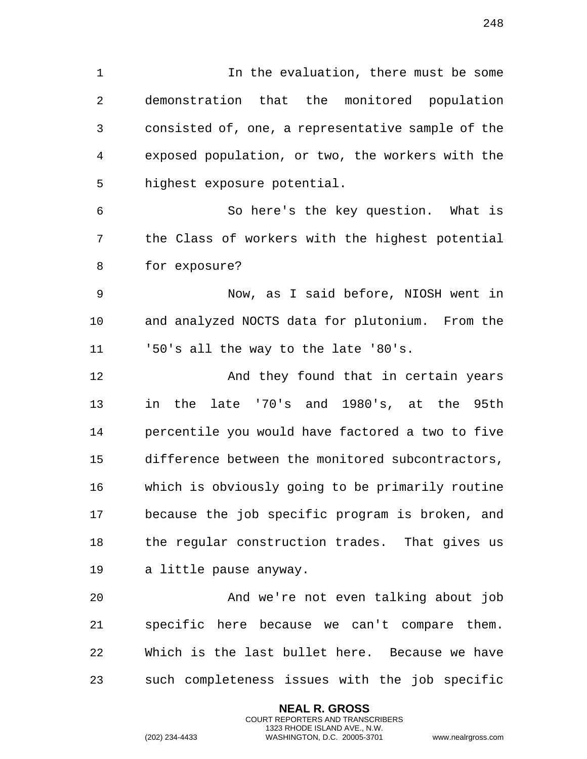In the evaluation, there must be some demonstration that the monitored population consisted of, one, a representative sample of the exposed population, or two, the workers with the highest exposure potential. So here's the key question. What is

 the Class of workers with the highest potential for exposure?

 Now, as I said before, NIOSH went in and analyzed NOCTS data for plutonium. From the '50's all the way to the late '80's.

**And they found that in certain years**  in the late '70's and 1980's, at the 95th percentile you would have factored a two to five difference between the monitored subcontractors, which is obviously going to be primarily routine because the job specific program is broken, and the regular construction trades. That gives us a little pause anyway.

 And we're not even talking about job specific here because we can't compare them. Which is the last bullet here. Because we have such completeness issues with the job specific

> **NEAL R. GROSS** COURT REPORTERS AND TRANSCRIBERS 1323 RHODE ISLAND AVE., N.W.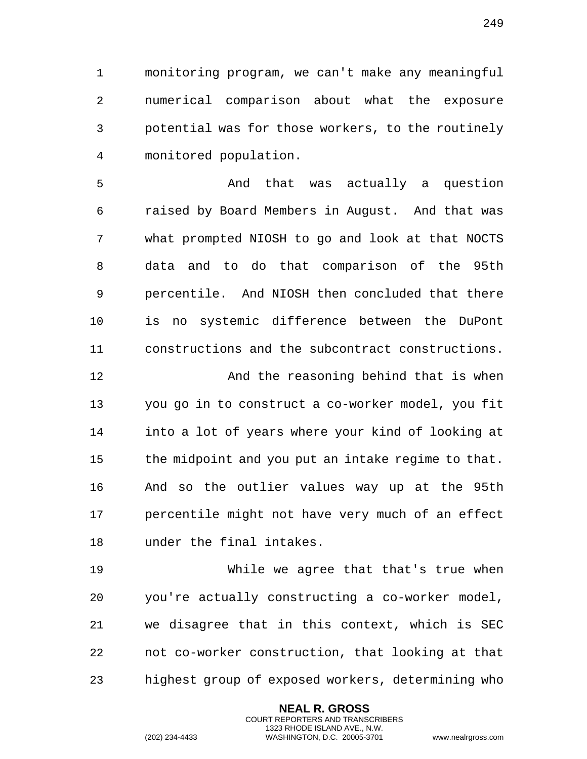monitoring program, we can't make any meaningful numerical comparison about what the exposure potential was for those workers, to the routinely

monitored population.

 And that was actually a question raised by Board Members in August. And that was what prompted NIOSH to go and look at that NOCTS data and to do that comparison of the 95th percentile. And NIOSH then concluded that there is no systemic difference between the DuPont constructions and the subcontract constructions.

 And the reasoning behind that is when you go in to construct a co-worker model, you fit into a lot of years where your kind of looking at the midpoint and you put an intake regime to that. And so the outlier values way up at the 95th percentile might not have very much of an effect under the final intakes.

 While we agree that that's true when you're actually constructing a co-worker model, we disagree that in this context, which is SEC not co-worker construction, that looking at that highest group of exposed workers, determining who

> **NEAL R. GROSS** COURT REPORTERS AND TRANSCRIBERS 1323 RHODE ISLAND AVE., N.W.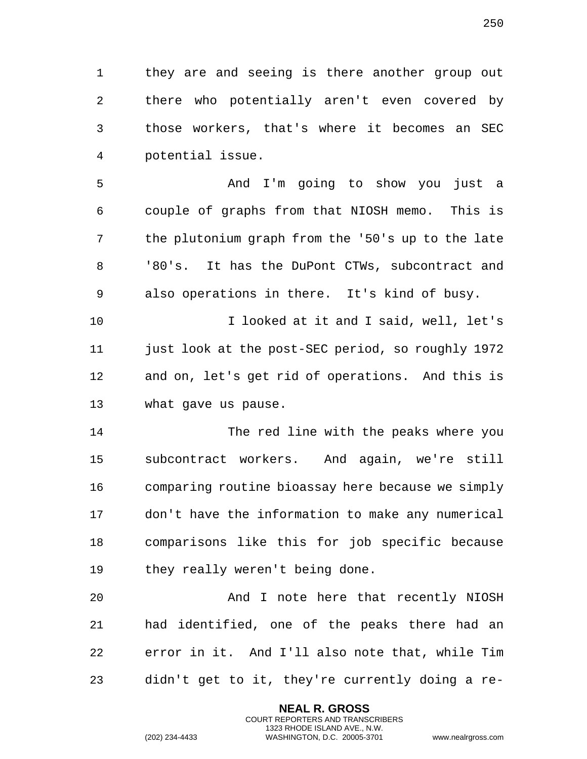they are and seeing is there another group out there who potentially aren't even covered by those workers, that's where it becomes an SEC potential issue.

 And I'm going to show you just a couple of graphs from that NIOSH memo. This is the plutonium graph from the '50's up to the late '80's. It has the DuPont CTWs, subcontract and also operations in there. It's kind of busy.

 I looked at it and I said, well, let's just look at the post-SEC period, so roughly 1972 and on, let's get rid of operations. And this is what gave us pause.

 The red line with the peaks where you subcontract workers. And again, we're still comparing routine bioassay here because we simply don't have the information to make any numerical comparisons like this for job specific because they really weren't being done.

 And I note here that recently NIOSH had identified, one of the peaks there had an error in it. And I'll also note that, while Tim didn't get to it, they're currently doing a re-

> **NEAL R. GROSS** COURT REPORTERS AND TRANSCRIBERS 1323 RHODE ISLAND AVE., N.W.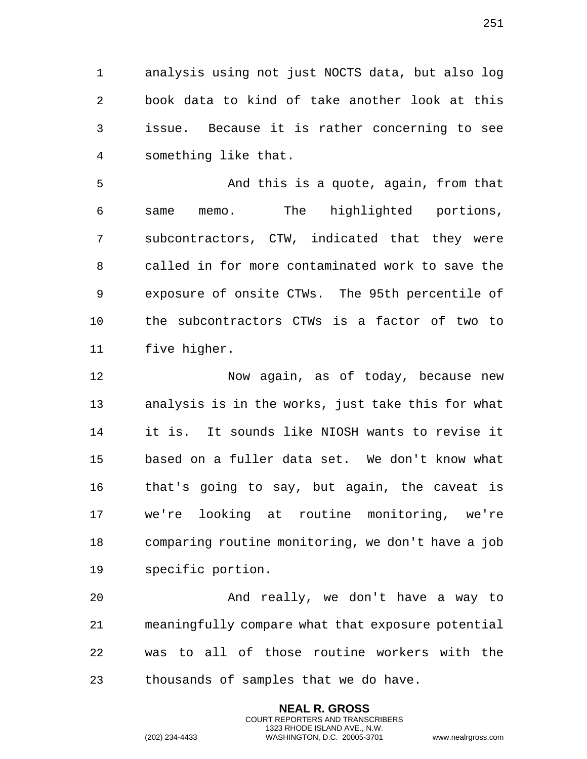analysis using not just NOCTS data, but also log book data to kind of take another look at this issue. Because it is rather concerning to see something like that.

 And this is a quote, again, from that same memo. The highlighted portions, subcontractors, CTW, indicated that they were called in for more contaminated work to save the exposure of onsite CTWs. The 95th percentile of the subcontractors CTWs is a factor of two to five higher.

 Now again, as of today, because new analysis is in the works, just take this for what it is. It sounds like NIOSH wants to revise it based on a fuller data set. We don't know what that's going to say, but again, the caveat is we're looking at routine monitoring, we're comparing routine monitoring, we don't have a job specific portion.

 And really, we don't have a way to meaningfully compare what that exposure potential was to all of those routine workers with the thousands of samples that we do have.

> **NEAL R. GROSS** COURT REPORTERS AND TRANSCRIBERS 1323 RHODE ISLAND AVE., N.W.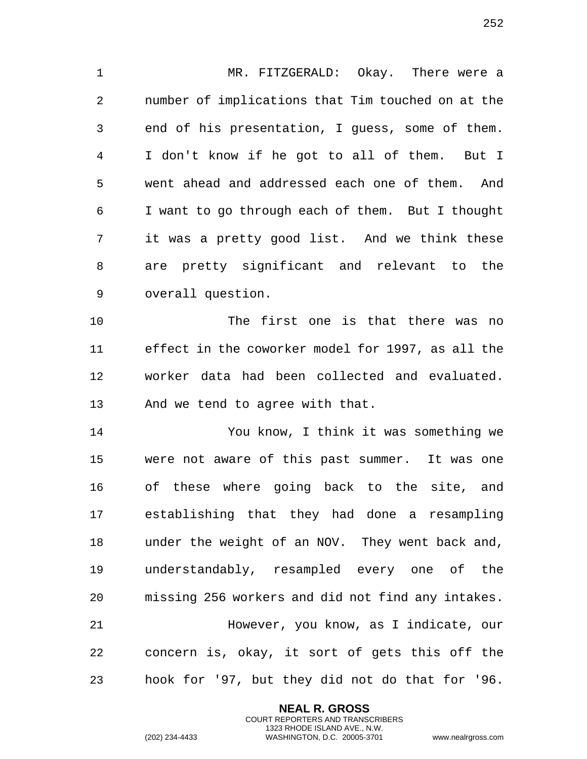MR. FITZGERALD: Okay. There were a number of implications that Tim touched on at the end of his presentation, I guess, some of them. I don't know if he got to all of them. But I went ahead and addressed each one of them. And I want to go through each of them. But I thought it was a pretty good list. And we think these are pretty significant and relevant to the overall question.

 The first one is that there was no effect in the coworker model for 1997, as all the worker data had been collected and evaluated. And we tend to agree with that.

 You know, I think it was something we were not aware of this past summer. It was one of these where going back to the site, and establishing that they had done a resampling under the weight of an NOV. They went back and, understandably, resampled every one of the missing 256 workers and did not find any intakes. However, you know, as I indicate, our concern is, okay, it sort of gets this off the hook for '97, but they did not do that for '96.

> **NEAL R. GROSS** COURT REPORTERS AND TRANSCRIBERS 1323 RHODE ISLAND AVE., N.W.

(202) 234-4433 WASHINGTON, D.C. 20005-3701 www.nealrgross.com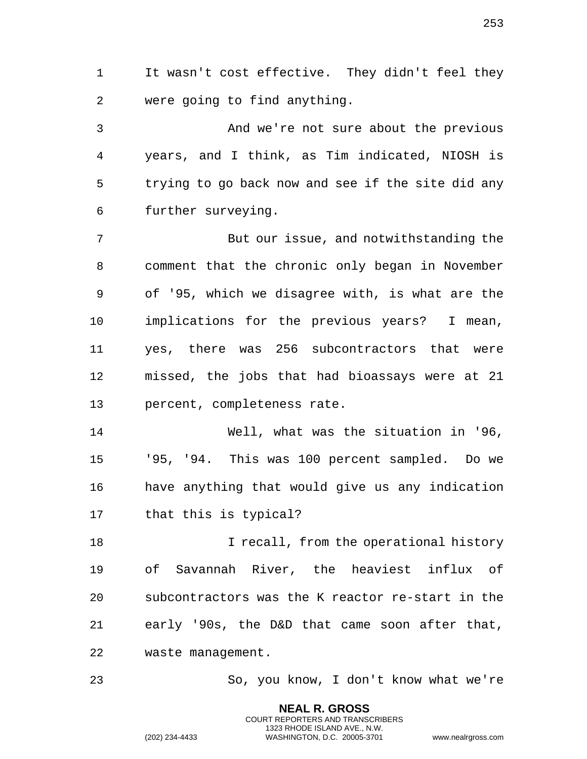It wasn't cost effective. They didn't feel they were going to find anything.

 And we're not sure about the previous years, and I think, as Tim indicated, NIOSH is trying to go back now and see if the site did any further surveying.

 But our issue, and notwithstanding the comment that the chronic only began in November of '95, which we disagree with, is what are the implications for the previous years? I mean, yes, there was 256 subcontractors that were missed, the jobs that had bioassays were at 21 percent, completeness rate.

 Well, what was the situation in '96, '95, '94. This was 100 percent sampled. Do we have anything that would give us any indication that this is typical?

**I recall, from the operational history**  of Savannah River, the heaviest influx of subcontractors was the K reactor re-start in the early '90s, the D&D that came soon after that, waste management.

So, you know, I don't know what we're

**NEAL R. GROSS** COURT REPORTERS AND TRANSCRIBERS 1323 RHODE ISLAND AVE., N.W.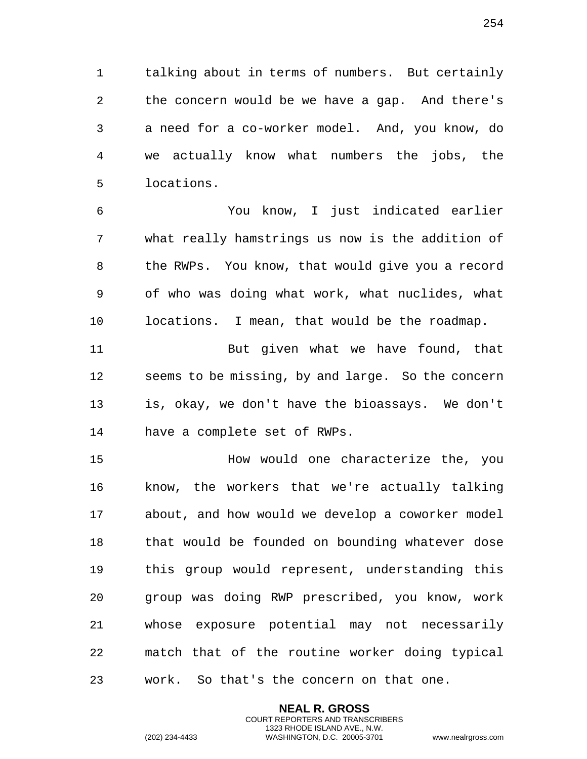talking about in terms of numbers. But certainly the concern would be we have a gap. And there's a need for a co-worker model. And, you know, do we actually know what numbers the jobs, the locations.

 You know, I just indicated earlier what really hamstrings us now is the addition of the RWPs. You know, that would give you a record of who was doing what work, what nuclides, what locations. I mean, that would be the roadmap.

 But given what we have found, that seems to be missing, by and large. So the concern is, okay, we don't have the bioassays. We don't have a complete set of RWPs.

 How would one characterize the, you know, the workers that we're actually talking about, and how would we develop a coworker model that would be founded on bounding whatever dose this group would represent, understanding this group was doing RWP prescribed, you know, work whose exposure potential may not necessarily match that of the routine worker doing typical work. So that's the concern on that one.

> **NEAL R. GROSS** COURT REPORTERS AND TRANSCRIBERS 1323 RHODE ISLAND AVE., N.W.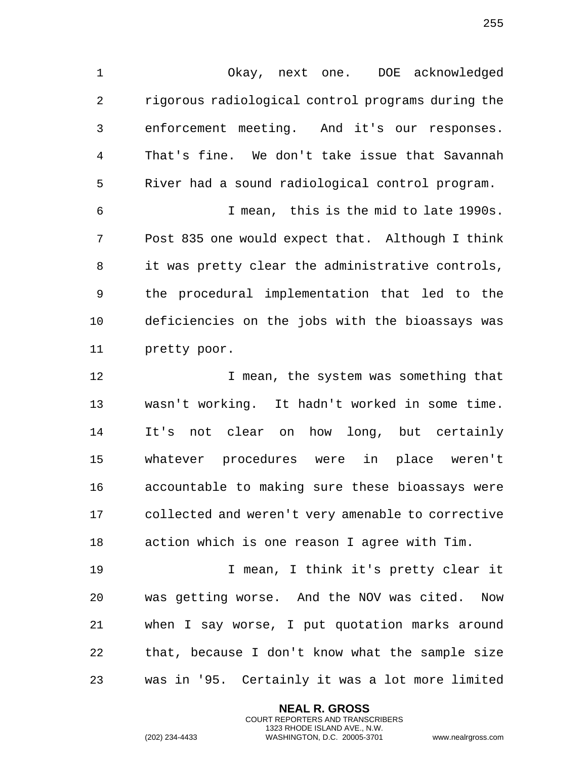Okay, next one. DOE acknowledged rigorous radiological control programs during the enforcement meeting. And it's our responses. That's fine. We don't take issue that Savannah River had a sound radiological control program.

 I mean, this is the mid to late 1990s. Post 835 one would expect that. Although I think it was pretty clear the administrative controls, the procedural implementation that led to the deficiencies on the jobs with the bioassays was pretty poor.

12 12 I mean, the system was something that wasn't working. It hadn't worked in some time. It's not clear on how long, but certainly whatever procedures were in place weren't accountable to making sure these bioassays were collected and weren't very amenable to corrective action which is one reason I agree with Tim.

 I mean, I think it's pretty clear it was getting worse. And the NOV was cited. Now when I say worse, I put quotation marks around that, because I don't know what the sample size was in '95. Certainly it was a lot more limited

> **NEAL R. GROSS** COURT REPORTERS AND TRANSCRIBERS 1323 RHODE ISLAND AVE., N.W.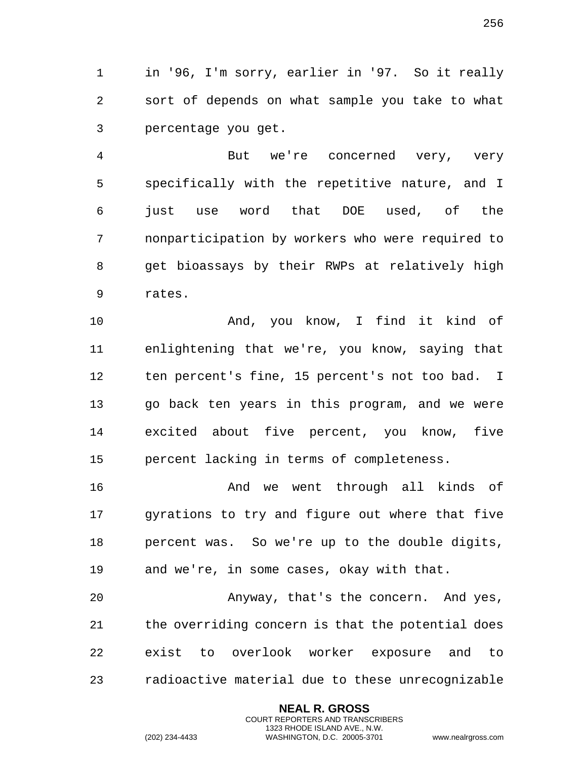1 in '96, I'm sorry, earlier in '97. So it really 2 sort of depends on what sample you take to what 3 percentage you get.

4 But we're concerned very, very 5 specifically with the repetitive nature, and I 6 just use word that DOE used, of the 7 nonparticipation by workers who were required to 8 get bioassays by their RWPs at relatively high 9 rates.

10 And, you know, I find it kind of 11 enlightening that we're, you know, saying that 12 ten percent's fine, 15 percent's not too bad. I 13 go back ten years in this program, and we were 14 excited about five percent, you know, five 15 percent lacking in terms of completeness.

16 And we went through all kinds of 17 gyrations to try and figure out where that five 18 percent was. So we're up to the double digits, 19 and we're, in some cases, okay with that.

20 Anyway, that's the concern. And yes, 21 the overriding concern is that the potential does 22 exist to overlook worker exposure and to 23 radioactive material due to these unrecognizable

> **NEAL R. GROSS** COURT REPORTERS AND TRANSCRIBERS 1323 RHODE ISLAND AVE., N.W.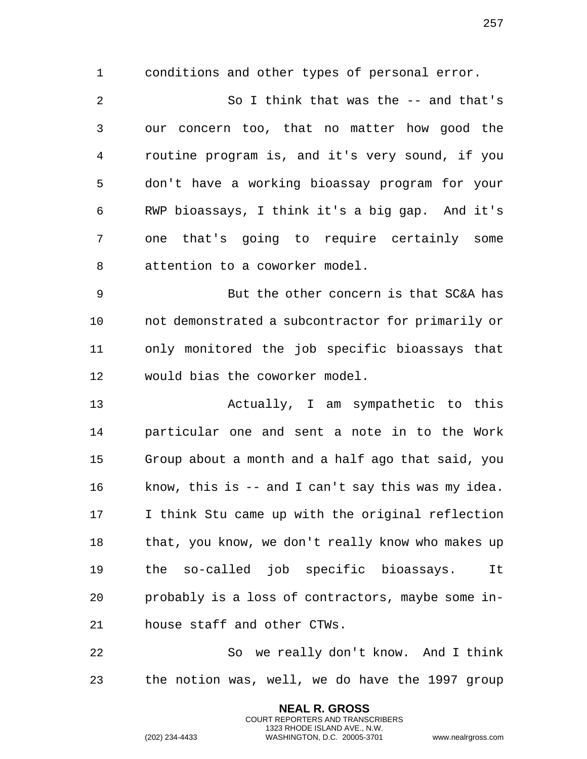conditions and other types of personal error. So I think that was the -- and that's our concern too, that no matter how good the routine program is, and it's very sound, if you don't have a working bioassay program for your RWP bioassays, I think it's a big gap. And it's one that's going to require certainly some attention to a coworker model.

 But the other concern is that SC&A has not demonstrated a subcontractor for primarily or only monitored the job specific bioassays that would bias the coworker model.

 Actually, I am sympathetic to this particular one and sent a note in to the Work Group about a month and a half ago that said, you know, this is -- and I can't say this was my idea. I think Stu came up with the original reflection 18 that, you know, we don't really know who makes up the so-called job specific bioassays. It probably is a loss of contractors, maybe some in-house staff and other CTWs.

 So we really don't know. And I think the notion was, well, we do have the 1997 group

> **NEAL R. GROSS** COURT REPORTERS AND TRANSCRIBERS 1323 RHODE ISLAND AVE., N.W.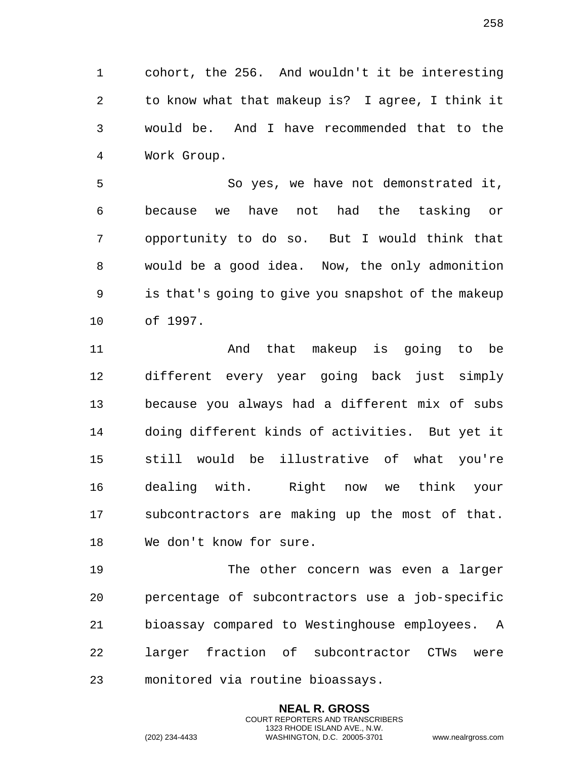cohort, the 256. And wouldn't it be interesting to know what that makeup is? I agree, I think it would be. And I have recommended that to the Work Group.

 So yes, we have not demonstrated it, because we have not had the tasking or opportunity to do so. But I would think that would be a good idea. Now, the only admonition is that's going to give you snapshot of the makeup of 1997.

 And that makeup is going to be different every year going back just simply because you always had a different mix of subs doing different kinds of activities. But yet it still would be illustrative of what you're dealing with. Right now we think your subcontractors are making up the most of that. We don't know for sure.

 The other concern was even a larger percentage of subcontractors use a job-specific bioassay compared to Westinghouse employees. A larger fraction of subcontractor CTWs were monitored via routine bioassays.

> **NEAL R. GROSS** COURT REPORTERS AND TRANSCRIBERS 1323 RHODE ISLAND AVE., N.W.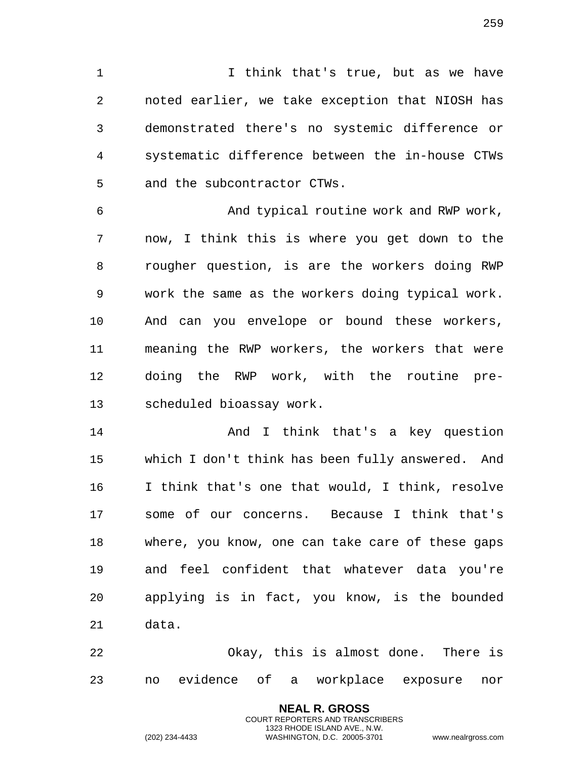I think that's true, but as we have noted earlier, we take exception that NIOSH has demonstrated there's no systemic difference or systematic difference between the in-house CTWs and the subcontractor CTWs.

 And typical routine work and RWP work, now, I think this is where you get down to the rougher question, is are the workers doing RWP work the same as the workers doing typical work. And can you envelope or bound these workers, meaning the RWP workers, the workers that were doing the RWP work, with the routine pre-scheduled bioassay work.

 And I think that's a key question which I don't think has been fully answered. And I think that's one that would, I think, resolve some of our concerns. Because I think that's where, you know, one can take care of these gaps and feel confident that whatever data you're applying is in fact, you know, is the bounded data.

 Okay, this is almost done. There is no evidence of a workplace exposure nor

> **NEAL R. GROSS** COURT REPORTERS AND TRANSCRIBERS 1323 RHODE ISLAND AVE., N.W.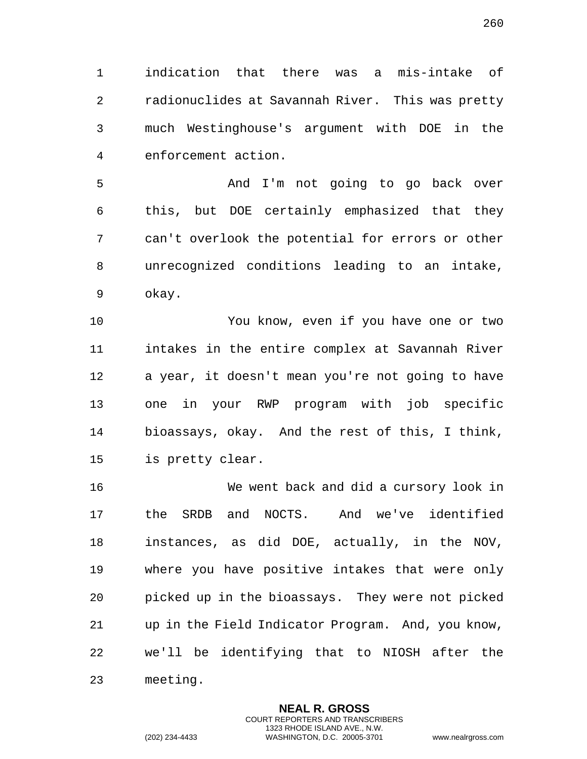indication that there was a mis-intake of radionuclides at Savannah River. This was pretty much Westinghouse's argument with DOE in the enforcement action.

 And I'm not going to go back over this, but DOE certainly emphasized that they can't overlook the potential for errors or other unrecognized conditions leading to an intake, okay.

 You know, even if you have one or two intakes in the entire complex at Savannah River a year, it doesn't mean you're not going to have one in your RWP program with job specific bioassays, okay. And the rest of this, I think, is pretty clear.

 We went back and did a cursory look in the SRDB and NOCTS. And we've identified instances, as did DOE, actually, in the NOV, where you have positive intakes that were only picked up in the bioassays. They were not picked up in the Field Indicator Program. And, you know, we'll be identifying that to NIOSH after the meeting.

> **NEAL R. GROSS** COURT REPORTERS AND TRANSCRIBERS 1323 RHODE ISLAND AVE., N.W.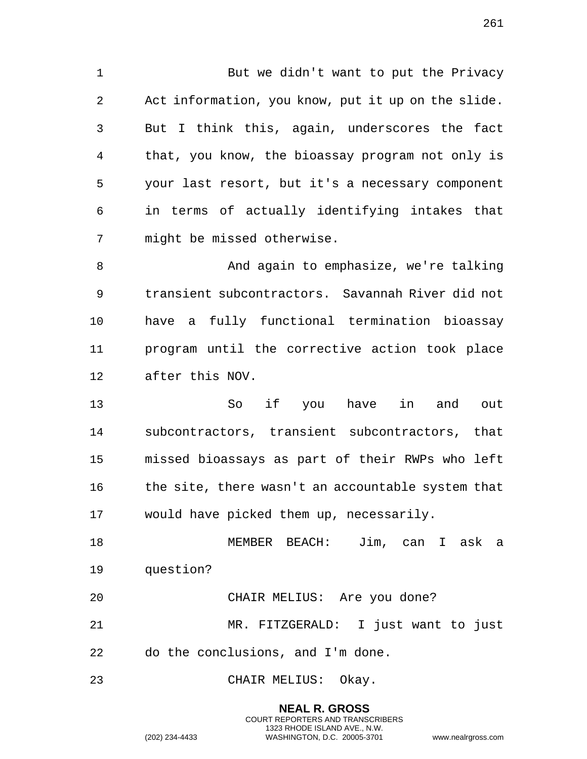1 But we didn't want to put the Privacy Act information, you know, put it up on the slide. But I think this, again, underscores the fact that, you know, the bioassay program not only is your last resort, but it's a necessary component in terms of actually identifying intakes that might be missed otherwise.

 And again to emphasize, we're talking transient subcontractors. Savannah River did not have a fully functional termination bioassay program until the corrective action took place after this NOV.

 So if you have in and out subcontractors, transient subcontractors, that missed bioassays as part of their RWPs who left 16 the site, there wasn't an accountable system that would have picked them up, necessarily.

 MEMBER BEACH: Jim, can I ask a question?

CHAIR MELIUS: Are you done?

 MR. FITZGERALD: I just want to just do the conclusions, and I'm done.

CHAIR MELIUS: Okay.

**NEAL R. GROSS** COURT REPORTERS AND TRANSCRIBERS 1323 RHODE ISLAND AVE., N.W. (202) 234-4433 WASHINGTON, D.C. 20005-3701 www.nealrgross.com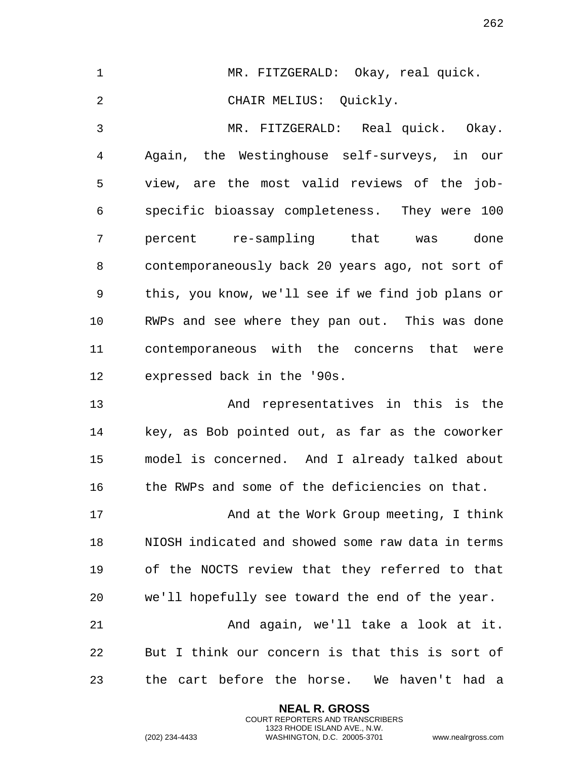| $\mathbf 1$    | MR. FITZGERALD: Okay, real quick.                 |
|----------------|---------------------------------------------------|
| $\overline{2}$ | CHAIR MELIUS: Quickly.                            |
| 3              | MR. FITZGERALD: Real quick. Okay.                 |
| $\overline{4}$ | Again, the Westinghouse self-surveys, in our      |
| 5              | view, are the most valid reviews of the job-      |
| 6              | specific bioassay completeness. They were 100     |
| 7              | percent re-sampling that was done                 |
| 8              | contemporaneously back 20 years ago, not sort of  |
| 9              | this, you know, we'll see if we find job plans or |
| 10             | RWPs and see where they pan out. This was done    |
| 11             | contemporaneous with the concerns that were       |
| 12             | expressed back in the '90s.                       |
| 13             | And representatives in this is the                |
| 14             | key, as Bob pointed out, as far as the coworker   |
| 15             | model is concerned. And I already talked about    |
| 16             | the RWPs and some of the deficiencies on that.    |
| 17             | And at the Work Group meeting, I think            |
| 18             | NIOSH indicated and showed some raw data in terms |
| 19             | of the NOCTS review that they referred to that    |
| 20             | we'll hopefully see toward the end of the year.   |
| 21             | And again, we'll take a look at it.               |
| 22             | But I think our concern is that this is sort of   |
| 23             | the cart before the horse. We haven't had a       |

**NEAL R. GROSS** COURT REPORTERS AND TRANSCRIBERS 1323 RHODE ISLAND AVE., N.W.

(202) 234-4433 WASHINGTON, D.C. 20005-3701 www.nealrgross.com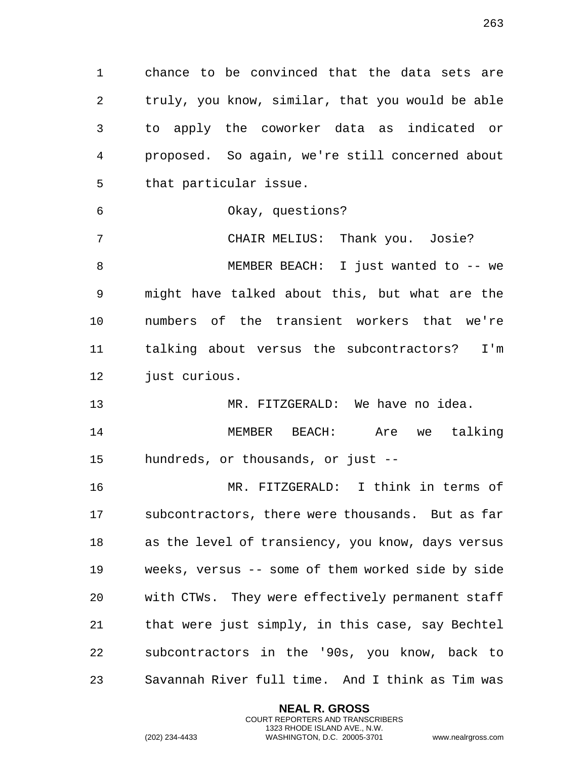chance to be convinced that the data sets are truly, you know, similar, that you would be able to apply the coworker data as indicated or proposed. So again, we're still concerned about that particular issue.

Okay, questions?

 CHAIR MELIUS: Thank you. Josie? MEMBER BEACH: I just wanted to -- we might have talked about this, but what are the numbers of the transient workers that we're talking about versus the subcontractors? I'm 12 just curious.

 MR. FITZGERALD: We have no idea. MEMBER BEACH: Are we talking hundreds, or thousands, or just --

 MR. FITZGERALD: I think in terms of subcontractors, there were thousands. But as far as the level of transiency, you know, days versus weeks, versus -- some of them worked side by side with CTWs. They were effectively permanent staff that were just simply, in this case, say Bechtel subcontractors in the '90s, you know, back to Savannah River full time. And I think as Tim was

> **NEAL R. GROSS** COURT REPORTERS AND TRANSCRIBERS 1323 RHODE ISLAND AVE., N.W.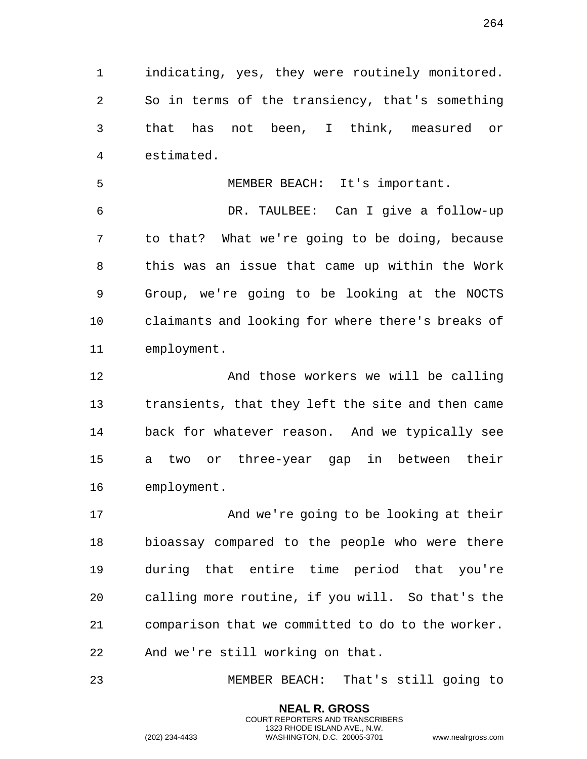indicating, yes, they were routinely monitored. So in terms of the transiency, that's something that has not been, I think, measured or estimated.

MEMBER BEACH: It's important.

 DR. TAULBEE: Can I give a follow-up to that? What we're going to be doing, because this was an issue that came up within the Work Group, we're going to be looking at the NOCTS claimants and looking for where there's breaks of employment.

12 And those workers we will be calling transients, that they left the site and then came back for whatever reason. And we typically see a two or three-year gap in between their employment.

 And we're going to be looking at their bioassay compared to the people who were there during that entire time period that you're calling more routine, if you will. So that's the comparison that we committed to do to the worker. And we're still working on that.

MEMBER BEACH: That's still going to

**NEAL R. GROSS** COURT REPORTERS AND TRANSCRIBERS 1323 RHODE ISLAND AVE., N.W.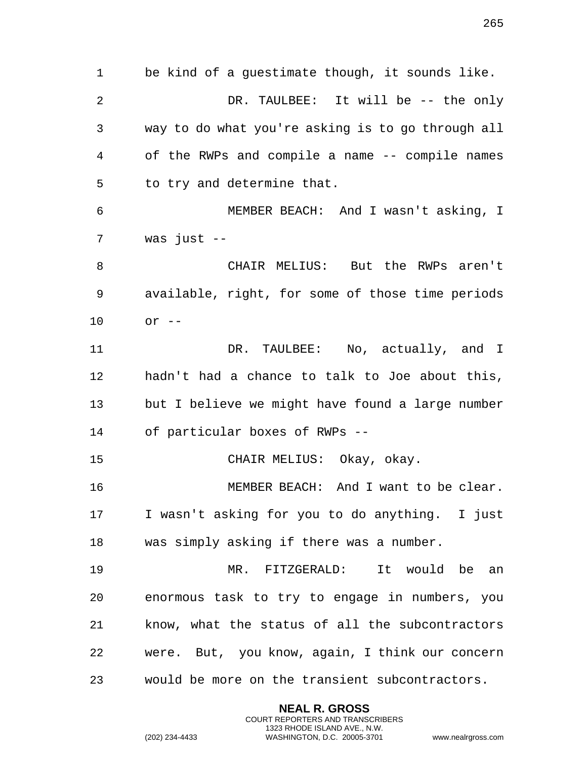be kind of a guestimate though, it sounds like. DR. TAULBEE: It will be -- the only way to do what you're asking is to go through all of the RWPs and compile a name -- compile names to try and determine that. MEMBER BEACH: And I wasn't asking, I was just -- CHAIR MELIUS: But the RWPs aren't available, right, for some of those time periods or -- 11 DR. TAULBEE: No, actually, and I hadn't had a chance to talk to Joe about this, but I believe we might have found a large number of particular boxes of RWPs -- CHAIR MELIUS: Okay, okay. MEMBER BEACH: And I want to be clear. I wasn't asking for you to do anything. I just was simply asking if there was a number. MR. FITZGERALD: It would be an enormous task to try to engage in numbers, you know, what the status of all the subcontractors were. But, you know, again, I think our concern would be more on the transient subcontractors.

> **NEAL R. GROSS** COURT REPORTERS AND TRANSCRIBERS 1323 RHODE ISLAND AVE., N.W.

(202) 234-4433 WASHINGTON, D.C. 20005-3701 www.nealrgross.com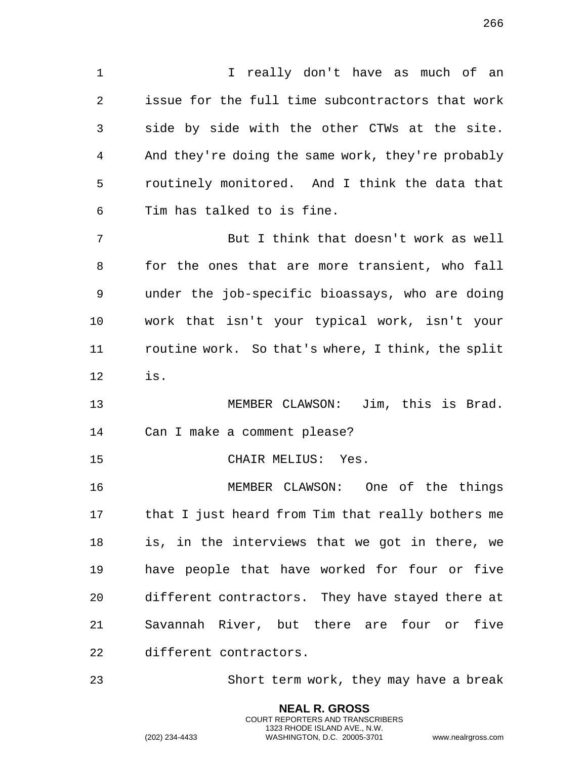1 I really don't have as much of an issue for the full time subcontractors that work side by side with the other CTWs at the site. And they're doing the same work, they're probably routinely monitored. And I think the data that Tim has talked to is fine.

 But I think that doesn't work as well for the ones that are more transient, who fall under the job-specific bioassays, who are doing work that isn't your typical work, isn't your routine work. So that's where, I think, the split is.

 MEMBER CLAWSON: Jim, this is Brad. Can I make a comment please?

CHAIR MELIUS: Yes.

 MEMBER CLAWSON: One of the things that I just heard from Tim that really bothers me is, in the interviews that we got in there, we have people that have worked for four or five different contractors. They have stayed there at Savannah River, but there are four or five different contractors.

Short term work, they may have a break

**NEAL R. GROSS** COURT REPORTERS AND TRANSCRIBERS 1323 RHODE ISLAND AVE., N.W.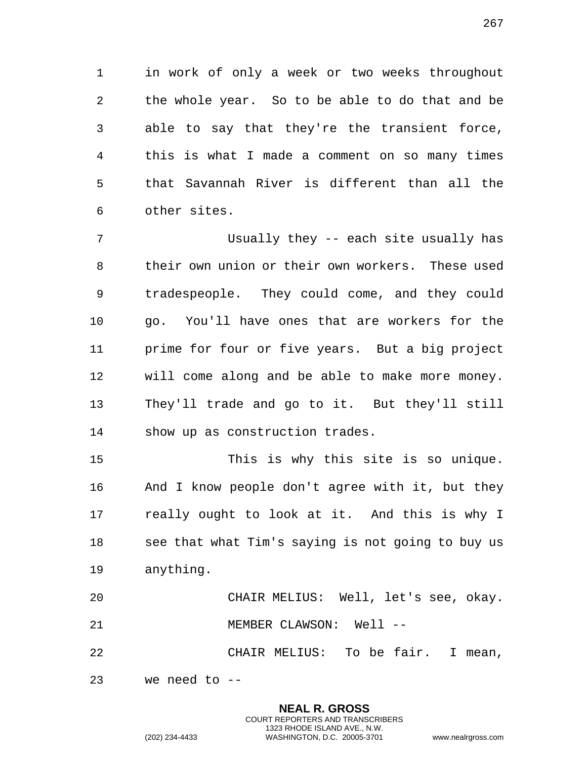in work of only a week or two weeks throughout the whole year. So to be able to do that and be able to say that they're the transient force, this is what I made a comment on so many times that Savannah River is different than all the other sites.

 Usually they -- each site usually has their own union or their own workers. These used tradespeople. They could come, and they could go. You'll have ones that are workers for the prime for four or five years. But a big project will come along and be able to make more money. They'll trade and go to it. But they'll still show up as construction trades.

 This is why this site is so unique. And I know people don't agree with it, but they really ought to look at it. And this is why I see that what Tim's saying is not going to buy us anything.

 CHAIR MELIUS: Well, let's see, okay. MEMBER CLAWSON: Well --

 CHAIR MELIUS: To be fair. I mean, we need to --

1323 RHODE ISLAND AVE., N.W.

**NEAL R. GROSS** COURT REPORTERS AND TRANSCRIBERS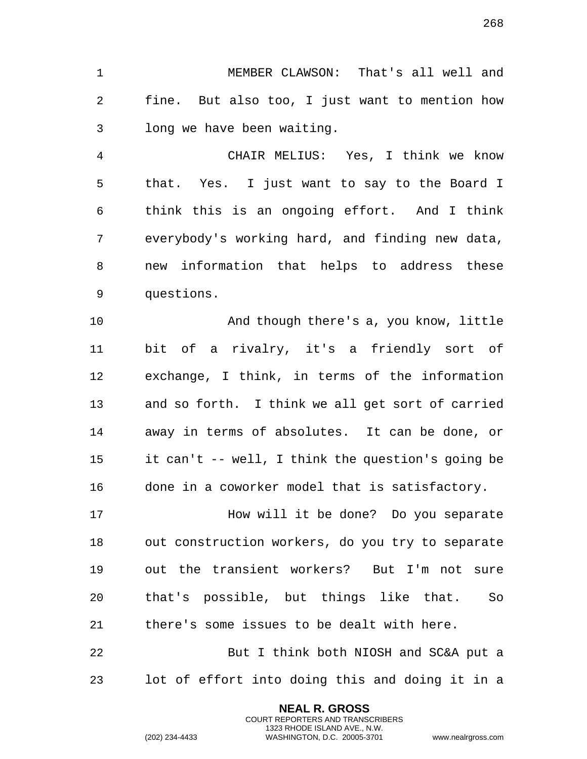MEMBER CLAWSON: That's all well and fine. But also too, I just want to mention how long we have been waiting.

 CHAIR MELIUS: Yes, I think we know that. Yes. I just want to say to the Board I think this is an ongoing effort. And I think everybody's working hard, and finding new data, new information that helps to address these questions.

 And though there's a, you know, little bit of a rivalry, it's a friendly sort of exchange, I think, in terms of the information and so forth. I think we all get sort of carried away in terms of absolutes. It can be done, or it can't -- well, I think the question's going be done in a coworker model that is satisfactory.

 How will it be done? Do you separate out construction workers, do you try to separate out the transient workers? But I'm not sure that's possible, but things like that. So there's some issues to be dealt with here.

 But I think both NIOSH and SC&A put a lot of effort into doing this and doing it in a

> **NEAL R. GROSS** COURT REPORTERS AND TRANSCRIBERS 1323 RHODE ISLAND AVE., N.W.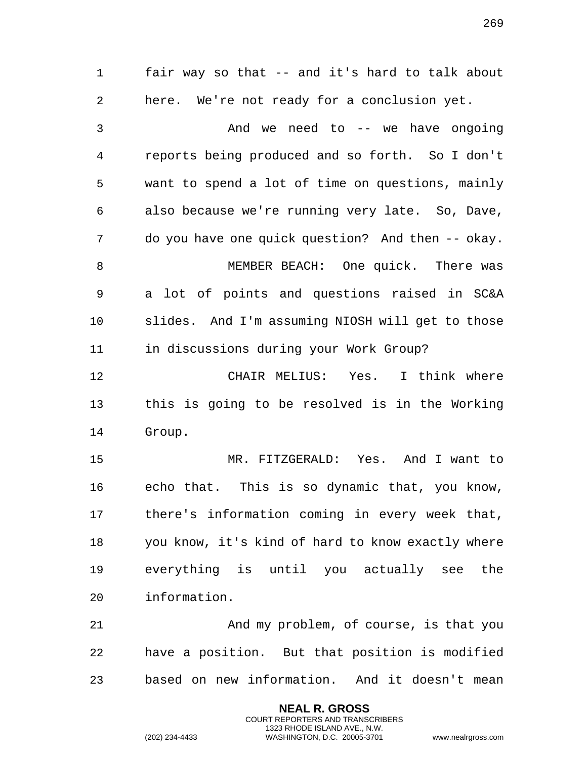fair way so that -- and it's hard to talk about here. We're not ready for a conclusion yet. And we need to -- we have ongoing reports being produced and so forth. So I don't want to spend a lot of time on questions, mainly also because we're running very late. So, Dave, do you have one quick question? And then -- okay. 8 MEMBER BEACH: One quick. There was a lot of points and questions raised in SC&A slides. And I'm assuming NIOSH will get to those in discussions during your Work Group? CHAIR MELIUS: Yes. I think where this is going to be resolved is in the Working Group. MR. FITZGERALD: Yes. And I want to echo that. This is so dynamic that, you know, there's information coming in every week that, you know, it's kind of hard to know exactly where everything is until you actually see the information. 21 And my problem, of course, is that you have a position. But that position is modified based on new information. And it doesn't mean

> **NEAL R. GROSS** COURT REPORTERS AND TRANSCRIBERS 1323 RHODE ISLAND AVE., N.W.

(202) 234-4433 WASHINGTON, D.C. 20005-3701 www.nealrgross.com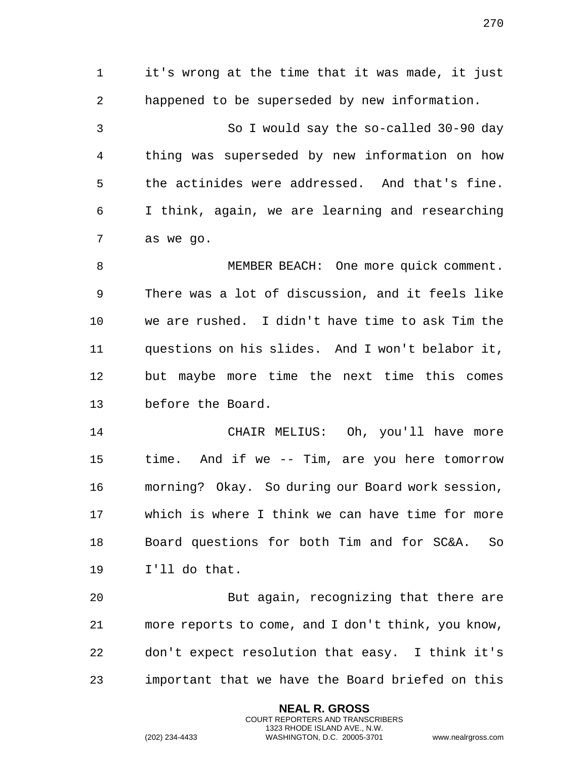it's wrong at the time that it was made, it just happened to be superseded by new information. So I would say the so-called 30-90 day thing was superseded by new information on how the actinides were addressed. And that's fine. I think, again, we are learning and researching as we go.

 MEMBER BEACH: One more quick comment. There was a lot of discussion, and it feels like we are rushed. I didn't have time to ask Tim the questions on his slides. And I won't belabor it, but maybe more time the next time this comes before the Board.

 CHAIR MELIUS: Oh, you'll have more time. And if we -- Tim, are you here tomorrow morning? Okay. So during our Board work session, which is where I think we can have time for more Board questions for both Tim and for SC&A. So I'll do that.

 But again, recognizing that there are more reports to come, and I don't think, you know, don't expect resolution that easy. I think it's important that we have the Board briefed on this

> **NEAL R. GROSS** COURT REPORTERS AND TRANSCRIBERS 1323 RHODE ISLAND AVE., N.W.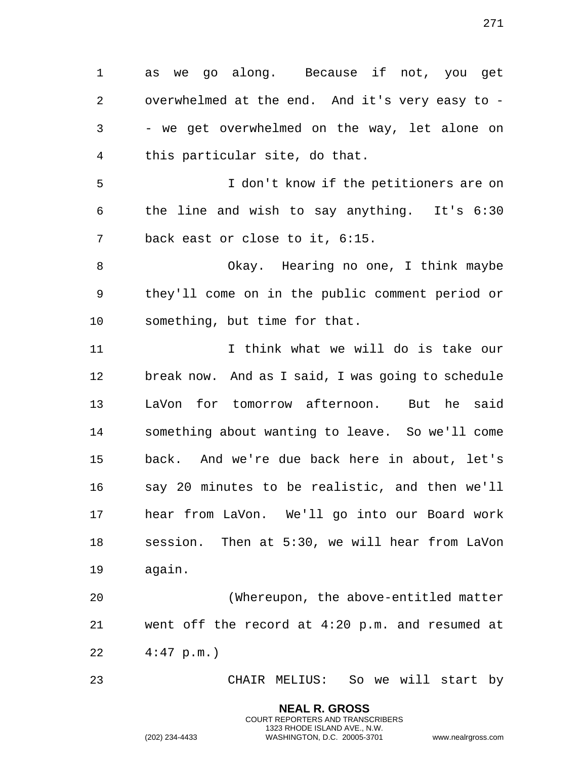as we go along. Because if not, you get overwhelmed at the end. And it's very easy to -

 - we get overwhelmed on the way, let alone on this particular site, do that.

 I don't know if the petitioners are on the line and wish to say anything. It's 6:30 back east or close to it, 6:15.

 Okay. Hearing no one, I think maybe they'll come on in the public comment period or something, but time for that.

 I think what we will do is take our break now. And as I said, I was going to schedule LaVon for tomorrow afternoon. But he said something about wanting to leave. So we'll come back. And we're due back here in about, let's say 20 minutes to be realistic, and then we'll hear from LaVon. We'll go into our Board work session. Then at 5:30, we will hear from LaVon again.

 (Whereupon, the above-entitled matter went off the record at 4:20 p.m. and resumed at 4:47 p.m.)

CHAIR MELIUS: So we will start by

**NEAL R. GROSS** COURT REPORTERS AND TRANSCRIBERS 1323 RHODE ISLAND AVE., N.W.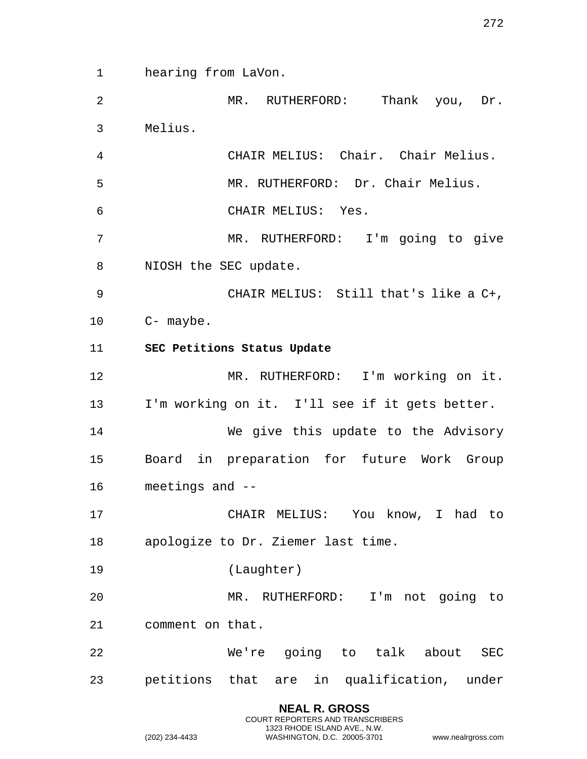hearing from LaVon.

 MR. RUTHERFORD: Thank you, Dr. Melius.

 CHAIR MELIUS: Chair. Chair Melius. MR. RUTHERFORD: Dr. Chair Melius. CHAIR MELIUS: Yes.

 MR. RUTHERFORD: I'm going to give NIOSH the SEC update.

 CHAIR MELIUS: Still that's like a C+, C- maybe.

**SEC Petitions Status Update**

 MR. RUTHERFORD: I'm working on it. I'm working on it. I'll see if it gets better.

 We give this update to the Advisory Board in preparation for future Work Group meetings and --

 CHAIR MELIUS: You know, I had to apologize to Dr. Ziemer last time.

(Laughter)

 MR. RUTHERFORD: I'm not going to comment on that.

 We're going to talk about SEC petitions that are in qualification, under

> **NEAL R. GROSS** COURT REPORTERS AND TRANSCRIBERS 1323 RHODE ISLAND AVE., N.W.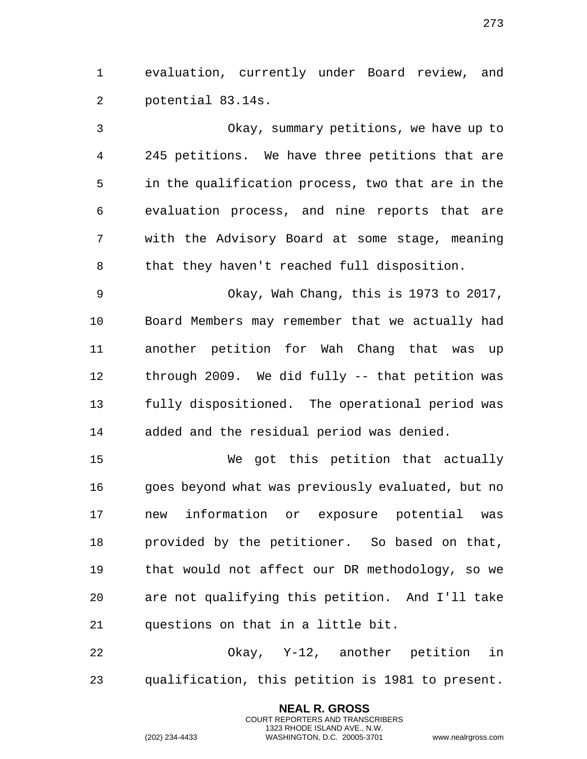evaluation, currently under Board review, and potential 83.14s.

 Okay, summary petitions, we have up to 245 petitions. We have three petitions that are in the qualification process, two that are in the evaluation process, and nine reports that are with the Advisory Board at some stage, meaning that they haven't reached full disposition.

 Okay, Wah Chang, this is 1973 to 2017, Board Members may remember that we actually had another petition for Wah Chang that was up through 2009. We did fully -- that petition was fully dispositioned. The operational period was added and the residual period was denied.

 We got this petition that actually goes beyond what was previously evaluated, but no new information or exposure potential was provided by the petitioner. So based on that, that would not affect our DR methodology, so we are not qualifying this petition. And I'll take questions on that in a little bit.

 Okay, Y-12, another petition in qualification, this petition is 1981 to present.

> **NEAL R. GROSS** COURT REPORTERS AND TRANSCRIBERS 1323 RHODE ISLAND AVE., N.W.

(202) 234-4433 WASHINGTON, D.C. 20005-3701 www.nealrgross.com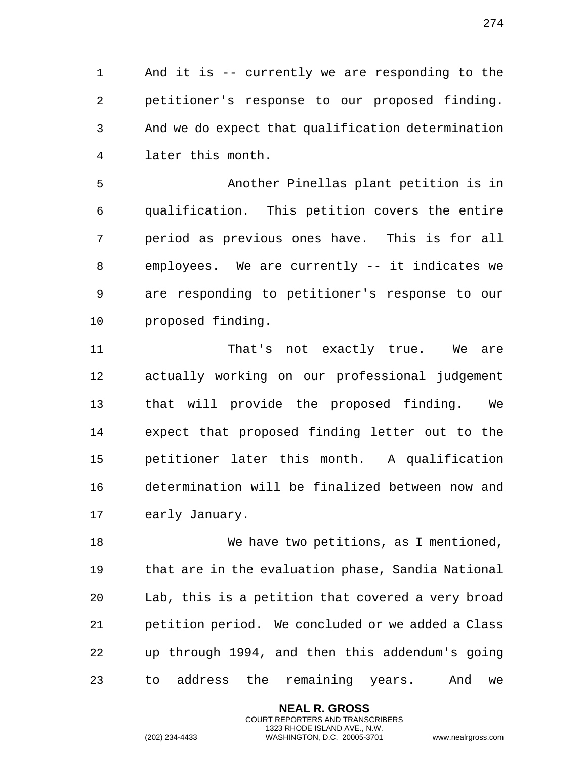And it is -- currently we are responding to the petitioner's response to our proposed finding. And we do expect that qualification determination later this month.

 Another Pinellas plant petition is in qualification. This petition covers the entire period as previous ones have. This is for all employees. We are currently -- it indicates we are responding to petitioner's response to our proposed finding.

 That's not exactly true. We are actually working on our professional judgement that will provide the proposed finding. We expect that proposed finding letter out to the petitioner later this month. A qualification determination will be finalized between now and early January.

 We have two petitions, as I mentioned, that are in the evaluation phase, Sandia National Lab, this is a petition that covered a very broad petition period. We concluded or we added a Class up through 1994, and then this addendum's going to address the remaining years. And we

> **NEAL R. GROSS** COURT REPORTERS AND TRANSCRIBERS 1323 RHODE ISLAND AVE., N.W.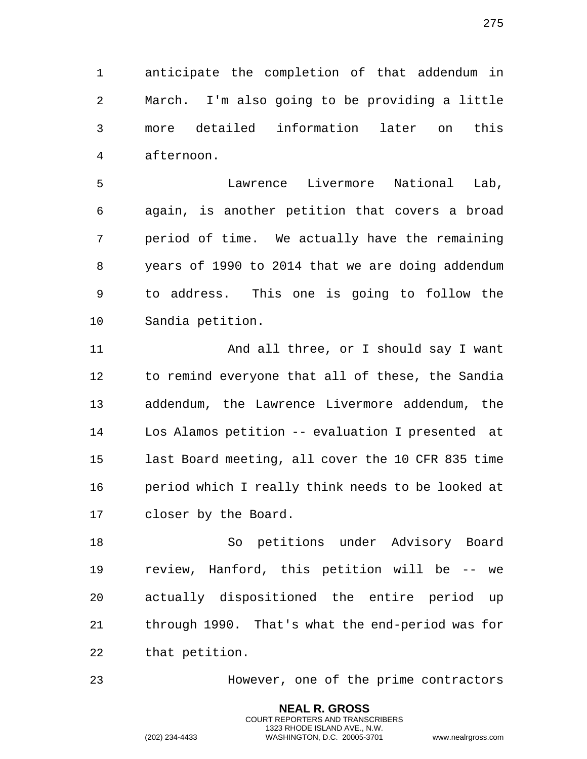anticipate the completion of that addendum in

 March. I'm also going to be providing a little more detailed information later on this afternoon.

 Lawrence Livermore National Lab, again, is another petition that covers a broad period of time. We actually have the remaining years of 1990 to 2014 that we are doing addendum to address. This one is going to follow the Sandia petition.

 And all three, or I should say I want to remind everyone that all of these, the Sandia addendum, the Lawrence Livermore addendum, the Los Alamos petition -- evaluation I presented at last Board meeting, all cover the 10 CFR 835 time period which I really think needs to be looked at closer by the Board.

 So petitions under Advisory Board review, Hanford, this petition will be -- we actually dispositioned the entire period up through 1990. That's what the end-period was for that petition.

However, one of the prime contractors

**NEAL R. GROSS** COURT REPORTERS AND TRANSCRIBERS 1323 RHODE ISLAND AVE., N.W.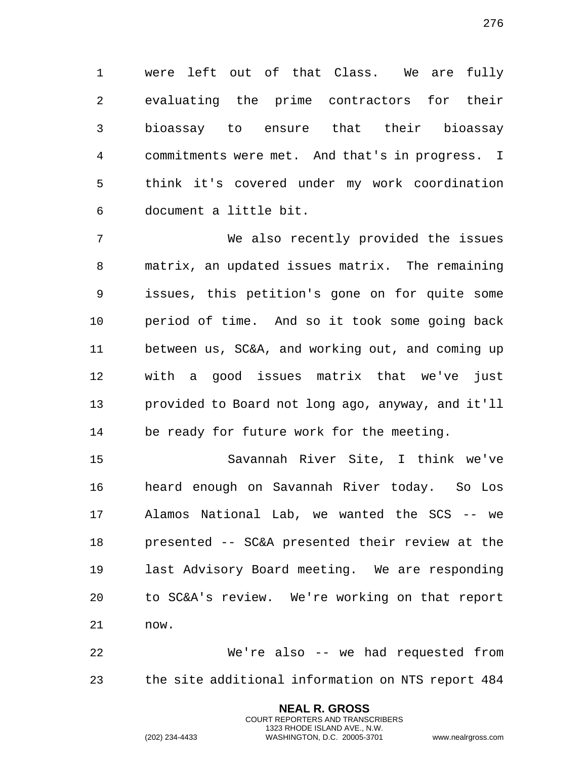were left out of that Class. We are fully evaluating the prime contractors for their bioassay to ensure that their bioassay commitments were met. And that's in progress. I think it's covered under my work coordination document a little bit.

 We also recently provided the issues matrix, an updated issues matrix. The remaining issues, this petition's gone on for quite some period of time. And so it took some going back between us, SC&A, and working out, and coming up with a good issues matrix that we've just provided to Board not long ago, anyway, and it'll be ready for future work for the meeting.

 Savannah River Site, I think we've heard enough on Savannah River today. So Los Alamos National Lab, we wanted the SCS -- we presented -- SC&A presented their review at the last Advisory Board meeting. We are responding to SC&A's review. We're working on that report now.

 We're also -- we had requested from the site additional information on NTS report 484

> **NEAL R. GROSS** COURT REPORTERS AND TRANSCRIBERS 1323 RHODE ISLAND AVE., N.W.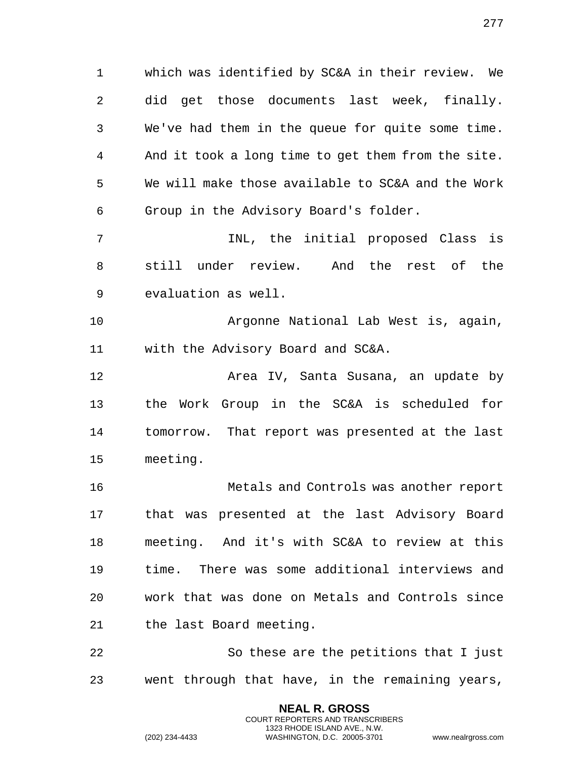which was identified by SC&A in their review. We did get those documents last week, finally. We've had them in the queue for quite some time. And it took a long time to get them from the site. We will make those available to SC&A and the Work Group in the Advisory Board's folder.

 INL, the initial proposed Class is still under review. And the rest of the evaluation as well.

 Argonne National Lab West is, again, with the Advisory Board and SC&A.

 Area IV, Santa Susana, an update by the Work Group in the SC&A is scheduled for tomorrow. That report was presented at the last meeting.

 Metals and Controls was another report that was presented at the last Advisory Board meeting. And it's with SC&A to review at this time. There was some additional interviews and work that was done on Metals and Controls since the last Board meeting.

 So these are the petitions that I just went through that have, in the remaining years,

> **NEAL R. GROSS** COURT REPORTERS AND TRANSCRIBERS 1323 RHODE ISLAND AVE., N.W.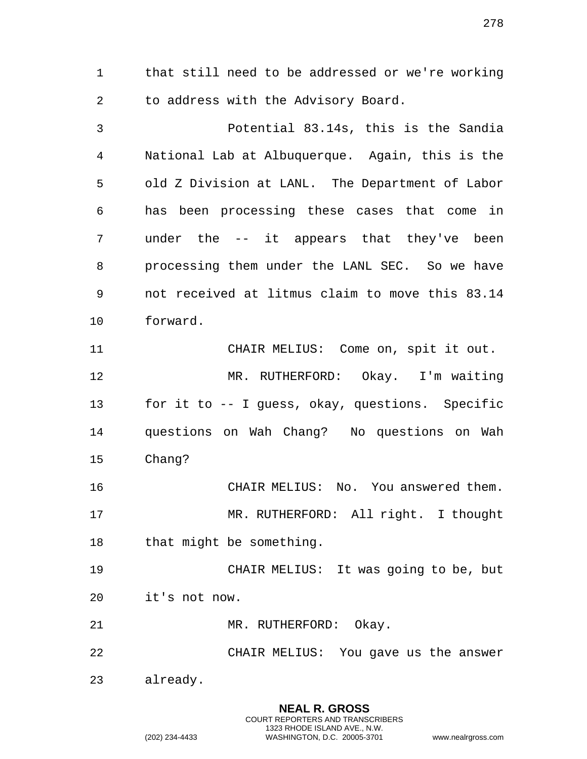that still need to be addressed or we're working to address with the Advisory Board.

 Potential 83.14s, this is the Sandia National Lab at Albuquerque. Again, this is the old Z Division at LANL. The Department of Labor has been processing these cases that come in under the -- it appears that they've been processing them under the LANL SEC. So we have not received at litmus claim to move this 83.14 forward. CHAIR MELIUS: Come on, spit it out.

 MR. RUTHERFORD: Okay. I'm waiting for it to -- I guess, okay, questions. Specific questions on Wah Chang? No questions on Wah Chang?

 CHAIR MELIUS: No. You answered them. MR. RUTHERFORD: All right. I thought that might be something.

 CHAIR MELIUS: It was going to be, but it's not now.

21 MR. RUTHERFORD: Okay.

CHAIR MELIUS: You gave us the answer

already.

**NEAL R. GROSS** COURT REPORTERS AND TRANSCRIBERS 1323 RHODE ISLAND AVE., N.W. (202) 234-4433 WASHINGTON, D.C. 20005-3701 www.nealrgross.com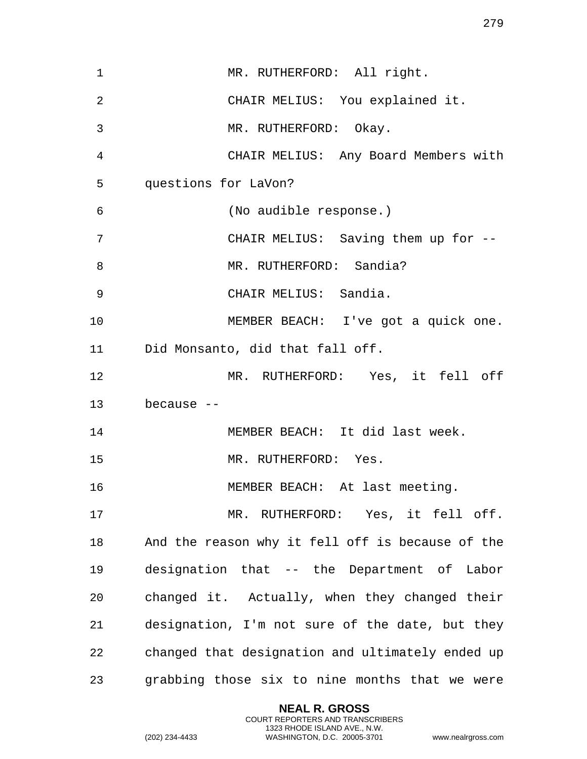| 1  | MR. RUTHERFORD: All right.                       |
|----|--------------------------------------------------|
| 2  | CHAIR MELIUS: You explained it.                  |
| 3  | MR. RUTHERFORD: Okay.                            |
| 4  | CHAIR MELIUS: Any Board Members with             |
| 5  | questions for LaVon?                             |
| 6  | (No audible response.)                           |
| 7  | CHAIR MELIUS: Saving them up for --              |
| 8  | MR. RUTHERFORD: Sandia?                          |
| 9  | CHAIR MELIUS: Sandia.                            |
| 10 | MEMBER BEACH: I've got a quick one.              |
| 11 | Did Monsanto, did that fall off.                 |
| 12 | MR. RUTHERFORD: Yes, it fell off                 |
| 13 | because $-$                                      |
| 14 | MEMBER BEACH: It did last week.                  |
| 15 | MR. RUTHERFORD: Yes.                             |
| 16 | MEMBER BEACH: At last meeting.                   |
| 17 | MR. RUTHERFORD: Yes, it fell off.                |
| 18 | And the reason why it fell off is because of the |
| 19 | designation that -- the Department of Labor      |
| 20 | changed it. Actually, when they changed their    |
| 21 | designation, I'm not sure of the date, but they  |
| 22 | changed that designation and ultimately ended up |
| 23 | grabbing those six to nine months that we were   |

**NEAL R. GROSS** COURT REPORTERS AND TRANSCRIBERS 1323 RHODE ISLAND AVE., N.W.

(202) 234-4433 WASHINGTON, D.C. 20005-3701 www.nealrgross.com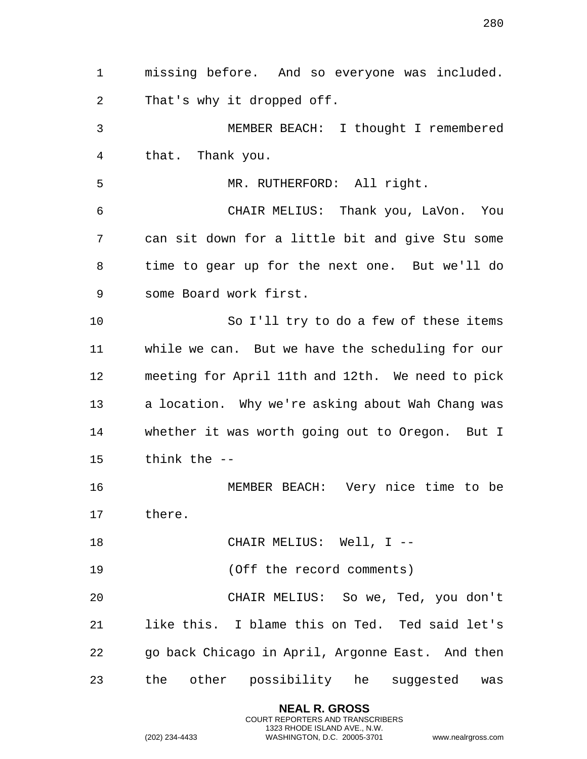missing before. And so everyone was included. That's why it dropped off. MEMBER BEACH: I thought I remembered that. Thank you. MR. RUTHERFORD: All right. CHAIR MELIUS: Thank you, LaVon. You can sit down for a little bit and give Stu some time to gear up for the next one. But we'll do some Board work first. So I'll try to do a few of these items while we can. But we have the scheduling for our meeting for April 11th and 12th. We need to pick a location. Why we're asking about Wah Chang was whether it was worth going out to Oregon. But I think the -- MEMBER BEACH: Very nice time to be there. 18 CHAIR MELIUS: Well, I -- (Off the record comments) CHAIR MELIUS: So we, Ted, you don't like this. I blame this on Ted. Ted said let's go back Chicago in April, Argonne East. And then the other possibility he suggested was

> **NEAL R. GROSS** COURT REPORTERS AND TRANSCRIBERS 1323 RHODE ISLAND AVE., N.W.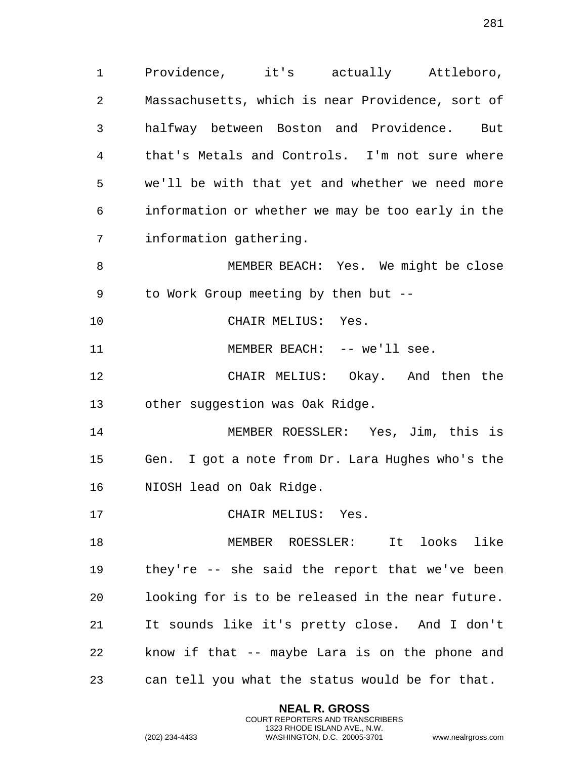Providence, it's actually Attleboro, Massachusetts, which is near Providence, sort of halfway between Boston and Providence. But that's Metals and Controls. I'm not sure where we'll be with that yet and whether we need more information or whether we may be too early in the information gathering.

 MEMBER BEACH: Yes. We might be close to Work Group meeting by then but --

CHAIR MELIUS: Yes.

11 MEMBER BEACH: -- we'll see.

 CHAIR MELIUS: Okay. And then the other suggestion was Oak Ridge.

 MEMBER ROESSLER: Yes, Jim, this is Gen. I got a note from Dr. Lara Hughes who's the NIOSH lead on Oak Ridge.

17 CHAIR MELIUS: Yes.

 MEMBER ROESSLER: It looks like they're -- she said the report that we've been looking for is to be released in the near future. It sounds like it's pretty close. And I don't know if that -- maybe Lara is on the phone and can tell you what the status would be for that.

> **NEAL R. GROSS** COURT REPORTERS AND TRANSCRIBERS 1323 RHODE ISLAND AVE., N.W.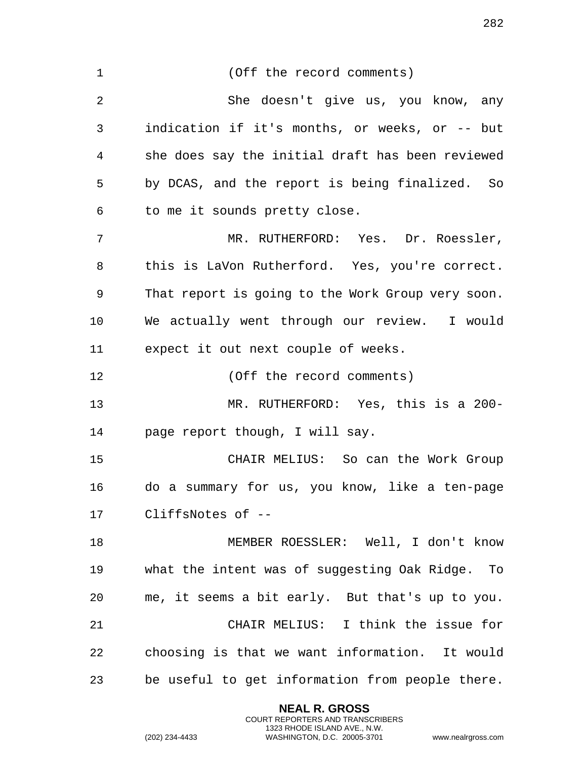| $\mathbf{1}$ | (Off the record comments)                         |
|--------------|---------------------------------------------------|
| 2            | She doesn't give us, you know, any                |
| 3            | indication if it's months, or weeks, or -- but    |
| 4            | she does say the initial draft has been reviewed  |
| 5            | by DCAS, and the report is being finalized. So    |
| 6            | to me it sounds pretty close.                     |
| 7            | MR. RUTHERFORD: Yes. Dr. Roessler,                |
| 8            | this is LaVon Rutherford. Yes, you're correct.    |
| 9            | That report is going to the Work Group very soon. |
| 10           | We actually went through our review. I would      |
| 11           | expect it out next couple of weeks.               |
| 12           | (Off the record comments)                         |
| 13           | MR. RUTHERFORD: Yes, this is a 200-               |
| 14           | page report though, I will say.                   |
| 15           | CHAIR MELIUS: So can the Work Group               |
| 16           | do a summary for us, you know, like a ten-page    |
| 17           | CliffsNotes of --                                 |
| 18           | MEMBER ROESSLER: Well, I don't know               |
| 19           | what the intent was of suggesting Oak Ridge. To   |
| 20           | me, it seems a bit early. But that's up to you.   |
| 21           | CHAIR MELIUS: I think the issue for               |
| 22           | choosing is that we want information. It would    |
| 23           | be useful to get information from people there.   |
|              |                                                   |

**NEAL R. GROSS** COURT REPORTERS AND TRANSCRIBERS 1323 RHODE ISLAND AVE., N.W.

(202) 234-4433 WASHINGTON, D.C. 20005-3701 www.nealrgross.com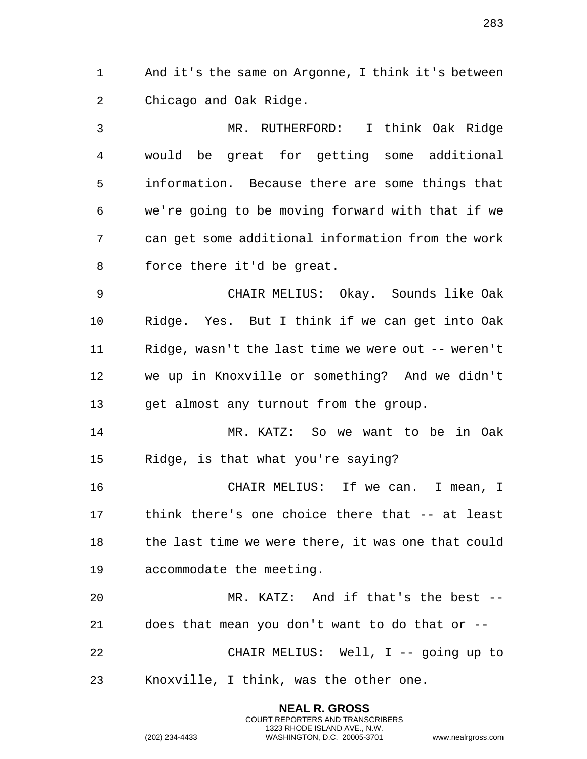And it's the same on Argonne, I think it's between Chicago and Oak Ridge.

 MR. RUTHERFORD: I think Oak Ridge would be great for getting some additional information. Because there are some things that we're going to be moving forward with that if we can get some additional information from the work force there it'd be great.

 CHAIR MELIUS: Okay. Sounds like Oak Ridge. Yes. But I think if we can get into Oak Ridge, wasn't the last time we were out -- weren't we up in Knoxville or something? And we didn't get almost any turnout from the group.

 MR. KATZ: So we want to be in Oak Ridge, is that what you're saying?

 CHAIR MELIUS: If we can. I mean, I think there's one choice there that -- at least 18 the last time we were there, it was one that could accommodate the meeting.

 MR. KATZ: And if that's the best -- does that mean you don't want to do that or -- CHAIR MELIUS: Well, I -- going up to Knoxville, I think, was the other one.

> **NEAL R. GROSS** COURT REPORTERS AND TRANSCRIBERS 1323 RHODE ISLAND AVE., N.W.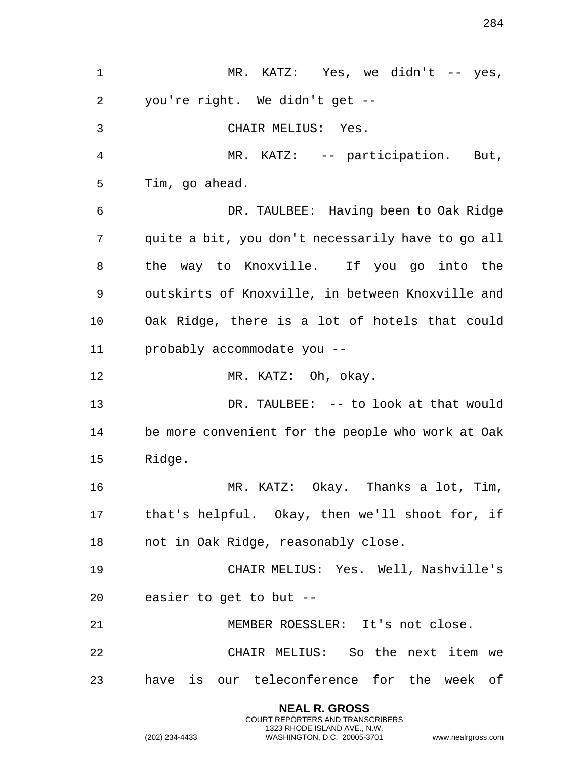1 MR. KATZ: Yes, we didn't -- yes, you're right. We didn't get -- CHAIR MELIUS: Yes. MR. KATZ: -- participation. But, Tim, go ahead. DR. TAULBEE: Having been to Oak Ridge quite a bit, you don't necessarily have to go all the way to Knoxville. If you go into the outskirts of Knoxville, in between Knoxville and Oak Ridge, there is a lot of hotels that could probably accommodate you -- 12 MR. KATZ: Oh, okay. 13 DR. TAULBEE: -- to look at that would be more convenient for the people who work at Oak Ridge. MR. KATZ: Okay. Thanks a lot, Tim, that's helpful. Okay, then we'll shoot for, if not in Oak Ridge, reasonably close. CHAIR MELIUS: Yes. Well, Nashville's easier to get to but -- MEMBER ROESSLER: It's not close. CHAIR MELIUS: So the next item we have is our teleconference for the week of

> **NEAL R. GROSS** COURT REPORTERS AND TRANSCRIBERS 1323 RHODE ISLAND AVE., N.W.

(202) 234-4433 WASHINGTON, D.C. 20005-3701 www.nealrgross.com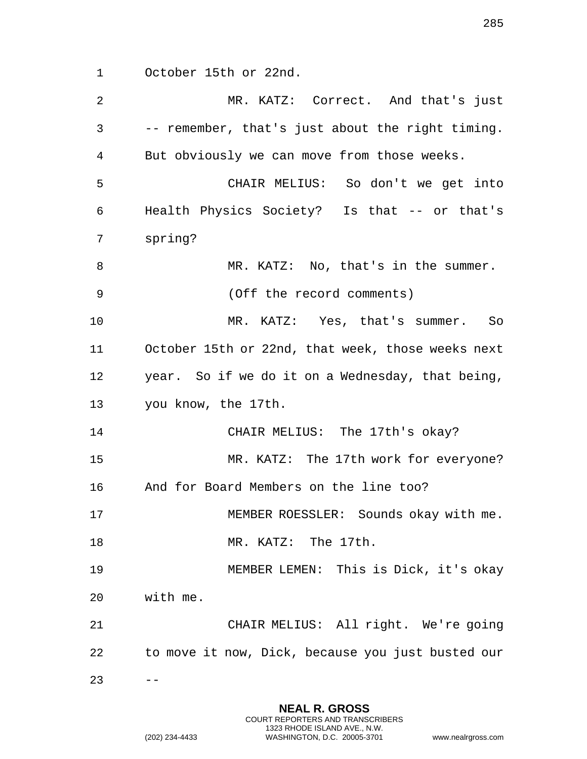October 15th or 22nd.

| $\overline{2}$ | MR. KATZ: Correct. And that's just                |
|----------------|---------------------------------------------------|
| 3              | -- remember, that's just about the right timing.  |
| 4              | But obviously we can move from those weeks.       |
| 5              | CHAIR MELIUS: So don't we get into                |
| 6              | Health Physics Society? Is that -- or that's      |
| 7              | spring?                                           |
| 8              | MR. KATZ: No, that's in the summer.               |
| 9              | (Off the record comments)                         |
| 10             | MR. KATZ: Yes, that's summer. So                  |
| 11             | October 15th or 22nd, that week, those weeks next |
| 12             | year. So if we do it on a Wednesday, that being,  |
| 13             | you know, the 17th.                               |
| 14             | CHAIR MELIUS: The 17th's okay?                    |
| 15             | MR. KATZ: The 17th work for everyone?             |
| 16             | And for Board Members on the line too?            |
| 17             | MEMBER ROESSLER: Sounds okay with me.             |
| 18             | MR. KATZ: The 17th.                               |
| 19             | MEMBER LEMEN: This is Dick, it's okay             |
| 20             | with me.                                          |
| 21             | CHAIR MELIUS: All right. We're going              |
| 22             | to move it now, Dick, because you just busted our |
| 23             |                                                   |

**NEAL R. GROSS** COURT REPORTERS AND TRANSCRIBERS 1323 RHODE ISLAND AVE., N.W.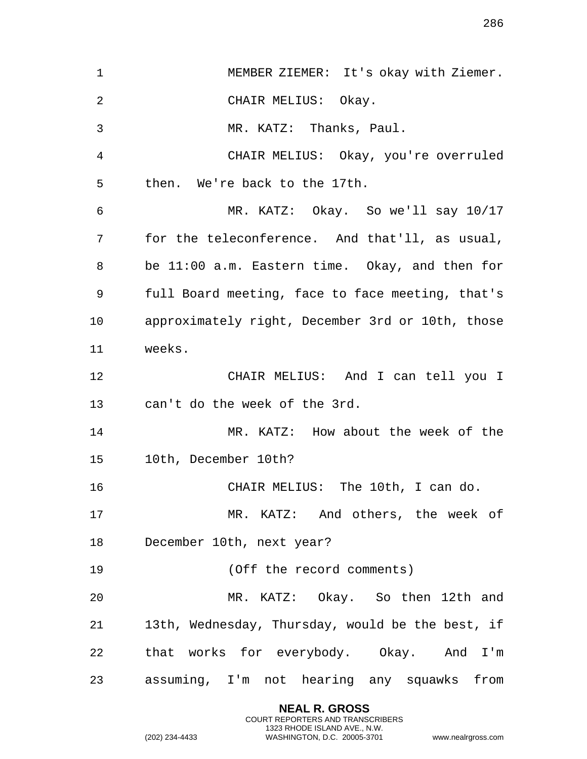| $\mathbf 1$ | MEMBER ZIEMER: It's okay with Ziemer.            |
|-------------|--------------------------------------------------|
| 2           | CHAIR MELIUS: Okay.                              |
| 3           | MR. KATZ: Thanks, Paul.                          |
| 4           | CHAIR MELIUS: Okay, you're overruled             |
| 5           | then. We're back to the 17th.                    |
| 6           | MR. KATZ: Okay. So we'll say 10/17               |
| 7           | for the teleconference. And that'll, as usual,   |
| 8           | be 11:00 a.m. Eastern time. Okay, and then for   |
| 9           | full Board meeting, face to face meeting, that's |
| 10          | approximately right, December 3rd or 10th, those |
| 11          | weeks.                                           |
| 12          | CHAIR MELIUS: And I can tell you I               |
| 13          | can't do the week of the 3rd.                    |
| 14          | MR. KATZ: How about the week of the              |
| 15          | 10th, December 10th?                             |
| 16          | CHAIR MELIUS: The 10th, I can do.                |
| 17          | MR. KATZ: And others, the week of                |
| 18          | December 10th, next year?                        |
| 19          | (Off the record comments)                        |
| 20          | MR. KATZ: Okay. So then 12th and                 |
| 21          | 13th, Wednesday, Thursday, would be the best, if |
| 22          | that works for everybody. Okay. And I'm          |
| 23          | assuming, I'm not hearing any squawks from       |

**NEAL R. GROSS** COURT REPORTERS AND TRANSCRIBERS 1323 RHODE ISLAND AVE., N.W.

```
(202) 234-4433 WASHINGTON, D.C. 20005-3701 www.nealrgross.com
```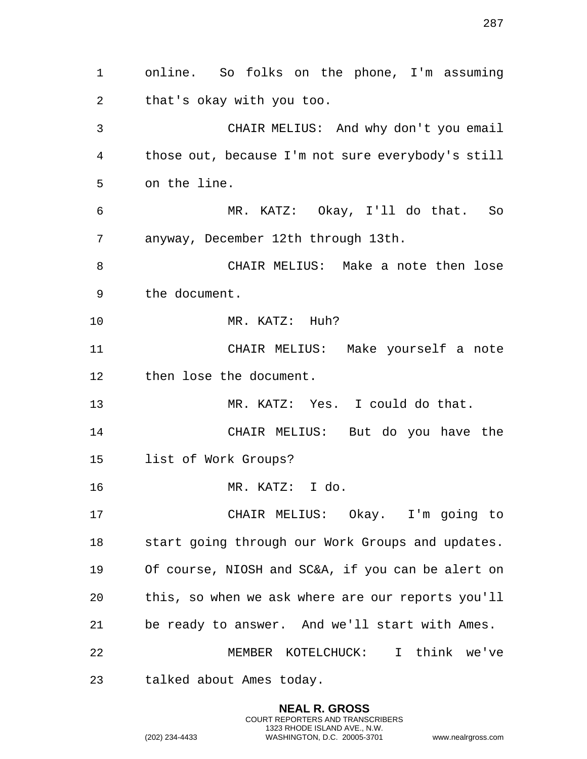online. So folks on the phone, I'm assuming that's okay with you too. CHAIR MELIUS: And why don't you email those out, because I'm not sure everybody's still on the line. MR. KATZ: Okay, I'll do that. So anyway, December 12th through 13th. CHAIR MELIUS: Make a note then lose the document. MR. KATZ: Huh? CHAIR MELIUS: Make yourself a note then lose the document. MR. KATZ: Yes. I could do that. CHAIR MELIUS: But do you have the list of Work Groups? MR. KATZ: I do. CHAIR MELIUS: Okay. I'm going to start going through our Work Groups and updates. Of course, NIOSH and SC&A, if you can be alert on this, so when we ask where are our reports you'll be ready to answer. And we'll start with Ames. MEMBER KOTELCHUCK: I think we've talked about Ames today.

> **NEAL R. GROSS** COURT REPORTERS AND TRANSCRIBERS 1323 RHODE ISLAND AVE., N.W.

(202) 234-4433 WASHINGTON, D.C. 20005-3701 www.nealrgross.com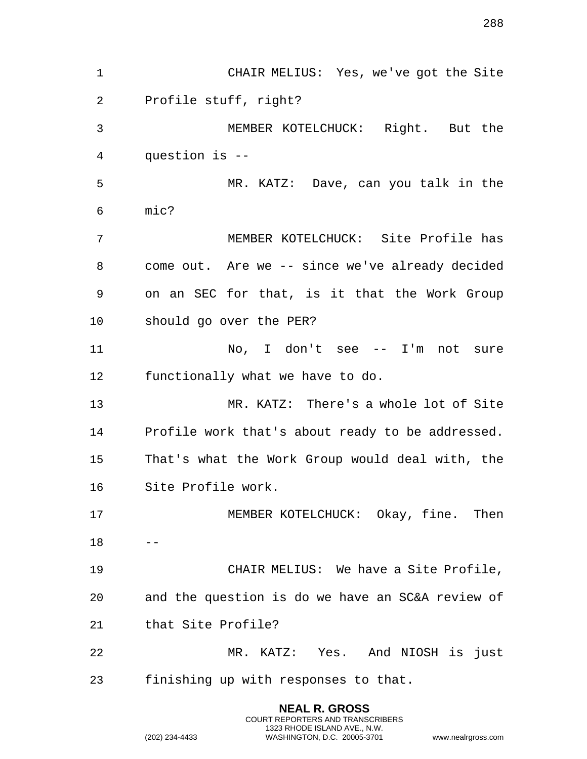CHAIR MELIUS: Yes, we've got the Site Profile stuff, right? MEMBER KOTELCHUCK: Right. But the question is -- MR. KATZ: Dave, can you talk in the mic? MEMBER KOTELCHUCK: Site Profile has come out. Are we -- since we've already decided on an SEC for that, is it that the Work Group should go over the PER? 11 No, I don't see -- I'm not sure functionally what we have to do. MR. KATZ: There's a whole lot of Site Profile work that's about ready to be addressed. That's what the Work Group would deal with, the Site Profile work. 17 MEMBER KOTELCHUCK: Okay, fine. Then  $18 - -$  CHAIR MELIUS: We have a Site Profile, and the question is do we have an SC&A review of that Site Profile? MR. KATZ: Yes. And NIOSH is just finishing up with responses to that.

> **NEAL R. GROSS** COURT REPORTERS AND TRANSCRIBERS 1323 RHODE ISLAND AVE., N.W.

(202) 234-4433 WASHINGTON, D.C. 20005-3701 www.nealrgross.com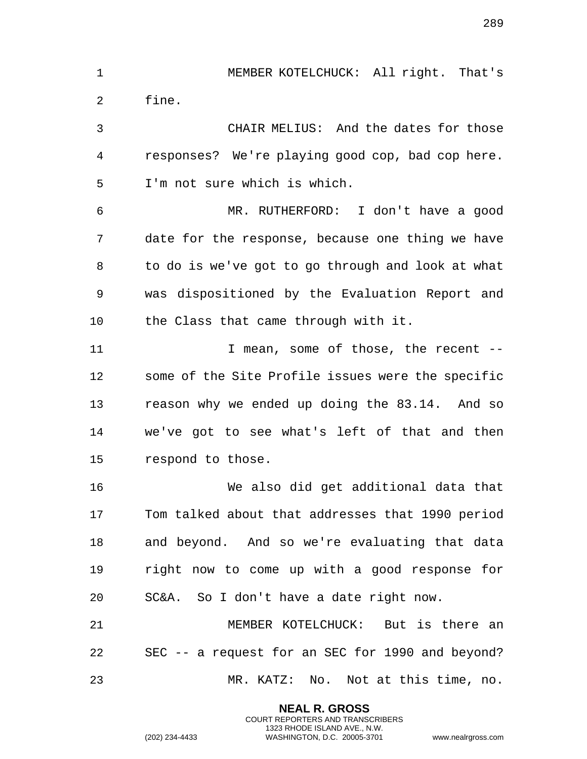MEMBER KOTELCHUCK: All right. That's fine. CHAIR MELIUS: And the dates for those responses? We're playing good cop, bad cop here. I'm not sure which is which. MR. RUTHERFORD: I don't have a good date for the response, because one thing we have to do is we've got to go through and look at what was dispositioned by the Evaluation Report and the Class that came through with it. 11 1 I mean, some of those, the recent -- some of the Site Profile issues were the specific reason why we ended up doing the 83.14. And so we've got to see what's left of that and then respond to those. We also did get additional data that Tom talked about that addresses that 1990 period and beyond. And so we're evaluating that data right now to come up with a good response for SC&A. So I don't have a date right now.

 MEMBER KOTELCHUCK: But is there an SEC -- a request for an SEC for 1990 and beyond? MR. KATZ: No. Not at this time, no.

> **NEAL R. GROSS** COURT REPORTERS AND TRANSCRIBERS 1323 RHODE ISLAND AVE., N.W.

(202) 234-4433 WASHINGTON, D.C. 20005-3701 www.nealrgross.com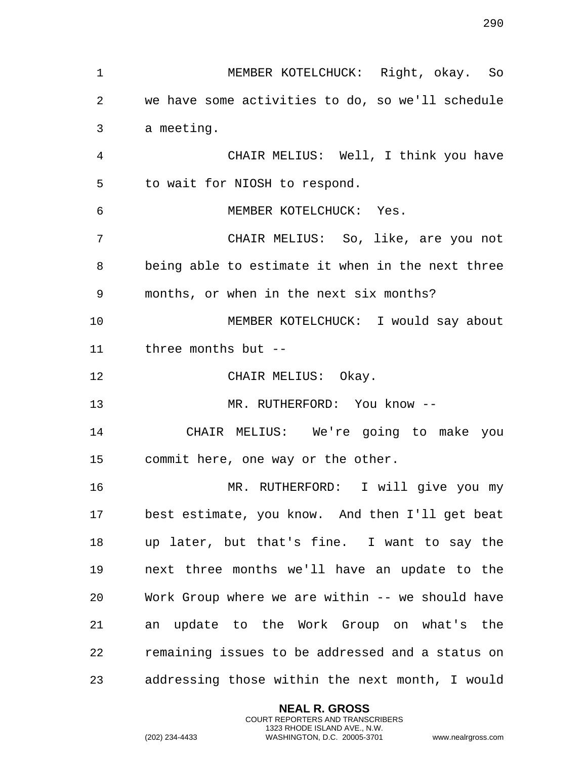MEMBER KOTELCHUCK: Right, okay. So we have some activities to do, so we'll schedule a meeting. CHAIR MELIUS: Well, I think you have to wait for NIOSH to respond. MEMBER KOTELCHUCK: Yes. CHAIR MELIUS: So, like, are you not being able to estimate it when in the next three months, or when in the next six months? MEMBER KOTELCHUCK: I would say about three months but -- 12 CHAIR MELIUS: Okay. MR. RUTHERFORD: You know -- CHAIR MELIUS: We're going to make you commit here, one way or the other. MR. RUTHERFORD: I will give you my best estimate, you know. And then I'll get beat up later, but that's fine. I want to say the next three months we'll have an update to the Work Group where we are within -- we should have an update to the Work Group on what's the remaining issues to be addressed and a status on addressing those within the next month, I would

> **NEAL R. GROSS** COURT REPORTERS AND TRANSCRIBERS 1323 RHODE ISLAND AVE., N.W.

(202) 234-4433 WASHINGTON, D.C. 20005-3701 www.nealrgross.com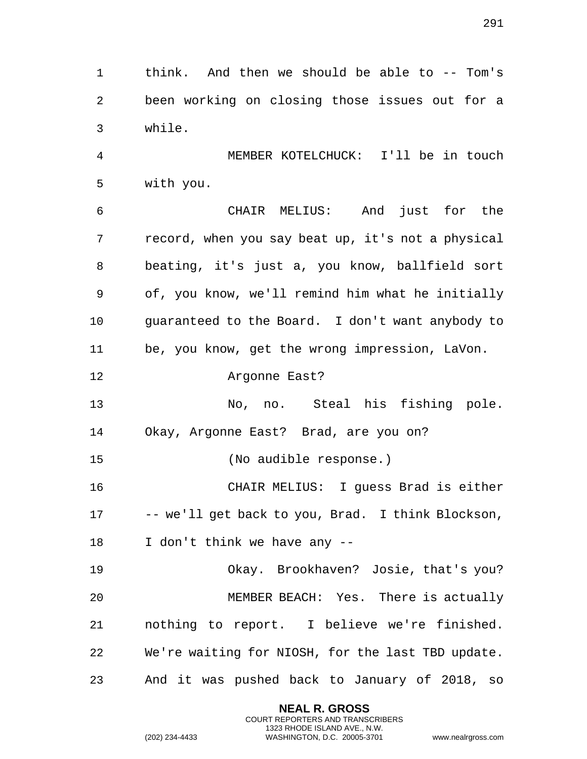think. And then we should be able to -- Tom's been working on closing those issues out for a while.

 MEMBER KOTELCHUCK: I'll be in touch with you.

 CHAIR MELIUS: And just for the record, when you say beat up, it's not a physical beating, it's just a, you know, ballfield sort of, you know, we'll remind him what he initially guaranteed to the Board. I don't want anybody to be, you know, get the wrong impression, LaVon.

## Argonne East?

 No, no. Steal his fishing pole. Okay, Argonne East? Brad, are you on?

(No audible response.)

 CHAIR MELIUS: I guess Brad is either -- we'll get back to you, Brad. I think Blockson,

I don't think we have any --

 Okay. Brookhaven? Josie, that's you? MEMBER BEACH: Yes. There is actually nothing to report. I believe we're finished. We're waiting for NIOSH, for the last TBD update. And it was pushed back to January of 2018, so

> **NEAL R. GROSS** COURT REPORTERS AND TRANSCRIBERS 1323 RHODE ISLAND AVE., N.W.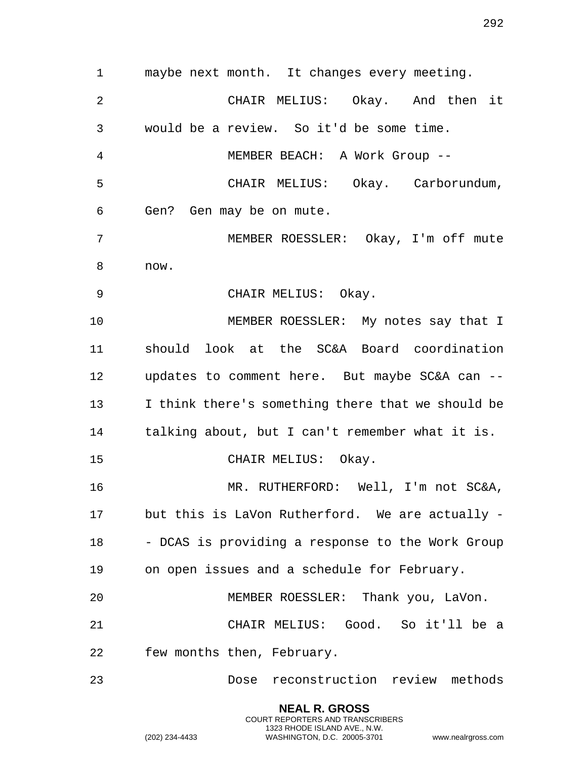maybe next month. It changes every meeting. CHAIR MELIUS: Okay. And then it would be a review. So it'd be some time. MEMBER BEACH: A Work Group -- CHAIR MELIUS: Okay. Carborundum, Gen? Gen may be on mute. MEMBER ROESSLER: Okay, I'm off mute now. CHAIR MELIUS: Okay. MEMBER ROESSLER: My notes say that I should look at the SC&A Board coordination updates to comment here. But maybe SC&A can -- I think there's something there that we should be talking about, but I can't remember what it is. CHAIR MELIUS: Okay. MR. RUTHERFORD: Well, I'm not SC&A, but this is LaVon Rutherford. We are actually - - DCAS is providing a response to the Work Group on open issues and a schedule for February. MEMBER ROESSLER: Thank you, LaVon. CHAIR MELIUS: Good. So it'll be a few months then, February. Dose reconstruction review methods

> **NEAL R. GROSS** COURT REPORTERS AND TRANSCRIBERS 1323 RHODE ISLAND AVE., N.W.

(202) 234-4433 WASHINGTON, D.C. 20005-3701 www.nealrgross.com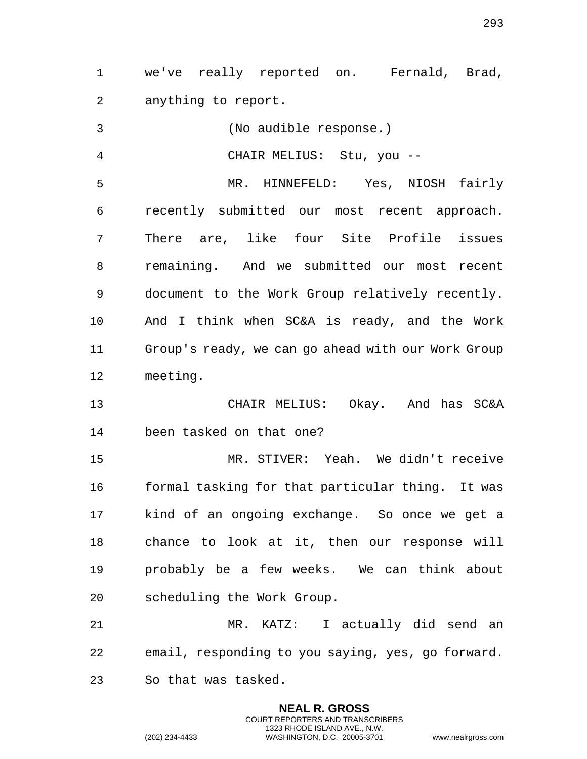we've really reported on. Fernald, Brad, anything to report.

 (No audible response.) CHAIR MELIUS: Stu, you -- MR. HINNEFELD: Yes, NIOSH fairly recently submitted our most recent approach. There are, like four Site Profile issues remaining. And we submitted our most recent document to the Work Group relatively recently. And I think when SC&A is ready, and the Work Group's ready, we can go ahead with our Work Group meeting.

 CHAIR MELIUS: Okay. And has SC&A been tasked on that one?

 MR. STIVER: Yeah. We didn't receive formal tasking for that particular thing. It was kind of an ongoing exchange. So once we get a chance to look at it, then our response will probably be a few weeks. We can think about scheduling the Work Group.

 MR. KATZ: I actually did send an email, responding to you saying, yes, go forward. So that was tasked.

> **NEAL R. GROSS** COURT REPORTERS AND TRANSCRIBERS 1323 RHODE ISLAND AVE., N.W.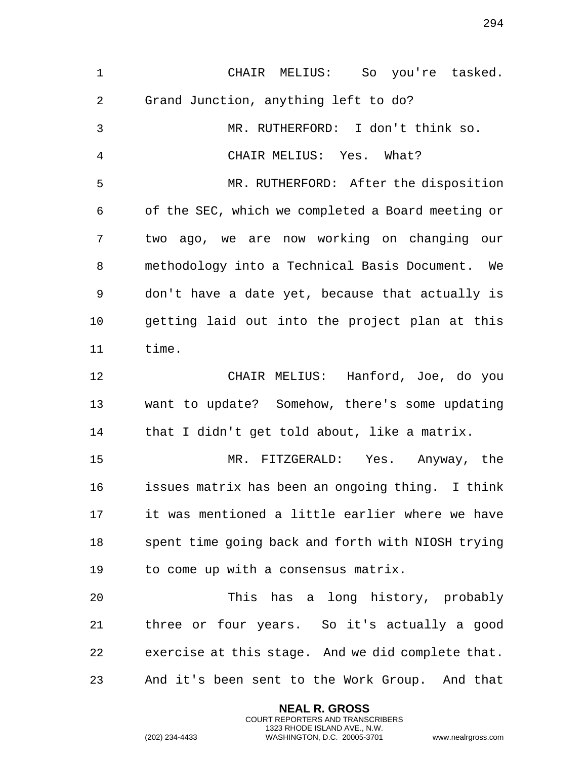CHAIR MELIUS: So you're tasked. Grand Junction, anything left to do? MR. RUTHERFORD: I don't think so. CHAIR MELIUS: Yes. What? MR. RUTHERFORD: After the disposition of the SEC, which we completed a Board meeting or two ago, we are now working on changing our methodology into a Technical Basis Document. We don't have a date yet, because that actually is getting laid out into the project plan at this time. CHAIR MELIUS: Hanford, Joe, do you want to update? Somehow, there's some updating that I didn't get told about, like a matrix. MR. FITZGERALD: Yes. Anyway, the issues matrix has been an ongoing thing. I think it was mentioned a little earlier where we have spent time going back and forth with NIOSH trying to come up with a consensus matrix. This has a long history, probably three or four years. So it's actually a good exercise at this stage. And we did complete that. And it's been sent to the Work Group. And that

> **NEAL R. GROSS** COURT REPORTERS AND TRANSCRIBERS 1323 RHODE ISLAND AVE., N.W.

(202) 234-4433 WASHINGTON, D.C. 20005-3701 www.nealrgross.com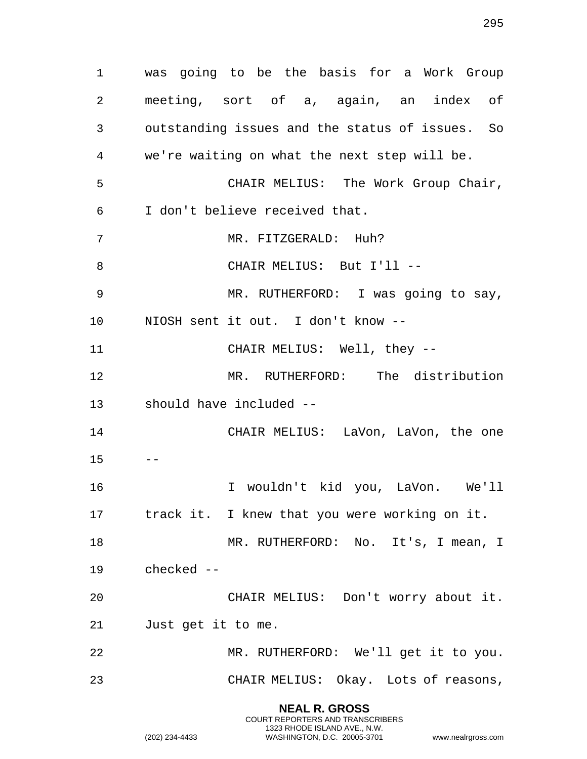**NEAL R. GROSS** was going to be the basis for a Work Group meeting, sort of a, again, an index of outstanding issues and the status of issues. So we're waiting on what the next step will be. CHAIR MELIUS: The Work Group Chair, I don't believe received that. MR. FITZGERALD: Huh? 8 CHAIR MELIUS: But I'll -- MR. RUTHERFORD: I was going to say, NIOSH sent it out. I don't know -- CHAIR MELIUS: Well, they -- MR. RUTHERFORD: The distribution should have included -- CHAIR MELIUS: LaVon, LaVon, the one  $15 - -$  I wouldn't kid you, LaVon. We'll track it. I knew that you were working on it. 18 MR. RUTHERFORD: No. It's, I mean, I checked -- CHAIR MELIUS: Don't worry about it. Just get it to me. MR. RUTHERFORD: We'll get it to you. CHAIR MELIUS: Okay. Lots of reasons,

> COURT REPORTERS AND TRANSCRIBERS 1323 RHODE ISLAND AVE., N.W.

(202) 234-4433 WASHINGTON, D.C. 20005-3701 www.nealrgross.com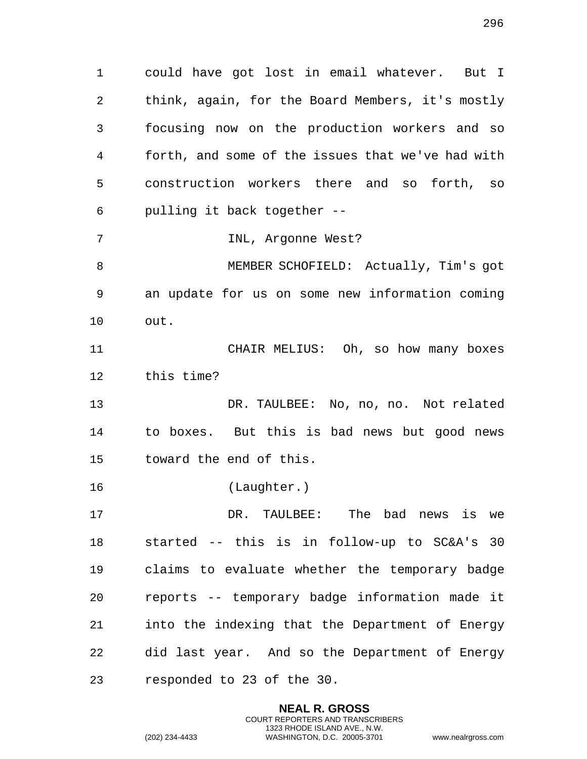could have got lost in email whatever. But I think, again, for the Board Members, it's mostly focusing now on the production workers and so forth, and some of the issues that we've had with construction workers there and so forth, so pulling it back together --

INL, Argonne West?

 MEMBER SCHOFIELD: Actually, Tim's got an update for us on some new information coming out.

 CHAIR MELIUS: Oh, so how many boxes this time?

 DR. TAULBEE: No, no, no. Not related to boxes. But this is bad news but good news toward the end of this.

(Laughter.)

 DR. TAULBEE: The bad news is we started -- this is in follow-up to SC&A's 30 claims to evaluate whether the temporary badge reports -- temporary badge information made it into the indexing that the Department of Energy did last year. And so the Department of Energy responded to 23 of the 30.

> **NEAL R. GROSS** COURT REPORTERS AND TRANSCRIBERS 1323 RHODE ISLAND AVE., N.W.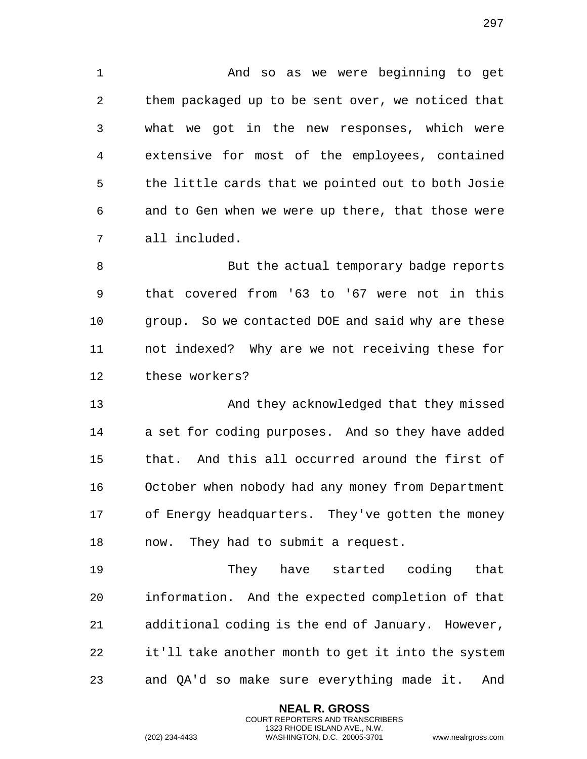And so as we were beginning to get them packaged up to be sent over, we noticed that what we got in the new responses, which were extensive for most of the employees, contained the little cards that we pointed out to both Josie and to Gen when we were up there, that those were all included.

8 But the actual temporary badge reports that covered from '63 to '67 were not in this group. So we contacted DOE and said why are these not indexed? Why are we not receiving these for these workers?

 And they acknowledged that they missed a set for coding purposes. And so they have added that. And this all occurred around the first of October when nobody had any money from Department of Energy headquarters. They've gotten the money now. They had to submit a request.

 They have started coding that information. And the expected completion of that additional coding is the end of January. However, it'll take another month to get it into the system and QA'd so make sure everything made it. And

> **NEAL R. GROSS** COURT REPORTERS AND TRANSCRIBERS 1323 RHODE ISLAND AVE., N.W.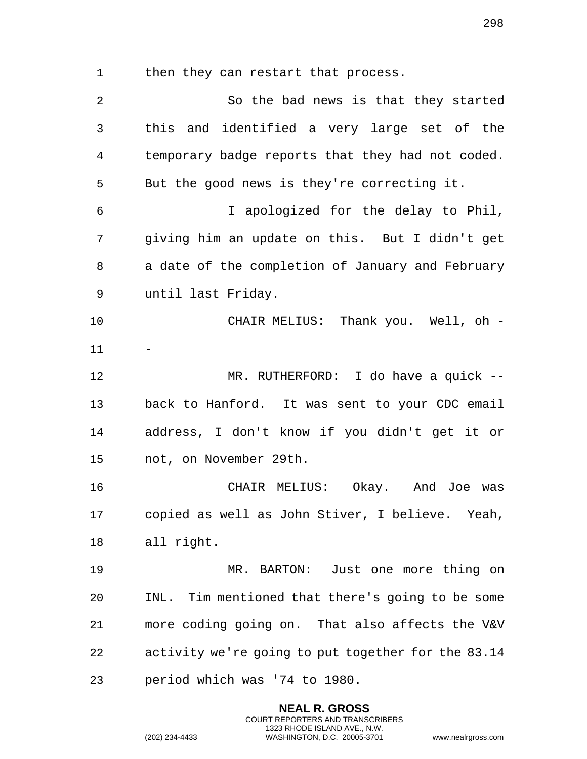1 then they can restart that process.

 So the bad news is that they started this and identified a very large set of the temporary badge reports that they had not coded. But the good news is they're correcting it. I apologized for the delay to Phil, giving him an update on this. But I didn't get a date of the completion of January and February until last Friday. CHAIR MELIUS: Thank you. Well, oh - MR. RUTHERFORD: I do have a quick -- back to Hanford. It was sent to your CDC email address, I don't know if you didn't get it or not, on November 29th. CHAIR MELIUS: Okay. And Joe was copied as well as John Stiver, I believe. Yeah, all right. MR. BARTON: Just one more thing on INL. Tim mentioned that there's going to be some more coding going on. That also affects the V&V activity we're going to put together for the 83.14 period which was '74 to 1980.

> **NEAL R. GROSS** COURT REPORTERS AND TRANSCRIBERS 1323 RHODE ISLAND AVE., N.W.

(202) 234-4433 WASHINGTON, D.C. 20005-3701 www.nealrgross.com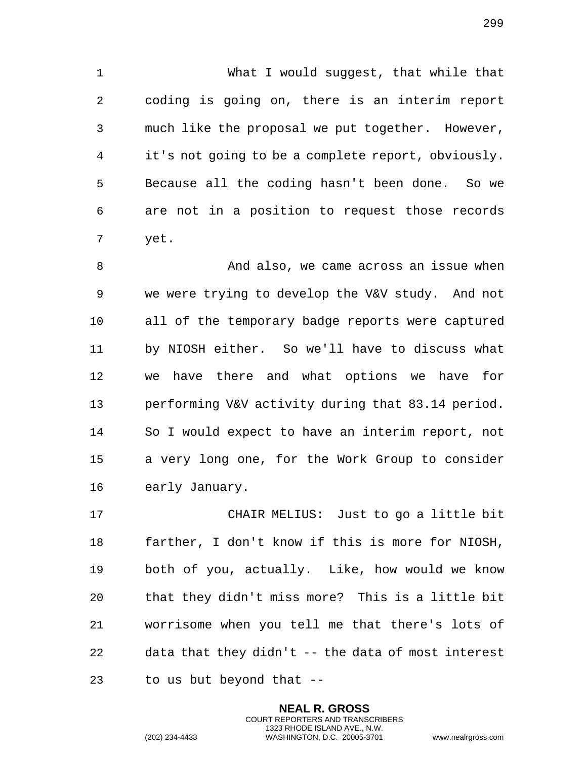What I would suggest, that while that coding is going on, there is an interim report much like the proposal we put together. However, it's not going to be a complete report, obviously. Because all the coding hasn't been done. So we are not in a position to request those records yet.

 And also, we came across an issue when we were trying to develop the V&V study. And not all of the temporary badge reports were captured by NIOSH either. So we'll have to discuss what we have there and what options we have for performing V&V activity during that 83.14 period. So I would expect to have an interim report, not a very long one, for the Work Group to consider early January.

 CHAIR MELIUS: Just to go a little bit farther, I don't know if this is more for NIOSH, both of you, actually. Like, how would we know that they didn't miss more? This is a little bit worrisome when you tell me that there's lots of data that they didn't -- the data of most interest to us but beyond that --

> **NEAL R. GROSS** COURT REPORTERS AND TRANSCRIBERS 1323 RHODE ISLAND AVE., N.W.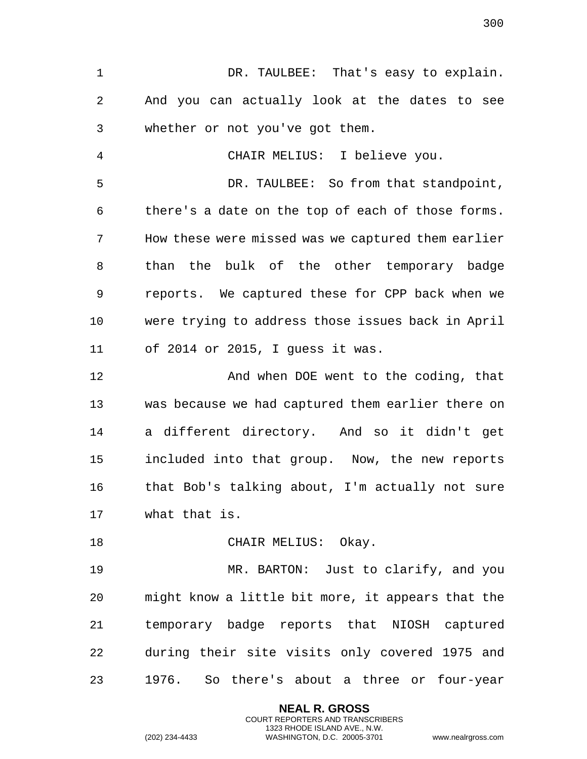1 DR. TAULBEE: That's easy to explain. And you can actually look at the dates to see whether or not you've got them.

 CHAIR MELIUS: I believe you. DR. TAULBEE: So from that standpoint, there's a date on the top of each of those forms. How these were missed was we captured them earlier than the bulk of the other temporary badge reports. We captured these for CPP back when we were trying to address those issues back in April of 2014 or 2015, I guess it was.

**And when DOE went to the coding, that**  was because we had captured them earlier there on a different directory. And so it didn't get included into that group. Now, the new reports that Bob's talking about, I'm actually not sure what that is.

18 CHAIR MELIUS: Okay.

 MR. BARTON: Just to clarify, and you might know a little bit more, it appears that the temporary badge reports that NIOSH captured during their site visits only covered 1975 and 1976. So there's about a three or four-year

> **NEAL R. GROSS** COURT REPORTERS AND TRANSCRIBERS 1323 RHODE ISLAND AVE., N.W.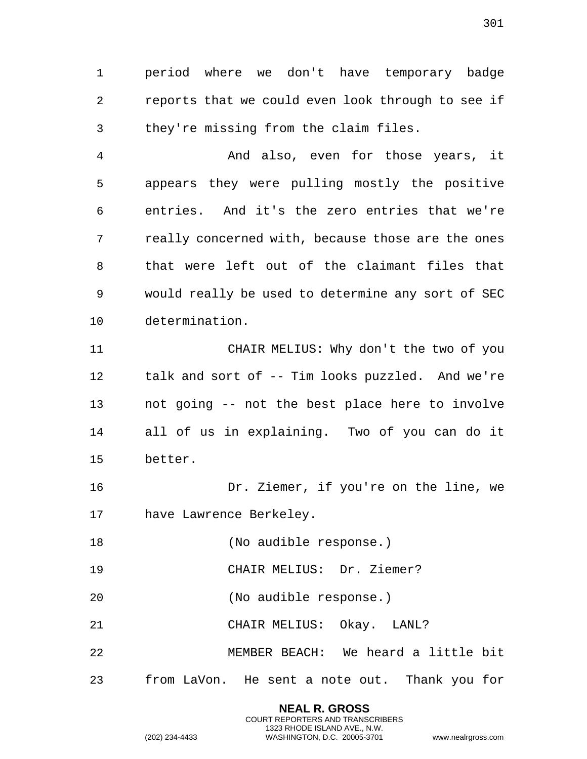period where we don't have temporary badge reports that we could even look through to see if they're missing from the claim files.

 And also, even for those years, it appears they were pulling mostly the positive entries. And it's the zero entries that we're really concerned with, because those are the ones that were left out of the claimant files that would really be used to determine any sort of SEC determination.

 CHAIR MELIUS: Why don't the two of you talk and sort of -- Tim looks puzzled. And we're not going -- not the best place here to involve all of us in explaining. Two of you can do it better.

 Dr. Ziemer, if you're on the line, we have Lawrence Berkeley.

18 (No audible response.)

CHAIR MELIUS: Dr. Ziemer?

(No audible response.)

CHAIR MELIUS: Okay. LANL?

 MEMBER BEACH: We heard a little bit from LaVon. He sent a note out. Thank you for

> **NEAL R. GROSS** COURT REPORTERS AND TRANSCRIBERS 1323 RHODE ISLAND AVE., N.W. (202) 234-4433 WASHINGTON, D.C. 20005-3701 www.nealrgross.com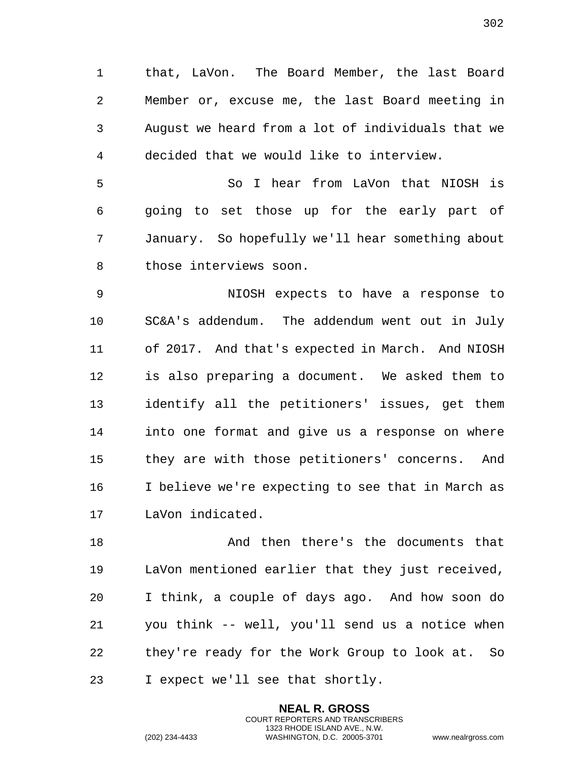that, LaVon. The Board Member, the last Board Member or, excuse me, the last Board meeting in August we heard from a lot of individuals that we decided that we would like to interview.

 So I hear from LaVon that NIOSH is going to set those up for the early part of January. So hopefully we'll hear something about those interviews soon.

 NIOSH expects to have a response to SC&A's addendum. The addendum went out in July of 2017. And that's expected in March. And NIOSH is also preparing a document. We asked them to identify all the petitioners' issues, get them into one format and give us a response on where they are with those petitioners' concerns. And I believe we're expecting to see that in March as LaVon indicated.

 And then there's the documents that LaVon mentioned earlier that they just received, I think, a couple of days ago. And how soon do you think -- well, you'll send us a notice when they're ready for the Work Group to look at. So I expect we'll see that shortly.

> **NEAL R. GROSS** COURT REPORTERS AND TRANSCRIBERS 1323 RHODE ISLAND AVE., N.W.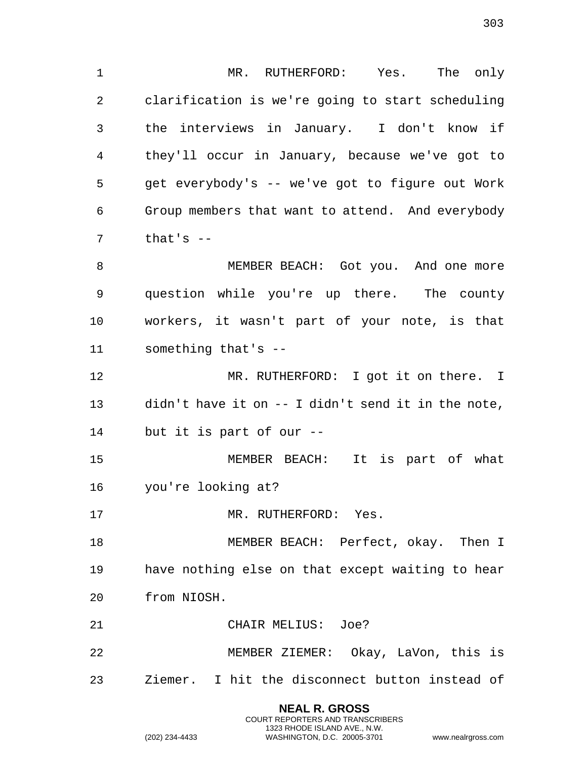MR. RUTHERFORD: Yes. The only clarification is we're going to start scheduling the interviews in January. I don't know if they'll occur in January, because we've got to get everybody's -- we've got to figure out Work Group members that want to attend. And everybody that's  $-$ 

 MEMBER BEACH: Got you. And one more question while you're up there. The county workers, it wasn't part of your note, is that something that's --

 MR. RUTHERFORD: I got it on there. I didn't have it on -- I didn't send it in the note, but it is part of our --

 MEMBER BEACH: It is part of what you're looking at?

17 MR. RUTHERFORD: Yes.

18 MEMBER BEACH: Perfect, okay. Then I have nothing else on that except waiting to hear from NIOSH.

CHAIR MELIUS: Joe?

 MEMBER ZIEMER: Okay, LaVon, this is Ziemer. I hit the disconnect button instead of

> **NEAL R. GROSS** COURT REPORTERS AND TRANSCRIBERS 1323 RHODE ISLAND AVE., N.W.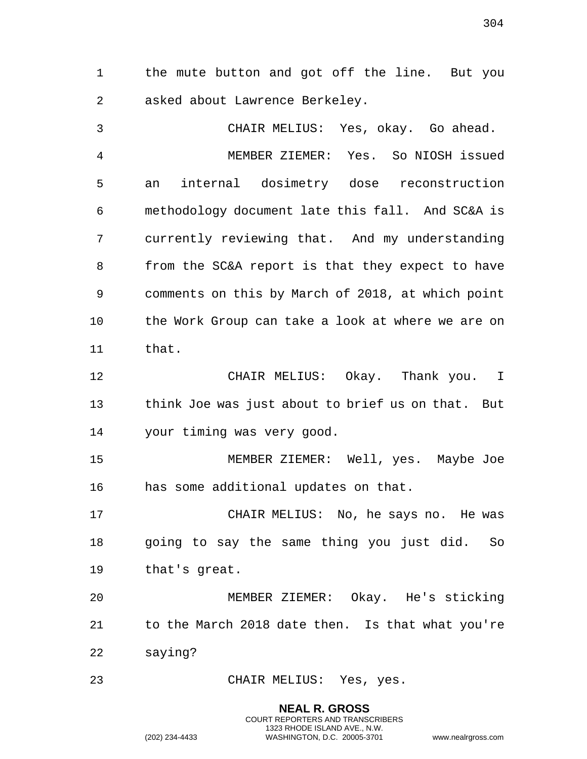the mute button and got off the line. But you asked about Lawrence Berkeley.

 CHAIR MELIUS: Yes, okay. Go ahead. MEMBER ZIEMER: Yes. So NIOSH issued an internal dosimetry dose reconstruction methodology document late this fall. And SC&A is currently reviewing that. And my understanding from the SC&A report is that they expect to have comments on this by March of 2018, at which point the Work Group can take a look at where we are on that. CHAIR MELIUS: Okay. Thank you. I think Joe was just about to brief us on that. But your timing was very good. MEMBER ZIEMER: Well, yes. Maybe Joe has some additional updates on that. CHAIR MELIUS: No, he says no. He was going to say the same thing you just did. So that's great. MEMBER ZIEMER: Okay. He's sticking to the March 2018 date then. Is that what you're saying? CHAIR MELIUS: Yes, yes.

> **NEAL R. GROSS** COURT REPORTERS AND TRANSCRIBERS 1323 RHODE ISLAND AVE., N.W.

(202) 234-4433 WASHINGTON, D.C. 20005-3701 www.nealrgross.com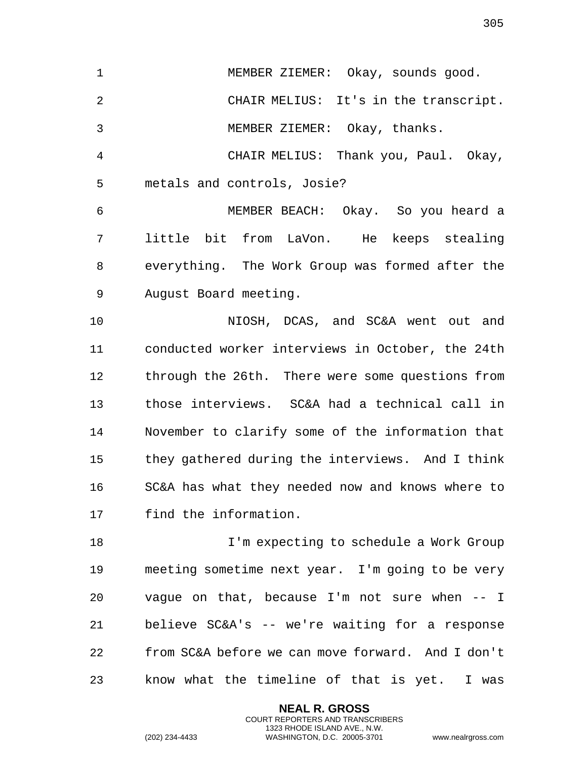MEMBER ZIEMER: Okay, sounds good. CHAIR MELIUS: It's in the transcript. MEMBER ZIEMER: Okay, thanks. CHAIR MELIUS: Thank you, Paul. Okay, metals and controls, Josie? MEMBER BEACH: Okay. So you heard a little bit from LaVon. He keeps stealing everything. The Work Group was formed after the August Board meeting. NIOSH, DCAS, and SC&A went out and conducted worker interviews in October, the 24th through the 26th. There were some questions from those interviews. SC&A had a technical call in November to clarify some of the information that they gathered during the interviews. And I think SC&A has what they needed now and knows where to find the information.

 I'm expecting to schedule a Work Group meeting sometime next year. I'm going to be very vague on that, because I'm not sure when -- I believe SC&A's -- we're waiting for a response from SC&A before we can move forward. And I don't know what the timeline of that is yet. I was

> **NEAL R. GROSS** COURT REPORTERS AND TRANSCRIBERS 1323 RHODE ISLAND AVE., N.W.

(202) 234-4433 WASHINGTON, D.C. 20005-3701 www.nealrgross.com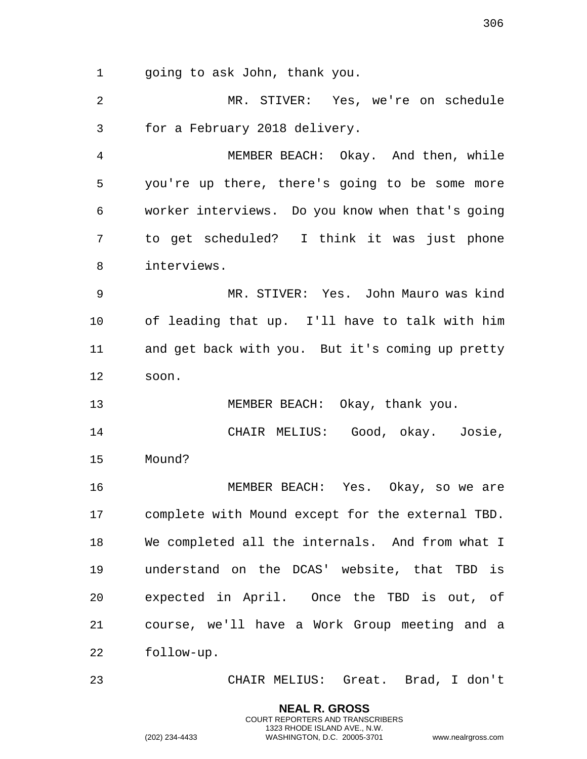going to ask John, thank you.

 MR. STIVER: Yes, we're on schedule for a February 2018 delivery.

 MEMBER BEACH: Okay. And then, while you're up there, there's going to be some more worker interviews. Do you know when that's going to get scheduled? I think it was just phone interviews.

 MR. STIVER: Yes. John Mauro was kind of leading that up. I'll have to talk with him and get back with you. But it's coming up pretty soon.

MEMBER BEACH: Okay, thank you.

 CHAIR MELIUS: Good, okay. Josie, Mound?

 MEMBER BEACH: Yes. Okay, so we are complete with Mound except for the external TBD. We completed all the internals. And from what I understand on the DCAS' website, that TBD is expected in April. Once the TBD is out, of course, we'll have a Work Group meeting and a follow-up.

CHAIR MELIUS: Great. Brad, I don't

**NEAL R. GROSS** COURT REPORTERS AND TRANSCRIBERS 1323 RHODE ISLAND AVE., N.W.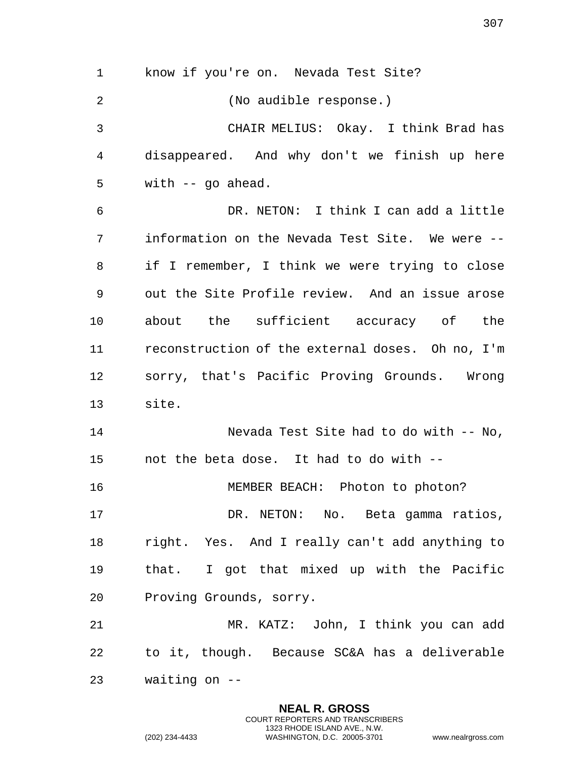know if you're on. Nevada Test Site? (No audible response.) CHAIR MELIUS: Okay. I think Brad has disappeared. And why don't we finish up here with -- go ahead. DR. NETON: I think I can add a little information on the Nevada Test Site. We were -- if I remember, I think we were trying to close out the Site Profile review. And an issue arose about the sufficient accuracy of the reconstruction of the external doses. Oh no, I'm sorry, that's Pacific Proving Grounds. Wrong site. Nevada Test Site had to do with -- No, not the beta dose. It had to do with -- MEMBER BEACH: Photon to photon? DR. NETON: No. Beta gamma ratios, right. Yes. And I really can't add anything to that. I got that mixed up with the Pacific Proving Grounds, sorry. MR. KATZ: John, I think you can add to it, though. Because SC&A has a deliverable waiting on --

> **NEAL R. GROSS** COURT REPORTERS AND TRANSCRIBERS 1323 RHODE ISLAND AVE., N.W.

(202) 234-4433 WASHINGTON, D.C. 20005-3701 www.nealrgross.com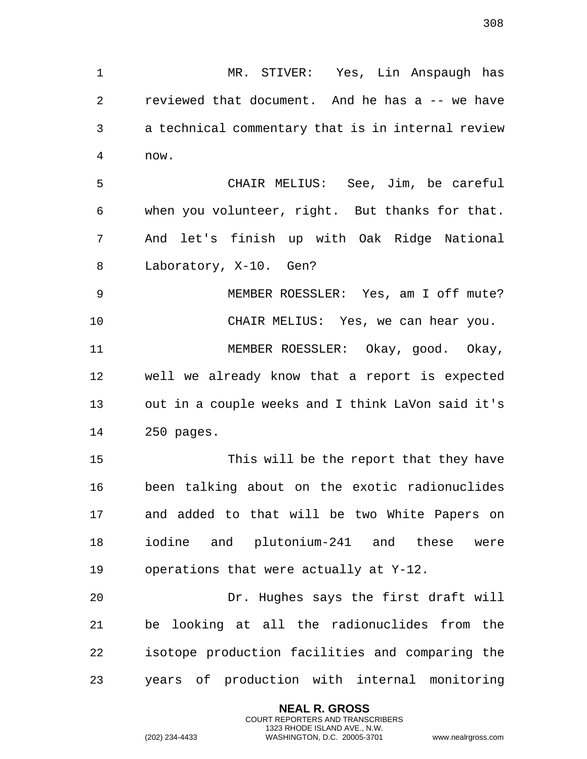MR. STIVER: Yes, Lin Anspaugh has reviewed that document. And he has a -- we have a technical commentary that is in internal review now. CHAIR MELIUS: See, Jim, be careful when you volunteer, right. But thanks for that. And let's finish up with Oak Ridge National Laboratory, X-10. Gen? MEMBER ROESSLER: Yes, am I off mute? CHAIR MELIUS: Yes, we can hear you. MEMBER ROESSLER: Okay, good. Okay, well we already know that a report is expected

 out in a couple weeks and I think LaVon said it's 250 pages.

 This will be the report that they have been talking about on the exotic radionuclides and added to that will be two White Papers on iodine and plutonium-241 and these were operations that were actually at Y-12.

 Dr. Hughes says the first draft will be looking at all the radionuclides from the isotope production facilities and comparing the years of production with internal monitoring

> **NEAL R. GROSS** COURT REPORTERS AND TRANSCRIBERS 1323 RHODE ISLAND AVE., N.W.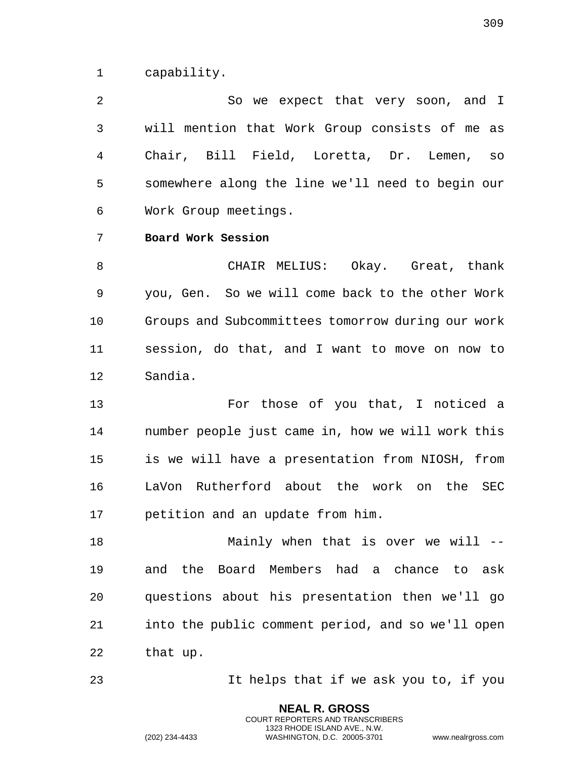capability.

2 So we expect that very soon, and I will mention that Work Group consists of me as Chair, Bill Field, Loretta, Dr. Lemen, so somewhere along the line we'll need to begin our Work Group meetings.

## **Board Work Session**

 CHAIR MELIUS: Okay. Great, thank you, Gen. So we will come back to the other Work Groups and Subcommittees tomorrow during our work session, do that, and I want to move on now to Sandia.

13 For those of you that, I noticed a number people just came in, how we will work this is we will have a presentation from NIOSH, from LaVon Rutherford about the work on the SEC petition and an update from him.

 Mainly when that is over we will -- and the Board Members had a chance to ask questions about his presentation then we'll go into the public comment period, and so we'll open that up.

It helps that if we ask you to, if you

**NEAL R. GROSS** COURT REPORTERS AND TRANSCRIBERS 1323 RHODE ISLAND AVE., N.W.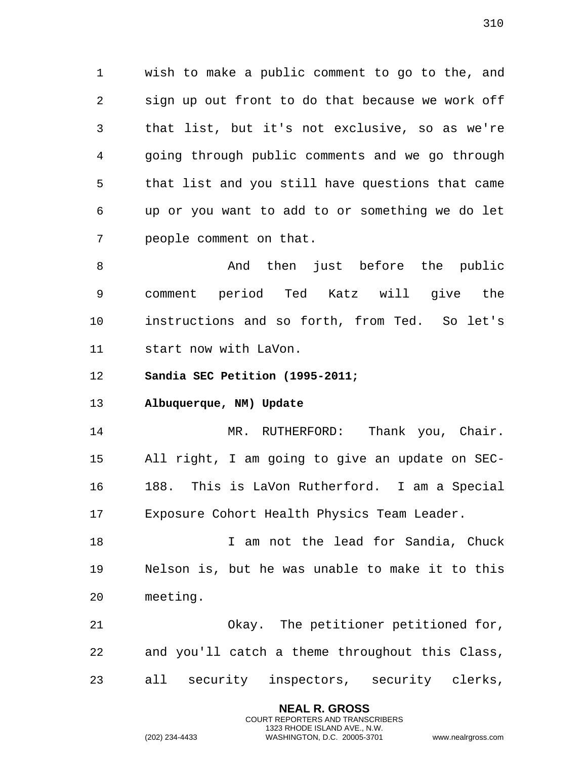wish to make a public comment to go to the, and sign up out front to do that because we work off that list, but it's not exclusive, so as we're going through public comments and we go through that list and you still have questions that came up or you want to add to or something we do let people comment on that.

 And then just before the public comment period Ted Katz will give the instructions and so forth, from Ted. So let's start now with LaVon.

**Sandia SEC Petition (1995-2011;**

**Albuquerque, NM) Update**

14 MR. RUTHERFORD: Thank you, Chair. All right, I am going to give an update on SEC- 188. This is LaVon Rutherford. I am a Special Exposure Cohort Health Physics Team Leader.

 I am not the lead for Sandia, Chuck Nelson is, but he was unable to make it to this meeting.

 Okay. The petitioner petitioned for, and you'll catch a theme throughout this Class, all security inspectors, security clerks,

> **NEAL R. GROSS** COURT REPORTERS AND TRANSCRIBERS 1323 RHODE ISLAND AVE., N.W.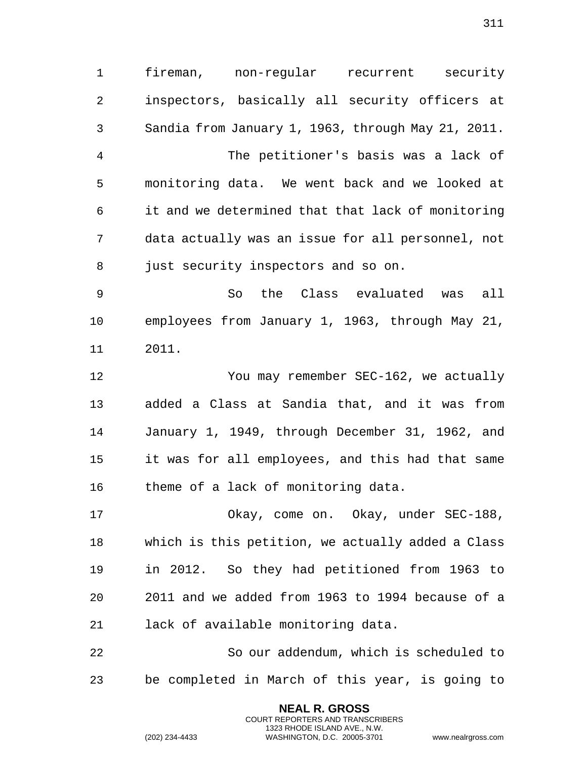fireman, non-regular recurrent security inspectors, basically all security officers at Sandia from January 1, 1963, through May 21, 2011. The petitioner's basis was a lack of monitoring data. We went back and we looked at it and we determined that that lack of monitoring data actually was an issue for all personnel, not just security inspectors and so on. So the Class evaluated was all employees from January 1, 1963, through May 21, 2011.

 You may remember SEC-162, we actually added a Class at Sandia that, and it was from January 1, 1949, through December 31, 1962, and it was for all employees, and this had that same theme of a lack of monitoring data.

 Okay, come on. Okay, under SEC-188, which is this petition, we actually added a Class in 2012. So they had petitioned from 1963 to 2011 and we added from 1963 to 1994 because of a lack of available monitoring data.

 So our addendum, which is scheduled to be completed in March of this year, is going to

> **NEAL R. GROSS** COURT REPORTERS AND TRANSCRIBERS 1323 RHODE ISLAND AVE., N.W.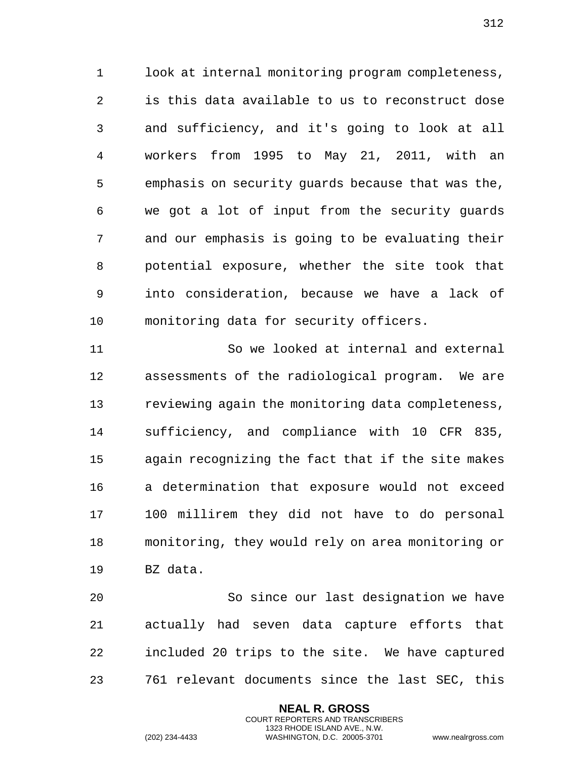look at internal monitoring program completeness, is this data available to us to reconstruct dose and sufficiency, and it's going to look at all workers from 1995 to May 21, 2011, with an emphasis on security guards because that was the, we got a lot of input from the security guards and our emphasis is going to be evaluating their potential exposure, whether the site took that into consideration, because we have a lack of monitoring data for security officers.

 So we looked at internal and external assessments of the radiological program. We are reviewing again the monitoring data completeness, sufficiency, and compliance with 10 CFR 835, again recognizing the fact that if the site makes a determination that exposure would not exceed 100 millirem they did not have to do personal monitoring, they would rely on area monitoring or BZ data.

 So since our last designation we have actually had seven data capture efforts that included 20 trips to the site. We have captured 761 relevant documents since the last SEC, this

> **NEAL R. GROSS** COURT REPORTERS AND TRANSCRIBERS 1323 RHODE ISLAND AVE., N.W.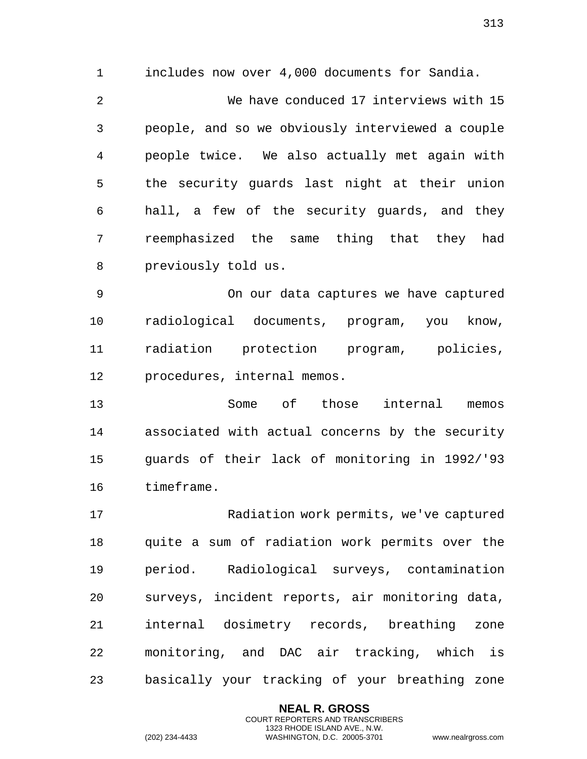1 includes now over 4,000 documents for Sandia. 2 We have conduced 17 interviews with 15 3 people, and so we obviously interviewed a couple 4 people twice. We also actually met again with 5 the security guards last night at their union 6 hall, a few of the security guards, and they 7 reemphasized the same thing that they had 8 previously told us.

9 On our data captures we have captured 10 radiological documents, program, you know, 11 radiation protection program, policies, 12 procedures, internal memos.

13 Some of those internal memos 14 associated with actual concerns by the security 15 guards of their lack of monitoring in 1992/'93 16 timeframe.

17 Radiation work permits, we've captured 18 quite a sum of radiation work permits over the 19 period. Radiological surveys, contamination 20 surveys, incident reports, air monitoring data, 21 internal dosimetry records, breathing zone 22 monitoring, and DAC air tracking, which is 23 basically your tracking of your breathing zone

> **NEAL R. GROSS** COURT REPORTERS AND TRANSCRIBERS 1323 RHODE ISLAND AVE., N.W.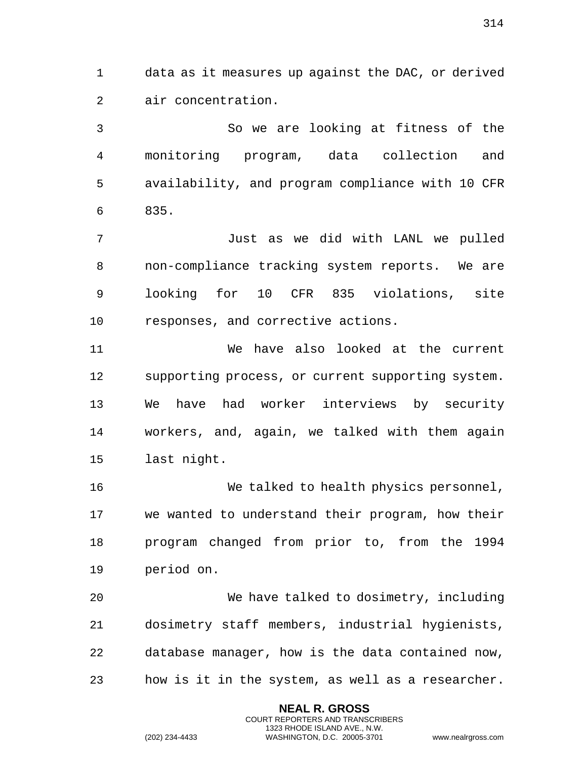data as it measures up against the DAC, or derived air concentration.

 So we are looking at fitness of the monitoring program, data collection and availability, and program compliance with 10 CFR 835.

 Just as we did with LANL we pulled non-compliance tracking system reports. We are looking for 10 CFR 835 violations, site responses, and corrective actions.

 We have also looked at the current supporting process, or current supporting system. We have had worker interviews by security workers, and, again, we talked with them again last night.

 We talked to health physics personnel, we wanted to understand their program, how their program changed from prior to, from the 1994 period on.

 We have talked to dosimetry, including dosimetry staff members, industrial hygienists, database manager, how is the data contained now, how is it in the system, as well as a researcher.

> **NEAL R. GROSS** COURT REPORTERS AND TRANSCRIBERS 1323 RHODE ISLAND AVE., N.W.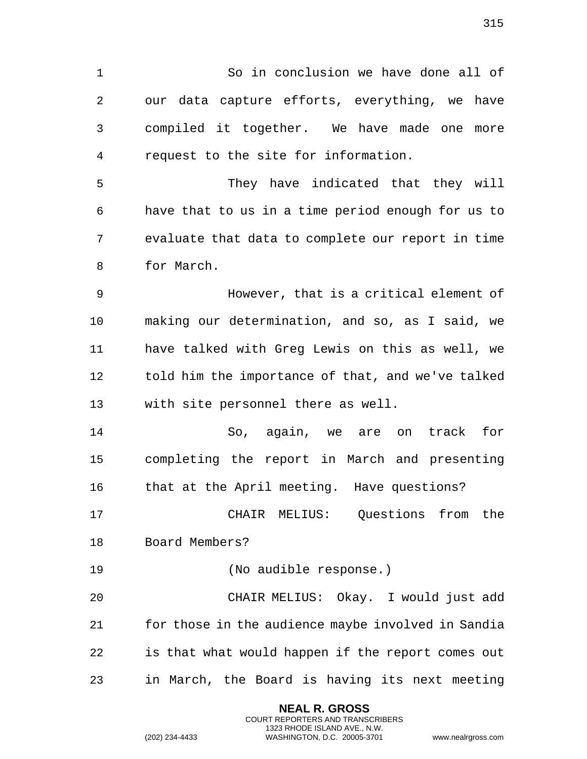So in conclusion we have done all of our data capture efforts, everything, we have compiled it together. We have made one more request to the site for information. They have indicated that they will have that to us in a time period enough for us to evaluate that data to complete our report in time for March. However, that is a critical element of making our determination, and so, as I said, we have talked with Greg Lewis on this as well, we told him the importance of that, and we've talked with site personnel there as well. So, again, we are on track for completing the report in March and presenting 16 that at the April meeting. Have questions? CHAIR MELIUS: Questions from the Board Members? (No audible response.) CHAIR MELIUS: Okay. I would just add for those in the audience maybe involved in Sandia is that what would happen if the report comes out

in March, the Board is having its next meeting

**NEAL R. GROSS** COURT REPORTERS AND TRANSCRIBERS 1323 RHODE ISLAND AVE., N.W.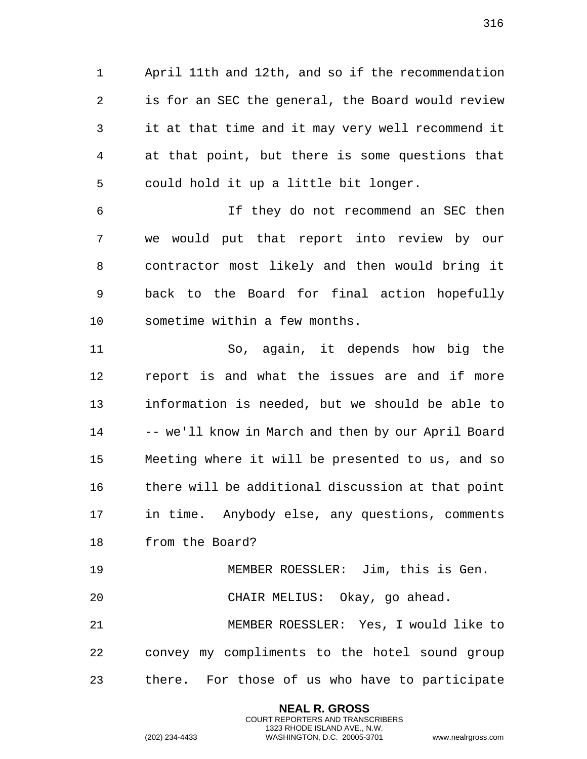April 11th and 12th, and so if the recommendation is for an SEC the general, the Board would review it at that time and it may very well recommend it at that point, but there is some questions that could hold it up a little bit longer.

 If they do not recommend an SEC then we would put that report into review by our contractor most likely and then would bring it back to the Board for final action hopefully sometime within a few months.

 So, again, it depends how big the report is and what the issues are and if more information is needed, but we should be able to -- we'll know in March and then by our April Board Meeting where it will be presented to us, and so there will be additional discussion at that point in time. Anybody else, any questions, comments from the Board? MEMBER ROESSLER: Jim, this is Gen.

CHAIR MELIUS: Okay, go ahead.

 MEMBER ROESSLER: Yes, I would like to convey my compliments to the hotel sound group there. For those of us who have to participate

> **NEAL R. GROSS** COURT REPORTERS AND TRANSCRIBERS 1323 RHODE ISLAND AVE., N.W.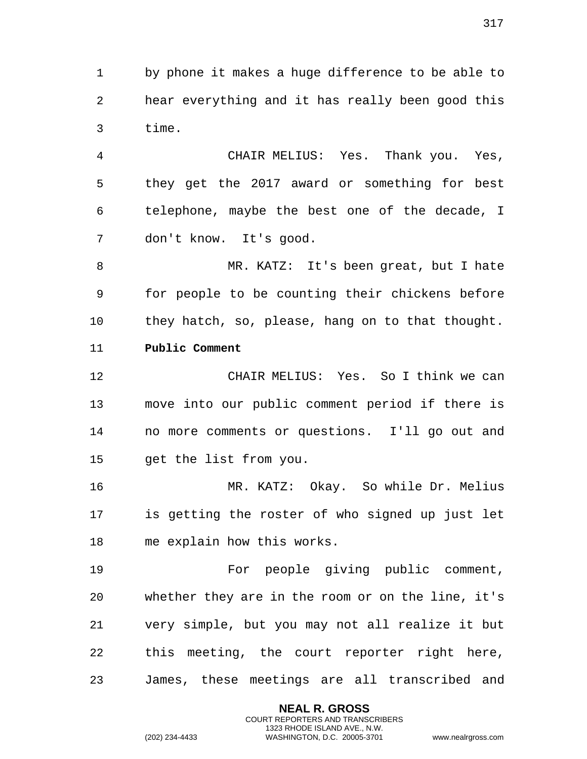by phone it makes a huge difference to be able to hear everything and it has really been good this time.

 CHAIR MELIUS: Yes. Thank you. Yes, they get the 2017 award or something for best telephone, maybe the best one of the decade, I don't know. It's good.

 MR. KATZ: It's been great, but I hate for people to be counting their chickens before they hatch, so, please, hang on to that thought. **Public Comment**

 CHAIR MELIUS: Yes. So I think we can move into our public comment period if there is no more comments or questions. I'll go out and get the list from you.

 MR. KATZ: Okay. So while Dr. Melius is getting the roster of who signed up just let me explain how this works.

 For people giving public comment, whether they are in the room or on the line, it's very simple, but you may not all realize it but this meeting, the court reporter right here, James, these meetings are all transcribed and

> **NEAL R. GROSS** COURT REPORTERS AND TRANSCRIBERS 1323 RHODE ISLAND AVE., N.W.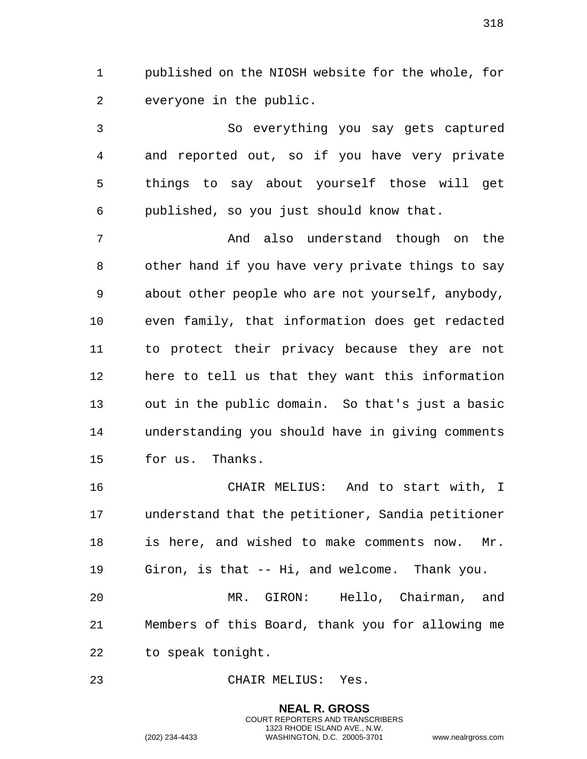published on the NIOSH website for the whole, for everyone in the public.

 So everything you say gets captured and reported out, so if you have very private things to say about yourself those will get published, so you just should know that.

 And also understand though on the other hand if you have very private things to say about other people who are not yourself, anybody, even family, that information does get redacted to protect their privacy because they are not here to tell us that they want this information out in the public domain. So that's just a basic understanding you should have in giving comments for us. Thanks.

 CHAIR MELIUS: And to start with, I understand that the petitioner, Sandia petitioner is here, and wished to make comments now. Mr. Giron, is that -- Hi, and welcome. Thank you.

 MR. GIRON: Hello, Chairman, and Members of this Board, thank you for allowing me to speak tonight.

> **NEAL R. GROSS** COURT REPORTERS AND TRANSCRIBERS 1323 RHODE ISLAND AVE., N.W.

CHAIR MELIUS: Yes.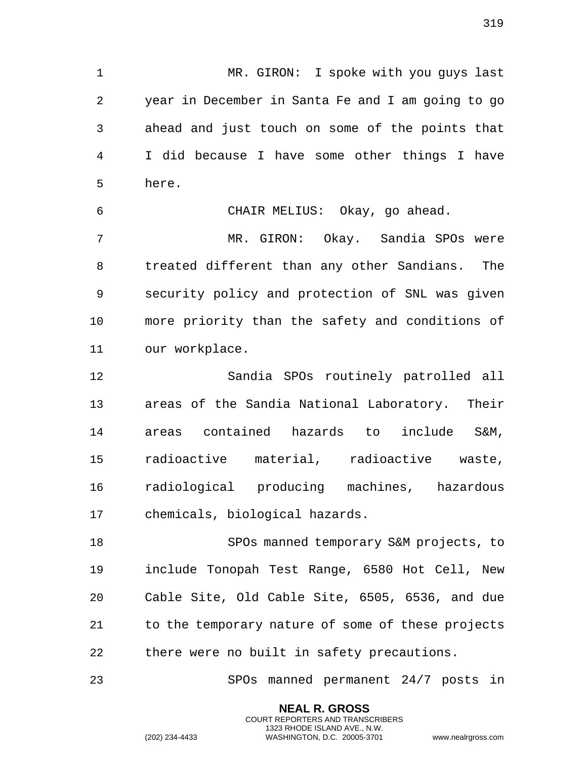MR. GIRON: I spoke with you guys last year in December in Santa Fe and I am going to go ahead and just touch on some of the points that I did because I have some other things I have here.

 CHAIR MELIUS: Okay, go ahead. MR. GIRON: Okay. Sandia SPOs were treated different than any other Sandians. The security policy and protection of SNL was given more priority than the safety and conditions of our workplace.

 Sandia SPOs routinely patrolled all areas of the Sandia National Laboratory. Their areas contained hazards to include S&M, radioactive material, radioactive waste, radiological producing machines, hazardous chemicals, biological hazards.

 SPOs manned temporary S&M projects, to include Tonopah Test Range, 6580 Hot Cell, New Cable Site, Old Cable Site, 6505, 6536, and due to the temporary nature of some of these projects there were no built in safety precautions.

SPOs manned permanent 24/7 posts in

**NEAL R. GROSS** COURT REPORTERS AND TRANSCRIBERS 1323 RHODE ISLAND AVE., N.W.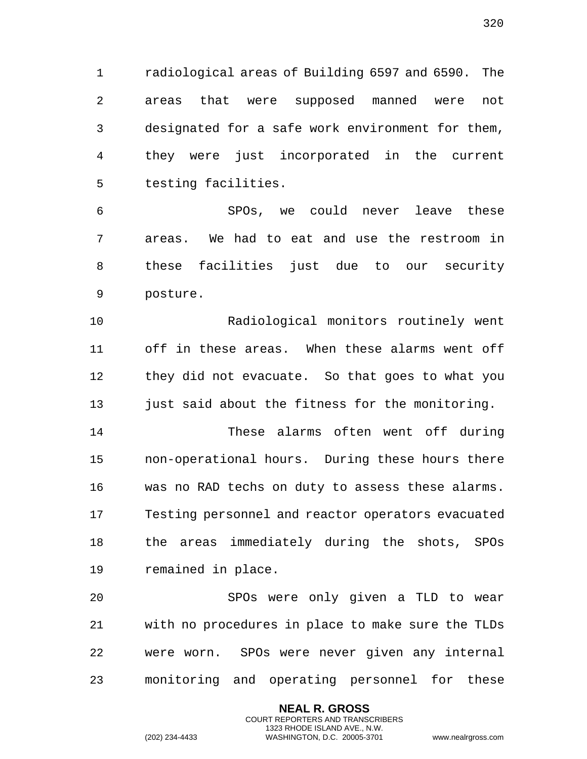radiological areas of Building 6597 and 6590. The areas that were supposed manned were not designated for a safe work environment for them, they were just incorporated in the current testing facilities.

 SPOs, we could never leave these areas. We had to eat and use the restroom in these facilities just due to our security posture.

 Radiological monitors routinely went off in these areas. When these alarms went off they did not evacuate. So that goes to what you just said about the fitness for the monitoring.

 These alarms often went off during non-operational hours. During these hours there was no RAD techs on duty to assess these alarms. Testing personnel and reactor operators evacuated the areas immediately during the shots, SPOs remained in place.

 SPOs were only given a TLD to wear with no procedures in place to make sure the TLDs were worn. SPOs were never given any internal monitoring and operating personnel for these

> **NEAL R. GROSS** COURT REPORTERS AND TRANSCRIBERS 1323 RHODE ISLAND AVE., N.W.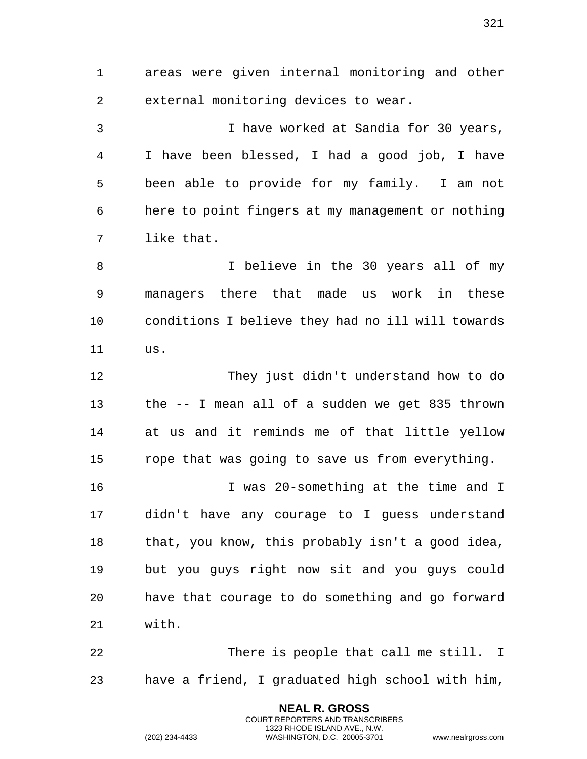areas were given internal monitoring and other external monitoring devices to wear. I have worked at Sandia for 30 years, I have been blessed, I had a good job, I have

 been able to provide for my family. I am not here to point fingers at my management or nothing like that.

 I believe in the 30 years all of my managers there that made us work in these conditions I believe they had no ill will towards us.

 They just didn't understand how to do the -- I mean all of a sudden we get 835 thrown at us and it reminds me of that little yellow rope that was going to save us from everything.

 I was 20-something at the time and I didn't have any courage to I guess understand that, you know, this probably isn't a good idea, but you guys right now sit and you guys could have that courage to do something and go forward with.

 There is people that call me still. I have a friend, I graduated high school with him,

> **NEAL R. GROSS** COURT REPORTERS AND TRANSCRIBERS 1323 RHODE ISLAND AVE., N.W.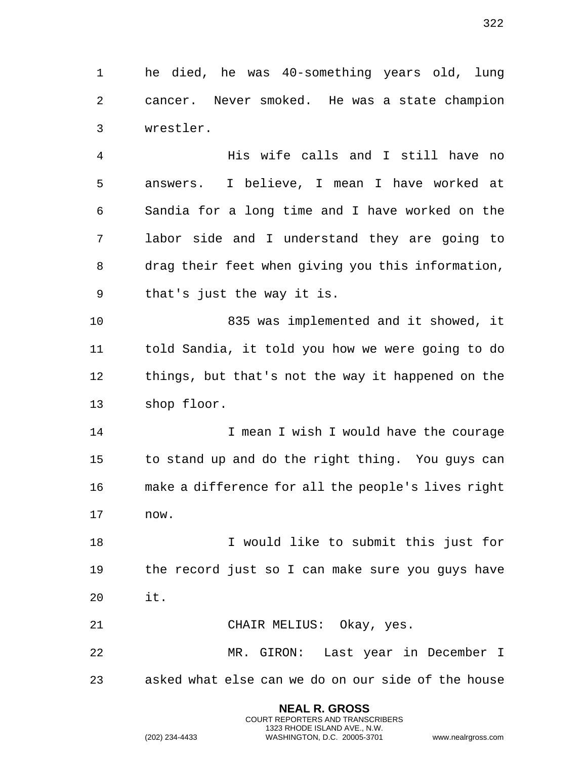he died, he was 40-something years old, lung cancer. Never smoked. He was a state champion wrestler.

 His wife calls and I still have no answers. I believe, I mean I have worked at Sandia for a long time and I have worked on the labor side and I understand they are going to drag their feet when giving you this information, that's just the way it is.

 835 was implemented and it showed, it told Sandia, it told you how we were going to do things, but that's not the way it happened on the shop floor.

14 I mean I wish I would have the courage to stand up and do the right thing. You guys can make a difference for all the people's lives right now.

18 I would like to submit this just for the record just so I can make sure you guys have it.

CHAIR MELIUS: Okay, yes.

 MR. GIRON: Last year in December I asked what else can we do on our side of the house

> **NEAL R. GROSS** COURT REPORTERS AND TRANSCRIBERS 1323 RHODE ISLAND AVE., N.W.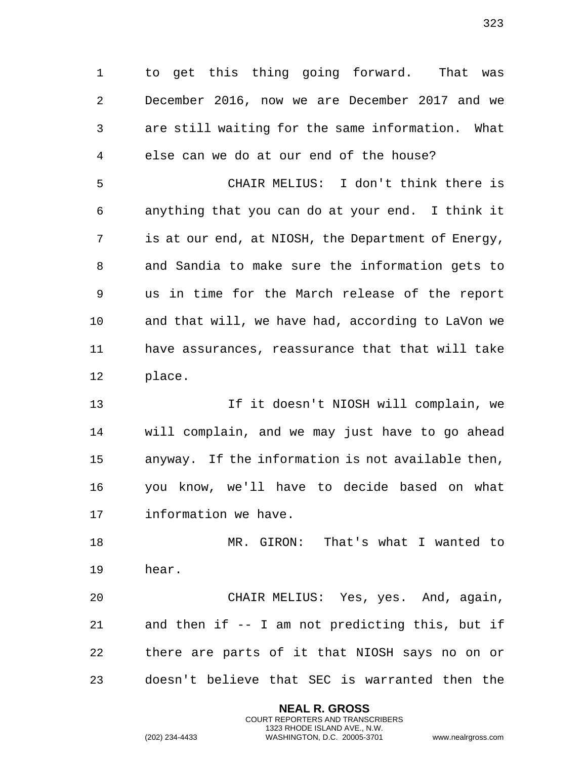to get this thing going forward. That was December 2016, now we are December 2017 and we are still waiting for the same information. What else can we do at our end of the house?

 CHAIR MELIUS: I don't think there is anything that you can do at your end. I think it is at our end, at NIOSH, the Department of Energy, and Sandia to make sure the information gets to us in time for the March release of the report and that will, we have had, according to LaVon we have assurances, reassurance that that will take place.

 If it doesn't NIOSH will complain, we will complain, and we may just have to go ahead anyway. If the information is not available then, you know, we'll have to decide based on what information we have.

 MR. GIRON: That's what I wanted to hear.

 CHAIR MELIUS: Yes, yes. And, again, and then if -- I am not predicting this, but if there are parts of it that NIOSH says no on or doesn't believe that SEC is warranted then the

> **NEAL R. GROSS** COURT REPORTERS AND TRANSCRIBERS 1323 RHODE ISLAND AVE., N.W.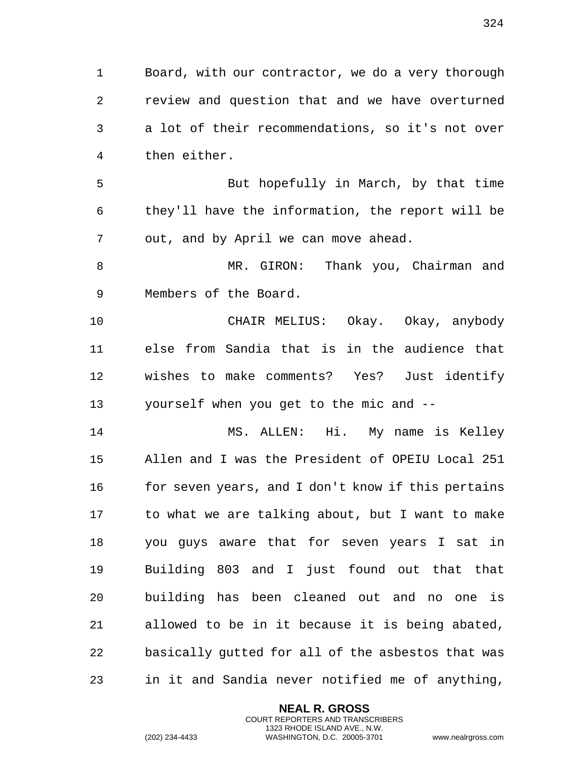Board, with our contractor, we do a very thorough review and question that and we have overturned a lot of their recommendations, so it's not over then either.

 But hopefully in March, by that time they'll have the information, the report will be out, and by April we can move ahead.

8 MR. GIRON: Thank you, Chairman and Members of the Board.

 CHAIR MELIUS: Okay. Okay, anybody else from Sandia that is in the audience that wishes to make comments? Yes? Just identify yourself when you get to the mic and --

 MS. ALLEN: Hi. My name is Kelley Allen and I was the President of OPEIU Local 251 16 for seven years, and I don't know if this pertains to what we are talking about, but I want to make you guys aware that for seven years I sat in Building 803 and I just found out that that building has been cleaned out and no one is allowed to be in it because it is being abated, basically gutted for all of the asbestos that was in it and Sandia never notified me of anything,

> **NEAL R. GROSS** COURT REPORTERS AND TRANSCRIBERS 1323 RHODE ISLAND AVE., N.W.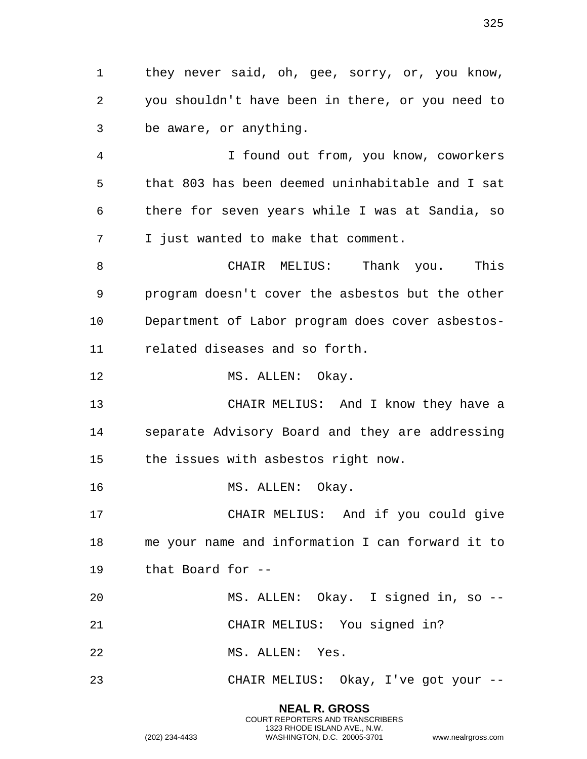they never said, oh, gee, sorry, or, you know, you shouldn't have been in there, or you need to be aware, or anything.

 I found out from, you know, coworkers that 803 has been deemed uninhabitable and I sat there for seven years while I was at Sandia, so I just wanted to make that comment.

 CHAIR MELIUS: Thank you. This program doesn't cover the asbestos but the other Department of Labor program does cover asbestos-related diseases and so forth.

12 MS. ALLEN: Okay.

 CHAIR MELIUS: And I know they have a separate Advisory Board and they are addressing the issues with asbestos right now.

16 MS. ALLEN: Okay.

 CHAIR MELIUS: And if you could give me your name and information I can forward it to that Board for --

 MS. ALLEN: Okay. I signed in, so -- CHAIR MELIUS: You signed in?

MS. ALLEN: Yes.

CHAIR MELIUS: Okay, I've got your --

**NEAL R. GROSS** COURT REPORTERS AND TRANSCRIBERS

1323 RHODE ISLAND AVE., N.W. (202) 234-4433 WASHINGTON, D.C. 20005-3701 www.nealrgross.com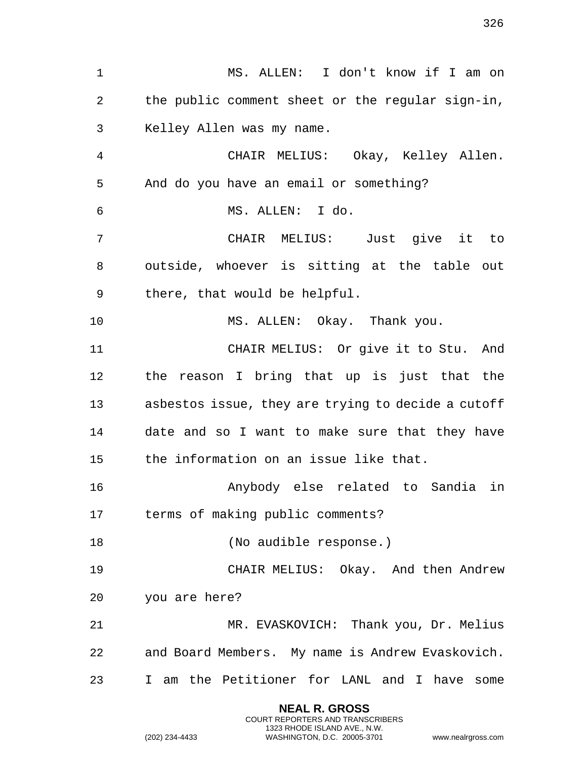MS. ALLEN: I don't know if I am on the public comment sheet or the regular sign-in, Kelley Allen was my name. CHAIR MELIUS: Okay, Kelley Allen. And do you have an email or something? MS. ALLEN: I do. CHAIR MELIUS: Just give it to outside, whoever is sitting at the table out there, that would be helpful. MS. ALLEN: Okay. Thank you. CHAIR MELIUS: Or give it to Stu. And the reason I bring that up is just that the asbestos issue, they are trying to decide a cutoff date and so I want to make sure that they have the information on an issue like that. Anybody else related to Sandia in terms of making public comments? 18 (No audible response.) CHAIR MELIUS: Okay. And then Andrew you are here? MR. EVASKOVICH: Thank you, Dr. Melius and Board Members. My name is Andrew Evaskovich. I am the Petitioner for LANL and I have some

> **NEAL R. GROSS** COURT REPORTERS AND TRANSCRIBERS 1323 RHODE ISLAND AVE., N.W.

(202) 234-4433 WASHINGTON, D.C. 20005-3701 www.nealrgross.com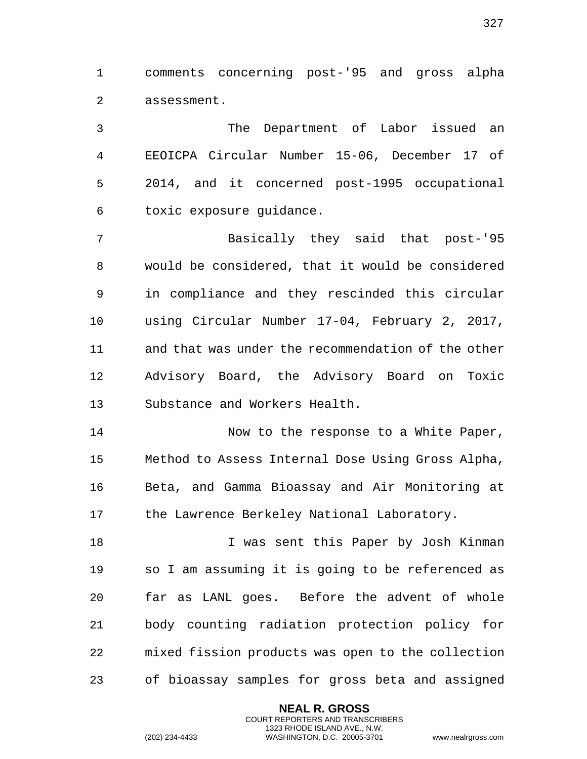comments concerning post-'95 and gross alpha assessment.

 The Department of Labor issued an EEOICPA Circular Number 15-06, December 17 of 2014, and it concerned post-1995 occupational toxic exposure guidance.

 Basically they said that post-'95 would be considered, that it would be considered in compliance and they rescinded this circular using Circular Number 17-04, February 2, 2017, and that was under the recommendation of the other Advisory Board, the Advisory Board on Toxic Substance and Workers Health.

14 Now to the response to a White Paper, Method to Assess Internal Dose Using Gross Alpha, Beta, and Gamma Bioassay and Air Monitoring at 17 the Lawrence Berkeley National Laboratory.

18 I was sent this Paper by Josh Kinman so I am assuming it is going to be referenced as far as LANL goes. Before the advent of whole body counting radiation protection policy for mixed fission products was open to the collection of bioassay samples for gross beta and assigned

> **NEAL R. GROSS** COURT REPORTERS AND TRANSCRIBERS 1323 RHODE ISLAND AVE., N.W.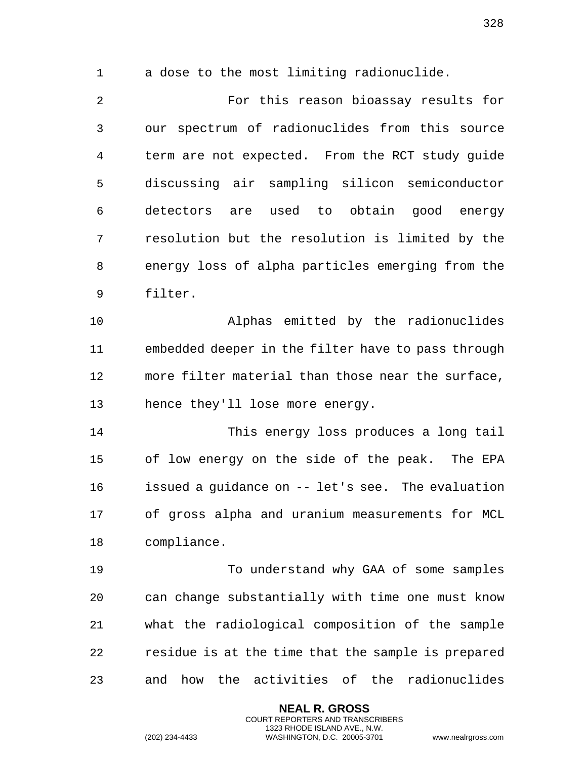a dose to the most limiting radionuclide.

 For this reason bioassay results for our spectrum of radionuclides from this source term are not expected. From the RCT study guide discussing air sampling silicon semiconductor detectors are used to obtain good energy resolution but the resolution is limited by the energy loss of alpha particles emerging from the filter.

 Alphas emitted by the radionuclides embedded deeper in the filter have to pass through more filter material than those near the surface, hence they'll lose more energy.

 This energy loss produces a long tail of low energy on the side of the peak. The EPA issued a guidance on -- let's see. The evaluation of gross alpha and uranium measurements for MCL compliance.

 To understand why GAA of some samples can change substantially with time one must know what the radiological composition of the sample residue is at the time that the sample is prepared and how the activities of the radionuclides

> **NEAL R. GROSS** COURT REPORTERS AND TRANSCRIBERS 1323 RHODE ISLAND AVE., N.W.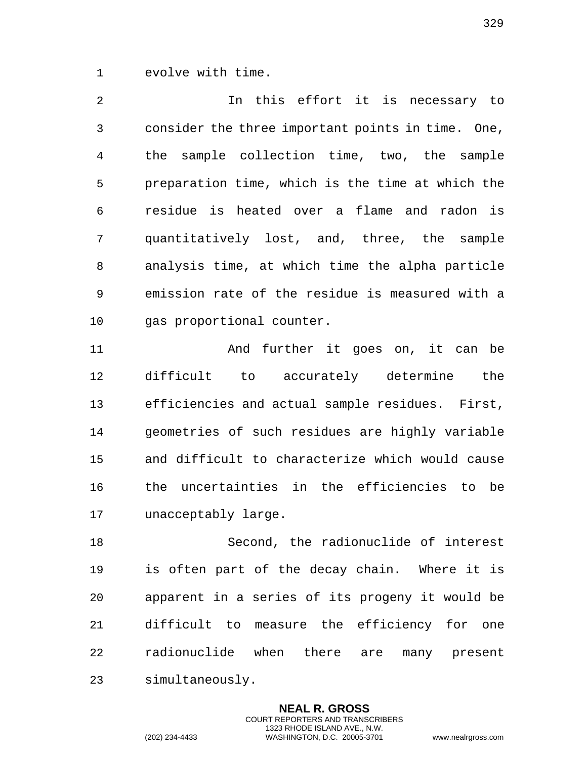evolve with time.

 In this effort it is necessary to consider the three important points in time. One, the sample collection time, two, the sample preparation time, which is the time at which the residue is heated over a flame and radon is quantitatively lost, and, three, the sample analysis time, at which time the alpha particle emission rate of the residue is measured with a gas proportional counter.

 And further it goes on, it can be difficult to accurately determine the efficiencies and actual sample residues. First, geometries of such residues are highly variable and difficult to characterize which would cause the uncertainties in the efficiencies to be unacceptably large.

 Second, the radionuclide of interest is often part of the decay chain. Where it is apparent in a series of its progeny it would be difficult to measure the efficiency for one radionuclide when there are many present simultaneously.

> **NEAL R. GROSS** COURT REPORTERS AND TRANSCRIBERS 1323 RHODE ISLAND AVE., N.W.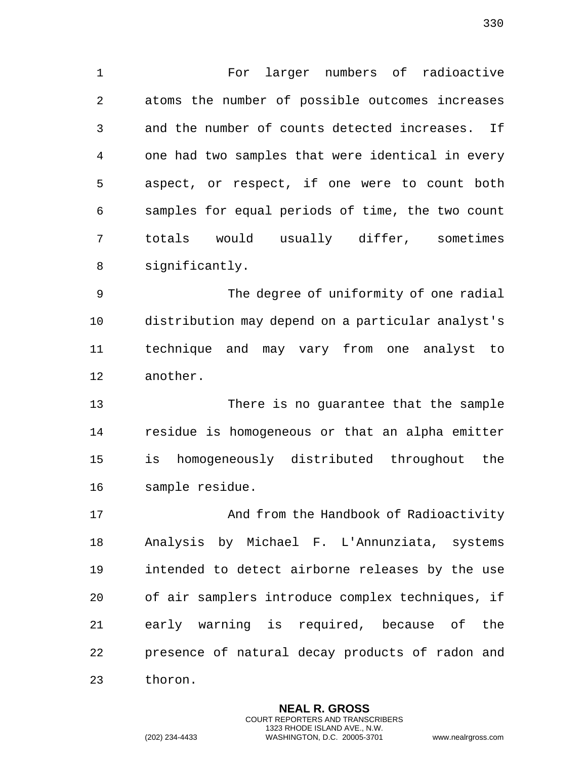For larger numbers of radioactive atoms the number of possible outcomes increases and the number of counts detected increases. If one had two samples that were identical in every aspect, or respect, if one were to count both samples for equal periods of time, the two count totals would usually differ, sometimes significantly.

 The degree of uniformity of one radial distribution may depend on a particular analyst's technique and may vary from one analyst to another.

 There is no guarantee that the sample residue is homogeneous or that an alpha emitter is homogeneously distributed throughout the sample residue.

 And from the Handbook of Radioactivity Analysis by Michael F. L'Annunziata, systems intended to detect airborne releases by the use of air samplers introduce complex techniques, if early warning is required, because of the presence of natural decay products of radon and thoron.

> **NEAL R. GROSS** COURT REPORTERS AND TRANSCRIBERS 1323 RHODE ISLAND AVE., N.W.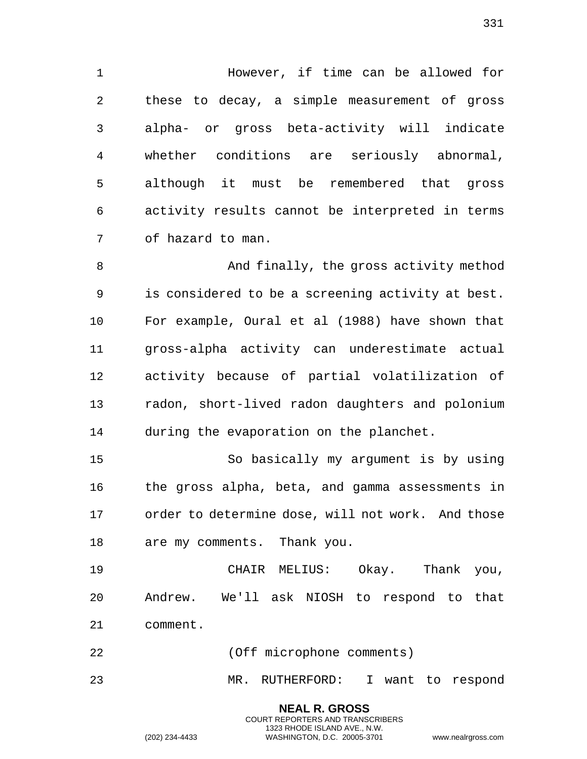However, if time can be allowed for these to decay, a simple measurement of gross alpha- or gross beta-activity will indicate whether conditions are seriously abnormal, although it must be remembered that gross activity results cannot be interpreted in terms of hazard to man.

 And finally, the gross activity method is considered to be a screening activity at best. For example, Oural et al (1988) have shown that gross-alpha activity can underestimate actual activity because of partial volatilization of radon, short-lived radon daughters and polonium during the evaporation on the planchet.

 So basically my argument is by using the gross alpha, beta, and gamma assessments in order to determine dose, will not work. And those are my comments. Thank you.

 CHAIR MELIUS: Okay. Thank you, Andrew. We'll ask NIOSH to respond to that comment.

(Off microphone comments)

MR. RUTHERFORD: I want to respond

**NEAL R. GROSS** COURT REPORTERS AND TRANSCRIBERS 1323 RHODE ISLAND AVE., N.W.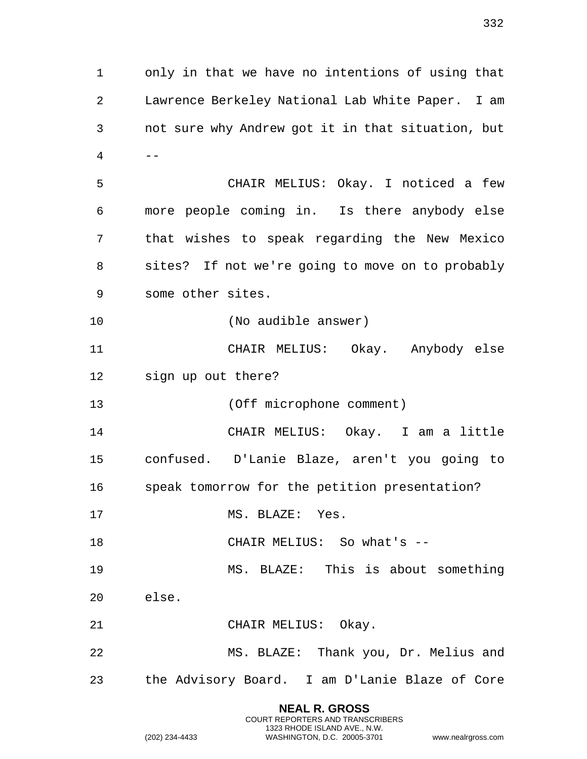only in that we have no intentions of using that Lawrence Berkeley National Lab White Paper. I am not sure why Andrew got it in that situation, but -- CHAIR MELIUS: Okay. I noticed a few more people coming in. Is there anybody else that wishes to speak regarding the New Mexico sites? If not we're going to move on to probably some other sites. (No audible answer) CHAIR MELIUS: Okay. Anybody else sign up out there? (Off microphone comment) CHAIR MELIUS: Okay. I am a little confused. D'Lanie Blaze, aren't you going to speak tomorrow for the petition presentation? 17 MS. BLAZE: Yes. 18 CHAIR MELIUS: So what's -- MS. BLAZE: This is about something else. CHAIR MELIUS: Okay. MS. BLAZE: Thank you, Dr. Melius and the Advisory Board. I am D'Lanie Blaze of Core

> **NEAL R. GROSS** COURT REPORTERS AND TRANSCRIBERS 1323 RHODE ISLAND AVE., N.W.

(202) 234-4433 WASHINGTON, D.C. 20005-3701 www.nealrgross.com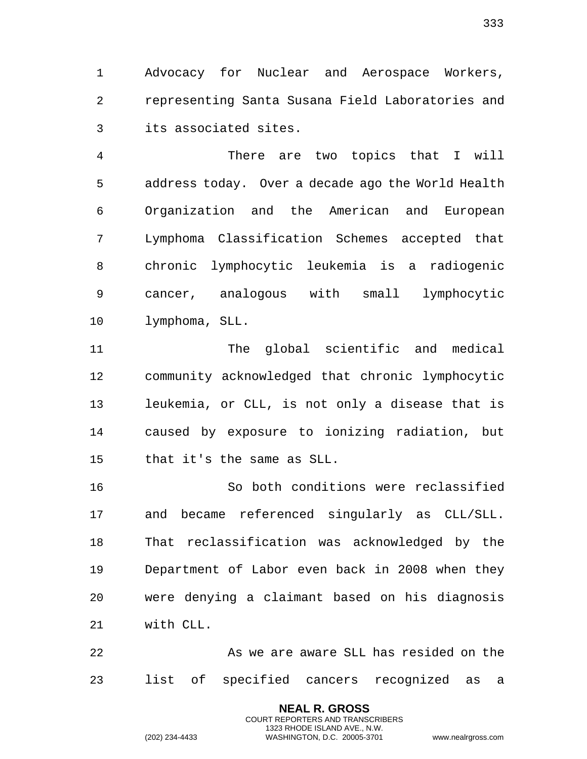Advocacy for Nuclear and Aerospace Workers, representing Santa Susana Field Laboratories and its associated sites.

 There are two topics that I will address today. Over a decade ago the World Health Organization and the American and European Lymphoma Classification Schemes accepted that chronic lymphocytic leukemia is a radiogenic cancer, analogous with small lymphocytic lymphoma, SLL.

 The global scientific and medical community acknowledged that chronic lymphocytic leukemia, or CLL, is not only a disease that is caused by exposure to ionizing radiation, but that it's the same as SLL.

 So both conditions were reclassified and became referenced singularly as CLL/SLL. That reclassification was acknowledged by the Department of Labor even back in 2008 when they were denying a claimant based on his diagnosis with CLL.

 As we are aware SLL has resided on the list of specified cancers recognized as a

> **NEAL R. GROSS** COURT REPORTERS AND TRANSCRIBERS 1323 RHODE ISLAND AVE., N.W.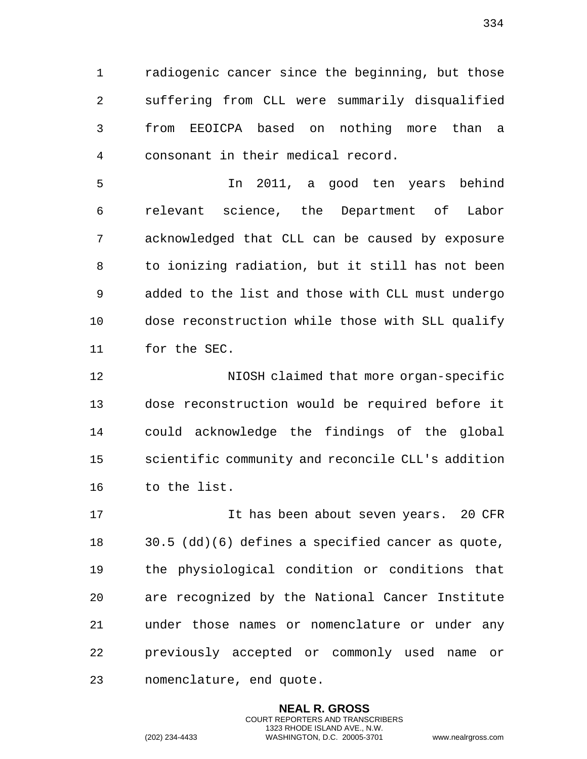radiogenic cancer since the beginning, but those suffering from CLL were summarily disqualified from EEOICPA based on nothing more than a consonant in their medical record.

 In 2011, a good ten years behind relevant science, the Department of Labor acknowledged that CLL can be caused by exposure to ionizing radiation, but it still has not been added to the list and those with CLL must undergo dose reconstruction while those with SLL qualify for the SEC.

 NIOSH claimed that more organ-specific dose reconstruction would be required before it could acknowledge the findings of the global scientific community and reconcile CLL's addition to the list.

 It has been about seven years. 20 CFR 30.5 (dd)(6) defines a specified cancer as quote, the physiological condition or conditions that are recognized by the National Cancer Institute under those names or nomenclature or under any previously accepted or commonly used name or nomenclature, end quote.

> **NEAL R. GROSS** COURT REPORTERS AND TRANSCRIBERS 1323 RHODE ISLAND AVE., N.W.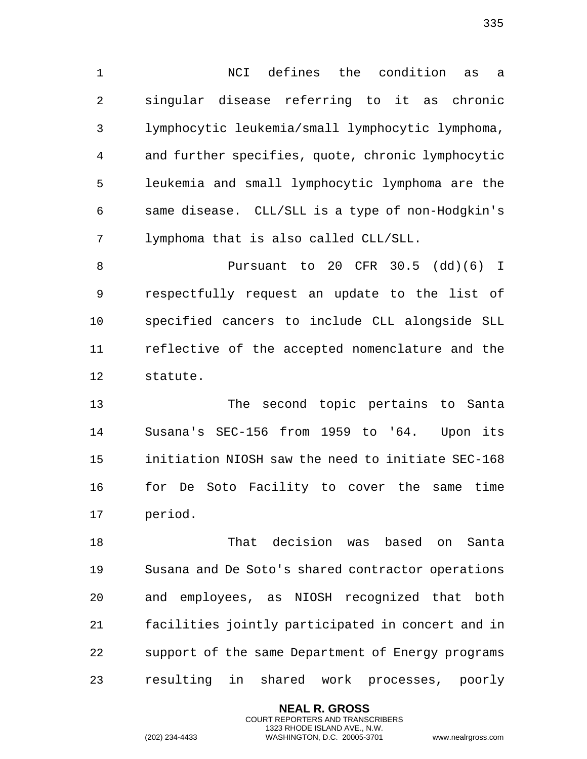NCI defines the condition as a singular disease referring to it as chronic lymphocytic leukemia/small lymphocytic lymphoma, and further specifies, quote, chronic lymphocytic leukemia and small lymphocytic lymphoma are the same disease. CLL/SLL is a type of non-Hodgkin's lymphoma that is also called CLL/SLL.

 Pursuant to 20 CFR 30.5 (dd)(6) I respectfully request an update to the list of specified cancers to include CLL alongside SLL reflective of the accepted nomenclature and the statute.

 The second topic pertains to Santa Susana's SEC-156 from 1959 to '64. Upon its initiation NIOSH saw the need to initiate SEC-168 for De Soto Facility to cover the same time period.

 That decision was based on Santa Susana and De Soto's shared contractor operations and employees, as NIOSH recognized that both facilities jointly participated in concert and in support of the same Department of Energy programs resulting in shared work processes, poorly

> **NEAL R. GROSS** COURT REPORTERS AND TRANSCRIBERS 1323 RHODE ISLAND AVE., N.W.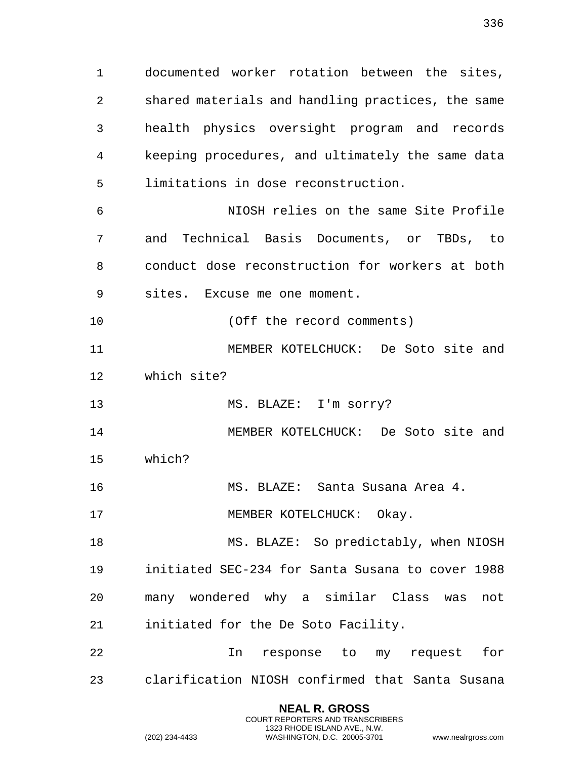documented worker rotation between the sites, shared materials and handling practices, the same health physics oversight program and records keeping procedures, and ultimately the same data

 NIOSH relies on the same Site Profile and Technical Basis Documents, or TBDs, to conduct dose reconstruction for workers at both sites. Excuse me one moment.

(Off the record comments)

limitations in dose reconstruction.

 MEMBER KOTELCHUCK: De Soto site and which site?

13 MS. BLAZE: I'm sorry?

 MEMBER KOTELCHUCK: De Soto site and which?

MS. BLAZE: Santa Susana Area 4.

17 MEMBER KOTELCHUCK: Okay.

 MS. BLAZE: So predictably, when NIOSH initiated SEC-234 for Santa Susana to cover 1988 many wondered why a similar Class was not initiated for the De Soto Facility.

 In response to my request for clarification NIOSH confirmed that Santa Susana

> **NEAL R. GROSS** COURT REPORTERS AND TRANSCRIBERS 1323 RHODE ISLAND AVE., N.W.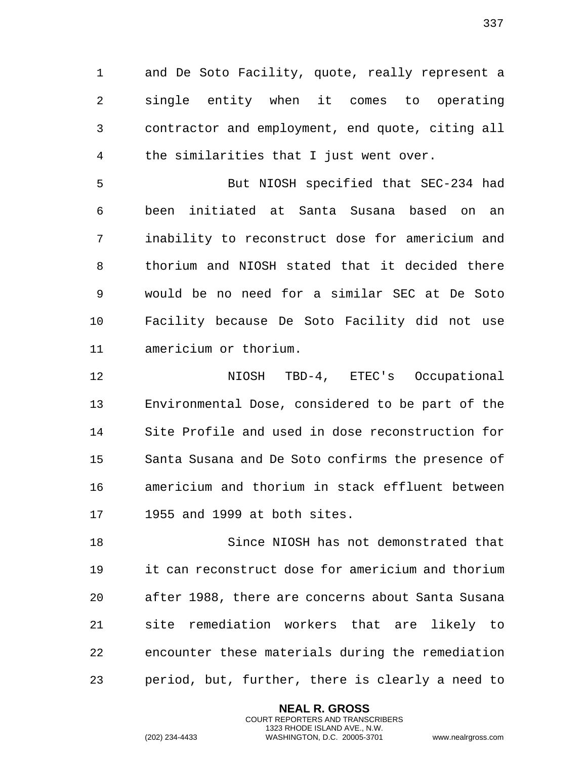1 and De Soto Facility, quote, really represent a 2 single entity when it comes to operating 3 contractor and employment, end quote, citing all 4 the similarities that I just went over.

5 But NIOSH specified that SEC-234 had 6 been initiated at Santa Susana based on an 7 inability to reconstruct dose for americium and 8 thorium and NIOSH stated that it decided there 9 would be no need for a similar SEC at De Soto 10 Facility because De Soto Facility did not use 11 americium or thorium.

12 NIOSH TBD-4, ETEC's Occupational 13 Environmental Dose, considered to be part of the 14 Site Profile and used in dose reconstruction for 15 Santa Susana and De Soto confirms the presence of 16 americium and thorium in stack effluent between 17 1955 and 1999 at both sites.

18 Since NIOSH has not demonstrated that 19 it can reconstruct dose for americium and thorium 20 after 1988, there are concerns about Santa Susana 21 site remediation workers that are likely to 22 encounter these materials during the remediation 23 period, but, further, there is clearly a need to

> **NEAL R. GROSS** COURT REPORTERS AND TRANSCRIBERS 1323 RHODE ISLAND AVE., N.W.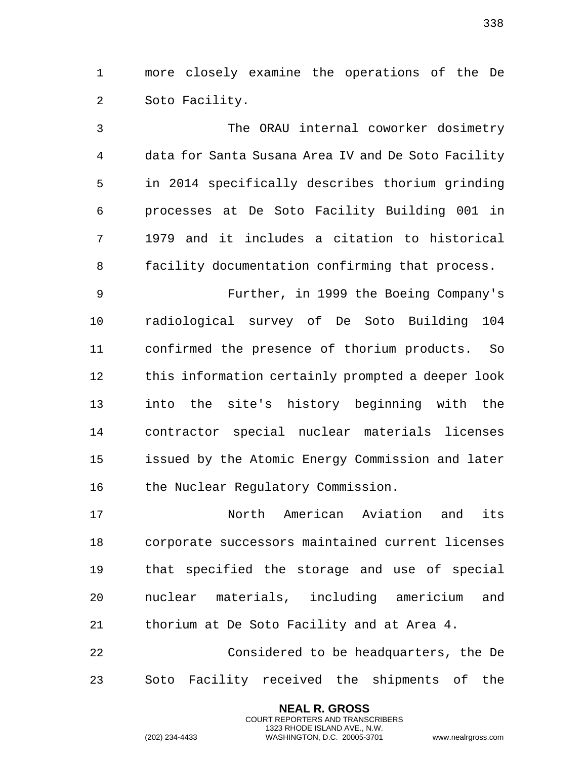more closely examine the operations of the De Soto Facility.

 The ORAU internal coworker dosimetry data for Santa Susana Area IV and De Soto Facility in 2014 specifically describes thorium grinding processes at De Soto Facility Building 001 in 1979 and it includes a citation to historical facility documentation confirming that process.

 Further, in 1999 the Boeing Company's radiological survey of De Soto Building 104 confirmed the presence of thorium products. So this information certainly prompted a deeper look into the site's history beginning with the contractor special nuclear materials licenses issued by the Atomic Energy Commission and later the Nuclear Regulatory Commission.

 North American Aviation and its corporate successors maintained current licenses that specified the storage and use of special nuclear materials, including americium and thorium at De Soto Facility and at Area 4.

 Considered to be headquarters, the De Soto Facility received the shipments of the

> **NEAL R. GROSS** COURT REPORTERS AND TRANSCRIBERS 1323 RHODE ISLAND AVE., N.W.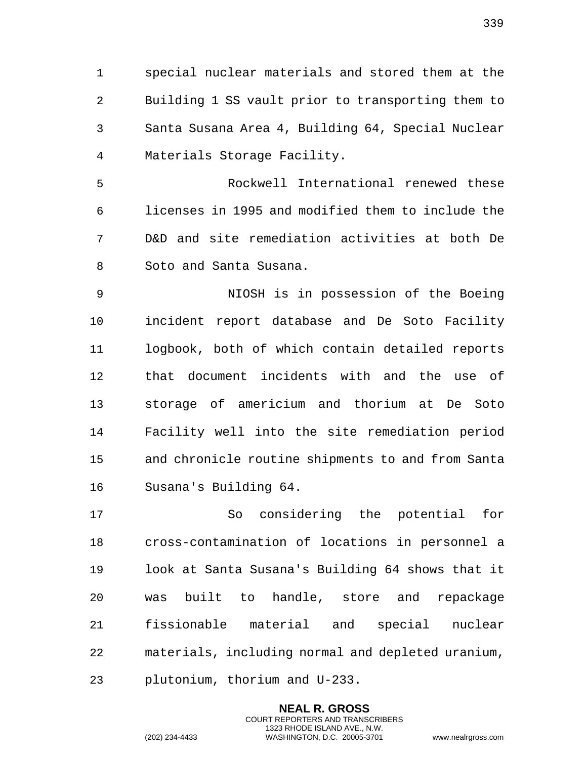special nuclear materials and stored them at the Building 1 SS vault prior to transporting them to Santa Susana Area 4, Building 64, Special Nuclear Materials Storage Facility.

 Rockwell International renewed these licenses in 1995 and modified them to include the D&D and site remediation activities at both De Soto and Santa Susana.

 NIOSH is in possession of the Boeing incident report database and De Soto Facility logbook, both of which contain detailed reports that document incidents with and the use of storage of americium and thorium at De Soto Facility well into the site remediation period and chronicle routine shipments to and from Santa Susana's Building 64.

 So considering the potential for cross-contamination of locations in personnel a look at Santa Susana's Building 64 shows that it was built to handle, store and repackage fissionable material and special nuclear materials, including normal and depleted uranium, plutonium, thorium and U-233.

> **NEAL R. GROSS** COURT REPORTERS AND TRANSCRIBERS 1323 RHODE ISLAND AVE., N.W.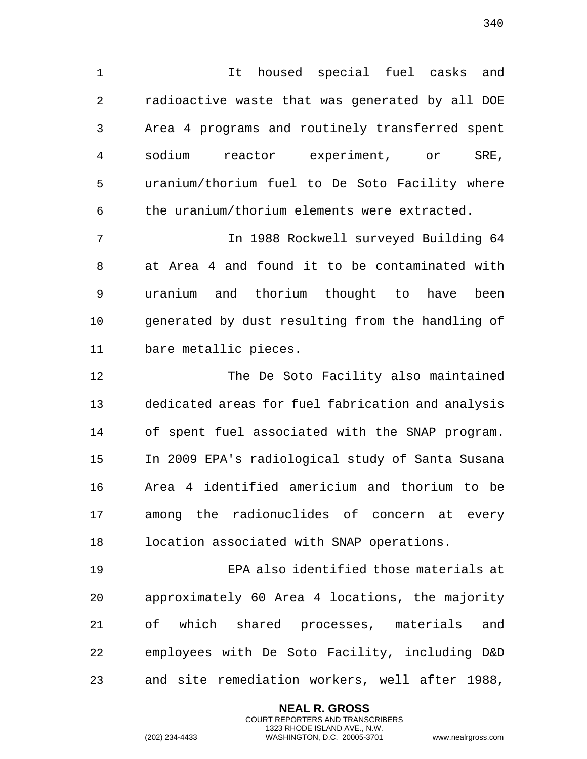1 It housed special fuel casks and 2 radioactive waste that was generated by all DOE 3 Area 4 programs and routinely transferred spent 4 sodium reactor experiment, or SRE, 5 uranium/thorium fuel to De Soto Facility where 6 the uranium/thorium elements were extracted.

7 In 1988 Rockwell surveyed Building 64 8 at Area 4 and found it to be contaminated with 9 uranium and thorium thought to have been 10 generated by dust resulting from the handling of 11 bare metallic pieces.

12 The De Soto Facility also maintained 13 dedicated areas for fuel fabrication and analysis 14 of spent fuel associated with the SNAP program. 15 In 2009 EPA's radiological study of Santa Susana 16 Area 4 identified americium and thorium to be 17 among the radionuclides of concern at every 18 location associated with SNAP operations.

19 EPA also identified those materials at 20 approximately 60 Area 4 locations, the majority 21 of which shared processes, materials and 22 employees with De Soto Facility, including D&D 23 and site remediation workers, well after 1988,

> **NEAL R. GROSS** COURT REPORTERS AND TRANSCRIBERS 1323 RHODE ISLAND AVE., N.W.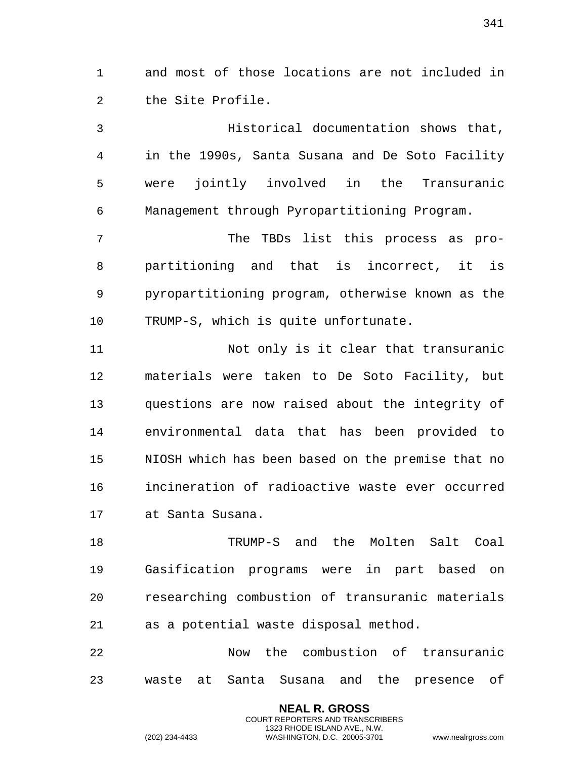1 and most of those locations are not included in 2 the Site Profile.

3 Historical documentation shows that, 4 in the 1990s, Santa Susana and De Soto Facility 5 were jointly involved in the Transuranic 6 Management through Pyropartitioning Program.

7 The TBDs list this process as pro-8 partitioning and that is incorrect, it is 9 pyropartitioning program, otherwise known as the 10 TRUMP-S, which is quite unfortunate.

11 Not only is it clear that transuranic 12 materials were taken to De Soto Facility, but 13 questions are now raised about the integrity of 14 environmental data that has been provided to 15 NIOSH which has been based on the premise that no 16 incineration of radioactive waste ever occurred 17 at Santa Susana.

18 TRUMP-S and the Molten Salt Coal 19 Gasification programs were in part based on 20 researching combustion of transuranic materials 21 as a potential waste disposal method.

22 Now the combustion of transuranic 23 waste at Santa Susana and the presence of

> **NEAL R. GROSS** COURT REPORTERS AND TRANSCRIBERS 1323 RHODE ISLAND AVE., N.W.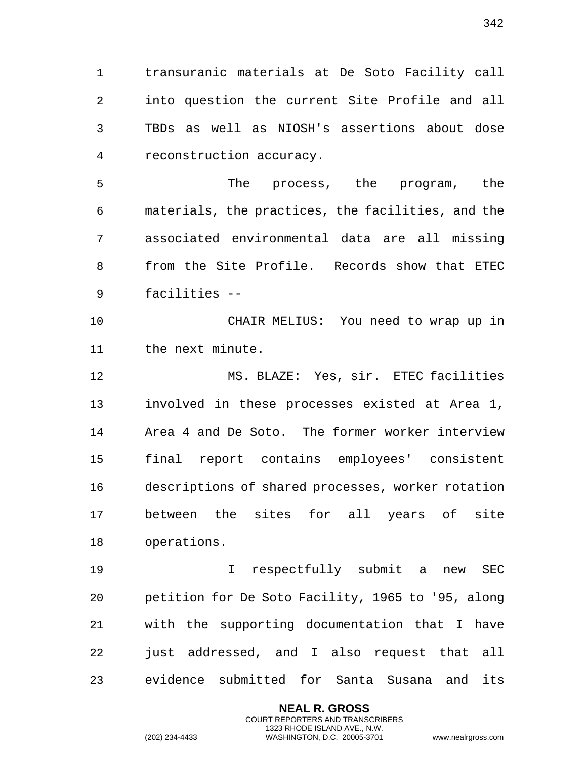transuranic materials at De Soto Facility call into question the current Site Profile and all TBDs as well as NIOSH's assertions about dose reconstruction accuracy.

 The process, the program, the materials, the practices, the facilities, and the associated environmental data are all missing from the Site Profile. Records show that ETEC facilities --

 CHAIR MELIUS: You need to wrap up in the next minute.

 MS. BLAZE: Yes, sir. ETEC facilities involved in these processes existed at Area 1, Area 4 and De Soto. The former worker interview final report contains employees' consistent descriptions of shared processes, worker rotation between the sites for all years of site operations.

 I respectfully submit a new SEC petition for De Soto Facility, 1965 to '95, along with the supporting documentation that I have just addressed, and I also request that all evidence submitted for Santa Susana and its

> **NEAL R. GROSS** COURT REPORTERS AND TRANSCRIBERS 1323 RHODE ISLAND AVE., N.W.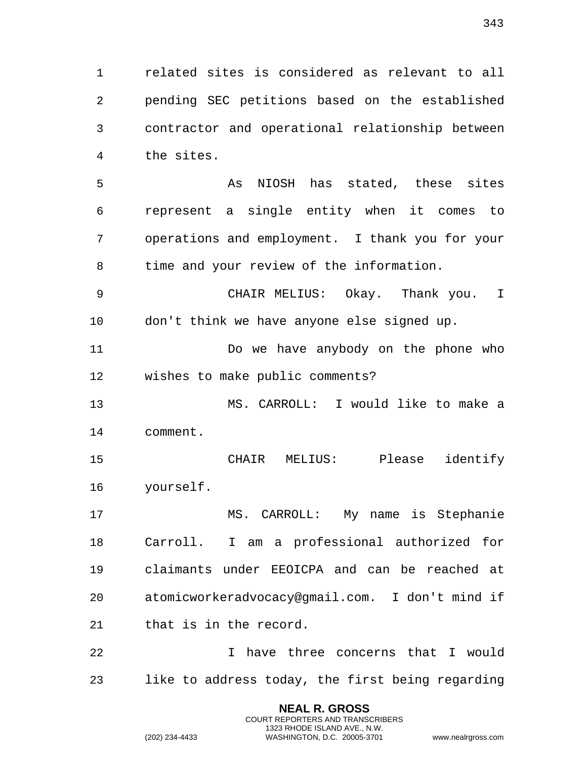related sites is considered as relevant to all pending SEC petitions based on the established contractor and operational relationship between the sites.

 As NIOSH has stated, these sites represent a single entity when it comes to operations and employment. I thank you for your time and your review of the information.

 CHAIR MELIUS: Okay. Thank you. I don't think we have anyone else signed up.

11 Do we have anybody on the phone who wishes to make public comments?

 MS. CARROLL: I would like to make a comment.

 CHAIR MELIUS: Please identify yourself.

 MS. CARROLL: My name is Stephanie Carroll. I am a professional authorized for claimants under EEOICPA and can be reached at atomicworkeradvocacy@gmail.com. I don't mind if that is in the record.

 I have three concerns that I would like to address today, the first being regarding

> **NEAL R. GROSS** COURT REPORTERS AND TRANSCRIBERS 1323 RHODE ISLAND AVE., N.W.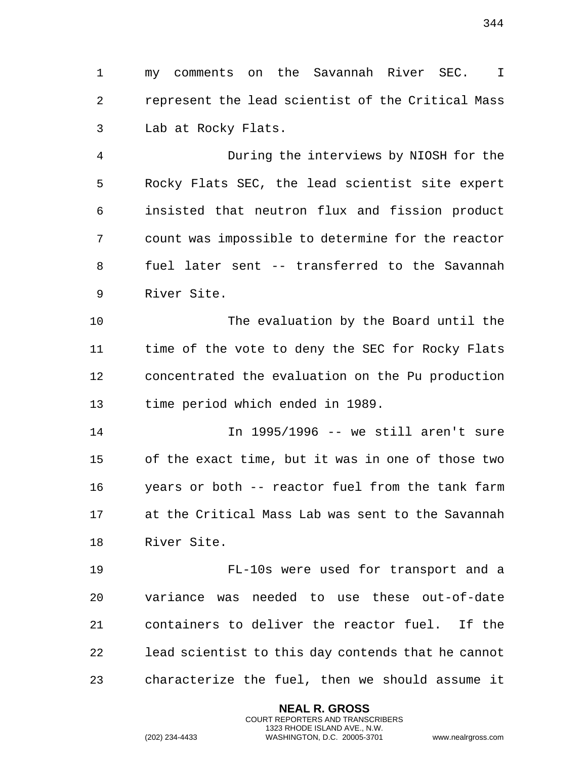my comments on the Savannah River SEC. I represent the lead scientist of the Critical Mass Lab at Rocky Flats.

 During the interviews by NIOSH for the Rocky Flats SEC, the lead scientist site expert insisted that neutron flux and fission product count was impossible to determine for the reactor fuel later sent -- transferred to the Savannah River Site.

 The evaluation by the Board until the time of the vote to deny the SEC for Rocky Flats concentrated the evaluation on the Pu production time period which ended in 1989.

 In 1995/1996 -- we still aren't sure of the exact time, but it was in one of those two years or both -- reactor fuel from the tank farm at the Critical Mass Lab was sent to the Savannah River Site.

 FL-10s were used for transport and a variance was needed to use these out-of-date containers to deliver the reactor fuel. If the lead scientist to this day contends that he cannot characterize the fuel, then we should assume it

> **NEAL R. GROSS** COURT REPORTERS AND TRANSCRIBERS 1323 RHODE ISLAND AVE., N.W.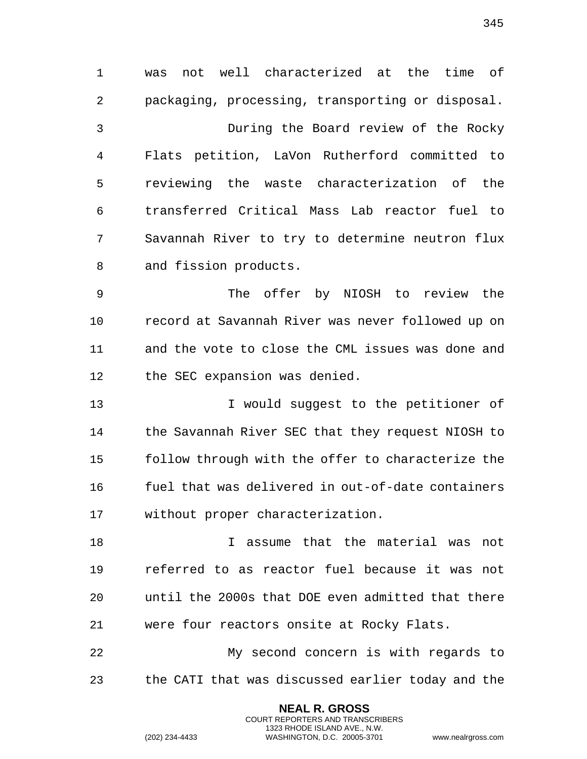was not well characterized at the time of packaging, processing, transporting or disposal. During the Board review of the Rocky Flats petition, LaVon Rutherford committed to reviewing the waste characterization of the transferred Critical Mass Lab reactor fuel to Savannah River to try to determine neutron flux and fission products.

 The offer by NIOSH to review the record at Savannah River was never followed up on and the vote to close the CML issues was done and 12 the SEC expansion was denied.

 I would suggest to the petitioner of the Savannah River SEC that they request NIOSH to follow through with the offer to characterize the fuel that was delivered in out-of-date containers without proper characterization.

18 18 I assume that the material was not referred to as reactor fuel because it was not until the 2000s that DOE even admitted that there were four reactors onsite at Rocky Flats.

 My second concern is with regards to the CATI that was discussed earlier today and the

> **NEAL R. GROSS** COURT REPORTERS AND TRANSCRIBERS 1323 RHODE ISLAND AVE., N.W.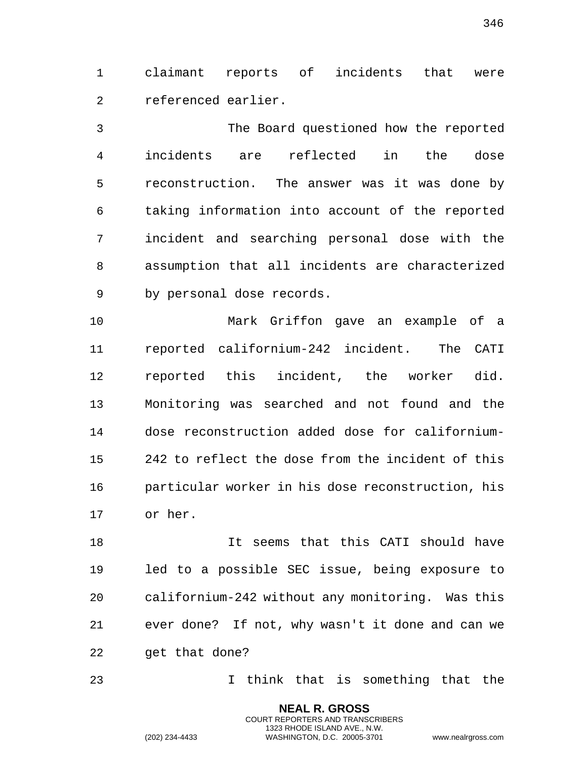claimant reports of incidents that were referenced earlier.

 The Board questioned how the reported incidents are reflected in the dose reconstruction. The answer was it was done by taking information into account of the reported incident and searching personal dose with the assumption that all incidents are characterized by personal dose records.

 Mark Griffon gave an example of a reported californium-242 incident. The CATI reported this incident, the worker did. Monitoring was searched and not found and the dose reconstruction added dose for californium- 242 to reflect the dose from the incident of this particular worker in his dose reconstruction, his or her.

 It seems that this CATI should have led to a possible SEC issue, being exposure to californium-242 without any monitoring. Was this ever done? If not, why wasn't it done and can we 22 get that done?

I think that is something that the

**NEAL R. GROSS** COURT REPORTERS AND TRANSCRIBERS 1323 RHODE ISLAND AVE., N.W.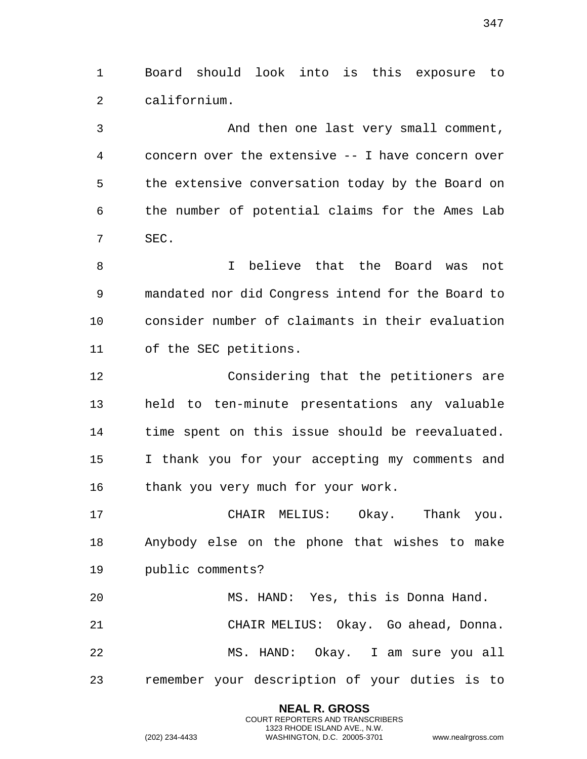Board should look into is this exposure to californium.

 And then one last very small comment, concern over the extensive -- I have concern over the extensive conversation today by the Board on the number of potential claims for the Ames Lab SEC.

 I believe that the Board was not mandated nor did Congress intend for the Board to consider number of claimants in their evaluation of the SEC petitions.

 Considering that the petitioners are held to ten-minute presentations any valuable time spent on this issue should be reevaluated. I thank you for your accepting my comments and 16 thank you very much for your work.

 CHAIR MELIUS: Okay. Thank you. Anybody else on the phone that wishes to make public comments?

 MS. HAND: Yes, this is Donna Hand. CHAIR MELIUS: Okay. Go ahead, Donna. MS. HAND: Okay. I am sure you all remember your description of your duties is to

> **NEAL R. GROSS** COURT REPORTERS AND TRANSCRIBERS 1323 RHODE ISLAND AVE., N.W.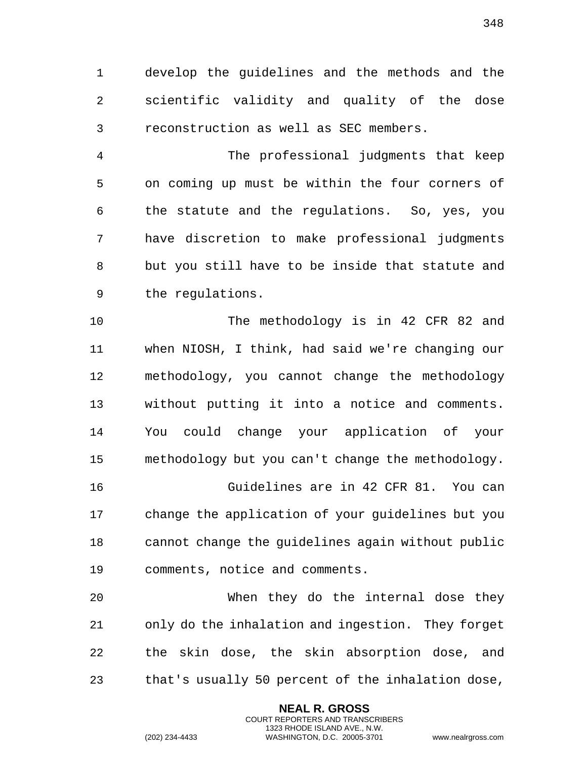develop the guidelines and the methods and the scientific validity and quality of the dose reconstruction as well as SEC members.

 The professional judgments that keep on coming up must be within the four corners of the statute and the regulations. So, yes, you have discretion to make professional judgments but you still have to be inside that statute and the regulations.

 The methodology is in 42 CFR 82 and when NIOSH, I think, had said we're changing our methodology, you cannot change the methodology without putting it into a notice and comments. You could change your application of your methodology but you can't change the methodology.

 Guidelines are in 42 CFR 81. You can change the application of your guidelines but you cannot change the guidelines again without public comments, notice and comments.

 When they do the internal dose they only do the inhalation and ingestion. They forget the skin dose, the skin absorption dose, and that's usually 50 percent of the inhalation dose,

> **NEAL R. GROSS** COURT REPORTERS AND TRANSCRIBERS 1323 RHODE ISLAND AVE., N.W.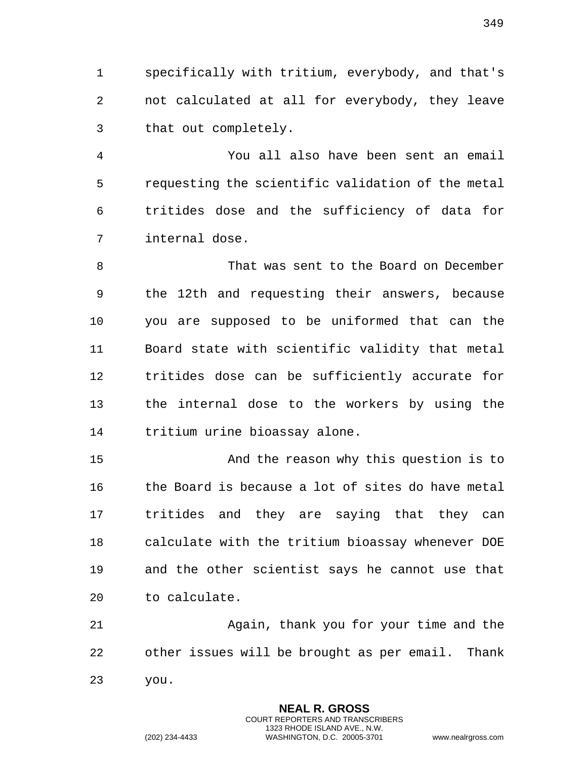specifically with tritium, everybody, and that's not calculated at all for everybody, they leave that out completely.

 You all also have been sent an email requesting the scientific validation of the metal tritides dose and the sufficiency of data for internal dose.

 That was sent to the Board on December the 12th and requesting their answers, because you are supposed to be uniformed that can the Board state with scientific validity that metal tritides dose can be sufficiently accurate for the internal dose to the workers by using the tritium urine bioassay alone.

 And the reason why this question is to 16 the Board is because a lot of sites do have metal tritides and they are saying that they can calculate with the tritium bioassay whenever DOE and the other scientist says he cannot use that to calculate.

 Again, thank you for your time and the other issues will be brought as per email. Thank you.

> **NEAL R. GROSS** COURT REPORTERS AND TRANSCRIBERS 1323 RHODE ISLAND AVE., N.W.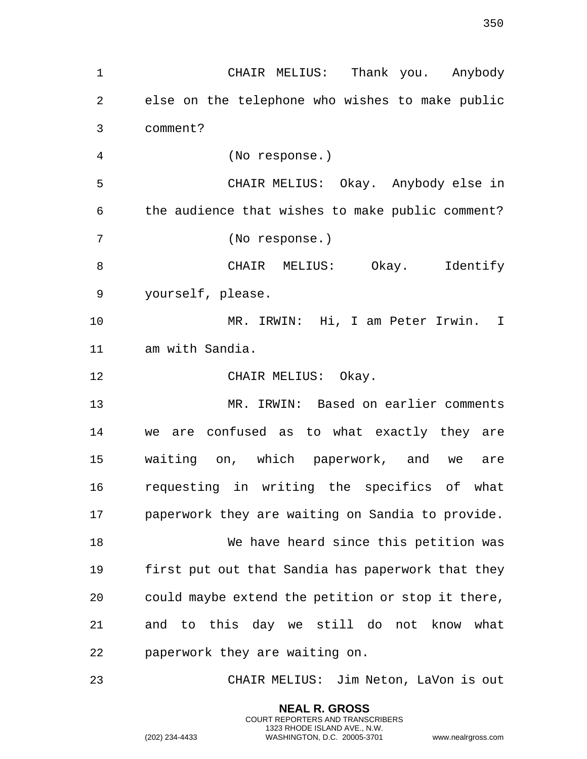CHAIR MELIUS: Thank you. Anybody else on the telephone who wishes to make public comment? (No response.) CHAIR MELIUS: Okay. Anybody else in the audience that wishes to make public comment? (No response.) CHAIR MELIUS: Okay. Identify yourself, please. MR. IRWIN: Hi, I am Peter Irwin. I am with Sandia. 12 CHAIR MELIUS: Okay. MR. IRWIN: Based on earlier comments we are confused as to what exactly they are waiting on, which paperwork, and we are requesting in writing the specifics of what paperwork they are waiting on Sandia to provide. We have heard since this petition was first put out that Sandia has paperwork that they could maybe extend the petition or stop it there, and to this day we still do not know what paperwork they are waiting on. CHAIR MELIUS: Jim Neton, LaVon is out

> **NEAL R. GROSS** COURT REPORTERS AND TRANSCRIBERS 1323 RHODE ISLAND AVE., N.W.

(202) 234-4433 WASHINGTON, D.C. 20005-3701 www.nealrgross.com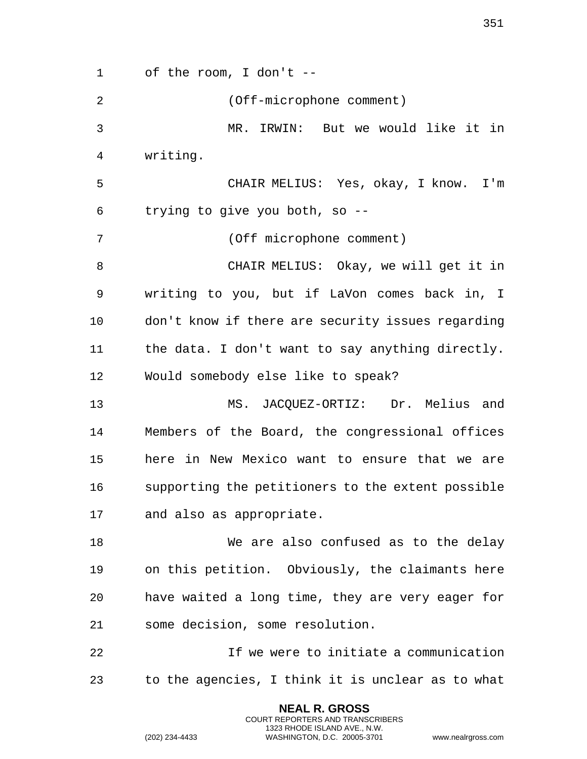of the room, I don't -- (Off-microphone comment) MR. IRWIN: But we would like it in writing. CHAIR MELIUS: Yes, okay, I know. I'm trying to give you both, so -- (Off microphone comment) CHAIR MELIUS: Okay, we will get it in writing to you, but if LaVon comes back in, I don't know if there are security issues regarding the data. I don't want to say anything directly. Would somebody else like to speak? MS. JACQUEZ-ORTIZ: Dr. Melius and Members of the Board, the congressional offices here in New Mexico want to ensure that we are supporting the petitioners to the extent possible and also as appropriate. We are also confused as to the delay on this petition. Obviously, the claimants here have waited a long time, they are very eager for some decision, some resolution. If we were to initiate a communication to the agencies, I think it is unclear as to what

> **NEAL R. GROSS** COURT REPORTERS AND TRANSCRIBERS 1323 RHODE ISLAND AVE., N.W.

(202) 234-4433 WASHINGTON, D.C. 20005-3701 www.nealrgross.com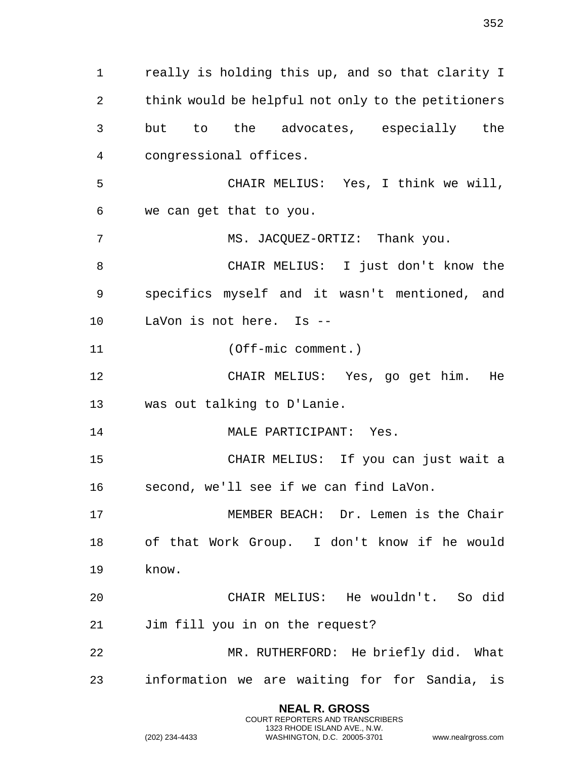really is holding this up, and so that clarity I think would be helpful not only to the petitioners but to the advocates, especially the congressional offices. CHAIR MELIUS: Yes, I think we will, we can get that to you. 7 MS. JACOUEZ-ORTIZ: Thank you. CHAIR MELIUS: I just don't know the specifics myself and it wasn't mentioned, and LaVon is not here. Is -- (Off-mic comment.) CHAIR MELIUS: Yes, go get him. He was out talking to D'Lanie. 14 MALE PARTICIPANT: Yes. CHAIR MELIUS: If you can just wait a second, we'll see if we can find LaVon. MEMBER BEACH: Dr. Lemen is the Chair of that Work Group. I don't know if he would know. CHAIR MELIUS: He wouldn't. So did Jim fill you in on the request? MR. RUTHERFORD: He briefly did. What information we are waiting for for Sandia, is

> **NEAL R. GROSS** COURT REPORTERS AND TRANSCRIBERS 1323 RHODE ISLAND AVE., N.W.

(202) 234-4433 WASHINGTON, D.C. 20005-3701 www.nealrgross.com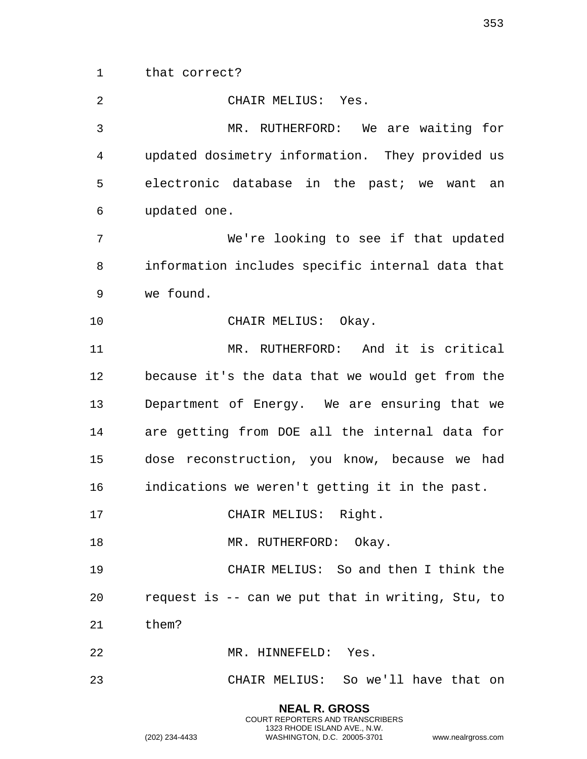that correct?

 CHAIR MELIUS: Yes. MR. RUTHERFORD: We are waiting for updated dosimetry information. They provided us electronic database in the past; we want an updated one. We're looking to see if that updated information includes specific internal data that we found. 10 CHAIR MELIUS: Okay. MR. RUTHERFORD: And it is critical because it's the data that we would get from the Department of Energy. We are ensuring that we are getting from DOE all the internal data for dose reconstruction, you know, because we had indications we weren't getting it in the past. CHAIR MELIUS: Right. 18 MR. RUTHERFORD: Okay. CHAIR MELIUS: So and then I think the request is -- can we put that in writing, Stu, to them? MR. HINNEFELD: Yes. CHAIR MELIUS: So we'll have that on

> **NEAL R. GROSS** COURT REPORTERS AND TRANSCRIBERS 1323 RHODE ISLAND AVE., N.W.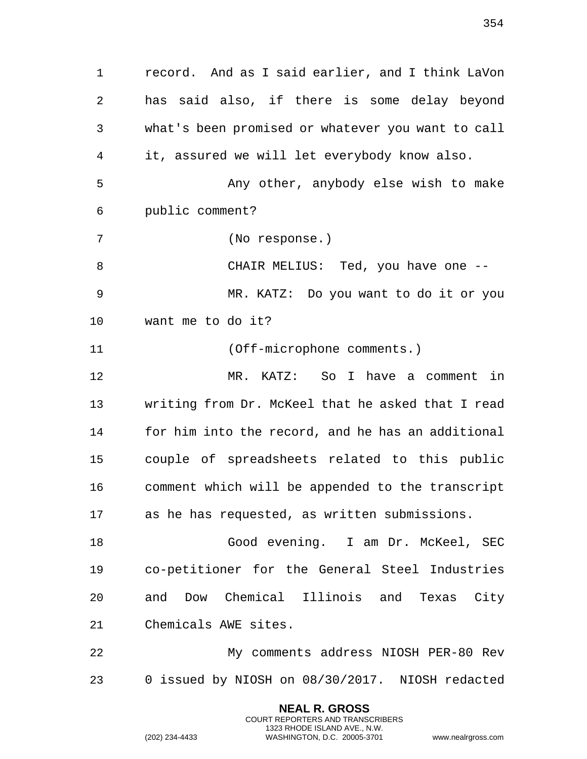record. And as I said earlier, and I think LaVon has said also, if there is some delay beyond what's been promised or whatever you want to call it, assured we will let everybody know also. Any other, anybody else wish to make public comment? (No response.) CHAIR MELIUS: Ted, you have one -- MR. KATZ: Do you want to do it or you want me to do it? (Off-microphone comments.) MR. KATZ: So I have a comment in writing from Dr. McKeel that he asked that I read for him into the record, and he has an additional couple of spreadsheets related to this public comment which will be appended to the transcript as he has requested, as written submissions. Good evening. I am Dr. McKeel, SEC co-petitioner for the General Steel Industries and Dow Chemical Illinois and Texas City Chemicals AWE sites. My comments address NIOSH PER-80 Rev 0 issued by NIOSH on 08/30/2017. NIOSH redacted

> **NEAL R. GROSS** COURT REPORTERS AND TRANSCRIBERS 1323 RHODE ISLAND AVE., N.W.

(202) 234-4433 WASHINGTON, D.C. 20005-3701 www.nealrgross.com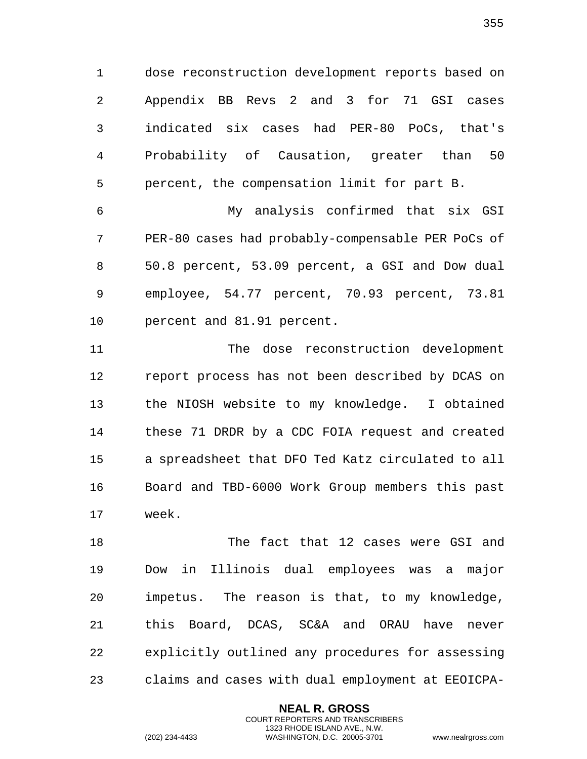dose reconstruction development reports based on Appendix BB Revs 2 and 3 for 71 GSI cases indicated six cases had PER-80 PoCs, that's Probability of Causation, greater than 50 percent, the compensation limit for part B.

 My analysis confirmed that six GSI PER-80 cases had probably-compensable PER PoCs of 50.8 percent, 53.09 percent, a GSI and Dow dual employee, 54.77 percent, 70.93 percent, 73.81 percent and 81.91 percent.

 The dose reconstruction development report process has not been described by DCAS on the NIOSH website to my knowledge. I obtained these 71 DRDR by a CDC FOIA request and created a spreadsheet that DFO Ted Katz circulated to all Board and TBD-6000 Work Group members this past week.

 The fact that 12 cases were GSI and Dow in Illinois dual employees was a major impetus. The reason is that, to my knowledge, this Board, DCAS, SC&A and ORAU have never explicitly outlined any procedures for assessing claims and cases with dual employment at EEOICPA-

> **NEAL R. GROSS** COURT REPORTERS AND TRANSCRIBERS 1323 RHODE ISLAND AVE., N.W.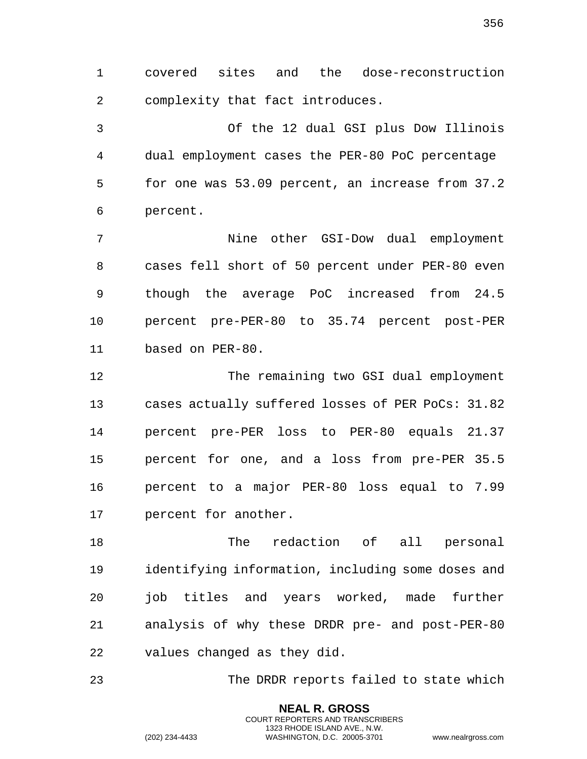covered sites and the dose-reconstruction complexity that fact introduces.

 Of the 12 dual GSI plus Dow Illinois dual employment cases the PER-80 PoC percentage for one was 53.09 percent, an increase from 37.2 percent.

 Nine other GSI-Dow dual employment cases fell short of 50 percent under PER-80 even though the average PoC increased from 24.5 percent pre-PER-80 to 35.74 percent post-PER based on PER-80.

 The remaining two GSI dual employment cases actually suffered losses of PER PoCs: 31.82 percent pre-PER loss to PER-80 equals 21.37 percent for one, and a loss from pre-PER 35.5 percent to a major PER-80 loss equal to 7.99 percent for another.

 The redaction of all personal identifying information, including some doses and job titles and years worked, made further analysis of why these DRDR pre- and post-PER-80 values changed as they did.

The DRDR reports failed to state which

**NEAL R. GROSS** COURT REPORTERS AND TRANSCRIBERS 1323 RHODE ISLAND AVE., N.W.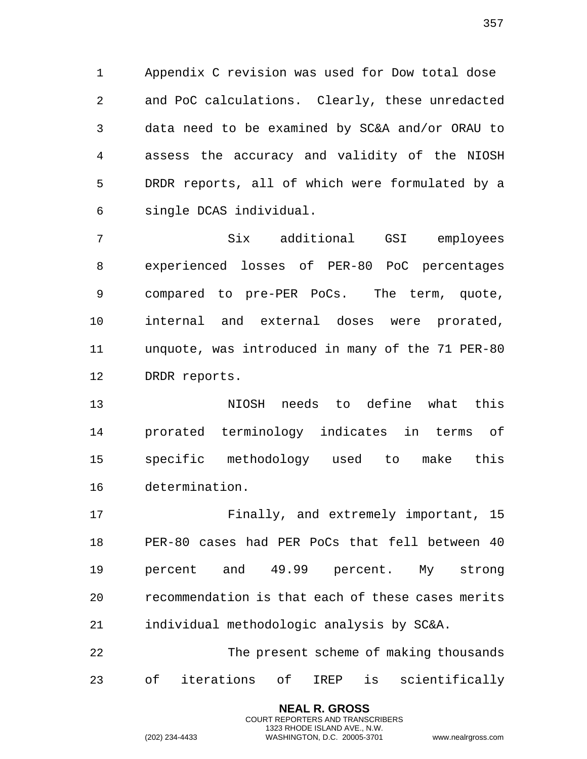Appendix C revision was used for Dow total dose and PoC calculations. Clearly, these unredacted data need to be examined by SC&A and/or ORAU to assess the accuracy and validity of the NIOSH DRDR reports, all of which were formulated by a single DCAS individual.

 Six additional GSI employees experienced losses of PER-80 PoC percentages compared to pre-PER PoCs. The term, quote, internal and external doses were prorated, unquote, was introduced in many of the 71 PER-80 DRDR reports.

 NIOSH needs to define what this prorated terminology indicates in terms of specific methodology used to make this determination.

17 Finally, and extremely important, 15 PER-80 cases had PER PoCs that fell between 40 percent and 49.99 percent. My strong recommendation is that each of these cases merits individual methodologic analysis by SC&A.

 The present scheme of making thousands of iterations of IREP is scientifically

> **NEAL R. GROSS** COURT REPORTERS AND TRANSCRIBERS 1323 RHODE ISLAND AVE., N.W.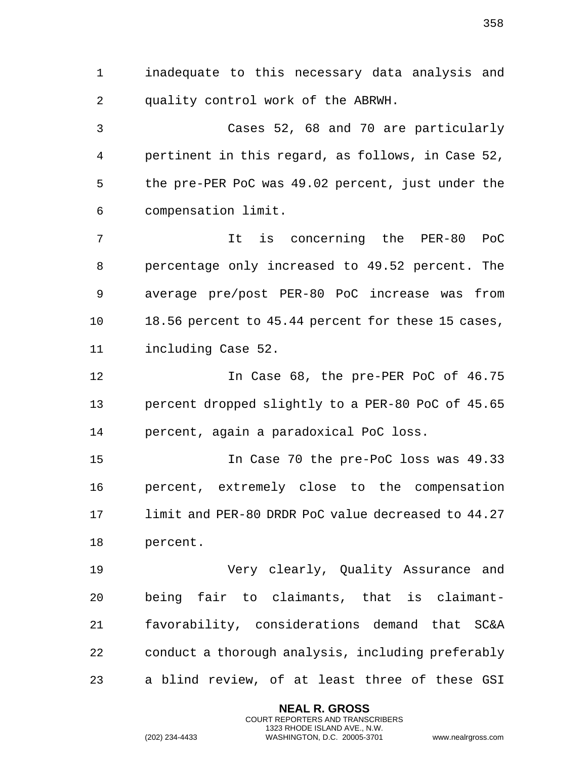1 inadequate to this necessary data analysis and 2 quality control work of the ABRWH.

3 Cases 52, 68 and 70 are particularly 4 pertinent in this regard, as follows, in Case 52, 5 the pre-PER PoC was 49.02 percent, just under the 6 compensation limit.

7 It is concerning the PER-80 PoC 8 percentage only increased to 49.52 percent. The 9 average pre/post PER-80 PoC increase was from 10 18.56 percent to 45.44 percent for these 15 cases, 11 including Case 52.

12 In Case 68, the pre-PER PoC of 46.75 13 percent dropped slightly to a PER-80 PoC of 45.65 14 percent, again a paradoxical PoC loss.

15 In Case 70 the pre-PoC loss was 49.33 16 percent, extremely close to the compensation 17 limit and PER-80 DRDR PoC value decreased to 44.27 18 percent.

19 Very clearly, Quality Assurance and 20 being fair to claimants, that is claimant-21 favorability, considerations demand that SC&A 22 conduct a thorough analysis, including preferably 23 a blind review, of at least three of these GSI

> **NEAL R. GROSS** COURT REPORTERS AND TRANSCRIBERS 1323 RHODE ISLAND AVE., N.W.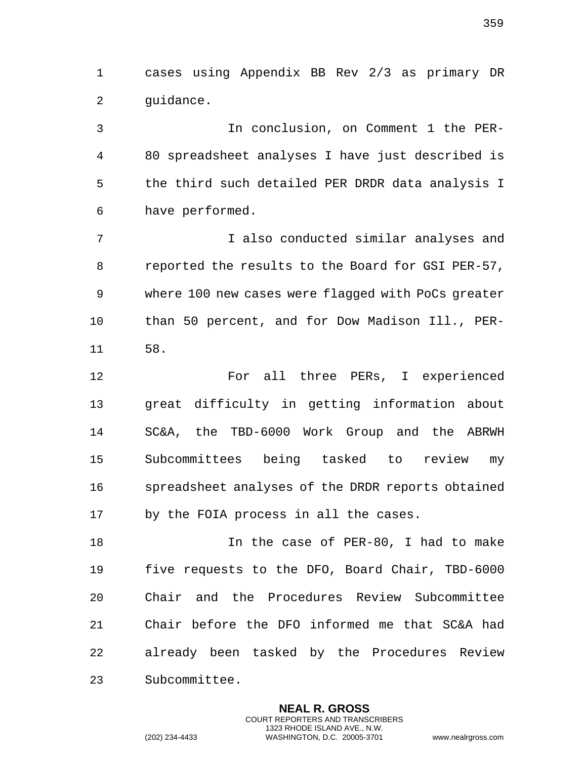1 cases using Appendix BB Rev 2/3 as primary DR 2 guidance.

3 In conclusion, on Comment 1 the PER-4 80 spreadsheet analyses I have just described is 5 the third such detailed PER DRDR data analysis I 6 have performed.

7 I also conducted similar analyses and 8 reported the results to the Board for GSI PER-57, 9 where 100 new cases were flagged with PoCs greater 10 than 50 percent, and for Dow Madison Ill., PER-11 58.

12 For all three PERs, I experienced 13 great difficulty in getting information about 14 SC&A, the TBD-6000 Work Group and the ABRWH 15 Subcommittees being tasked to review my 16 spreadsheet analyses of the DRDR reports obtained 17 by the FOIA process in all the cases.

18 In the case of PER-80, I had to make 19 five requests to the DFO, Board Chair, TBD-6000 20 Chair and the Procedures Review Subcommittee 21 Chair before the DFO informed me that SC&A had 22 already been tasked by the Procedures Review 23 Subcommittee.

> **NEAL R. GROSS** COURT REPORTERS AND TRANSCRIBERS 1323 RHODE ISLAND AVE., N.W.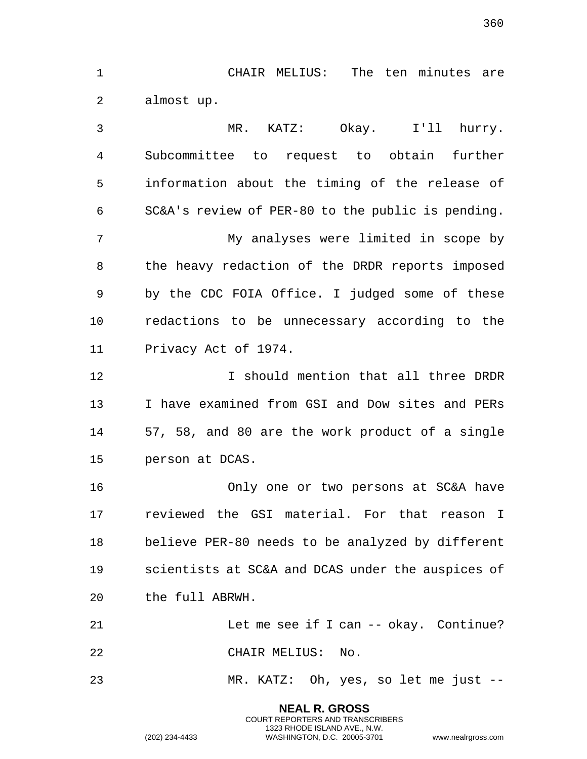1 CHAIR MELIUS: The ten minutes are 2 almost up.

3 MR. KATZ: Okay. I'll hurry. 4 Subcommittee to request to obtain further 5 information about the timing of the release of 6 SC&A's review of PER-80 to the public is pending. 7 My analyses were limited in scope by 8 the heavy redaction of the DRDR reports imposed 9 by the CDC FOIA Office. I judged some of these 10 redactions to be unnecessary according to the 11 Privacy Act of 1974. 12 I should mention that all three DRDR 13 I have examined from GSI and Dow sites and PERs 14 57, 58, and 80 are the work product of a single 15 person at DCAS. 16 Only one or two persons at SC&A have 17 reviewed the GSI material. For that reason I 18 believe PER-80 needs to be analyzed by different 19 scientists at SC&A and DCAS under the auspices of 20 the full ABRWH. 21 Let me see if I can -- okay. Continue? 22 CHAIR MELIUS: No. 23 MR. KATZ: Oh, yes, so let me just --

> **NEAL R. GROSS** COURT REPORTERS AND TRANSCRIBERS 1323 RHODE ISLAND AVE., N.W.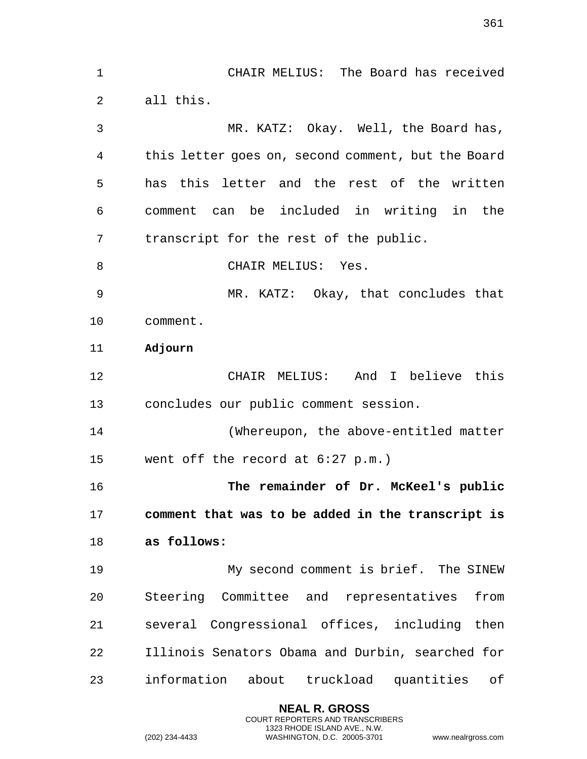1 CHAIR MELIUS: The Board has received 2 all this. 3 MR. KATZ: Okay. Well, the Board has, 4 this letter goes on, second comment, but the Board 5 has this letter and the rest of the written 6 comment can be included in writing in the 7 transcript for the rest of the public. 8 CHAIR MELIUS: Yes. 9 MR. KATZ: Okay, that concludes that 10 comment. 11 **Adjourn**  12 CHAIR MELIUS: And I believe this 13 concludes our public comment session. 14 (Whereupon, the above-entitled matter 15 went off the record at 6:27 p.m.) 16 **The remainder of Dr. McKeel's public**  17 **comment that was to be added in the transcript is**  18 **as follows:** 19 My second comment is brief. The SINEW 20 Steering Committee and representatives from 21 several Congressional offices, including then 22 Illinois Senators Obama and Durbin, searched for 23 information about truckload quantities of

> **NEAL R. GROSS** COURT REPORTERS AND TRANSCRIBERS 1323 RHODE ISLAND AVE., N.W.

(202) 234-4433 WASHINGTON, D.C. 20005-3701 www.nealrgross.com

361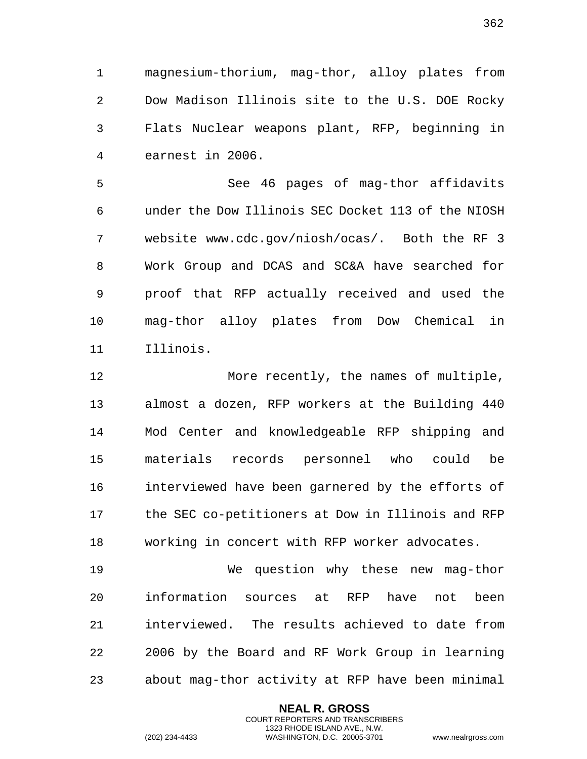1 magnesium-thorium, mag-thor, alloy plates from 2 Dow Madison Illinois site to the U.S. DOE Rocky 3 Flats Nuclear weapons plant, RFP, beginning in 4 earnest in 2006.

5 See 46 pages of mag-thor affidavits 6 under the Dow Illinois SEC Docket 113 of the NIOSH 7 website www.cdc.gov/niosh/ocas/. Both the RF 3 8 Work Group and DCAS and SC&A have searched for 9 proof that RFP actually received and used the 10 mag-thor alloy plates from Dow Chemical in 11 Illinois.

12 More recently, the names of multiple, 13 almost a dozen, RFP workers at the Building 440 14 Mod Center and knowledgeable RFP shipping and 15 materials records personnel who could be 16 interviewed have been garnered by the efforts of 17 the SEC co-petitioners at Dow in Illinois and RFP 18 working in concert with RFP worker advocates.

19 We question why these new mag-thor 20 information sources at RFP have not been 21 interviewed. The results achieved to date from 22 2006 by the Board and RF Work Group in learning 23 about mag-thor activity at RFP have been minimal

> **NEAL R. GROSS** COURT REPORTERS AND TRANSCRIBERS 1323 RHODE ISLAND AVE., N.W.

(202) 234-4433 WASHINGTON, D.C. 20005-3701 www.nealrgross.com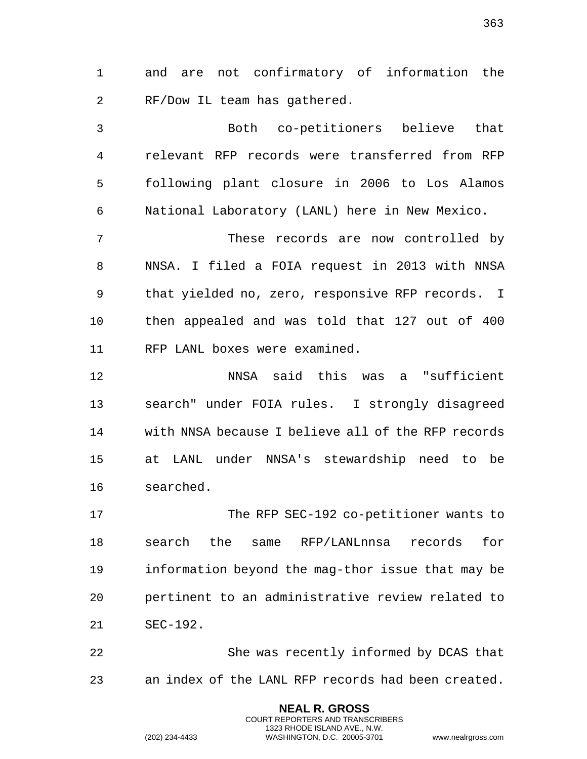1 and are not confirmatory of information the 2 RF/Dow IL team has gathered.

3 Both co-petitioners believe that 4 relevant RFP records were transferred from RFP 5 following plant closure in 2006 to Los Alamos 6 National Laboratory (LANL) here in New Mexico.

7 These records are now controlled by 8 NNSA. I filed a FOIA request in 2013 with NNSA 9 that yielded no, zero, responsive RFP records. I 10 then appealed and was told that 127 out of 400 11 RFP LANL boxes were examined.

12 NNSA said this was a "sufficient 13 search" under FOIA rules. I strongly disagreed 14 with NNSA because I believe all of the RFP records 15 at LANL under NNSA's stewardship need to be 16 searched.

17 The RFP SEC-192 co-petitioner wants to 18 search the same RFP/LANLnnsa records for 19 information beyond the mag-thor issue that may be 20 pertinent to an administrative review related to 21 SEC-192.

22 She was recently informed by DCAS that 23 an index of the LANL RFP records had been created.

> **NEAL R. GROSS** COURT REPORTERS AND TRANSCRIBERS 1323 RHODE ISLAND AVE., N.W.

(202) 234-4433 WASHINGTON, D.C. 20005-3701 www.nealrgross.com